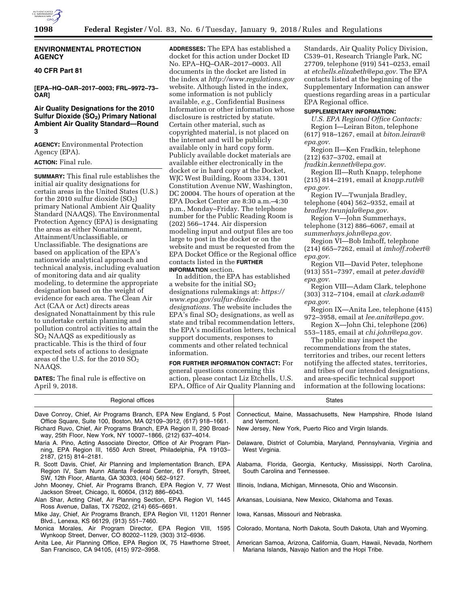

#### **ENVIRONMENTAL PROTECTION AGENCY**

### **40 CFR Part 81**

**[EPA–HQ–OAR–2017–0003; FRL–9972–73– OAR]** 

### **Air Quality Designations for the 2010 Sulfur Dioxide (SO<sub>2</sub>) Primary National Ambient Air Quality Standard—Round 3**

**AGENCY:** Environmental Protection Agency (EPA).

## **ACTION:** Final rule.

**SUMMARY:** This final rule establishes the initial air quality designations for certain areas in the United States (U.S.) for the 2010 sulfur dioxide  $(SO<sub>2</sub>)$ primary National Ambient Air Quality Standard (NAAQS). The Environmental Protection Agency (EPA) is designating the areas as either Nonattainment, Attainment/Unclassifiable, or Unclassifiable. The designations are based on application of the EPA's nationwide analytical approach and technical analysis, including evaluation of monitoring data and air quality modeling, to determine the appropriate designation based on the weight of evidence for each area. The Clean Air Act (CAA or Act) directs areas designated Nonattainment by this rule to undertake certain planning and pollution control activities to attain the SO2 NAAQS as expeditiously as practicable. This is the third of four expected sets of actions to designate areas of the U.S. for the 2010  $SO<sub>2</sub>$ NAAQS.

**DATES:** The final rule is effective on April 9, 2018.

**ADDRESSES:** The EPA has established a docket for this action under Docket ID No. EPA–HQ–OAR–2017–0003. All documents in the docket are listed in the index at *<http://www.regulations.gov>* website. Although listed in the index, some information is not publicly available, *e.g.,* Confidential Business Information or other information whose disclosure is restricted by statute. Certain other material, such as copyrighted material, is not placed on the internet and will be publicly available only in hard copy form. Publicly available docket materials are available either electronically in the docket or in hard copy at the Docket, WJC West Building, Room 3334, 1301 Constitution Avenue NW, Washington, DC 20004. The hours of operation at the EPA Docket Center are 8:30 a.m.–4:30 p.m., Monday–Friday. The telephone number for the Public Reading Room is (202) 566–1744. Air dispersion modeling input and output files are too large to post in the docket or on the website and must be requested from the EPA Docket Office or the Regional office contacts listed in the **FURTHER INFORMATION** section.

In addition, the EPA has established a website for the initial  $\mathrm{SO}_2$ designations rulemakings at: *[https://](https://www.epa.gov/sulfur-dioxide-designations) [www.epa.gov/sulfur-dioxide](https://www.epa.gov/sulfur-dioxide-designations)[designations.](https://www.epa.gov/sulfur-dioxide-designations)* The website includes the EPA's final  $SO<sub>2</sub>$  designations, as well as state and tribal recommendation letters, the EPA's modification letters, technical support documents, responses to comments and other related technical information.

**FOR FURTHER INFORMATION CONTACT:** For general questions concerning this action, please contact Liz Etchells, U.S. EPA, Office of Air Quality Planning and

Standards, Air Quality Policy Division, C539–01, Research Triangle Park, NC 27709, telephone (919) 541–0253, email at *[etchells.elizabeth@epa.gov.](mailto:etchells.elizabeth@epa.gov)* The EPA contacts listed at the beginning of the Supplementary Information can answer questions regarding areas in a particular EPA Regional office.

## **SUPPLEMENTARY INFORMATION:**

*U.S. EPA Regional Office Contacts:*  Region I—Leiran Biton, telephone (617) 918–1267, email at *[biton.leiran@](mailto:biton.leiran@epa.gov) [epa.gov.](mailto:biton.leiran@epa.gov)* 

Region II—Ken Fradkin, telephone (212) 637–3702, email at

*[fradkin.kenneth@epa.gov.](mailto:fradkin.kenneth@epa.gov)* 

Region III—Ruth Knapp, telephone (215) 814–2191, email at *[knapp.ruth@](mailto:knapp.ruth@epa.gov) [epa.gov.](mailto:knapp.ruth@epa.gov)* 

Region IV—Twunjala Bradley, telephone (404) 562–9352, email at *[bradley.twunjala@epa.gov.](mailto:bradley.twunjala@epa.gov)* 

Region V—John Summerhays, telephone (312) 886–6067, email at *[summerhays.john@epa.gov.](mailto:summerhays.john@epa.gov)* 

Region VI—Bob Imhoff, telephone (214) 665–7262, email at *[imhoff.robert@](mailto:imhoff.robert@epa.gov) [epa.gov.](mailto:imhoff.robert@epa.gov)* 

Region VII—David Peter, telephone (913) 551–7397, email at *[peter.david@](mailto:peter.david@epa.gov) [epa.gov.](mailto:peter.david@epa.gov)* 

Region VIII—Adam Clark, telephone (303) 312–7104, email at *[clark.adam@](mailto:clark.adam@epa.gov) [epa.gov.](mailto:clark.adam@epa.gov)* 

Region IX—Anita Lee, telephone (415) 972–3958, email at *[lee.anita@epa.gov.](mailto:lee.anita@epa.gov)* 

Region X—John Chi, telephone (206) 553–1185, email at *[chi.john@epa.gov.](mailto:chi.john@epa.gov)* 

The public may inspect the recommendations from the states, territories and tribes, our recent letters notifying the affected states, territories, and tribes of our intended designations, and area-specific technical support information at the following locations:

| Regional offices                                                                                                                                                                            | <b>States</b>                                                                                                             |
|---------------------------------------------------------------------------------------------------------------------------------------------------------------------------------------------|---------------------------------------------------------------------------------------------------------------------------|
| Dave Conroy, Chief, Air Programs Branch, EPA New England, 5 Post<br>Office Square, Suite 100, Boston, MA 02109-3912, (617) 918-1661.                                                        | Connecticut, Maine, Massachusetts, New Hampshire, Rhode Island<br>and Vermont.                                            |
| Richard Ruvo, Chief, Air Programs Branch, EPA Region II, 290 Broad-<br>way, 25th Floor, New York, NY 10007-1866, (212) 637-4014.                                                            | New Jersey, New York, Puerto Rico and Virgin Islands.                                                                     |
| Maria A. Pino, Acting Associate Director, Office of Air Program Plan-<br>ning, EPA Region III, 1650 Arch Street, Philadelphia, PA 19103–<br>2187, (215) 814-2181.                           | Delaware, District of Columbia, Maryland, Pennsylvania, Virginia and<br>West Virginia.                                    |
| R. Scott Davis, Chief, Air Planning and Implementation Branch, EPA<br>Region IV, Sam Nunn Atlanta Federal Center, 61 Forsyth, Street,<br>SW, 12th Floor, Atlanta, GA 30303, (404) 562-9127. | Alabama, Florida, Georgia, Kentucky, Mississippi, North Carolina,<br>South Carolina and Tennessee.                        |
| John Mooney, Chief, Air Programs Branch, EPA Region V, 77 West<br>Jackson Street, Chicago, IL 60604, (312) 886–6043.                                                                        | Illinois, Indiana, Michigan, Minnesota, Ohio and Wisconsin.                                                               |
| Alan Shar, Acting Chief, Air Planning Section, EPA Region VI, 1445<br>Ross Avenue, Dallas, TX 75202, (214) 665–6691.                                                                        | Arkansas, Louisiana, New Mexico, Oklahoma and Texas.                                                                      |
| Mike Jay, Chief, Air Programs Branch, EPA Region VII, 11201 Renner<br>Blvd., Lenexa, KS 66129, (913) 551-7460.                                                                              | lowa, Kansas, Missouri and Nebraska.                                                                                      |
| Monica Morales, Air Program Director, EPA Region VIII, 1595<br>Wynkoop Street, Denver, CO 80202-1129, (303) 312-6936.                                                                       | Colorado, Montana, North Dakota, South Dakota, Utah and Wyoming.                                                          |
| Anita Lee, Air Planning Office, EPA Region IX, 75 Hawthorne Street,<br>San Francisco, CA 94105, (415) 972-3958.                                                                             | American Samoa, Arizona, California, Guam, Hawaii, Nevada, Northern<br>Mariana Islands, Navajo Nation and the Hopi Tribe. |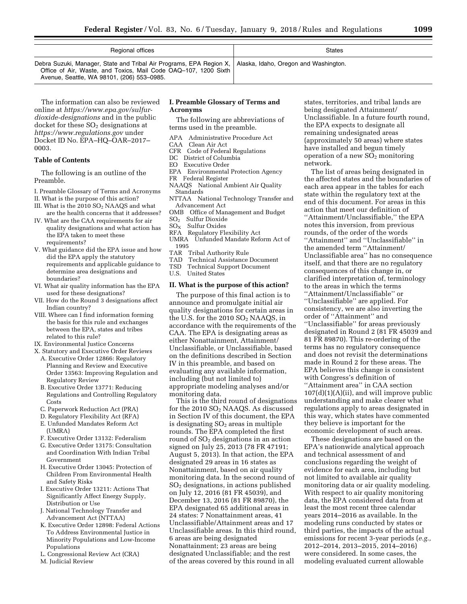| Regional offices                                                                                                                                                                                                             | <b>States</b> |
|------------------------------------------------------------------------------------------------------------------------------------------------------------------------------------------------------------------------------|---------------|
| Debra Suzuki, Manager, State and Tribal Air Programs, EPA Region X,   Alaska, Idaho, Oregon and Washington.<br>Office of Air, Waste, and Toxics, Mail Code OAQ-107, 1200 Sixth<br>Avenue, Seattle, WA 98101, (206) 553-0985. |               |

The information can also be reviewed online at *[https://www.epa.gov/sulfur](https://www.epa.gov/sulfur-dioxide-designations)[dioxide-designations](https://www.epa.gov/sulfur-dioxide-designations)* and in the public docket for these  $SO<sub>2</sub>$  designations at *<https://www.regulations.gov>* under Docket ID No. EPA–HQ–OAR–2017– 0003.

### **Table of Contents**

The following is an outline of the Preamble.

- I. Preamble Glossary of Terms and Acronyms
- II. What is the purpose of this action? III. What is the 2010 SO<sub>2</sub> NAAQS and what
- are the health concerns that it addresses? IV. What are the CAA requirements for air
- quality designations and what action has the EPA taken to meet these requirements?
- V. What guidance did the EPA issue and how did the EPA apply the statutory requirements and applicable guidance to determine area designations and boundaries?
- VI. What air quality information has the EPA used for these designations?
- VII. How do the Round 3 designations affect Indian country?
- VIII. Where can I find information forming the basis for this rule and exchanges between the EPA, states and tribes related to this rule?
- IX. Environmental Justice Concerns
- X. Statutory and Executive Order Reviews
- A. Executive Order 12866: Regulatory Planning and Review and Executive Order 13563: Improving Regulation and Regulatory Review
- B. Executive Order 13771: Reducing Regulations and Controlling Regulatory Costs
- C. Paperwork Reduction Act (PRA)
- D. Regulatory Flexibility Act (RFA)
- E. Unfunded Mandates Reform Act  $(UMRA)$
- F. Executive Order 13132: Federalism
- G. Executive Order 13175: Consultation and Coordination With Indian Tribal Government
- H. Executive Order 13045: Protection of Children From Environmental Health and Safety Risks
- I. Executive Order 13211: Actions That Significantly Affect Energy Supply, Distribution or Use
- J. National Technology Transfer and Advancement Act (NTTAA)
- K. Executive Order 12898: Federal Actions To Address Environmental Justice in Minority Populations and Low-Income Populations
- L. Congressional Review Act (CRA)
- M. Judicial Review

#### **I. Preamble Glossary of Terms and Acronyms**

The following are abbreviations of terms used in the preamble.

- APA Administrative Procedure Act<br>CAA Clean Air Act
- Clean Air Act
- CFR Code of Federal Regulations
- DC District of Columbia
- EO Executive Order
- EPA Environmental Protection Agency
- FR Federal Register
- NAAQS National Ambient Air Quality Standards
- NTTAA National Technology Transfer and Advancement Act
- OMB Office of Management and Budget
- SO2 Sulfur Dioxide
- $SO<sub>X</sub>$  Sulfur Oxides
- RFA Regulatory Flexibility Act
- Unfunded Mandate Reform Act of  $\begin{array}{c} \text{1995} \\ \text{TAR} \end{array}$
- TAR Tribal Authority Rule<br>TAD Technical Assistance
- TAD Technical Assistance Document<br>
TSD Technical Support Document
- Technical Support Document
- U.S. United States

#### **II. What is the purpose of this action?**

The purpose of this final action is to announce and promulgate initial air quality designations for certain areas in the U.S. for the  $2010$   $SO<sub>2</sub>$  NAAQS, in accordance with the requirements of the CAA. The EPA is designating areas as either Nonattainment, Attainment/ Unclassifiable, or Unclassifiable, based on the definitions described in Section IV in this preamble, and based on evaluating any available information, including (but not limited to) appropriate modeling analyses and/or monitoring data.

This is the third round of designations for the 2010  $SO<sub>2</sub>$  NAAQS. As discussed in Section IV of this document, the EPA is designating  $SO<sub>2</sub>$  areas in multiple rounds. The EPA completed the first round of SO<sub>2</sub> designations in an action signed on July 25, 2013 (78 FR 47191; August 5, 2013). In that action, the EPA designated 29 areas in 16 states as Nonattainment, based on air quality monitoring data. In the second round of  $SO<sub>2</sub>$  designations, in actions published on July 12, 2016 (81 FR 45039), and December 13, 2016 (81 FR 89870), the EPA designated 65 additional areas in 24 states: 7 Nonattainment areas, 41 Unclassifiable/Attainment areas and 17 Unclassifiable areas. In this third round, 6 areas are being designated Nonattainment; 23 areas are being designated Unclassifiable; and the rest of the areas covered by this round in all

states, territories, and tribal lands are being designated Attainment/ Unclassifiable. In a future fourth round, the EPA expects to designate all remaining undesignated areas (approximately 50 areas) where states have installed and begun timely operation of a new  $SO_2$  monitoring network.

The list of areas being designated in the affected states and the boundaries of each area appear in the tables for each state within the regulatory text at the end of this document. For areas in this action that meet our definition of ''Attainment/Unclassifiable,'' the EPA notes this inversion, from previous rounds, of the order of the words ''Attainment'' and ''Unclassifiable'' in the amended term ''Attainment/ Unclassifiable area'' has no consequence itself, and that there are no regulatory consequences of this change in, or clarified interpretation of, terminology to the areas in which the terms ''Attainment/Unclassifiable'' or ''Unclassifiable'' are applied. For consistency, we are also inverting the order of ''Attainment'' and ''Unclassifiable'' for areas previously designated in Round 2 (81 FR 45039 and 81 FR 89870). This re-ordering of the terms has no regulatory consequence and does not revisit the determinations made in Round 2 for these areas. The EPA believes this change is consistent with Congress's definition of ''Attainment area'' in CAA section  $107(d)(1)(A)(ii)$ , and will improve public understanding and make clearer what regulations apply to areas designated in this way, which states have commented they believe is important for the economic development of such areas.

These designations are based on the EPA's nationwide analytical approach and technical assessment of and conclusions regarding the weight of evidence for each area, including but not limited to available air quality monitoring data or air quality modeling. With respect to air quality monitoring data, the EPA considered data from at least the most recent three calendar years 2014–2016 as available. In the modeling runs conducted by states or third parties, the impacts of the actual emissions for recent 3-year periods (*e.g.,*  2012–2014, 2013–2015, 2014–2016) were considered. In some cases, the modeling evaluated current allowable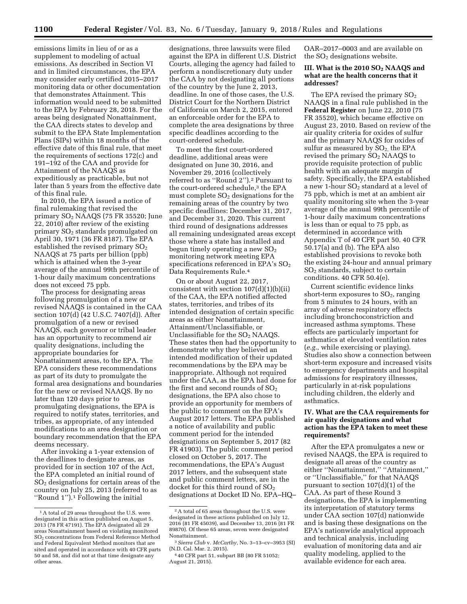emissions limits in lieu of or as a supplement to modeling of actual emissions. As described in Section VI and in limited circumstances, the EPA may consider early certified 2015–2017 monitoring data or other documentation that demonstrates Attainment. This information would need to be submitted to the EPA by February 28, 2018. For the areas being designated Nonattainment, the CAA directs states to develop and submit to the EPA State Implementation Plans (SIPs) within 18 months of the effective date of this final rule, that meet the requirements of sections 172(c) and 191–192 of the CAA and provide for Attainment of the NAAQS as expeditiously as practicable, but not later than 5 years from the effective date of this final rule.

In 2010, the EPA issued a notice of final rulemaking that revised the primary  $SO<sub>2</sub>$  NAAQS (75 FR 35520; June 22, 2010) after review of the existing primary SO2 standards promulgated on April 30, 1971 (36 FR 8187). The EPA established the revised primary  $SO<sub>2</sub>$ NAAQS at 75 parts per billion (ppb) which is attained when the 3-year average of the annual 99th percentile of 1-hour daily maximum concentrations does not exceed 75 ppb.

The process for designating areas following promulgation of a new or revised NAAQS is contained in the CAA section 107(d) (42 U.S.C. 7407(d)). After promulgation of a new or revised NAAQS, each governor or tribal leader has an opportunity to recommend air quality designations, including the appropriate boundaries for Nonattainment areas, to the EPA. The EPA considers these recommendations as part of its duty to promulgate the formal area designations and boundaries for the new or revised NAAQS. By no later than 120 days prior to promulgating designations, the EPA is required to notify states, territories, and tribes, as appropriate, of any intended modifications to an area designation or boundary recommendation that the EPA deems necessary.

After invoking a 1-year extension of the deadlines to designate areas, as provided for in section 107 of the Act, the EPA completed an initial round of SO2 designations for certain areas of the country on July 25, 2013 (referred to as ''Round 1'').1 Following the initial

designations, three lawsuits were filed against the EPA in different U.S. District Courts, alleging the agency had failed to perform a nondiscretionary duty under the CAA by not designating all portions of the country by the June 2, 2013, deadline. In one of those cases, the U.S. District Court for the Northern District of California on March 2, 2015, entered an enforceable order for the EPA to complete the area designations by three specific deadlines according to the court-ordered schedule.

To meet the first court-ordered deadline, additional areas were designated on June 30, 2016, and November 29, 2016 (collectively referred to as ''Round 2'').2 Pursuant to the court-ordered schedule,3 the EPA must complete  $SO<sub>2</sub>$  designations for the remaining areas of the country by two specific deadlines: December 31, 2017, and December 31, 2020. This current third round of designations addresses all remaining undesignated areas except those where a state has installed and begun timely operating a new  $SO<sub>2</sub>$ monitoring network meeting EPA specifications referenced in EPA's  $SO<sub>2</sub>$ Data Requirements Rule.4

On or about August 22, 2017, consistent with section  $107(d)(1)(b)(ii)$ of the CAA, the EPA notified affected states, territories, and tribes of its intended designation of certain specific areas as either Nonattainment, Attainment/Unclassifiable, or Unclassifiable for the SO<sub>2</sub> NAAQS. These states then had the opportunity to demonstrate why they believed an intended modification of their updated recommendations by the EPA may be inappropriate. Although not required under the CAA, as the EPA had done for the first and second rounds of  $SO<sub>2</sub>$ designations, the EPA also chose to provide an opportunity for members of the public to comment on the EPA's August 2017 letters. The EPA published a notice of availability and public comment period for the intended designations on September 5, 2017 (82 FR 41903). The public comment period closed on October 5, 2017. The recommendations, the EPA's August 2017 letters, and the subsequent state and public comment letters, are in the docket for this third round of  $SO<sub>2</sub>$ designations at Docket ID No. EPA–HQ–

OAR–2017–0003 and are available on the  $SO<sub>2</sub>$  designations website.

#### **III. What is the 2010 SO2 NAAQS and what are the health concerns that it addresses?**

The EPA revised the primary  $SO<sub>2</sub>$ NAAQS in a final rule published in the **Federal Register** on June 22, 2010 (75 FR 35520), which became effective on August 23, 2010. Based on review of the air quality criteria for oxides of sulfur and the primary NAAQS for oxides of sulfur as measured by  $SO<sub>2</sub>$ , the EPA revised the primary  $SO<sub>2</sub>$  NAAQS to provide requisite protection of public health with an adequate margin of safety. Specifically, the EPA established a new 1-hour SO<sub>2</sub> standard at a level of 75 ppb, which is met at an ambient air quality monitoring site when the 3-year average of the annual 99th percentile of 1-hour daily maximum concentrations is less than or equal to 75 ppb, as determined in accordance with Appendix T of 40 CFR part 50. 40 CFR 50.17(a) and (b). The EPA also established provisions to revoke both the existing 24-hour and annual primary  $SO<sub>2</sub>$  standards, subject to certain conditions. 40 CFR 50.4(e).

Current scientific evidence links short-term exposures to  $SO<sub>2</sub>$ , ranging from 5 minutes to 24 hours, with an array of adverse respiratory effects including bronchoconstriction and increased asthma symptoms. These effects are particularly important for asthmatics at elevated ventilation rates (*e.g.,* while exercising or playing). Studies also show a connection between short-term exposure and increased visits to emergency departments and hospital admissions for respiratory illnesses, particularly in at-risk populations including children, the elderly and asthmatics.

#### **IV. What are the CAA requirements for air quality designations and what action has the EPA taken to meet these requirements?**

After the EPA promulgates a new or revised NAAQS, the EPA is required to designate all areas of the country as either "Nonattainment," "Attainment," or ''Unclassifiable,'' for that NAAQS pursuant to section 107(d)(1) of the CAA. As part of these Round 3 designations, the EPA is implementing its interpretation of statutory terms under CAA section 107(d) nationwide and is basing these designations on the EPA's nationwide analytical approach and technical analysis, including evaluation of monitoring data and air quality modeling, applied to the available evidence for each area.

<sup>&</sup>lt;sup>1</sup>A total of 29 areas throughout the U.S. were designated in this action published on August 5, 2013 (78 FR 47191). The EPA designated all 29 areas Nonattainment based on violating monitored SO2 concentrations from Federal Reference Method and Federal Equivalent Method monitors that are sited and operated in accordance with 40 CFR parts 50 and 58, and did not at that time designate any other areas.

<sup>2</sup>A total of 65 areas throughout the U.S. were designated in these actions published on July 12, 2016 (81 FR 45039), and December 13, 2016 (81 FR 89870). Of these 65 areas, seven were designated Nonattainment.

<sup>3</sup>*Sierra Club* v. *McCarthy,* No. 3–13–cv–3953 (SI) (N.D. Cal. Mar. 2, 2015).

<sup>4</sup> 40 CFR part 51, subpart BB (80 FR 51052; August 21, 2015).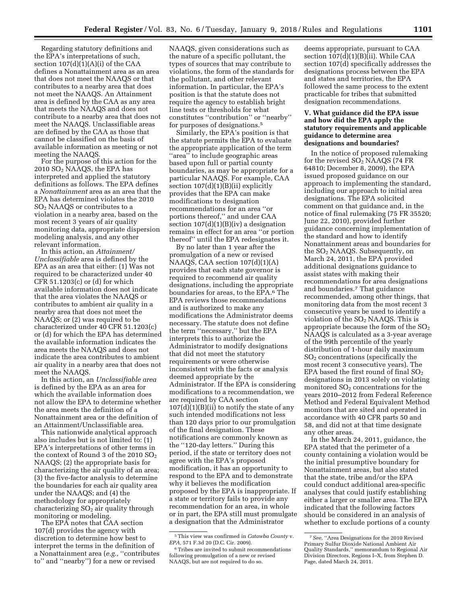Regarding statutory definitions and the EPA's interpretations of such, section  $107(d)(1)(A)(i)$  of the CAA defines a Nonattainment area as an area that does not meet the NAAQS or that contributes to a nearby area that does not meet the NAAQS. An Attainment area is defined by the CAA as any area that meets the NAAQS and does not contribute to a nearby area that does not meet the NAAQS. Unclassifiable areas are defined by the CAA as those that cannot be classified on the basis of available information as meeting or not meeting the NAAQS.

For the purpose of this action for the 2010 SO2 NAAQS, the EPA has interpreted and applied the statutory definitions as follows. The EPA defines a *Nonattainment* area as an area that the EPA has determined violates the 2010 SO2 NAAQS or contributes to a violation in a nearby area, based on the most recent 3 years of air quality monitoring data, appropriate dispersion modeling analysis, and any other relevant information.

In this action, an *Attainment/ Unclassifiable* area is defined by the EPA as an area that either: (1) Was not required to be characterized under 40 CFR 51.1203(c) or (d) for which available information does not indicate that the area violates the NAAQS or contributes to ambient air quality in a nearby area that does not meet the NAAQS; or (2) was required to be characterized under 40 CFR 51.1203(c) or (d) for which the EPA has determined the available information indicates the area meets the NAAQS and does not indicate the area contributes to ambient air quality in a nearby area that does not meet the NAAQS.

In this action, an *Unclassifiable area*  is defined by the EPA as an area for which the available information does not allow the EPA to determine whether the area meets the definition of a Nonattainment area or the definition of an Attainment/Unclassifiable area.

This nationwide analytical approach also includes but is not limited to: (1) EPA's interpretations of other terms in the context of Round 3 of the 2010  $SO<sub>2</sub>$ NAAQS; (2) the appropriate basis for characterizing the air quality of an area; (3) the five-factor analysis to determine the boundaries for each air quality area under the NAAQS; and (4) the methodology for appropriately characterizing  $SO<sub>2</sub>$  air quality through monitoring or modeling.

The EPA notes that CAA section 107(d) provides the agency with discretion to determine how best to interpret the terms in the definition of a Nonattainment area (*e.g.,* ''contributes to'' and ''nearby'') for a new or revised

NAAQS, given considerations such as the nature of a specific pollutant, the types of sources that may contribute to violations, the form of the standards for the pollutant, and other relevant information. In particular, the EPA's position is that the statute does not require the agency to establish bright line tests or thresholds for what constitutes ''contribution'' or ''nearby'' for purposes of designations.5

Similarly, the EPA's position is that the statute permits the EPA to evaluate the appropriate application of the term "area" to include geographic areas based upon full or partial county boundaries, as may be appropriate for a particular NAAQS. For example, CAA section  $107(d)(1)(B)(ii)$  explicitly provides that the EPA can make modifications to designation recommendations for an area ''or portions thereof,'' and under CAA section  $107(d)(1)(B)(iv)$  a designation remains in effect for an area ''or portion thereof'' until the EPA redesignates it.

By no later than 1 year after the promulgation of a new or revised NAAQS, CAA section 107(d)(1)(A) provides that each state governor is required to recommend air quality designations, including the appropriate boundaries for areas, to the EPA.6 The EPA reviews those recommendations and is authorized to make any modifications the Administrator deems necessary. The statute does not define the term ''necessary,'' but the EPA interprets this to authorize the Administrator to modify designations that did not meet the statutory requirements or were otherwise inconsistent with the facts or analysis deemed appropriate by the Administrator. If the EPA is considering modifications to a recommendation, we are required by CAA section  $107(d)(1)(B)(ii)$  to notify the state of any such intended modifications not less than 120 days prior to our promulgation of the final designation. These notifications are commonly known as the ''120-day letters.'' During this period, if the state or territory does not agree with the EPA's proposed modification, it has an opportunity to respond to the EPA and to demonstrate why it believes the modification proposed by the EPA is inappropriate. If a state or territory fails to provide any recommendation for an area, in whole or in part, the EPA still must promulgate a designation that the Administrator

deems appropriate, pursuant to CAA section  $107(d)(1)(B)(ii)$ . While CAA section 107(d) specifically addresses the designations process between the EPA and states and territories, the EPA followed the same process to the extent practicable for tribes that submitted designation recommendations.

#### **V. What guidance did the EPA issue and how did the EPA apply the statutory requirements and applicable guidance to determine area designations and boundaries?**

In the notice of proposed rulemaking for the revised  $SO<sub>2</sub>$  NAAQS (74 FR 64810; December 8, 2009), the EPA issued proposed guidance on our approach to implementing the standard, including our approach to initial area designations. The EPA solicited comment on that guidance and, in the notice of final rulemaking (75 FR 35520; June 22, 2010), provided further guidance concerning implementation of the standard and how to identify Nonattainment areas and boundaries for the SO2 NAAQS. Subsequently, on March 24, 2011, the EPA provided additional designations guidance to assist states with making their recommendations for area designations and boundaries.7 That guidance recommended, among other things, that monitoring data from the most recent 3 consecutive years be used to identify a violation of the  $SO<sub>2</sub>$  NAAQS. This is appropriate because the form of the  $SO<sub>2</sub>$ NAAQS is calculated as a 3-year average of the 99th percentile of the yearly distribution of 1-hour daily maximum SO2 concentrations (specifically the most recent 3 consecutive years). The EPA based the first round of final  $SO<sub>2</sub>$ designations in 2013 solely on violating monitored  $SO<sub>2</sub>$  concentrations for the years 2010–2012 from Federal Reference Method and Federal Equivalent Method monitors that are sited and operated in accordance with 40 CFR parts 50 and 58, and did not at that time designate any other areas.

In the March 24, 2011, guidance, the EPA stated that the perimeter of a county containing a violation would be the initial presumptive boundary for Nonattainment areas, but also stated that the state, tribe and/or the EPA could conduct additional area-specific analyses that could justify establishing either a larger or smaller area. The EPA indicated that the following factors should be considered in an analysis of whether to exclude portions of a county

<sup>5</sup>This view was confirmed in *Catawba County* v. *EPA,* 571 F.3d 20 (D.C. Cir. 2009).

 $^{\rm 6}$  Tribes are invited to submit recommendations following promulgation of a new or revised NAAQS, but are not required to do so.

<sup>7</sup>*See,* ''Area Designations for the 2010 Revised Primary Sulfur Dioxide National Ambient Air Quality Standards,'' memorandum to Regional Air Division Directors, Regions I–X, from Stephen D. Page, dated March 24, 2011.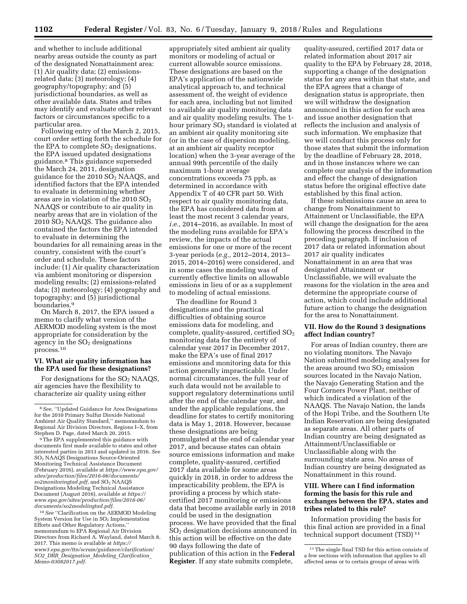and whether to include additional nearby areas outside the county as part of the designated Nonattainment area: (1) Air quality data; (2) emissionsrelated data; (3) meteorology; (4) geography/topography; and (5) jurisdictional boundaries, as well as other available data. States and tribes may identify and evaluate other relevant factors or circumstances specific to a particular area.

Following entry of the March 2, 2015, court order setting forth the schedule for the EPA to complete  $SO<sub>2</sub>$  designations, the EPA issued updated designations guidance.8 This guidance superseded the March 24, 2011, designation guidance for the 2010 SO2 NAAQS, and identified factors that the EPA intended to evaluate in determining whether areas are in violation of the 2010  $SO<sub>2</sub>$ NAAQS or contribute to air quality in nearby areas that are in violation of the  $2010$  SO<sub>2</sub> NAAQS. The guidance also contained the factors the EPA intended to evaluate in determining the boundaries for all remaining areas in the country, consistent with the court's order and schedule. These factors include: (1) Air quality characterization via ambient monitoring or dispersion modeling results; (2) emissions-related data; (3) meteorology; (4) geography and topography; and (5) jurisdictional boundaries.9

On March 8, 2017, the EPA issued a memo to clarify what version of the AERMOD modeling system is the most appropriate for consideration by the agency in the  $SO<sub>2</sub>$  designations process.10

#### **VI. What air quality information has the EPA used for these designations?**

For designations for the  $SO<sub>2</sub>$  NAAQS, air agencies have the flexibility to characterize air quality using either

10*See* ''Clarification on the AERMOD Modeling System Version for Use in SO2 Implementation Efforts and Other Regulatory Actions,'' memorandum to EPA Regional Air Division Directors from Richard A. Wayland, dated March 8, 2017. This memo is available at *[https://](https://www3.epa.gov/ttn/scram/guidance/clarification/SO2_DRR_Designation_Modeling_Clarification_Memo-03082017.pdf) [www3.epa.gov/ttn/scram/guidance/clarification/](https://www3.epa.gov/ttn/scram/guidance/clarification/SO2_DRR_Designation_Modeling_Clarification_Memo-03082017.pdf) SO2*\_*DRR*\_*Designation*\_*Modeling*\_*[Clarification](https://www3.epa.gov/ttn/scram/guidance/clarification/SO2_DRR_Designation_Modeling_Clarification_Memo-03082017.pdf)*\_ *[Memo-03082017.pdf](https://www3.epa.gov/ttn/scram/guidance/clarification/SO2_DRR_Designation_Modeling_Clarification_Memo-03082017.pdf)*.

appropriately sited ambient air quality monitors or modeling of actual or current allowable source emissions. These designations are based on the EPA's application of the nationwide analytical approach to, and technical assessment of, the weight of evidence for each area, including but not limited to available air quality monitoring data and air quality modeling results. The 1 hour primary SO<sub>2</sub> standard is violated at an ambient air quality monitoring site (or in the case of dispersion modeling, at an ambient air quality receptor location) when the 3-year average of the annual 99th percentile of the daily maximum 1-hour average concentrations exceeds 75 ppb, as determined in accordance with Appendix T of 40 CFR part 50. With respect to air quality monitoring data, the EPA has considered data from at least the most recent 3 calendar years, *i.e.,* 2014–2016, as available. In most of the modeling runs available for EPA's review, the impacts of the actual emissions for one or more of the recent 3-year periods (*e.g.,* 2012–2014, 2013– 2015, 2014–2016) were considered, and in some cases the modeling was of currently effective limits on allowable emissions in lieu of or as a supplement to modeling of actual emissions.

The deadline for Round 3 designations and the practical difficulties of obtaining source emissions data for modeling, and complete, quality-assured, certified SO2 monitoring data for the entirety of calendar year 2017 in December 2017, make the EPA's use of final 2017 emissions and monitoring data for this action generally impracticable. Under normal circumstances, the full year of such data would not be available to support regulatory determinations until after the end of the calendar year, and under the applicable regulations, the deadline for states to certify monitoring data is May 1, 2018. However, because these designations are being promulgated at the end of calendar year 2017, and because states can obtain source emissions information and make complete, quality-assured, certified 2017 data available for some areas quickly in 2018, in order to address the impracticability problem, the EPA is providing a process by which statecertified 2017 monitoring or emissions data that become available early in 2018 could be used in the designation process. We have provided that the final SO2 designation decisions announced in this action will be effective on the date 90 days following the date of publication of this action in the **Federal Register**. If any state submits complete,

quality-assured, certified 2017 data or related information about 2017 air quality to the EPA by February 28, 2018, supporting a change of the designation status for any area within that state, and the EPA agrees that a change of designation status is appropriate, then we will withdraw the designation announced in this action for such area and issue another designation that reflects the inclusion and analysis of such information. We emphasize that we will conduct this process only for those states that submit the information by the deadline of February 28, 2018, and in those instances where we can complete our analysis of the information and effect the change of designation status before the original effective date established by this final action.

If these submissions cause an area to change from Nonattainment to Attainment or Unclassifiable, the EPA will change the designation for the area following the process described in the preceding paragraph. If inclusion of 2017 data or related information about 2017 air quality indicates Nonattainment in an area that was designated Attainment or Unclassifiable, we will evaluate the reasons for the violation in the area and determine the appropriate course of action, which could include additional future action to change the designation for the area to Nonattainment.

#### **VII. How do the Round 3 designations affect Indian country?**

For areas of Indian country, there are no violating monitors. The Navajo Nation submitted modeling analyses for the areas around two  $SO<sub>2</sub>$  emission sources located in the Navajo Nation, the Navajo Generating Station and the Four Corners Power Plant, neither of which indicated a violation of the NAAQS. The Navajo Nation, the lands of the Hopi Tribe, and the Southern Ute Indian Reservation are being designated as separate areas. All other parts of Indian country are being designated as Attainment/Unclassifiable or Unclassifiable along with the surrounding state area. No areas of Indian country are being designated as Nonattainment in this round.

#### **VIII. Where can I find information forming the basis for this rule and exchanges between the EPA, states and tribes related to this rule?**

Information providing the basis for this final action are provided in a final technical support document (TSD) 11

<sup>8</sup>*See,* ''Updated Guidance for Area Designations for the 2010 Primary Sulfur Dioxide National Ambient Air Quality Standard,'' memorandum to Regional Air Division Directors, Regions I–X, from Stephen D. Page, dated March 20, 2015.

<sup>9</sup>The EPA supplemented this guidance with documents first made available to states and other interested parties in 2013 and updated in 2016. *See*  SO2 NAAQS Designations Source-Oriented Monitoring Technical Assistance Document (February 2016), available at *[https://www.epa.gov/](https://www.epa.gov/sites/production/files/2016-06/documents/so2monitoringtad.pdf) [sites/production/files/2016-06/documents/](https://www.epa.gov/sites/production/files/2016-06/documents/so2monitoringtad.pdf)  [so2monitoringtad.pdf,](https://www.epa.gov/sites/production/files/2016-06/documents/so2monitoringtad.pdf)* and SO2 NAAQS Designations Modeling Technical Assistance Document (August 2016), available at *[https://](https://www.epa.gov/sites/production/files/2016-06/documents/so2modelingtad.pdf) [www.epa.gov/sites/production/files/2016-06/](https://www.epa.gov/sites/production/files/2016-06/documents/so2modelingtad.pdf) [documents/so2modelingtad.pdf](https://www.epa.gov/sites/production/files/2016-06/documents/so2modelingtad.pdf)*.

<sup>&</sup>lt;sup>11</sup>The single final TSD for this action consists of a few sections with information that applies to all affected areas or to certain groups of areas with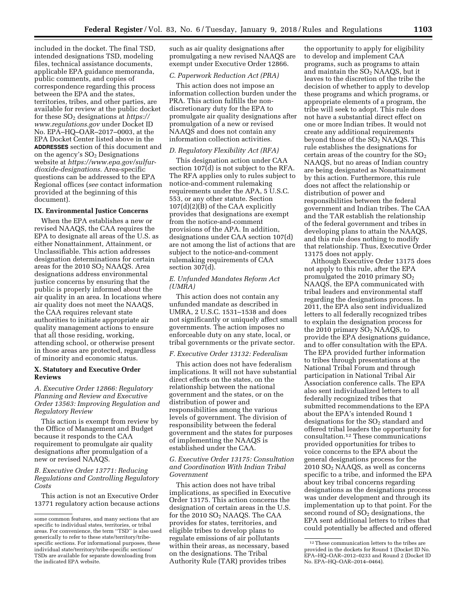included in the docket. The final TSD, intended designations TSD, modeling files, technical assistance documents, applicable EPA guidance memoranda, public comments, and copies of correspondence regarding this process between the EPA and the states, territories, tribes, and other parties, are available for review at the public docket for these SO2 designations at *[https://](https://www.regulations.gov) [www.regulations.gov](https://www.regulations.gov)* under Docket ID No. EPA–HQ–OAR–2017–0003, at the EPA Docket Center listed above in the **ADDRESSES** section of this document and on the agency's  $SO<sub>2</sub>$  Designations website at *[https://www.epa.gov/sulfur](https://www.epa.gov/sulfur-dioxide-designations)[dioxide-designations.](https://www.epa.gov/sulfur-dioxide-designations)* Area-specific questions can be addressed to the EPA Regional offices (*see* contact information provided at the beginning of this document).

#### **IX. Environmental Justice Concerns**

When the EPA establishes a new or revised NAAQS, the CAA requires the EPA to designate all areas of the U.S. as either Nonattainment, Attainment, or Unclassifiable. This action addresses designation determinations for certain areas for the 2010 SO2 NAAQS. Area designations address environmental justice concerns by ensuring that the public is properly informed about the air quality in an area. In locations where air quality does not meet the NAAQS, the CAA requires relevant state authorities to initiate appropriate air quality management actions to ensure that all those residing, working, attending school, or otherwise present in those areas are protected, regardless of minority and economic status.

#### **X. Statutory and Executive Order Reviews**

### *A. Executive Order 12866: Regulatory Planning and Review and Executive Order 13563: Improving Regulation and Regulatory Review*

This action is exempt from review by the Office of Management and Budget because it responds to the CAA requirement to promulgate air quality designations after promulgation of a new or revised NAAQS.

#### *B. Executive Order 13771: Reducing Regulations and Controlling Regulatory Costs*

This action is not an Executive Order 13771 regulatory action because actions such as air quality designations after promulgating a new revised NAAQS are exempt under Executive Order 12866.

#### *C. Paperwork Reduction Act (PRA)*

This action does not impose an information collection burden under the PRA. This action fulfills the nondiscretionary duty for the EPA to promulgate air quality designations after promulgation of a new or revised NAAQS and does not contain any information collection activities.

#### *D. Regulatory Flexibility Act (RFA)*

This designation action under CAA section 107(d) is not subject to the RFA. The RFA applies only to rules subject to notice-and-comment rulemaking requirements under the APA, 5 U.S.C. 553, or any other statute. Section 107(d)(2)(B) of the CAA explicitly provides that designations are exempt from the notice-and-comment provisions of the APA. In addition, designations under CAA section 107(d) are not among the list of actions that are subject to the notice-and-comment rulemaking requirements of CAA section 307(d).

#### *E. Unfunded Mandates Reform Act (UMRA)*

This action does not contain any unfunded mandate as described in UMRA, 2 U.S.C. 1531–1538 and does not significantly or uniquely affect small governments. The action imposes no enforceable duty on any state, local, or tribal governments or the private sector.

#### *F. Executive Order 13132: Federalism*

This action does not have federalism implications. It will not have substantial direct effects on the states, on the relationship between the national government and the states, or on the distribution of power and responsibilities among the various levels of government. The division of responsibility between the federal government and the states for purposes of implementing the NAAQS is established under the CAA.

#### *G. Executive Order 13175: Consultation and Coordination With Indian Tribal Government*

This action does not have tribal implications, as specified in Executive Order 13175. This action concerns the designation of certain areas in the U.S. for the 2010 SO2 NAAQS. The CAA provides for states, territories, and eligible tribes to develop plans to regulate emissions of air pollutants within their areas, as necessary, based on the designations. The Tribal Authority Rule (TAR) provides tribes

the opportunity to apply for eligibility to develop and implement CAA programs, such as programs to attain and maintain the  $SO<sub>2</sub>$  NAAQS, but it leaves to the discretion of the tribe the decision of whether to apply to develop these programs and which programs, or appropriate elements of a program, the tribe will seek to adopt. This rule does not have a substantial direct effect on one or more Indian tribes. It would not create any additional requirements beyond those of the  $SO<sub>2</sub>$  NAAQS. This rule establishes the designations for certain areas of the country for the  $SO<sub>2</sub>$ NAAQS, but no areas of Indian country are being designated as Nonattainment by this action. Furthermore, this rule does not affect the relationship or distribution of power and responsibilities between the federal government and Indian tribes. The CAA and the TAR establish the relationship of the federal government and tribes in developing plans to attain the NAAQS, and this rule does nothing to modify that relationship. Thus, Executive Order 13175 does not apply.

Although Executive Order 13175 does not apply to this rule, after the EPA promulgated the 2010 primary  $SO<sub>2</sub>$ NAAQS, the EPA communicated with tribal leaders and environmental staff regarding the designations process. In 2011, the EPA also sent individualized letters to all federally recognized tribes to explain the designation process for the 2010 primary  $SO<sub>2</sub>$  NAAQS, to provide the EPA designations guidance, and to offer consultation with the EPA. The EPA provided further information to tribes through presentations at the National Tribal Forum and through participation in National Tribal Air Association conference calls. The EPA also sent individualized letters to all federally recognized tribes that submitted recommendations to the EPA about the EPA's intended Round 1 designations for the  $SO<sub>2</sub>$  standard and offered tribal leaders the opportunity for consultation.12 These communications provided opportunities for tribes to voice concerns to the EPA about the general designations process for the 2010 SO2 NAAQS, as well as concerns specific to a tribe, and informed the EPA about key tribal concerns regarding designations as the designations process was under development and through its implementation up to that point. For the second round of  $SO<sub>2</sub>$  designations, the EPA sent additional letters to tribes that could potentially be affected and offered

some common features, and many sections that are specific to individual states, territories, or tribal areas. For convenience, the term ''TSD'' is also used generically to refer to these state/territory/tribespecific sections. For informational purposes, these individual state/territory/tribe-specific sections/ TSDs are available for separate downloading from the indicated EPA website.

<sup>12</sup>These communication letters to the tribes are provided in the dockets for Round 1 (Docket ID No. EPA–HQ–OAR–2012–0233 and Round 2 (Docket ID No. EPA–HQ–OAR–2014–0464).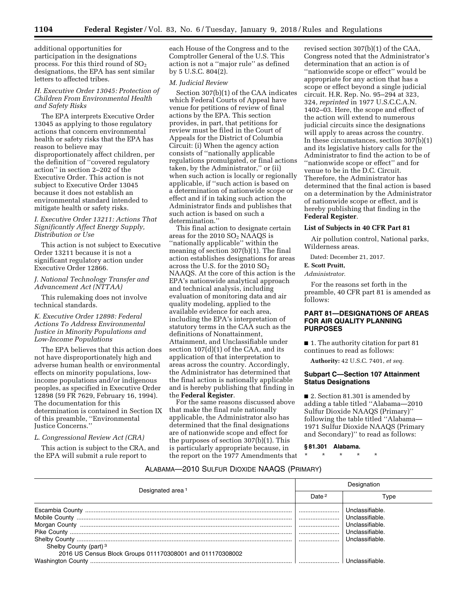additional opportunities for participation in the designations process. For this third round of  $SO<sub>2</sub>$ designations, the EPA has sent similar letters to affected tribes.

#### *H. Executive Order 13045: Protection of Children From Environmental Health and Safety Risks*

The EPA interprets Executive Order 13045 as applying to those regulatory actions that concern environmental health or safety risks that the EPA has reason to believe may disproportionately affect children, per the definition of ''covered regulatory action'' in section 2–202 of the Executive Order. This action is not subject to Executive Order 13045 because it does not establish an environmental standard intended to mitigate health or safety risks.

#### *I. Executive Order 13211: Actions That Significantly Affect Energy Supply, Distribution or Use*

This action is not subject to Executive Order 13211 because it is not a significant regulatory action under Executive Order 12866.

#### *J. National Technology Transfer and Advancement Act (NTTAA)*

This rulemaking does not involve technical standards.

#### *K. Executive Order 12898: Federal Actions To Address Environmental Justice in Minority Populations and Low-Income Populations*

The EPA believes that this action does not have disproportionately high and adverse human health or environmental effects on minority populations, lowincome populations and/or indigenous peoples, as specified in Executive Order 12898 (59 FR 7629, February 16, 1994). The documentation for this determination is contained in Section IX of this preamble, ''Environmental Justice Concerns.''

#### *L. Congressional Review Act (CRA)*

This action is subject to the CRA, and the EPA will submit a rule report to

each House of the Congress and to the Comptroller General of the U.S. This action is not a ''major rule'' as defined by 5 U.S.C. 804(2).

#### *M. Judicial Review*

Section 307(b)(1) of the CAA indicates which Federal Courts of Appeal have venue for petitions of review of final actions by the EPA. This section provides, in part, that petitions for review must be filed in the Court of Appeals for the District of Columbia Circuit: (i) When the agency action consists of ''nationally applicable regulations promulgated, or final actions taken, by the Administrator,'' or (ii) when such action is locally or regionally applicable, if ''such action is based on a determination of nationwide scope or effect and if in taking such action the Administrator finds and publishes that such action is based on such a determination.''

This final action to designate certain areas for the  $2010$   $SO<sub>2</sub>$  NAAQS is ''nationally applicable'' within the meaning of section 307(b)(1). The final action establishes designations for areas across the U.S. for the 2010  $SO<sub>2</sub>$ NAAQS. At the core of this action is the EPA's nationwide analytical approach and technical analysis, including evaluation of monitoring data and air quality modeling, applied to the available evidence for each area, including the EPA's interpretation of statutory terms in the CAA such as the definitions of Nonattainment, Attainment, and Unclassifiable under section 107(d)(1) of the CAA, and its application of that interpretation to areas across the country. Accordingly, the Administrator has determined that the final action is nationally applicable and is hereby publishing that finding in the **Federal Register**.

For the same reasons discussed above that make the final rule nationally applicable, the Administrator also has determined that the final designations are of nationwide scope and effect for the purposes of section 307(b)(1). This is particularly appropriate because, in the report on the 1977 Amendments that revised section 307(b)(1) of the CAA, Congress noted that the Administrator's determination that an action is of ''nationwide scope or effect'' would be appropriate for any action that has a scope or effect beyond a single judicial circuit. H.R. Rep. No. 95–294 at 323, 324, *reprinted* in 1977 U.S.C.C.A.N. 1402–03. Here, the scope and effect of the action will extend to numerous judicial circuits since the designations will apply to areas across the country. In these circumstances, section 307(b)(1) and its legislative history calls for the Administrator to find the action to be of ''nationwide scope or effect'' and for venue to be in the D.C. Circuit. Therefore, the Administrator has determined that the final action is based on a determination by the Administrator of nationwide scope or effect, and is hereby publishing that finding in the **Federal Register**.

#### **List of Subjects in 40 CFR Part 81**

Air pollution control, National parks, Wilderness areas.

Dated: December 21, 2017.

#### **E. Scott Pruitt,**

*Administrator.* 

For the reasons set forth in the preamble, 40 CFR part 81 is amended as follows:

#### **PART 81—DESIGNATIONS OF AREAS FOR AIR QUALITY PLANNING PURPOSES**

■ 1. The authority citation for part 81 continues to read as follows:

**Authority:** 42 U.S.C. 7401, *et seq.* 

### **Subpart C—Section 107 Attainment Status Designations**

■ 2. Section 81.301 is amended by adding a table titled ''Alabama—2010 Sulfur Dioxide NAAQS (Primary)'' following the table titled ''Alabama— 1971 Sulfur Dioxide NAAQS (Primary and Secondary)'' to read as follows:

**§ 81.301 Alabama.** 

\* \* \* \* \*

#### ALABAMA—2010 SULFUR DIOXIDE NAAQS (PRIMARY)

| Designated area <sup>1</sup>                                                                   | Designation       |                                                                                             |  |
|------------------------------------------------------------------------------------------------|-------------------|---------------------------------------------------------------------------------------------|--|
|                                                                                                | Date <sup>2</sup> | Tvpe                                                                                        |  |
| Shelby County (part) <sup>3</sup><br>2016 US Census Block Groups 011170308001 and 011170308002 |                   | Unclassifiable.<br>Unclassifiable.<br>Unclassifiable.<br>Unclassifiable.<br>Unclassifiable. |  |
|                                                                                                |                   |                                                                                             |  |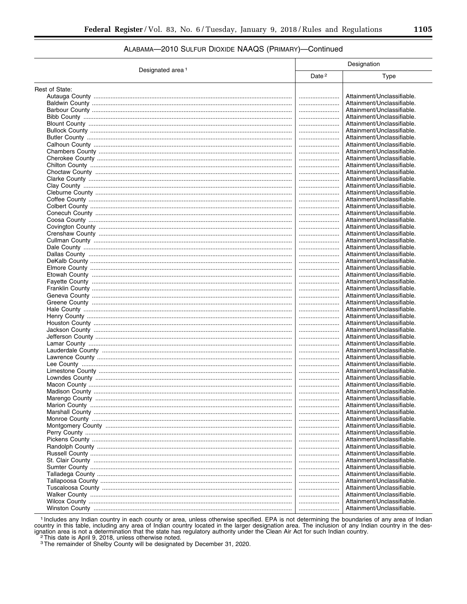## ALABAMA-2010 SULFUR DIOXIDE NAAQS (PRIMARY)-Continued

|                              | Designation       |                            |
|------------------------------|-------------------|----------------------------|
| Designated area <sup>1</sup> | Date <sup>2</sup> | <b>Type</b>                |
| Rest of State:               |                   |                            |
|                              |                   | Attainment/Unclassifiable. |
|                              |                   | Attainment/Unclassifiable. |
|                              |                   | Attainment/Unclassifiable. |
|                              |                   | Attainment/Unclassifiable. |
|                              |                   | Attainment/Unclassifiable. |
|                              |                   | Attainment/Unclassifiable. |
|                              |                   | Attainment/Unclassifiable. |
|                              |                   |                            |
|                              |                   | Attainment/Unclassifiable. |
|                              |                   | Attainment/Unclassifiable. |
|                              |                   | Attainment/Unclassifiable. |
|                              |                   | Attainment/Unclassifiable. |
|                              |                   | Attainment/Unclassifiable. |
|                              |                   | Attainment/Unclassifiable. |
|                              |                   | Attainment/Unclassifiable. |
|                              |                   | Attainment/Unclassifiable. |
|                              |                   | Attainment/Unclassifiable. |
|                              |                   | Attainment/Unclassifiable. |
|                              |                   | Attainment/Unclassifiable. |
|                              |                   |                            |
|                              |                   | Attainment/Unclassifiable. |
|                              |                   | Attainment/Unclassifiable. |
|                              |                   | Attainment/Unclassifiable. |
|                              |                   | Attainment/Unclassifiable. |
|                              |                   | Attainment/Unclassifiable. |
|                              |                   | Attainment/Unclassifiable. |
|                              |                   | Attainment/Unclassifiable. |
|                              |                   | Attainment/Unclassifiable. |
|                              |                   | Attainment/Unclassifiable. |
|                              |                   | Attainment/Unclassifiable. |
|                              |                   |                            |
|                              |                   | Attainment/Unclassifiable. |
|                              |                   | Attainment/Unclassifiable. |
|                              |                   | Attainment/Unclassifiable. |
|                              |                   | Attainment/Unclassifiable. |
|                              |                   | Attainment/Unclassifiable. |
|                              |                   | Attainment/Unclassifiable. |
|                              |                   | Attainment/Unclassifiable. |
|                              |                   | Attainment/Unclassifiable. |
|                              |                   | Attainment/Unclassifiable. |
|                              |                   | Attainment/Unclassifiable. |
|                              |                   | Attainment/Unclassifiable. |
|                              |                   | Attainment/Unclassifiable. |
|                              |                   |                            |
|                              |                   | Attainment/Unclassifiable. |
|                              |                   | Attainment/Unclassifiable. |
|                              |                   | Attainment/Unclassifiable. |
|                              |                   | Attainment/Unclassifiable. |
|                              |                   | Attainment/Unclassifiable. |
|                              |                   | Attainment/Unclassifiable. |
|                              |                   | Attainment/Unclassifiable. |
|                              |                   | Attainment/Unclassifiable. |
|                              |                   | Attainment/Unclassifiable. |
|                              |                   | Attainment/Unclassifiable. |
|                              |                   | Attainment/Unclassifiable. |
|                              |                   |                            |
|                              |                   | Attainment/Unclassifiable. |
|                              |                   | Attainment/Unclassifiable. |
|                              |                   | Attainment/Unclassifiable. |
|                              |                   | Attainment/Unclassifiable. |
|                              |                   | Attainment/Unclassifiable. |
|                              |                   | Attainment/Unclassifiable. |
|                              |                   | Attainment/Unclassifiable. |
|                              |                   | Attainment/Unclassifiable. |
|                              |                   | Attainment/Unclassifiable. |
|                              |                   | Attainment/Unclassifiable. |
|                              |                   |                            |

<sup>1</sup> Includes any Indian country in each county or area, unless otherwise specified. EPA is not determining the boundaries of any area of Indian country in this table, including any area of Indian country located in the lar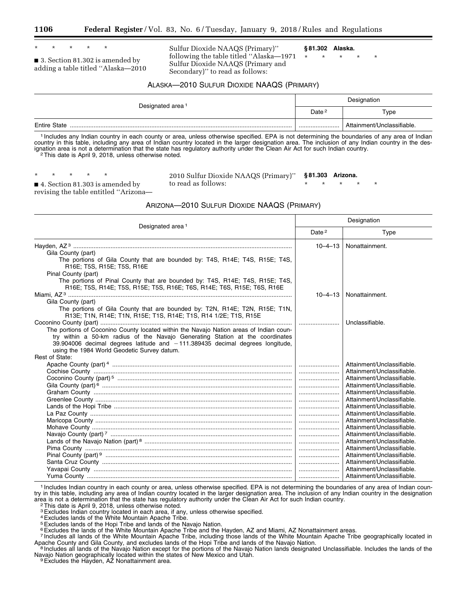\* \* \* \* \*

■ 3. Section 81.302 is amended by adding a table titled ''Alaska—2010 Sulfur Dioxide NAAQS (Primary)'' following the table titled ''Alaska—1971 Sulfur Dioxide NAAQS (Primary and Secondary)'' to read as follows:

**§ 81.302 Alaska.** 

\* \* \* \* \*

ALASKA—2010 SULFUR DIOXIDE NAAQS (PRIMARY)

| Designated area <sup>1</sup> | Designation       |                            |  |
|------------------------------|-------------------|----------------------------|--|
|                              | Date <sup>2</sup> | Type                       |  |
| <b>Entire State</b>          |                   | Attainment/Unclassifiable. |  |

1 Includes any Indian country in each county or area, unless otherwise specified. EPA is not determining the boundaries of any area of Indian country in this table, including any area of Indian country located in the larger designation area. The inclusion of any Indian country in the designation area is not a determination that the state has regulatory authority under the Clean Air Act for such Indian country.<br><sup>2</sup>This date is April 9, 2018, unless otherwise noted.

\* \* \* \* \*

2010 Sulfur Dioxide NAAQS (Primary)'' to read as follows:

**§ 81.303 Arizona.** 

\* \* \* \* \*

■ 4. Section 81.303 is amended by revising the table entitled ''Arizona—

ARIZONA—2010 SULFUR DIOXIDE NAAQS (PRIMARY)

| Designated area <sup>1</sup>                                                                                                                                                                                                                                                                                |                   | Designation                                              |  |  |
|-------------------------------------------------------------------------------------------------------------------------------------------------------------------------------------------------------------------------------------------------------------------------------------------------------------|-------------------|----------------------------------------------------------|--|--|
|                                                                                                                                                                                                                                                                                                             | Date <sup>2</sup> | Type                                                     |  |  |
|                                                                                                                                                                                                                                                                                                             | $10 - 4 - 13$     | Nonattainment.                                           |  |  |
| Gila County (part)                                                                                                                                                                                                                                                                                          |                   |                                                          |  |  |
| The portions of Gila County that are bounded by: T4S, R14E; T4S, R15E; T4S,<br>R16E; T5S, R15E; T5S, R16E                                                                                                                                                                                                   |                   |                                                          |  |  |
| Pinal County (part)                                                                                                                                                                                                                                                                                         |                   |                                                          |  |  |
| The portions of Pinal County that are bounded by: T4S, R14E; T4S, R15E; T4S,<br>R16E; T5S, R14E; T5S, R15E; T5S, R16E; T6S, R14E; T6S, R15E; T6S, R16E                                                                                                                                                      |                   |                                                          |  |  |
|                                                                                                                                                                                                                                                                                                             | $10 - 4 - 13$     | Nonattainment.                                           |  |  |
| Gila County (part)<br>The portions of Gila County that are bounded by: T2N, R14E; T2N, R15E; T1N,<br>R13E; T1N, R14E; T1N, R15E; T1S, R14E; T1S, R14 1/2E; T1S, R15E                                                                                                                                        |                   |                                                          |  |  |
|                                                                                                                                                                                                                                                                                                             |                   | Unclassifiable.                                          |  |  |
| The portions of Coconino County located within the Navajo Nation areas of Indian coun-<br>try within a 50-km radius of the Navajo Generating Station at the coordinates<br>$39.904006$ decimal degrees latitude and $-111.389435$ decimal degrees longitude,<br>using the 1984 World Geodetic Survey datum. |                   |                                                          |  |  |
| Rest of State:                                                                                                                                                                                                                                                                                              |                   |                                                          |  |  |
|                                                                                                                                                                                                                                                                                                             |                   | Attainment/Unclassifiable.                               |  |  |
|                                                                                                                                                                                                                                                                                                             |                   | Attainment/Unclassifiable.                               |  |  |
|                                                                                                                                                                                                                                                                                                             |                   | Attainment/Unclassifiable.                               |  |  |
|                                                                                                                                                                                                                                                                                                             |                   | Attainment/Unclassifiable.                               |  |  |
|                                                                                                                                                                                                                                                                                                             |                   | Attainment/Unclassifiable.                               |  |  |
|                                                                                                                                                                                                                                                                                                             |                   | Attainment/Unclassifiable.                               |  |  |
|                                                                                                                                                                                                                                                                                                             |                   | Attainment/Unclassifiable.                               |  |  |
|                                                                                                                                                                                                                                                                                                             |                   | Attainment/Unclassifiable.                               |  |  |
|                                                                                                                                                                                                                                                                                                             |                   | Attainment/Unclassifiable.                               |  |  |
|                                                                                                                                                                                                                                                                                                             |                   | Attainment/Unclassifiable.                               |  |  |
|                                                                                                                                                                                                                                                                                                             |                   | Attainment/Unclassifiable.                               |  |  |
|                                                                                                                                                                                                                                                                                                             |                   | Attainment/Unclassifiable.                               |  |  |
|                                                                                                                                                                                                                                                                                                             |                   | Attainment/Unclassifiable.                               |  |  |
|                                                                                                                                                                                                                                                                                                             |                   | Attainment/Unclassifiable.                               |  |  |
|                                                                                                                                                                                                                                                                                                             |                   | Attainment/Unclassifiable.<br>Attainment/Unclassifiable. |  |  |
|                                                                                                                                                                                                                                                                                                             |                   |                                                          |  |  |
|                                                                                                                                                                                                                                                                                                             |                   | Attainment/Unclassifiable.                               |  |  |

1 Includes Indian country in each county or area, unless otherwise specified. EPA is not determining the boundaries of any area of Indian country in this table, including any area of Indian country located in the larger designation area. The inclusion of any Indian country in the designation area is not a determination that the state has regulatory authority under the Clean Air Act for such Indian country.<br><sup>2</sup>This date is April 9, 2018, unless otherwise noted.

3Excludes Indian country located in each area, if any, unless otherwise specified.

4Excludes lands of the White Mountain Apache Tribe.

5Excludes lands of the Hopi Tribe and lands of the Navajo Nation.

<sup>6</sup> Excludes the lands of the White Mountain Apache Tribe and the Hayden, AZ and Miami, AZ Nonattainment areas.

7 Includes all lands of the White Mountain Apache Tribe, including those lands of the White Mountain Apache Tribe geographically located in Apache County and Gila County, and excludes lands of the Hopi Tribe and lands of the Navajo Nation.<br><sup>8</sup> Includes all lands of the Navajo Nation except for the portions of the Navajo Nation lands designated Unclassifiable.

Navajo Nation geographically located within the states of New Mexico and Utah. 9Excludes the Hayden, AZ Nonattainment area.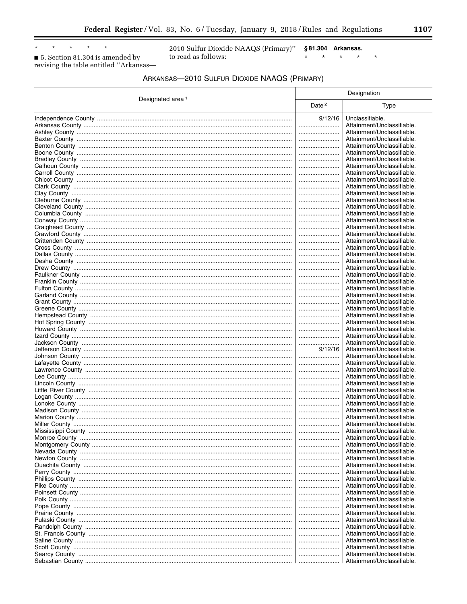$^\star$  $_{\star}$  $\star$ 

5. Section 81.304 is amended by revising the table entitled "Arkansas-

 $\star$ 

2010 Sulfur Dioxide NAAQS (Primary)" §81.304 Arkansas. to read as follows:  $\star$ 

 $\star$  $\star$  $\star$ 

| 17<br>11 U |
|------------|
|            |

 $\ast$ 

| ARKANSAS-2010 SULFUR DIOXIDE NAAQS (PRIMARY) |  |
|----------------------------------------------|--|
|----------------------------------------------|--|

|                              |                   | Designation                                              |  |  |
|------------------------------|-------------------|----------------------------------------------------------|--|--|
| Designated area <sup>1</sup> | Date <sup>2</sup> | Type                                                     |  |  |
|                              | 9/12/16           | Unclassifiable.                                          |  |  |
|                              |                   | Attainment/Unclassifiable.                               |  |  |
|                              | <br>              | Attainment/Unclassifiable.<br>Attainment/Unclassifiable. |  |  |
|                              |                   | Attainment/Unclassifiable.                               |  |  |
|                              |                   | Attainment/Unclassifiable.                               |  |  |
|                              |                   | Attainment/Unclassifiable.                               |  |  |
|                              |                   | Attainment/Unclassifiable.                               |  |  |
|                              |                   | Attainment/Unclassifiable.                               |  |  |
|                              |                   | Attainment/Unclassifiable.                               |  |  |
|                              |                   | Attainment/Unclassifiable.                               |  |  |
|                              |                   | Attainment/Unclassifiable.                               |  |  |
|                              |                   | Attainment/Unclassifiable.                               |  |  |
|                              |                   | Attainment/Unclassifiable.                               |  |  |
|                              |                   | Attainment/Unclassifiable.                               |  |  |
|                              | <br>              | Attainment/Unclassifiable.<br>Attainment/Unclassifiable. |  |  |
|                              |                   | Attainment/Unclassifiable.                               |  |  |
|                              |                   | Attainment/Unclassifiable.                               |  |  |
|                              |                   | Attainment/Unclassifiable.                               |  |  |
|                              |                   | Attainment/Unclassifiable.                               |  |  |
|                              |                   | Attainment/Unclassifiable.                               |  |  |
|                              |                   | Attainment/Unclassifiable.                               |  |  |
|                              |                   | Attainment/Unclassifiable.                               |  |  |
|                              |                   | Attainment/Unclassifiable.                               |  |  |
|                              |                   | Attainment/Unclassifiable.                               |  |  |
|                              |                   | Attainment/Unclassifiable.                               |  |  |
|                              |                   | Attainment/Unclassifiable.                               |  |  |
|                              |                   | Attainment/Unclassifiable.                               |  |  |
|                              |                   | Attainment/Unclassifiable.                               |  |  |
|                              |                   | Attainment/Unclassifiable.<br>Attainment/Unclassifiable. |  |  |
|                              | <br>              | Attainment/Unclassifiable.                               |  |  |
|                              |                   | Attainment/Unclassifiable.                               |  |  |
|                              | 9/12/16           | Attainment/Unclassifiable.                               |  |  |
|                              |                   | Attainment/Unclassifiable.                               |  |  |
|                              |                   | Attainment/Unclassifiable.                               |  |  |
|                              |                   | Attainment/Unclassifiable.                               |  |  |
|                              |                   | Attainment/Unclassifiable.                               |  |  |
|                              |                   | Attainment/Unclassifiable.                               |  |  |
|                              |                   | Attainment/Unclassifiable.                               |  |  |
|                              |                   | Attainment/Unclassifiable.                               |  |  |
|                              |                   | Attainment/Unclassifiable.<br>Attainment/Unclassifiable. |  |  |
|                              |                   | Attainment/Unclassifiable.                               |  |  |
|                              |                   | Attainment/Unclassifiable.                               |  |  |
|                              |                   | Attainment/Unclassifiable.                               |  |  |
|                              |                   | Attainment/Unclassifiable.                               |  |  |
|                              |                   | Attainment/Unclassifiable.                               |  |  |
|                              |                   | Attainment/Unclassifiable.                               |  |  |
|                              |                   | Attainment/Unclassifiable.                               |  |  |
|                              |                   | Attainment/Unclassifiable.                               |  |  |
|                              |                   | Attainment/Unclassifiable.                               |  |  |
|                              |                   | Attainment/Unclassifiable.                               |  |  |
|                              |                   | Attainment/Unclassifiable.                               |  |  |
|                              |                   | Attainment/Unclassifiable.                               |  |  |
|                              |                   | Attainment/Unclassifiable.                               |  |  |
|                              |                   | Attainment/Unclassifiable.                               |  |  |
|                              |                   | Attainment/Unclassifiable.<br>Attainment/Unclassifiable. |  |  |
|                              |                   | Attainment/Unclassifiable.                               |  |  |
|                              |                   | Attainment/Unclassifiable.                               |  |  |
|                              |                   | Attainment/Unclassifiable.                               |  |  |
|                              |                   | Attainment/Unclassifiable.                               |  |  |
|                              |                   | Attainment/Unclassifiable.                               |  |  |
|                              |                   | Attainment/Unclassifiable.                               |  |  |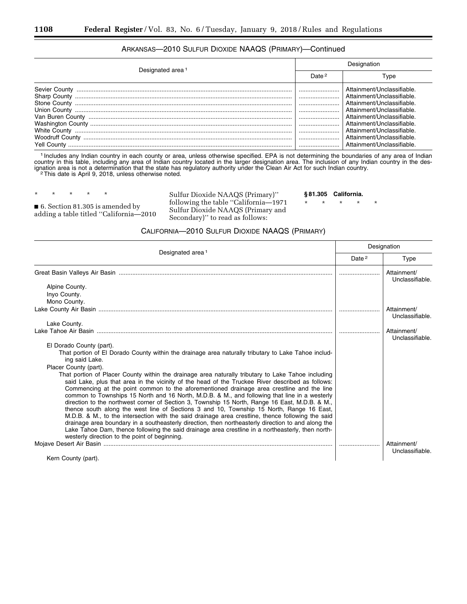## ARKANSAS—2010 SULFUR DIOXIDE NAAQS (PRIMARY)—Continued

| Designated area <sup>1</sup> | Designation       |                                                                                                                                                                                                                                          |  |
|------------------------------|-------------------|------------------------------------------------------------------------------------------------------------------------------------------------------------------------------------------------------------------------------------------|--|
|                              | Date <sup>2</sup> | Type                                                                                                                                                                                                                                     |  |
|                              |                   | Attainment/Unclassifiable<br>Attainment/Unclassifiable.<br>Attainment/Unclassifiable<br>Attainment/Unclassifiable.<br>Attainment/Unclassifiable.<br>Attainment/Unclassifiable.<br>Attainment/Unclassifiable<br>Attainment/Unclassifiable |  |
| Yell County                  |                   | Attainment/Unclassifiable.                                                                                                                                                                                                               |  |

1 Includes any Indian country in each county or area, unless otherwise specified. EPA is not determining the boundaries of any area of Indian country in this table, including any area of Indian country located in the larger designation area. The inclusion of any Indian country in the designation area is not a determination that the state has regulatory authority under the Clean Air Act for such Indian country.<br><sup>2</sup>This date is April 9, 2018, unless otherwise noted.

\* \* \* \* \*

■ 6. Section 81.305 is amended by adding a table titled ''California—2010 Sulfur Dioxide NAAQS (Primary)'' following the table ''California—1971 Sulfur Dioxide NAAQS (Primary and Secondary)'' to read as follows:

**§ 81.305 California.** 

\* \* \* \* \*

## CALIFORNIA—2010 SULFUR DIOXIDE NAAQS (PRIMARY)

| Designated area <sup>1</sup>                                                                                                                                                                                                                                                                                                                                                                                                                                                                                                                                                                                                                                                                                                                                                                                                                                                                                                                                        |  | Designation                    |  |
|---------------------------------------------------------------------------------------------------------------------------------------------------------------------------------------------------------------------------------------------------------------------------------------------------------------------------------------------------------------------------------------------------------------------------------------------------------------------------------------------------------------------------------------------------------------------------------------------------------------------------------------------------------------------------------------------------------------------------------------------------------------------------------------------------------------------------------------------------------------------------------------------------------------------------------------------------------------------|--|--------------------------------|--|
|                                                                                                                                                                                                                                                                                                                                                                                                                                                                                                                                                                                                                                                                                                                                                                                                                                                                                                                                                                     |  | <b>Type</b>                    |  |
|                                                                                                                                                                                                                                                                                                                                                                                                                                                                                                                                                                                                                                                                                                                                                                                                                                                                                                                                                                     |  | Attainment/<br>Unclassifiable. |  |
| Alpine County.                                                                                                                                                                                                                                                                                                                                                                                                                                                                                                                                                                                                                                                                                                                                                                                                                                                                                                                                                      |  |                                |  |
| Inyo County.                                                                                                                                                                                                                                                                                                                                                                                                                                                                                                                                                                                                                                                                                                                                                                                                                                                                                                                                                        |  |                                |  |
| Mono County.                                                                                                                                                                                                                                                                                                                                                                                                                                                                                                                                                                                                                                                                                                                                                                                                                                                                                                                                                        |  |                                |  |
|                                                                                                                                                                                                                                                                                                                                                                                                                                                                                                                                                                                                                                                                                                                                                                                                                                                                                                                                                                     |  | Attainment/<br>Unclassifiable. |  |
| Lake County.                                                                                                                                                                                                                                                                                                                                                                                                                                                                                                                                                                                                                                                                                                                                                                                                                                                                                                                                                        |  |                                |  |
|                                                                                                                                                                                                                                                                                                                                                                                                                                                                                                                                                                                                                                                                                                                                                                                                                                                                                                                                                                     |  | Attainment/<br>Unclassifiable. |  |
| El Dorado County (part).                                                                                                                                                                                                                                                                                                                                                                                                                                                                                                                                                                                                                                                                                                                                                                                                                                                                                                                                            |  |                                |  |
| That portion of El Dorado County within the drainage area naturally tributary to Lake Tahoe includ-<br>ing said Lake.                                                                                                                                                                                                                                                                                                                                                                                                                                                                                                                                                                                                                                                                                                                                                                                                                                               |  |                                |  |
| Placer County (part).                                                                                                                                                                                                                                                                                                                                                                                                                                                                                                                                                                                                                                                                                                                                                                                                                                                                                                                                               |  |                                |  |
| That portion of Placer County within the drainage area naturally tributary to Lake Tahoe including<br>said Lake, plus that area in the vicinity of the head of the Truckee River described as follows:<br>Commencing at the point common to the aforementioned drainage area crestline and the line<br>common to Townships 15 North and 16 North, M.D.B. & M., and following that line in a westerly<br>direction to the northwest corner of Section 3, Township 15 North, Range 16 East, M.D.B. & M.,<br>thence south along the west line of Sections 3 and 10, Township 15 North, Range 16 East,<br>M.D.B. & M., to the intersection with the said drainage area crestline, thence following the said<br>drainage area boundary in a southeasterly direction, then northeasterly direction to and along the<br>Lake Tahoe Dam, thence following the said drainage area crestline in a northeasterly, then north-<br>westerly direction to the point of beginning. |  |                                |  |
|                                                                                                                                                                                                                                                                                                                                                                                                                                                                                                                                                                                                                                                                                                                                                                                                                                                                                                                                                                     |  | Attainment/                    |  |
| Kern County (part).                                                                                                                                                                                                                                                                                                                                                                                                                                                                                                                                                                                                                                                                                                                                                                                                                                                                                                                                                 |  | Unclassifiable.                |  |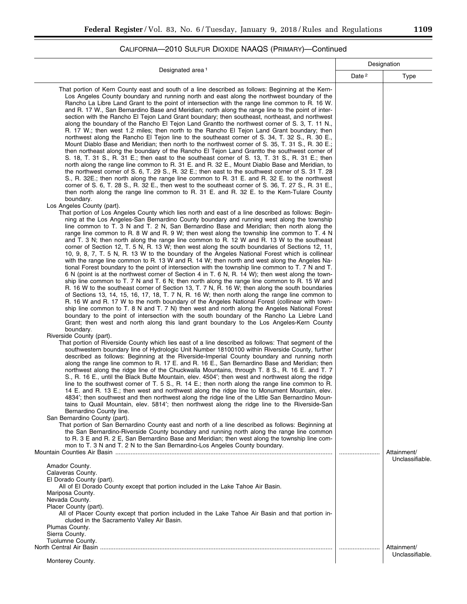## CALIFORNIA—2010 SULFUR DIOXIDE NAAQS (PRIMARY)—Continued

| Designated area <sup>1</sup>                                                                                                                                                                                                                                                                                                                                                                                                                                                                                                                                                                                                                                                                                                                                                                                                                                                                                                                                                                                                                                                                                                                                                                                                                                                                                                                                                                                                                                                                                                                                                                                                                                                                                                                                                                                                                                                              |                   | Designation                    |  |
|-------------------------------------------------------------------------------------------------------------------------------------------------------------------------------------------------------------------------------------------------------------------------------------------------------------------------------------------------------------------------------------------------------------------------------------------------------------------------------------------------------------------------------------------------------------------------------------------------------------------------------------------------------------------------------------------------------------------------------------------------------------------------------------------------------------------------------------------------------------------------------------------------------------------------------------------------------------------------------------------------------------------------------------------------------------------------------------------------------------------------------------------------------------------------------------------------------------------------------------------------------------------------------------------------------------------------------------------------------------------------------------------------------------------------------------------------------------------------------------------------------------------------------------------------------------------------------------------------------------------------------------------------------------------------------------------------------------------------------------------------------------------------------------------------------------------------------------------------------------------------------------------|-------------------|--------------------------------|--|
|                                                                                                                                                                                                                                                                                                                                                                                                                                                                                                                                                                                                                                                                                                                                                                                                                                                                                                                                                                                                                                                                                                                                                                                                                                                                                                                                                                                                                                                                                                                                                                                                                                                                                                                                                                                                                                                                                           | Date <sup>2</sup> | Type                           |  |
| That portion of Kern County east and south of a line described as follows: Beginning at the Kern-<br>Los Angeles County boundary and running north and east along the northwest boundary of the<br>Rancho La Libre Land Grant to the point of intersection with the range line common to R. 16 W.<br>and R. 17 W., San Bernardino Base and Meridian; north along the range line to the point of inter-<br>section with the Rancho El Tejon Land Grant boundary; then southeast, northeast, and northwest<br>along the boundary of the Rancho El Tejon Land Grantto the northwest corner of S. 3, T. 11 N.,<br>R. 17 W.; then west 1.2 miles; then north to the Rancho El Tejon Land Grant boundary; then<br>northwest along the Rancho El Tejon line to the southeast corner of S. 34, T. 32 S., R. 30 E.,<br>Mount Diablo Base and Meridian; then north to the northwest corner of S. 35, T. 31 S., R. 30 E.;<br>then northeast along the boundary of the Rancho El Tejon Land Grantto the southwest corner of<br>S. 18, T. 31 S., R. 31 E.; then east to the southeast corner of S. 13, T. 31 S., R. 31 E.; then<br>north along the range line common to R. 31 E. and R. 32 E., Mount Diablo Base and Meridian, to<br>the northwest corner of S. 6, T. 29 S., R. 32 E.; then east to the southwest corner of S. 31 T. 28<br>S., R. 32E.; then north along the range line common to R. 31 E. and R. 32 E. to the northwest<br>corner of S. 6, T. 28 S., R. 32 E., then west to the southeast corner of S. 36, T. 27 S., R. 31 E.,<br>then north along the range line common to R. 31 E. and R. 32 E. to the Kern-Tulare County<br>boundary.                                                                                                                                                                                                                                              |                   |                                |  |
| Los Angeles County (part).<br>That portion of Los Angeles County which lies north and east of a line described as follows: Begin-<br>ning at the Los Angeles-San Bernardino County boundary and running west along the township<br>line common to T. 3 N and T. 2 N, San Bernardino Base and Meridian; then north along the<br>range line common to R. 8 W and R. 9 W; then west along the township line common to T. 4 N<br>and T. 3 N; then north along the range line common to R. 12 W and R. 13 W to the southeast<br>corner of Section 12, T. 5 N, R. 13 W; then west along the south boundaries of Sections 12, 11,<br>10, 9, 8, 7, T. 5 N, R. 13 W to the boundary of the Angeles National Forest which is collinear<br>with the range line common to R. 13 W and R. 14 W; then north and west along the Angeles Na-<br>tional Forest boundary to the point of intersection with the township line common to T. 7 N and T.<br>6 N (point is at the northwest corner of Section 4 in T. 6 N, R. 14 W); then west along the town-<br>ship line common to T. 7 N and T. 6 N; then north along the range line common to R. 15 W and<br>R. 16 W to the southeast corner of Section 13, T. 7 N, R. 16 W; then along the south boundaries<br>of Sections 13, 14, 15, 16, 17, 18, T. 7 N, R. 16 W; then north along the range line common to<br>R. 16 W and R. 17 W to the north boundary of the Angeles National Forest (collinear with town-<br>ship line common to T. 8 N and T. 7 N) then west and north along the Angeles National Forest<br>boundary to the point of intersection with the south boundary of the Rancho La Liebre Land<br>Grant; then west and north along this land grant boundary to the Los Angeles-Kern County<br>boundary.<br>Riverside County (part).<br>That portion of Riverside County which lies east of a line described as follows: That segment of the |                   |                                |  |
| southwestern boundary line of Hydrologic Unit Number 18100100 within Riverside County, further<br>described as follows: Beginning at the Riverside-Imperial County boundary and running north<br>along the range line common to R. 17 E. and R. 16 E., San Bernardino Base and Meridian; then<br>northwest along the ridge line of the Chuckwalla Mountains, through T. 8 S., R. 16 E. and T. 7<br>S., R. 16 E., until the Black Butte Mountain, elev. 4504'; then west and northwest along the ridge<br>line to the southwest corner of T. 5 S., R. 14 E.; then north along the range line common to R.<br>14 E. and R. 13 E.; then west and northwest along the ridge line to Monument Mountain, elev.<br>4834'; then southwest and then northwest along the ridge line of the Little San Bernardino Moun-<br>tains to Quail Mountain, elev. 5814'; then northwest along the ridge line to the Riverside-San<br>Bernardino County line.<br>San Bernardino County (part).<br>That portion of San Bernardino County east and north of a line described as follows: Beginning at<br>the San Bernardino-Riverside County boundary and running north along the range line common<br>to R. 3 E and R. 2 E, San Bernardino Base and Meridian; then west along the township line com-<br>mon to T. 3 N and T. 2 N to the San Bernardino-Los Angeles County boundary.                                                                                                                                                                                                                                                                                                                                                                                                                                                                                                                            |                   |                                |  |
| Amador County.<br>Calaveras County.<br>El Dorado County (part).<br>All of El Dorado County except that portion included in the Lake Tahoe Air Basin.<br>Mariposa County.<br>Nevada County.<br>Placer County (part).<br>All of Placer County except that portion included in the Lake Tahoe Air Basin and that portion in-<br>cluded in the Sacramento Valley Air Basin.<br>Plumas County.<br>Sierra County.<br>Tuolumne County.                                                                                                                                                                                                                                                                                                                                                                                                                                                                                                                                                                                                                                                                                                                                                                                                                                                                                                                                                                                                                                                                                                                                                                                                                                                                                                                                                                                                                                                           |                   | Attainment/<br>Unclassifiable. |  |
| Monterey County.                                                                                                                                                                                                                                                                                                                                                                                                                                                                                                                                                                                                                                                                                                                                                                                                                                                                                                                                                                                                                                                                                                                                                                                                                                                                                                                                                                                                                                                                                                                                                                                                                                                                                                                                                                                                                                                                          |                   | Attainment/<br>Unclassifiable. |  |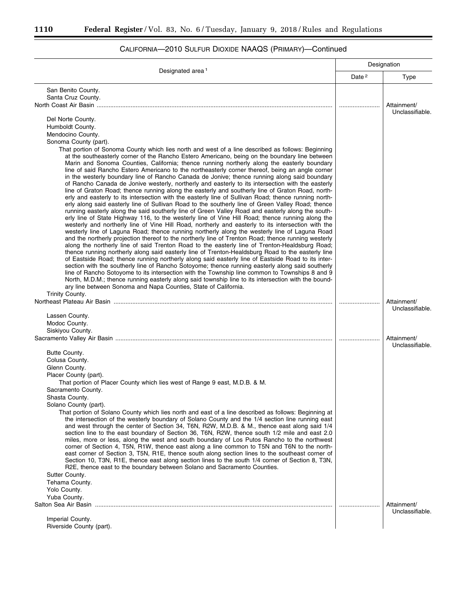۳

۲

|                                                                                                                                                                                                                                                                                                                                                                                                                                                                                                                                                                                                                                                                                                                                                                                                                                                                                                                                                                                                                                                                                                                                                                                                                                                                                                                                                                                                                                                                                                                                                                                                                                                                                                                                                                                                                                                                                                                                                                                                                                                                                                                                                 | Designation |                                |
|-------------------------------------------------------------------------------------------------------------------------------------------------------------------------------------------------------------------------------------------------------------------------------------------------------------------------------------------------------------------------------------------------------------------------------------------------------------------------------------------------------------------------------------------------------------------------------------------------------------------------------------------------------------------------------------------------------------------------------------------------------------------------------------------------------------------------------------------------------------------------------------------------------------------------------------------------------------------------------------------------------------------------------------------------------------------------------------------------------------------------------------------------------------------------------------------------------------------------------------------------------------------------------------------------------------------------------------------------------------------------------------------------------------------------------------------------------------------------------------------------------------------------------------------------------------------------------------------------------------------------------------------------------------------------------------------------------------------------------------------------------------------------------------------------------------------------------------------------------------------------------------------------------------------------------------------------------------------------------------------------------------------------------------------------------------------------------------------------------------------------------------------------|-------------|--------------------------------|
| Designated area <sup>1</sup>                                                                                                                                                                                                                                                                                                                                                                                                                                                                                                                                                                                                                                                                                                                                                                                                                                                                                                                                                                                                                                                                                                                                                                                                                                                                                                                                                                                                                                                                                                                                                                                                                                                                                                                                                                                                                                                                                                                                                                                                                                                                                                                    |             | Type                           |
| San Benito County.                                                                                                                                                                                                                                                                                                                                                                                                                                                                                                                                                                                                                                                                                                                                                                                                                                                                                                                                                                                                                                                                                                                                                                                                                                                                                                                                                                                                                                                                                                                                                                                                                                                                                                                                                                                                                                                                                                                                                                                                                                                                                                                              |             |                                |
| Santa Cruz County.                                                                                                                                                                                                                                                                                                                                                                                                                                                                                                                                                                                                                                                                                                                                                                                                                                                                                                                                                                                                                                                                                                                                                                                                                                                                                                                                                                                                                                                                                                                                                                                                                                                                                                                                                                                                                                                                                                                                                                                                                                                                                                                              |             |                                |
|                                                                                                                                                                                                                                                                                                                                                                                                                                                                                                                                                                                                                                                                                                                                                                                                                                                                                                                                                                                                                                                                                                                                                                                                                                                                                                                                                                                                                                                                                                                                                                                                                                                                                                                                                                                                                                                                                                                                                                                                                                                                                                                                                 |             | Attainment/<br>Unclassifiable. |
| Del Norte County.                                                                                                                                                                                                                                                                                                                                                                                                                                                                                                                                                                                                                                                                                                                                                                                                                                                                                                                                                                                                                                                                                                                                                                                                                                                                                                                                                                                                                                                                                                                                                                                                                                                                                                                                                                                                                                                                                                                                                                                                                                                                                                                               |             |                                |
| Humboldt County.                                                                                                                                                                                                                                                                                                                                                                                                                                                                                                                                                                                                                                                                                                                                                                                                                                                                                                                                                                                                                                                                                                                                                                                                                                                                                                                                                                                                                                                                                                                                                                                                                                                                                                                                                                                                                                                                                                                                                                                                                                                                                                                                |             |                                |
| Mendocino County.                                                                                                                                                                                                                                                                                                                                                                                                                                                                                                                                                                                                                                                                                                                                                                                                                                                                                                                                                                                                                                                                                                                                                                                                                                                                                                                                                                                                                                                                                                                                                                                                                                                                                                                                                                                                                                                                                                                                                                                                                                                                                                                               |             |                                |
| Sonoma County (part).                                                                                                                                                                                                                                                                                                                                                                                                                                                                                                                                                                                                                                                                                                                                                                                                                                                                                                                                                                                                                                                                                                                                                                                                                                                                                                                                                                                                                                                                                                                                                                                                                                                                                                                                                                                                                                                                                                                                                                                                                                                                                                                           |             |                                |
| That portion of Sonoma County which lies north and west of a line described as follows: Beginning<br>at the southeasterly corner of the Rancho Estero Americano, being on the boundary line between<br>Marin and Sonoma Counties, California; thence running northerly along the easterly boundary<br>line of said Rancho Estero Americano to the northeasterly corner thereof, being an angle corner<br>in the westerly boundary line of Rancho Canada de Jonive; thence running along said boundary<br>of Rancho Canada de Jonive westerly, northerly and easterly to its intersection with the easterly<br>line of Graton Road; thence running along the easterly and southerly line of Graton Road, north-<br>erly and easterly to its intersection with the easterly line of Sullivan Road; thence running north-<br>erly along said easterly line of Sullivan Road to the southerly line of Green Valley Road; thence<br>running easterly along the said southerly line of Green Valley Road and easterly along the south-<br>erly line of State Highway 116, to the westerly line of Vine Hill Road; thence running along the<br>westerly and northerly line of Vine Hill Road, northerly and easterly to its intersection with the<br>westerly line of Laguna Road; thence running northerly along the westerly line of Laguna Road<br>and the northerly projection thereof to the northerly line of Trenton Road; thence running westerly<br>along the northerly line of said Trenton Road to the easterly line of Trenton-Healdsburg Road;<br>thence running northerly along said easterly line of Trenton-Healdsburg Road to the easterly line<br>of Eastside Road; thence running northerly along said easterly line of Eastside Road to its inter-<br>section with the southerly line of Rancho Sotoyome; thence running easterly along said southerly<br>line of Rancho Sotoyome to its intersection with the Township line common to Townships 8 and 9<br>North, M.D.M.; thence running easterly along said township line to its intersection with the bound-<br>ary line between Sonoma and Napa Counties, State of California. |             |                                |
| Trinity County.                                                                                                                                                                                                                                                                                                                                                                                                                                                                                                                                                                                                                                                                                                                                                                                                                                                                                                                                                                                                                                                                                                                                                                                                                                                                                                                                                                                                                                                                                                                                                                                                                                                                                                                                                                                                                                                                                                                                                                                                                                                                                                                                 |             |                                |
|                                                                                                                                                                                                                                                                                                                                                                                                                                                                                                                                                                                                                                                                                                                                                                                                                                                                                                                                                                                                                                                                                                                                                                                                                                                                                                                                                                                                                                                                                                                                                                                                                                                                                                                                                                                                                                                                                                                                                                                                                                                                                                                                                 |             | Attainment/<br>Unclassifiable. |
| Lassen County.                                                                                                                                                                                                                                                                                                                                                                                                                                                                                                                                                                                                                                                                                                                                                                                                                                                                                                                                                                                                                                                                                                                                                                                                                                                                                                                                                                                                                                                                                                                                                                                                                                                                                                                                                                                                                                                                                                                                                                                                                                                                                                                                  |             |                                |
| Modoc County.                                                                                                                                                                                                                                                                                                                                                                                                                                                                                                                                                                                                                                                                                                                                                                                                                                                                                                                                                                                                                                                                                                                                                                                                                                                                                                                                                                                                                                                                                                                                                                                                                                                                                                                                                                                                                                                                                                                                                                                                                                                                                                                                   |             |                                |
| Siskiyou County.                                                                                                                                                                                                                                                                                                                                                                                                                                                                                                                                                                                                                                                                                                                                                                                                                                                                                                                                                                                                                                                                                                                                                                                                                                                                                                                                                                                                                                                                                                                                                                                                                                                                                                                                                                                                                                                                                                                                                                                                                                                                                                                                |             |                                |
|                                                                                                                                                                                                                                                                                                                                                                                                                                                                                                                                                                                                                                                                                                                                                                                                                                                                                                                                                                                                                                                                                                                                                                                                                                                                                                                                                                                                                                                                                                                                                                                                                                                                                                                                                                                                                                                                                                                                                                                                                                                                                                                                                 |             | Attainment/                    |
|                                                                                                                                                                                                                                                                                                                                                                                                                                                                                                                                                                                                                                                                                                                                                                                                                                                                                                                                                                                                                                                                                                                                                                                                                                                                                                                                                                                                                                                                                                                                                                                                                                                                                                                                                                                                                                                                                                                                                                                                                                                                                                                                                 |             | Unclassifiable.                |
| Butte County.<br>Colusa County.                                                                                                                                                                                                                                                                                                                                                                                                                                                                                                                                                                                                                                                                                                                                                                                                                                                                                                                                                                                                                                                                                                                                                                                                                                                                                                                                                                                                                                                                                                                                                                                                                                                                                                                                                                                                                                                                                                                                                                                                                                                                                                                 |             |                                |
| Glenn County.                                                                                                                                                                                                                                                                                                                                                                                                                                                                                                                                                                                                                                                                                                                                                                                                                                                                                                                                                                                                                                                                                                                                                                                                                                                                                                                                                                                                                                                                                                                                                                                                                                                                                                                                                                                                                                                                                                                                                                                                                                                                                                                                   |             |                                |
| Placer County (part).                                                                                                                                                                                                                                                                                                                                                                                                                                                                                                                                                                                                                                                                                                                                                                                                                                                                                                                                                                                                                                                                                                                                                                                                                                                                                                                                                                                                                                                                                                                                                                                                                                                                                                                                                                                                                                                                                                                                                                                                                                                                                                                           |             |                                |
| That portion of Placer County which lies west of Range 9 east, M.D.B. & M.                                                                                                                                                                                                                                                                                                                                                                                                                                                                                                                                                                                                                                                                                                                                                                                                                                                                                                                                                                                                                                                                                                                                                                                                                                                                                                                                                                                                                                                                                                                                                                                                                                                                                                                                                                                                                                                                                                                                                                                                                                                                      |             |                                |
| Sacramento County.                                                                                                                                                                                                                                                                                                                                                                                                                                                                                                                                                                                                                                                                                                                                                                                                                                                                                                                                                                                                                                                                                                                                                                                                                                                                                                                                                                                                                                                                                                                                                                                                                                                                                                                                                                                                                                                                                                                                                                                                                                                                                                                              |             |                                |
| Shasta County.                                                                                                                                                                                                                                                                                                                                                                                                                                                                                                                                                                                                                                                                                                                                                                                                                                                                                                                                                                                                                                                                                                                                                                                                                                                                                                                                                                                                                                                                                                                                                                                                                                                                                                                                                                                                                                                                                                                                                                                                                                                                                                                                  |             |                                |
| Solano County (part).                                                                                                                                                                                                                                                                                                                                                                                                                                                                                                                                                                                                                                                                                                                                                                                                                                                                                                                                                                                                                                                                                                                                                                                                                                                                                                                                                                                                                                                                                                                                                                                                                                                                                                                                                                                                                                                                                                                                                                                                                                                                                                                           |             |                                |
| That portion of Solano County which lies north and east of a line described as follows: Beginning at<br>the intersection of the westerly boundary of Solano County and the 1/4 section line running east<br>and west through the center of Section 34, T6N, R2W, M.D.B. & M., thence east along said 1/4<br>section line to the east boundary of Section 36, T6N, R2W, thence south 1/2 mile and east 2.0<br>miles, more or less, along the west and south boundary of Los Putos Rancho to the northwest<br>corner of Section 4, T5N, R1W, thence east along a line common to T5N and T6N to the north-<br>east corner of Section 3, T5N, R1E, thence south along section lines to the southeast corner of<br>Section 10, T3N, R1E, thence east along section lines to the south 1/4 corner of Section 8, T3N,<br>R2E, thence east to the boundary between Solano and Sacramento Counties.<br>Sutter County.<br>Tehama County.                                                                                                                                                                                                                                                                                                                                                                                                                                                                                                                                                                                                                                                                                                                                                                                                                                                                                                                                                                                                                                                                                                                                                                                                                  |             |                                |
|                                                                                                                                                                                                                                                                                                                                                                                                                                                                                                                                                                                                                                                                                                                                                                                                                                                                                                                                                                                                                                                                                                                                                                                                                                                                                                                                                                                                                                                                                                                                                                                                                                                                                                                                                                                                                                                                                                                                                                                                                                                                                                                                                 |             |                                |
| Yolo County.<br>Yuba County.                                                                                                                                                                                                                                                                                                                                                                                                                                                                                                                                                                                                                                                                                                                                                                                                                                                                                                                                                                                                                                                                                                                                                                                                                                                                                                                                                                                                                                                                                                                                                                                                                                                                                                                                                                                                                                                                                                                                                                                                                                                                                                                    |             |                                |
|                                                                                                                                                                                                                                                                                                                                                                                                                                                                                                                                                                                                                                                                                                                                                                                                                                                                                                                                                                                                                                                                                                                                                                                                                                                                                                                                                                                                                                                                                                                                                                                                                                                                                                                                                                                                                                                                                                                                                                                                                                                                                                                                                 |             | Attainment/                    |
|                                                                                                                                                                                                                                                                                                                                                                                                                                                                                                                                                                                                                                                                                                                                                                                                                                                                                                                                                                                                                                                                                                                                                                                                                                                                                                                                                                                                                                                                                                                                                                                                                                                                                                                                                                                                                                                                                                                                                                                                                                                                                                                                                 |             | Unclassifiable.                |
| Imperial County.                                                                                                                                                                                                                                                                                                                                                                                                                                                                                                                                                                                                                                                                                                                                                                                                                                                                                                                                                                                                                                                                                                                                                                                                                                                                                                                                                                                                                                                                                                                                                                                                                                                                                                                                                                                                                                                                                                                                                                                                                                                                                                                                |             |                                |
| Riverside County (part).                                                                                                                                                                                                                                                                                                                                                                                                                                                                                                                                                                                                                                                                                                                                                                                                                                                                                                                                                                                                                                                                                                                                                                                                                                                                                                                                                                                                                                                                                                                                                                                                                                                                                                                                                                                                                                                                                                                                                                                                                                                                                                                        |             |                                |

# CALIFORNIA—2010 SULFUR DIOXIDE NAAQS (PRIMARY)—Continued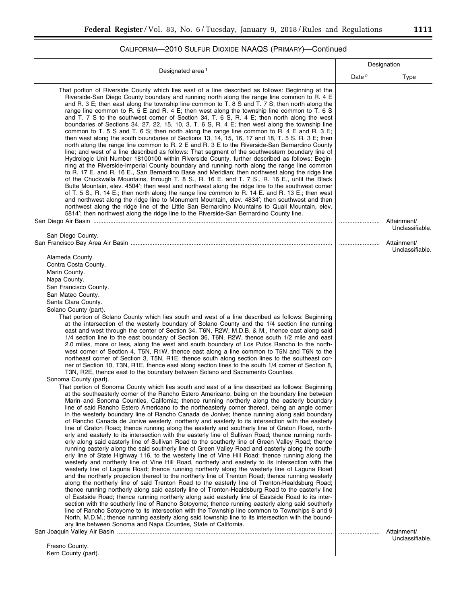# CALIFORNIA—2010 SULFUR DIOXIDE NAAQS (PRIMARY)—Continued

| Designated area <sup>1</sup>                                                                                                                                                                                                                                                                                                                                                                                                                                                                                                                                                                                                                                                                                                                                                                                                                                                                                                                                                                                                                                                                                                                                                                                                                                                                                                                                                                                                                                                                                                                                                                                                                                                                                                                                                                                                                                                                                                                                                                                                                                                                                                                                                                                                                                                                                                                                                                                                                                                                                                                                                                                                                                                                                                                                                                                                                                                                                                                                                                                                                                                                                                                                                                                                                       |  | Designation                    |  |
|----------------------------------------------------------------------------------------------------------------------------------------------------------------------------------------------------------------------------------------------------------------------------------------------------------------------------------------------------------------------------------------------------------------------------------------------------------------------------------------------------------------------------------------------------------------------------------------------------------------------------------------------------------------------------------------------------------------------------------------------------------------------------------------------------------------------------------------------------------------------------------------------------------------------------------------------------------------------------------------------------------------------------------------------------------------------------------------------------------------------------------------------------------------------------------------------------------------------------------------------------------------------------------------------------------------------------------------------------------------------------------------------------------------------------------------------------------------------------------------------------------------------------------------------------------------------------------------------------------------------------------------------------------------------------------------------------------------------------------------------------------------------------------------------------------------------------------------------------------------------------------------------------------------------------------------------------------------------------------------------------------------------------------------------------------------------------------------------------------------------------------------------------------------------------------------------------------------------------------------------------------------------------------------------------------------------------------------------------------------------------------------------------------------------------------------------------------------------------------------------------------------------------------------------------------------------------------------------------------------------------------------------------------------------------------------------------------------------------------------------------------------------------------------------------------------------------------------------------------------------------------------------------------------------------------------------------------------------------------------------------------------------------------------------------------------------------------------------------------------------------------------------------------------------------------------------------------------------------------------------------|--|--------------------------------|--|
|                                                                                                                                                                                                                                                                                                                                                                                                                                                                                                                                                                                                                                                                                                                                                                                                                                                                                                                                                                                                                                                                                                                                                                                                                                                                                                                                                                                                                                                                                                                                                                                                                                                                                                                                                                                                                                                                                                                                                                                                                                                                                                                                                                                                                                                                                                                                                                                                                                                                                                                                                                                                                                                                                                                                                                                                                                                                                                                                                                                                                                                                                                                                                                                                                                                    |  | Type                           |  |
| That portion of Riverside County which lies east of a line described as follows: Beginning at the<br>Riverside-San Diego County boundary and running north along the range line common to R. 4 E<br>and R. 3 E; then east along the township line common to T. 8 S and T. 7 S; then north along the<br>range line common to R. 5 E and R. 4 E; then west along the township line common to T. 6 S<br>and T. 7 S to the southwest corner of Section 34, T. 6 S, R. 4 E; then north along the west<br>boundaries of Sections 34, 27, 22, 15, 10, 3, T. 6 S, R. 4 E; then west along the township line<br>common to T. 5 S and T. 6 S; then north along the range line common to R. 4 E and R. 3 E;<br>then west along the south boundaries of Sections 13, 14, 15, 16, 17 and 18, T. 5 S. R. 3 E; then<br>north along the range line common to R. 2 E and R. 3 E to the Riverside-San Bernardino County<br>line; and west of a line described as follows: That segment of the southwestern boundary line of<br>Hydrologic Unit Number 18100100 within Riverside County, further described as follows: Begin-<br>ning at the Riverside-Imperial County boundary and running north along the range line common<br>to R. 17 E. and R. 16 E., San Bernardino Base and Meridian; then northwest along the ridge line<br>of the Chuckwalla Mountains, through T. 8 S., R. 16 E. and T. 7 S., R. 16 E., until the Black<br>Butte Mountain, elev. 4504'; then west and northwest along the ridge line to the southwest corner<br>of T. 5 S., R. 14 E.; then north along the range line common to R. 14 E. and R. 13 E.; then west<br>and northwest along the ridge line to Monument Mountain, elev. 4834'; then southwest and then<br>northwest along the ridge line of the Little San Bernardino Mountains to Quail Mountain, elev.<br>5814'; then northwest along the ridge line to the Riverside-San Bernardino County line.                                                                                                                                                                                                                                                                                                                                                                                                                                                                                                                                                                                                                                                                                                                                                                                                                                                                                                                                                                                                                                                                                                                                                                                                                                                                                                                              |  | Attainment/                    |  |
|                                                                                                                                                                                                                                                                                                                                                                                                                                                                                                                                                                                                                                                                                                                                                                                                                                                                                                                                                                                                                                                                                                                                                                                                                                                                                                                                                                                                                                                                                                                                                                                                                                                                                                                                                                                                                                                                                                                                                                                                                                                                                                                                                                                                                                                                                                                                                                                                                                                                                                                                                                                                                                                                                                                                                                                                                                                                                                                                                                                                                                                                                                                                                                                                                                                    |  | Unclassifiable.                |  |
| San Diego County.                                                                                                                                                                                                                                                                                                                                                                                                                                                                                                                                                                                                                                                                                                                                                                                                                                                                                                                                                                                                                                                                                                                                                                                                                                                                                                                                                                                                                                                                                                                                                                                                                                                                                                                                                                                                                                                                                                                                                                                                                                                                                                                                                                                                                                                                                                                                                                                                                                                                                                                                                                                                                                                                                                                                                                                                                                                                                                                                                                                                                                                                                                                                                                                                                                  |  | Attainment/<br>Unclassifiable. |  |
| Alameda County.<br>Contra Costa County.<br>Marin County.<br>Napa County.<br>San Francisco County.<br>San Mateo County.<br>Santa Clara County.<br>Solano County (part).<br>That portion of Solano County which lies south and west of a line described as follows: Beginning<br>at the intersection of the westerly boundary of Solano County and the 1/4 section line running<br>east and west through the center of Section 34, T6N, R2W, M.D.B. & M., thence east along said<br>1/4 section line to the east boundary of Section 36, T6N, R2W, thence south 1/2 mile and east<br>2.0 miles, more or less, along the west and south boundary of Los Putos Rancho to the north-<br>west corner of Section 4, T5N, R1W, thence east along a line common to T5N and T6N to the<br>northeast corner of Section 3, T5N, R1E, thence south along section lines to the southeast cor-<br>ner of Section 10, T3N, R1E, thence east along section lines to the south 1/4 corner of Section 8,<br>T3N, R2E, thence east to the boundary between Solano and Sacramento Counties.<br>Sonoma County (part).<br>That portion of Sonoma County which lies south and east of a line described as follows: Beginning<br>at the southeasterly corner of the Rancho Estero Americano, being on the boundary line between<br>Marin and Sonoma Counties, California; thence running northerly along the easterly boundary<br>line of said Rancho Estero Americano to the northeasterly corner thereof, being an angle corner<br>in the westerly boundary line of Rancho Canada de Jonive; thence running along said boundary<br>of Rancho Canada de Jonive westerly, northerly and easterly to its intersection with the easterly<br>line of Graton Road; thence running along the easterly and southerly line of Graton Road, north-<br>erly and easterly to its intersection with the easterly line of Sullivan Road; thence running north-<br>erly along said easterly line of Sullivan Road to the southerly line of Green Valley Road; thence<br>running easterly along the said southerly line of Green Valley Road and easterly along the south-<br>erly line of State Highway 116, to the westerly line of Vine Hill Road; thence running along the<br>westerly and northerly line of Vine Hill Road, northerly and easterly to its intersection with the<br>westerly line of Laguna Road; thence running northerly along the westerly line of Laguna Road<br>and the northerly projection thereof to the northerly line of Trenton Road; thence running westerly<br>along the northerly line of said Trenton Road to the easterly line of Trenton-Healdsburg Road;<br>thence running northerly along said easterly line of Trenton-Healdsburg Road to the easterly line<br>of Eastside Road; thence running northerly along said easterly line of Eastside Road to its inter-<br>section with the southerly line of Rancho Sotoyome; thence running easterly along said southerly<br>line of Rancho Sotoyome to its intersection with the Township line common to Townships 8 and 9<br>North, M.D.M.; thence running easterly along said township line to its intersection with the bound-<br>ary line between Sonoma and Napa Counties, State of California. |  | Attainment/                    |  |
|                                                                                                                                                                                                                                                                                                                                                                                                                                                                                                                                                                                                                                                                                                                                                                                                                                                                                                                                                                                                                                                                                                                                                                                                                                                                                                                                                                                                                                                                                                                                                                                                                                                                                                                                                                                                                                                                                                                                                                                                                                                                                                                                                                                                                                                                                                                                                                                                                                                                                                                                                                                                                                                                                                                                                                                                                                                                                                                                                                                                                                                                                                                                                                                                                                                    |  | Unclassifiable.                |  |
| Fresno County.<br>Kern County (part).                                                                                                                                                                                                                                                                                                                                                                                                                                                                                                                                                                                                                                                                                                                                                                                                                                                                                                                                                                                                                                                                                                                                                                                                                                                                                                                                                                                                                                                                                                                                                                                                                                                                                                                                                                                                                                                                                                                                                                                                                                                                                                                                                                                                                                                                                                                                                                                                                                                                                                                                                                                                                                                                                                                                                                                                                                                                                                                                                                                                                                                                                                                                                                                                              |  |                                |  |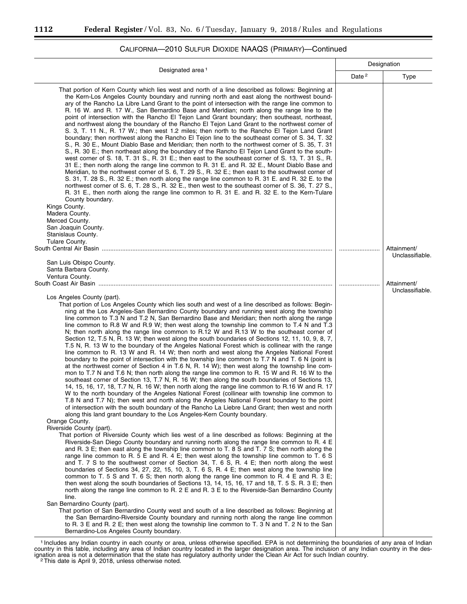#### Designated area 1 Designation Date<sup>2</sup> | Type That portion of Kern County which lies west and north of a line described as follows: Beginning at the Kern-Los Angeles County boundary and running north and east along the northwest boundary of the Rancho La Libre Land Grant to the point of intersection with the range line common to R. 16 W. and R. 17 W., San Bernardino Base and Meridian; north along the range line to the point of intersection with the Rancho El Tejon Land Grant boundary; then southeast, northeast, and northwest along the boundary of the Rancho El Tejon Land Grant to the northwest corner of S. 3, T. 11 N., R. 17 W.; then west 1.2 miles; then north to the Rancho El Tejon Land Grant boundary; then northwest along the Rancho El Tejon line to the southeast corner of S. 34, T. 32 S., R. 30 E., Mount Diablo Base and Meridian; then north to the northwest corner of S. 35, T. 31 S., R. 30 E.; then northeast along the boundary of the Rancho El Tejon Land Grant to the southwest corner of S. 18, T. 31 S., R. 31 E.; then east to the southeast corner of S. 13, T. 31 S., R. 31 E.; then north along the range line common to R. 31 E. and R. 32 E., Mount Diablo Base and Meridian, to the northwest corner of S. 6, T. 29 S., R. 32 E.; then east to the southwest corner of S. 31, T. 28 S., R. 32 E.; then north along the range line common to R. 31 E. and R. 32 E. to the northwest corner of S. 6, T. 28 S., R. 32 E., then west to the southeast corner of S. 36, T. 27 S., R. 31 E., then north along the range line common to R. 31 E. and R. 32 E. to the Kern-Tulare County boundary. Kings County. Madera County. Merced County. San Joaquin County. Stanislaus County. Tulare County. South Central Air Basin ........................................................................................................................................ ........................ Attainment/ Unclassifiable. San Luis Obispo County. Santa Barbara County. Ventura County. South Coast Air Basin .......................................................................................................................................... ........................ Attainment/ Unclassifiable. Los Angeles County (part). That portion of Los Angeles County which lies south and west of a line described as follows: Beginning at the Los Angeles-San Bernardino County boundary and running west along the township line common to T.3 N and T.2 N, San Bernardino Base and Meridian; then north along the range line common to R.8 W and R.9 W; then west along the township line common to T.4 N and T.3 N; then north along the range line common to R.12 W and R.13 W to the southeast corner of Section 12, T.5 N, R. 13 W; then west along the south boundaries of Sections 12, 11, 10, 9, 8, 7, T.5 N, R. 13 W to the boundary of the Angeles National Forest which is collinear with the range line common to R. 13 W and R. 14 W; then north and west along the Angeles National Forest boundary to the point of intersection with the township line common to T.7 N and T. 6 N (point is at the northwest corner of Section 4 in T.6 N, R. 14 W); then west along the township line common to T.7 N and T.6 N; then north along the range line common to R. 15 W and R. 16 W to the southeast corner of Section 13, T.7 N, R. 16 W; then along the south boundaries of Sections 13, 14, 15, 16, 17, 18, T.7 N, R. 16 W; then north along the range line common to R.16 W and R. 17 W to the north boundary of the Angeles National Forest (collinear with township line common to T.8 N and T.7 N); then west and north along the Angeles National Forest boundary to the point of intersection with the south boundary of the Rancho La Liebre Land Grant; then west and north along this land grant boundary to the Los Angeles-Kern County boundary. Orange County. Riverside County (part). That portion of Riverside County which lies west of a line described as follows: Beginning at the Riverside-San Diego County boundary and running north along the range line common to R. 4 E and R. 3 E; then east along the township line common to T. 8 S and T. 7 S; then north along the range line common to R. 5 E and R. 4 E; then west along the township line common to T. 6 S and T. 7 S to the southwest corner of Section 34, T. 6 S, R. 4 E; then north along the west boundaries of Sections 34, 27, 22, 15, 10, 3, T. 6 S, R. 4 E; then west along the township line common to T. 5 S and T. 6 S; then north along the range line common to R. 4 E and R. 3 E; then west along the south boundaries of Sections 13, 14, 15, 16, 17 and 18, T. 5 S. R. 3 E; then north along the range line common to R. 2 E and R. 3 E to the Riverside-San Bernardino County line. San Bernardino County (part). That portion of San Bernardino County west and south of a line described as follows: Beginning at the San Bernardino-Riverside County boundary and running north along the range line common to R. 3 E and R. 2 E; then west along the township line common to T. 3 N and T. 2 N to the San Bernardino-Los Angeles County boundary.

## CALIFORNIA—2010 SULFUR DIOXIDE NAAQS (PRIMARY)—Continued

1 Includes any Indian country in each county or area, unless otherwise specified. EPA is not determining the boundaries of any area of Indian country in this table, including any area of Indian country located in the larger designation area. The inclusion of any Indian country in the designation area is not a determination that the state has regulatory authority under the Clean Air Act for such Indian country.<br><sup>2</sup>This date is April 9, 2018, unless otherwise noted.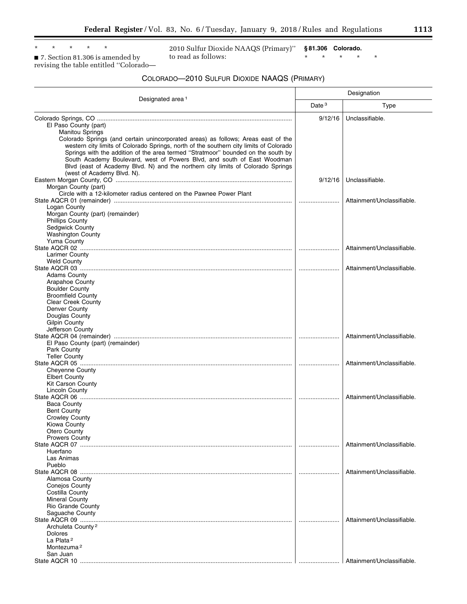■ 7. Section 81.306 is amended by revising the table entitled ''Colorado—

2010 Sulfur Dioxide NAAQS (Primary)'' to read as follows:

**§ 81.306 Colorado.**  \* \* \* \* \*

## COLORADO—2010 SULFUR DIOXIDE NAAQS (PRIMARY)

|                                                                                                                                                                            | Designation |                            |
|----------------------------------------------------------------------------------------------------------------------------------------------------------------------------|-------------|----------------------------|
| Designated area <sup>1</sup>                                                                                                                                               | Date $3$    | Type                       |
|                                                                                                                                                                            | 9/12/16     | Unclassifiable.            |
| El Paso County (part)                                                                                                                                                      |             |                            |
| <b>Manitou Springs</b>                                                                                                                                                     |             |                            |
| Colorado Springs (and certain unincorporated areas) as follows; Areas east of the                                                                                          |             |                            |
| western city limits of Colorado Springs, north of the southern city limits of Colorado<br>Springs with the addition of the area termed "Stratmoor" bounded on the south by |             |                            |
| South Academy Boulevard, west of Powers Blvd, and south of East Woodman                                                                                                    |             |                            |
| Blvd (east of Academy Blvd. N) and the northern city limits of Colorado Springs                                                                                            |             |                            |
| (west of Academy Blvd. N).                                                                                                                                                 |             |                            |
|                                                                                                                                                                            | 9/12/16     | Unclassifiable.            |
| Morgan County (part)                                                                                                                                                       |             |                            |
| Circle with a 12-kilometer radius centered on the Pawnee Power Plant                                                                                                       |             |                            |
| Logan County                                                                                                                                                               |             | Attainment/Unclassifiable. |
| Morgan County (part) (remainder)                                                                                                                                           |             |                            |
| <b>Phillips County</b>                                                                                                                                                     |             |                            |
| <b>Sedgwick County</b>                                                                                                                                                     |             |                            |
| Washington County                                                                                                                                                          |             |                            |
| Yuma County                                                                                                                                                                |             | Attainment/Unclassifiable. |
| Larimer County                                                                                                                                                             |             |                            |
| Weld County                                                                                                                                                                |             |                            |
|                                                                                                                                                                            |             | Attainment/Unclassifiable. |
| <b>Adams County</b>                                                                                                                                                        |             |                            |
| Arapahoe County                                                                                                                                                            |             |                            |
| <b>Boulder County</b><br><b>Broomfield County</b>                                                                                                                          |             |                            |
| <b>Clear Creek County</b>                                                                                                                                                  |             |                            |
| Denver County                                                                                                                                                              |             |                            |
| Douglas County                                                                                                                                                             |             |                            |
| <b>Gilpin County</b>                                                                                                                                                       |             |                            |
| Jefferson County                                                                                                                                                           |             | Attainment/Unclassifiable. |
| El Paso County (part) (remainder)                                                                                                                                          |             |                            |
| Park County                                                                                                                                                                |             |                            |
| <b>Teller County</b>                                                                                                                                                       |             |                            |
|                                                                                                                                                                            |             | Attainment/Unclassifiable. |
| <b>Cheyenne County</b><br><b>Elbert County</b>                                                                                                                             |             |                            |
| <b>Kit Carson County</b>                                                                                                                                                   |             |                            |
| Lincoln County                                                                                                                                                             |             |                            |
|                                                                                                                                                                            |             | Attainment/Unclassifiable. |
| <b>Baca County</b>                                                                                                                                                         |             |                            |
| <b>Bent County</b><br><b>Crowley County</b>                                                                                                                                |             |                            |
| Kiowa County                                                                                                                                                               |             |                            |
| Otero County                                                                                                                                                               |             |                            |
| <b>Prowers County</b>                                                                                                                                                      |             |                            |
|                                                                                                                                                                            |             | Attainment/Unclassifiable. |
| Huerfano<br>Las Animas                                                                                                                                                     |             |                            |
| Pueblo                                                                                                                                                                     |             |                            |
|                                                                                                                                                                            |             | Attainment/Unclassifiable. |
| Alamosa County                                                                                                                                                             |             |                            |
| <b>Conejos County</b>                                                                                                                                                      |             |                            |
| Costilla County<br><b>Mineral County</b>                                                                                                                                   |             |                            |
| Rio Grande County                                                                                                                                                          |             |                            |
| Saguache County                                                                                                                                                            |             |                            |
|                                                                                                                                                                            |             | Attainment/Unclassifiable. |
| Archuleta County <sup>2</sup>                                                                                                                                              |             |                            |
| <b>Dolores</b>                                                                                                                                                             |             |                            |
| La Plata <sup>2</sup><br>Montezuma <sup>2</sup>                                                                                                                            |             |                            |
| San Juan                                                                                                                                                                   |             |                            |
|                                                                                                                                                                            |             | Attainment/Unclassifiable. |

▀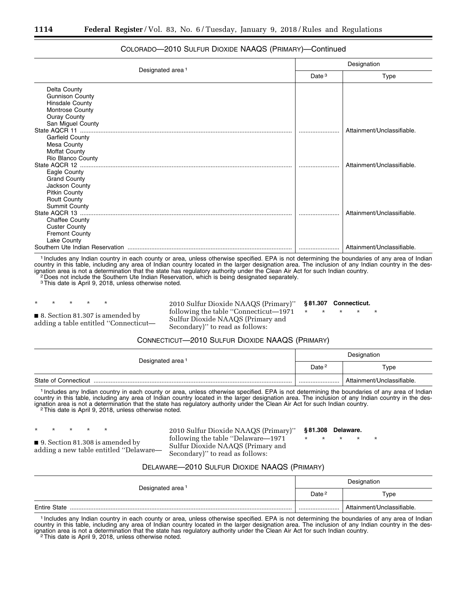|                                       | Designation |                            |  |
|---------------------------------------|-------------|----------------------------|--|
| Designated area <sup>1</sup>          | Date $3$    | Type                       |  |
| Delta County                          |             |                            |  |
| <b>Gunnison County</b>                |             |                            |  |
| <b>Hinsdale County</b>                |             |                            |  |
| <b>Montrose County</b>                |             |                            |  |
| <b>Ouray County</b>                   |             |                            |  |
| San Miguel County                     |             |                            |  |
| State AQCR 11                         |             | Attainment/Unclassifiable. |  |
| <b>Garfield County</b>                |             |                            |  |
| Mesa County                           |             |                            |  |
| <b>Moffat County</b>                  |             |                            |  |
| Rio Blanco County                     |             |                            |  |
|                                       |             | Attainment/Unclassifiable. |  |
| Eagle County                          |             |                            |  |
| <b>Grand County</b><br>Jackson County |             |                            |  |
| <b>Pitkin County</b>                  |             |                            |  |
| <b>Routt County</b>                   |             |                            |  |
| <b>Summit County</b>                  |             |                            |  |
|                                       |             | Attainment/Unclassifiable. |  |
| <b>Chaffee County</b>                 |             |                            |  |
| <b>Custer County</b>                  |             |                            |  |
| <b>Fremont County</b>                 |             |                            |  |
| Lake County                           |             |                            |  |
|                                       |             | Attainment/Unclassifiable. |  |

## COLORADO—2010 SULFUR DIOXIDE NAAQS (PRIMARY)—Continued

1 Includes any Indian country in each county or area, unless otherwise specified. EPA is not determining the boundaries of any area of Indian country in this table, including any area of Indian country located in the larger designation area. The inclusion of any Indian country in the designation area is not a determination that the state has regulatory authority under the Clean Air Act for such Indian country. 2 Does not include the Southern Ute Indian Reservation, which is being designated separately.

3This date is April 9, 2018, unless otherwise noted.

```
* * * * *
```
■ 8. Section 81.307 is amended by adding a table entitled ''Connecticut2010 Sulfur Dioxide NAAQS (Primary)'' following the table ''Connecticut—1971 Sulfur Dioxide NAAQS (Primary and Secondary)'' to read as follows: **§ 81.307 Connecticut.**  \* \* \* \* \*

# CONNECTICUT—2010 SULFUR DIOXIDE NAAQS (PRIMARY)

|                              | Designation |                            |
|------------------------------|-------------|----------------------------|
| Designated area <sup>1</sup> | Date $2$    | Type                       |
| State of Connecticut         |             | Attainment/Unclassifiable. |

1 Includes any Indian country in each county or area, unless otherwise specified. EPA is not determining the boundaries of any area of Indian country in this table, including any area of Indian country located in the larger designation area. The inclusion of any Indian country in the designation area is not a determination that the state has regulatory authority under the Clean Air Act for such Indian country.<br><sup>2</sup>This date is April 9, 2018, unless otherwise noted.

■ 9. Section 81.308 is amended by adding a new table entitled ''Delaware—

\* \* \* \* \*

2010 Sulfur Dioxide NAAQS (Primary)'' following the table ''Delaware—1971 Sulfur Dioxide NAAQS (Primary and Secondary)'' to read as follows: \* \* \* \* \*

**§ 81.308 Delaware.** 

# DELAWARE—2010 SULFUR DIOXIDE NAAQS (PRIMARY)

|                              | Designation       |                            |
|------------------------------|-------------------|----------------------------|
| Designated area <sup>1</sup> | Date <sup>2</sup> | Type                       |
| <b>Entire State</b>          |                   | Attainment/Unclassifiable. |

1 Includes any Indian country in each county or area, unless otherwise specified. EPA is not determining the boundaries of any area of Indian country in this table, including any area of Indian country located in the larger designation area. The inclusion of any Indian country in the designation area is not a determination that the state has regulatory authority under the Clean Air Act for such Indian country.<br><sup>2</sup>This date is April 9, 2018, unless otherwise noted.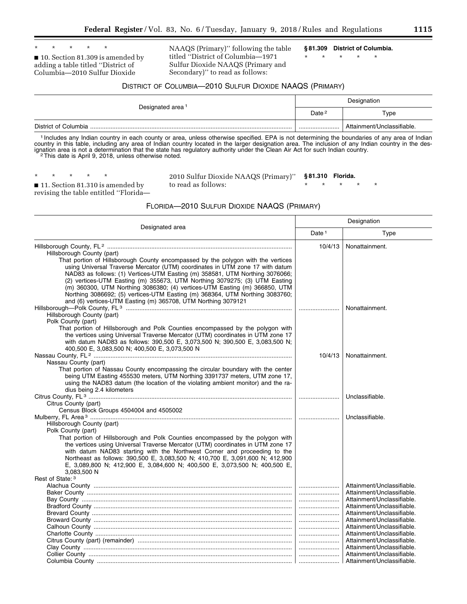\* \* \* \* \* ■ 10. Section 81.309 is amended by adding a table titled ''District of Columbia—2010 Sulfur Dioxide

NAAQS (Primary)'' following the table titled ''District of Columbia—1971 Sulfur Dioxide NAAQS (Primary and Secondary)'' to read as follows:

**§ 81.309 District of Columbia.** 

\* \* \* \* \*

## DISTRICT OF COLUMBIA—2010 SULFUR DIOXIDE NAAQS (PRIMARY)

| Designated area <sup>1</sup> | Designation       |                            |
|------------------------------|-------------------|----------------------------|
|                              | Date <sup>2</sup> | Type                       |
|                              |                   | Attainment/Unclassifiable. |

1 Includes any Indian country in each county or area, unless otherwise specified. EPA is not determining the boundaries of any area of Indian country in this table, including any area of Indian country located in the larger designation area. The inclusion of any Indian country in the designation area is not a determination that the state has regulatory authority under the Clean Air Act for such Indian country.<br><sup>2</sup>This date is April 9, 2018, unless otherwise noted.

2010 Sulfur Dioxide NAAQS (Primary)'' to read as follows:

**§ 81.310 Florida.** 

\* \* \* \* \*

■ 11. Section 81.310 is amended by revising the table entitled ''Florida—

## FLORIDA—2010 SULFUR DIOXIDE NAAQS (PRIMARY)

| Designated area                                                                                                                                                 | Designation       |                                                          |
|-----------------------------------------------------------------------------------------------------------------------------------------------------------------|-------------------|----------------------------------------------------------|
|                                                                                                                                                                 | Date <sup>1</sup> | Type                                                     |
|                                                                                                                                                                 | 10/4/13           | Nonattainment.                                           |
| Hillsborough County (part)                                                                                                                                      |                   |                                                          |
| That portion of Hillsborough County encompassed by the polygon with the vertices                                                                                |                   |                                                          |
| using Universal Traverse Mercator (UTM) coordinates in UTM zone 17 with datum                                                                                   |                   |                                                          |
| NAD83 as follows: (1) Vertices-UTM Easting (m) 358581, UTM Northing 3076066;                                                                                    |                   |                                                          |
| (2) vertices-UTM Easting (m) 355673, UTM Northing 3079275; (3) UTM Easting                                                                                      |                   |                                                          |
| (m) 360300, UTM Northing 3086380; (4) vertices-UTM Easting (m) 366850, UTM                                                                                      |                   |                                                          |
| Northing 3086692; (5) vertices-UTM Easting (m) 368364, UTM Northing 3083760;                                                                                    |                   |                                                          |
| and (6) vertices-UTM Easting (m) 365708, UTM Northing 3079121                                                                                                   |                   |                                                          |
|                                                                                                                                                                 |                   | Nonattainment.                                           |
| Hillsborough County (part)                                                                                                                                      |                   |                                                          |
| Polk County (part)                                                                                                                                              |                   |                                                          |
| That portion of Hillsborough and Polk Counties encompassed by the polygon with                                                                                  |                   |                                                          |
| the vertices using Universal Traverse Mercator (UTM) coordinates in UTM zone 17                                                                                 |                   |                                                          |
| with datum NAD83 as follows: 390,500 E, 3,073,500 N; 390,500 E, 3,083,500 N;                                                                                    |                   |                                                          |
| 400,500 E, 3,083,500 N; 400,500 E, 3,073,500 N                                                                                                                  |                   |                                                          |
|                                                                                                                                                                 | 10/4/13           | Nonattainment.                                           |
| Nassau County (part)                                                                                                                                            |                   |                                                          |
| That portion of Nassau County encompassing the circular boundary with the center                                                                                |                   |                                                          |
| being UTM Easting 455530 meters, UTM Northing 3391737 meters, UTM zone 17,<br>using the NAD83 datum (the location of the violating ambient monitor) and the ra- |                   |                                                          |
|                                                                                                                                                                 |                   |                                                          |
| dius being 2.4 kilometers                                                                                                                                       |                   | Unclassifiable.                                          |
| Citrus County (part)                                                                                                                                            |                   |                                                          |
| Census Block Groups 4504004 and 4505002                                                                                                                         |                   |                                                          |
|                                                                                                                                                                 |                   | Unclassifiable.                                          |
| Hillsborough County (part)                                                                                                                                      |                   |                                                          |
| Polk County (part)                                                                                                                                              |                   |                                                          |
| That portion of Hillsborough and Polk Counties encompassed by the polygon with                                                                                  |                   |                                                          |
| the vertices using Universal Traverse Mercator (UTM) coordinates in UTM zone 17                                                                                 |                   |                                                          |
| with datum NAD83 starting with the Northwest Corner and proceeding to the                                                                                       |                   |                                                          |
| Northeast as follows: 390,500 E, 3,083,500 N; 410,700 E, 3,091,600 N; 412,900                                                                                   |                   |                                                          |
| E, 3,089,800 N; 412,900 E, 3,084,600 N; 400,500 E, 3,073,500 N; 400,500 E,                                                                                      |                   |                                                          |
| 3.083.500 N                                                                                                                                                     |                   |                                                          |
| Rest of State: 3                                                                                                                                                |                   |                                                          |
|                                                                                                                                                                 |                   | Attainment/Unclassifiable.                               |
|                                                                                                                                                                 |                   | Attainment/Unclassifiable.                               |
|                                                                                                                                                                 |                   | Attainment/Unclassifiable.                               |
|                                                                                                                                                                 |                   | Attainment/Unclassifiable.                               |
|                                                                                                                                                                 |                   | Attainment/Unclassifiable.                               |
|                                                                                                                                                                 |                   | Attainment/Unclassifiable.<br>Attainment/Unclassifiable. |
|                                                                                                                                                                 |                   |                                                          |
|                                                                                                                                                                 |                   | Attainment/Unclassifiable.<br>Attainment/Unclassifiable. |
|                                                                                                                                                                 |                   | Attainment/Unclassifiable.                               |
|                                                                                                                                                                 |                   | Attainment/Unclassifiable.                               |
|                                                                                                                                                                 |                   |                                                          |
|                                                                                                                                                                 |                   |                                                          |

<sup>\* \* \* \* \*</sup>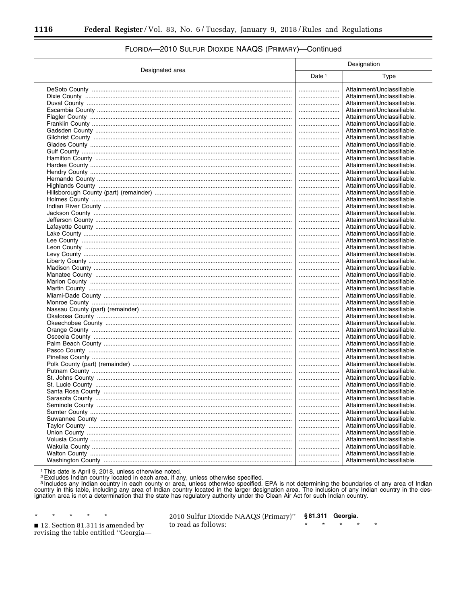|                 | Designation       |                            |
|-----------------|-------------------|----------------------------|
| Designated area | Date <sup>1</sup> | Type                       |
|                 |                   | Attainment/Unclassifiable. |
|                 |                   | Attainment/Unclassifiable. |
|                 |                   | Attainment/Unclassifiable. |
|                 |                   | Attainment/Unclassifiable. |
|                 |                   | Attainment/Unclassifiable. |
|                 |                   | Attainment/Unclassifiable. |
|                 |                   | Attainment/Unclassifiable. |
|                 |                   | Attainment/Unclassifiable. |
|                 |                   | Attainment/Unclassifiable. |
|                 |                   |                            |
|                 |                   | Attainment/Unclassifiable. |
|                 |                   | Attainment/Unclassifiable. |
|                 |                   | Attainment/Unclassifiable. |
|                 |                   | Attainment/Unclassifiable. |
|                 |                   | Attainment/Unclassifiable. |
|                 |                   | Attainment/Unclassifiable. |
|                 |                   | Attainment/Unclassifiable. |
|                 |                   | Attainment/Unclassifiable. |
|                 |                   | Attainment/Unclassifiable. |
|                 |                   | Attainment/Unclassifiable. |
|                 |                   | Attainment/Unclassifiable. |
|                 |                   | Attainment/Unclassifiable. |
|                 |                   | Attainment/Unclassifiable. |
|                 |                   | Attainment/Unclassifiable. |
|                 |                   | Attainment/Unclassifiable. |
|                 |                   | Attainment/Unclassifiable. |
|                 |                   | Attainment/Unclassifiable. |
|                 |                   | Attainment/Unclassifiable. |
|                 |                   | Attainment/Unclassifiable. |
|                 |                   | Attainment/Unclassifiable. |
|                 |                   | Attainment/Unclassifiable. |
|                 |                   | Attainment/Unclassifiable. |
|                 |                   | Attainment/Unclassifiable. |
|                 |                   |                            |
|                 |                   | Attainment/Unclassifiable. |
|                 |                   | Attainment/Unclassifiable. |
|                 |                   | Attainment/Unclassifiable. |
|                 |                   | Attainment/Unclassifiable. |
|                 |                   | Attainment/Unclassifiable. |
|                 |                   | Attainment/Unclassifiable. |
|                 |                   | Attainment/Unclassifiable. |
|                 |                   | Attainment/Unclassifiable. |
|                 |                   | Attainment/Unclassifiable. |
|                 |                   | Attainment/Unclassifiable. |
|                 |                   | Attainment/Unclassifiable. |
|                 |                   | Attainment/Unclassifiable. |
|                 |                   | Attainment/Unclassifiable. |
|                 |                   | Attainment/Unclassifiable. |
|                 |                   | Attainment/Unclassifiable. |
|                 |                   | Attainment/Unclassifiable. |
|                 |                   | Attainment/Unclassifiable. |
|                 |                   | Attainment/Unclassifiable. |
|                 |                   | Attainment/Unclassifiable. |
|                 |                   | Attainment/Unclassifiable. |
|                 |                   | Attainment/Unclassifiable. |
|                 |                   | Attainment/Unclassifiable. |
|                 |                   | Attainment/Unclassifiable. |
|                 |                   |                            |

## FLORIDA-2010 SULFUR DIOXIDE NAAQS (PRIMARY)-Continued

<sup>1</sup>This date is April 9, 2018, unless otherwise noted.<br><sup>2</sup> Excludes Indian country located in each area, if any, unless otherwise specified.<br><sup>3</sup> Includes any Indian country in each county or area, unless otherwise specifie

 $\star$ 12. Section 81.311 is amended by revising the table entitled "Georgia-

 $\star$ 

2010 Sulfur Dioxide NAAQS (Primary)" §81.311 Georgia. to read as follows: ÷  $\star$  $\star$ 

š,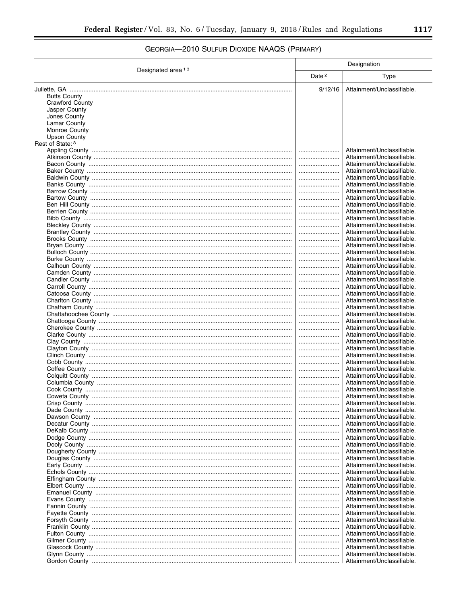# GEORGIA-2010 SULFUR DIOXIDE NAAQS (PRIMARY)

|                               | Designation       |                                                          |
|-------------------------------|-------------------|----------------------------------------------------------|
| Designated area <sup>13</sup> | Date <sup>2</sup> | <b>Type</b>                                              |
|                               | 9/12/16           | Attainment/Unclassifiable.                               |
| <b>Butts County</b>           |                   |                                                          |
| Crawford County               |                   |                                                          |
| Jasper County                 |                   |                                                          |
| Jones County<br>Lamar County  |                   |                                                          |
| <b>Monroe County</b>          |                   |                                                          |
| Upson County                  |                   |                                                          |
| Rest of State: 3              |                   |                                                          |
|                               |                   | Attainment/Unclassifiable.                               |
|                               |                   | Attainment/Unclassifiable.<br>Attainment/Unclassifiable. |
|                               | <br>              | Attainment/Unclassifiable.                               |
|                               |                   | Attainment/Unclassifiable.                               |
|                               |                   | Attainment/Unclassifiable.                               |
|                               |                   | Attainment/Unclassifiable.                               |
|                               |                   | Attainment/Unclassifiable.                               |
|                               |                   | Attainment/Unclassifiable.<br>Attainment/Unclassifiable. |
|                               |                   | Attainment/Unclassifiable.                               |
|                               |                   | Attainment/Unclassifiable.                               |
|                               |                   | Attainment/Unclassifiable.                               |
|                               |                   | Attainment/Unclassifiable.                               |
|                               |                   | Attainment/Unclassifiable.                               |
|                               |                   | Attainment/Unclassifiable.                               |
|                               |                   | Attainment/Unclassifiable.<br>Attainment/Unclassifiable. |
|                               |                   | Attainment/Unclassifiable.                               |
|                               |                   | Attainment/Unclassifiable.                               |
|                               |                   | Attainment/Unclassifiable.                               |
|                               |                   | Attainment/Unclassifiable.                               |
|                               |                   | Attainment/Unclassifiable.                               |
|                               |                   | Attainment/Unclassifiable.<br>Attainment/Unclassifiable. |
|                               |                   | Attainment/Unclassifiable.                               |
|                               |                   | Attainment/Unclassifiable.                               |
|                               |                   | Attainment/Unclassifiable.                               |
|                               |                   | Attainment/Unclassifiable.                               |
|                               |                   | Attainment/Unclassifiable.                               |
|                               |                   | Attainment/Unclassifiable.<br>Attainment/Unclassifiable. |
|                               |                   | Attainment/Unclassifiable.                               |
|                               |                   | Attainment/Unclassifiable.                               |
|                               |                   | Attainment/Unclassifiable.                               |
|                               |                   | Attainment/Unclassifiable.                               |
|                               |                   | Attainment/Unclassifiable.                               |
|                               |                   | Attainment/Unclassifiable.                               |
|                               |                   | Attainment/Unclassifiable.<br>Attainment/Unclassifiable. |
|                               |                   | Attainment/Unclassifiable.                               |
|                               |                   | Attainment/Unclassifiable.                               |
|                               |                   | Attainment/Unclassifiable.                               |
|                               |                   | Attainment/Unclassifiable.                               |
|                               |                   | Attainment/Unclassifiable.                               |
|                               |                   | Attainment/Unclassifiable.<br>Attainment/Unclassifiable. |
|                               |                   | Attainment/Unclassifiable.                               |
|                               |                   | Attainment/Unclassifiable.                               |
|                               |                   | Attainment/Unclassifiable.                               |
|                               |                   | Attainment/Unclassifiable.                               |
|                               |                   | Attainment/Unclassifiable.                               |
|                               |                   | Attainment/Unclassifiable.                               |
|                               |                   | Attainment/Unclassifiable.<br>Attainment/Unclassifiable. |
|                               |                   | Attainment/Unclassifiable.                               |
|                               |                   | Attainment/Unclassifiable.                               |
|                               |                   | Attainment/Unclassifiable.                               |
|                               |                   | Attainment/Unclassifiable.                               |
|                               |                   | Attainment/Unclassifiable.                               |
|                               |                   | Attainment/Unclassifiable.                               |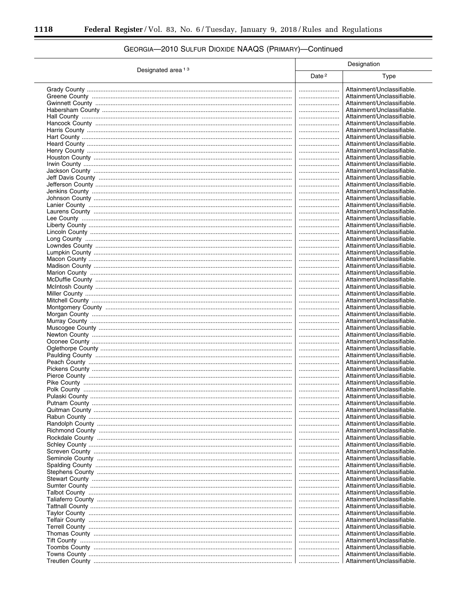|                               | Designation       |                            |
|-------------------------------|-------------------|----------------------------|
| Designated area <sup>13</sup> | Date <sup>2</sup> | Type                       |
|                               |                   | Attainment/Unclassifiable. |
|                               |                   | Attainment/Unclassifiable. |
|                               |                   |                            |
|                               |                   | Attainment/Unclassifiable. |
|                               |                   | Attainment/Unclassifiable. |
|                               |                   | Attainment/Unclassifiable. |
|                               |                   | Attainment/Unclassifiable. |
|                               |                   | Attainment/Unclassifiable. |
|                               |                   | Attainment/Unclassifiable. |
|                               |                   | Attainment/Unclassifiable. |
|                               |                   | Attainment/Unclassifiable. |
|                               |                   | Attainment/Unclassifiable. |
|                               |                   | Attainment/Unclassifiable. |
|                               |                   | Attainment/Unclassifiable. |
|                               |                   | Attainment/Unclassifiable. |
|                               |                   | Attainment/Unclassifiable. |
|                               |                   | Attainment/Unclassifiable. |
|                               |                   | Attainment/Unclassifiable. |
|                               |                   | Attainment/Unclassifiable. |
|                               |                   | Attainment/Unclassifiable. |
|                               |                   | Attainment/Unclassifiable. |
|                               |                   | Attainment/Unclassifiable. |
|                               |                   |                            |
|                               |                   | Attainment/Unclassifiable. |
|                               |                   | Attainment/Unclassifiable. |
|                               |                   | Attainment/Unclassifiable. |
|                               |                   | Attainment/Unclassifiable. |
|                               |                   | Attainment/Unclassifiable. |
|                               |                   | Attainment/Unclassifiable. |
|                               |                   | Attainment/Unclassifiable. |
|                               |                   | Attainment/Unclassifiable. |
|                               |                   | Attainment/Unclassifiable. |
|                               |                   | Attainment/Unclassifiable. |
|                               |                   | Attainment/Unclassifiable. |
|                               |                   | Attainment/Unclassifiable. |
|                               |                   | Attainment/Unclassifiable. |
|                               |                   | Attainment/Unclassifiable. |
|                               |                   | Attainment/Unclassifiable. |
|                               |                   | Attainment/Unclassifiable. |
|                               |                   |                            |
|                               |                   | Attainment/Unclassifiable. |
|                               |                   | Attainment/Unclassifiable. |
|                               |                   | Attainment/Unclassifiable. |
|                               |                   | Attainment/Unclassifiable. |
|                               |                   | Attainment/Unclassifiable. |
|                               |                   | Attainment/Unclassifiable. |
|                               |                   | Attainment/Unclassifiable. |
|                               |                   | Attainment/Unclassifiable. |
|                               |                   | Attainment/Unclassifiable. |
|                               |                   | Attainment/Unclassifiable. |
|                               |                   | Attainment/Unclassifiable. |
|                               |                   | Attainment/Unclassifiable. |
|                               |                   | Attainment/Unclassifiable. |
|                               |                   | Attainment/Unclassifiable. |
|                               |                   | Attainment/Unclassifiable. |
|                               |                   |                            |
|                               |                   | Attainment/Unclassifiable. |
|                               |                   | Attainment/Unclassifiable. |
|                               |                   | Attainment/Unclassifiable. |
|                               |                   | Attainment/Unclassifiable. |
|                               |                   | Attainment/Unclassifiable. |
|                               |                   | Attainment/Unclassifiable. |
|                               |                   | Attainment/Unclassifiable. |
|                               |                   | Attainment/Unclassifiable. |
|                               |                   | Attainment/Unclassifiable. |
|                               |                   | Attainment/Unclassifiable. |
|                               |                   | Attainment/Unclassifiable. |
|                               |                   | Attainment/Unclassifiable. |
|                               |                   | Attainment/Unclassifiable. |
|                               |                   | Attainment/Unclassifiable. |
|                               |                   | Attainment/Unclassifiable. |
|                               |                   |                            |
|                               |                   | Attainment/Unclassifiable. |
|                               |                   | Attainment/Unclassifiable. |
|                               |                   | Attainment/Unclassifiable. |

# GEORGIA-2010 SULFUR DIOXIDE NAAQS (PRIMARY)-Continued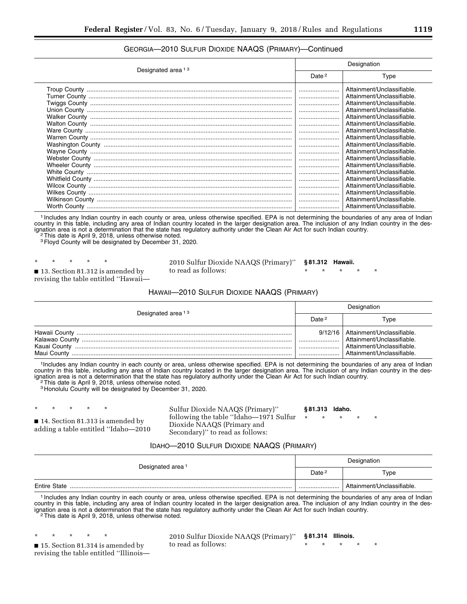## GEORGIA—2010 SULFUR DIOXIDE NAAQS (PRIMARY)—Continued

|                               | Designation |                                                                                                                                                                                                                                                                                                                                                                                                                                                                                              |  |
|-------------------------------|-------------|----------------------------------------------------------------------------------------------------------------------------------------------------------------------------------------------------------------------------------------------------------------------------------------------------------------------------------------------------------------------------------------------------------------------------------------------------------------------------------------------|--|
| Designated area <sup>13</sup> |             | Type                                                                                                                                                                                                                                                                                                                                                                                                                                                                                         |  |
|                               |             | Attainment/Unclassifiable.<br>Attainment/Unclassifiable.<br>Attainment/Unclassifiable.<br>Attainment/Unclassifiable.<br>Attainment/Unclassifiable.<br>Attainment/Unclassifiable.<br>Attainment/Unclassifiable.<br>Attainment/Unclassifiable.<br>Attainment/Unclassifiable.<br>Attainment/Unclassifiable.<br>Attainment/Unclassifiable.<br>Attainment/Unclassifiable.<br>Attainment/Unclassifiable.<br>Attainment/Unclassifiable.<br>Attainment/Unclassifiable.<br>Attainment/Unclassifiable. |  |
|                               |             | Attainment/Unclassifiable.<br>Attainment/Unclassifiable.                                                                                                                                                                                                                                                                                                                                                                                                                                     |  |

1 Includes any Indian country in each county or area, unless otherwise specified. EPA is not determining the boundaries of any area of Indian country in this table, including any area of Indian country located in the larger designation area. The inclusion of any Indian country in the designation area is not a determination that the state has regulatory authority under the Clean Air Act for such Indian country.<br><sup>2</sup>This date is April 9, 2018, unless otherwise noted.

<sup>2</sup>This date is April 9, 2018, unless otherwise noted.<br><sup>3</sup>Floyd County will be designated by December 31, 2020.

\* \* \* \* \* ■ 13. Section 81.312 is amended by revising the table entitled ''Hawaii—

2010 Sulfur Dioxide NAAQS (Primary)'' to read as follows: **§ 81.312 Hawaii.**  \* \* \* \* \*

### HAWAII—2010 SULFUR DIOXIDE NAAQS (PRIMARY)

|                               | Designation       |                                                                                                                                |  |
|-------------------------------|-------------------|--------------------------------------------------------------------------------------------------------------------------------|--|
| Designated area <sup>13</sup> | Date <sup>2</sup> | Type                                                                                                                           |  |
| Kauai County<br>Maui County   |                   | 9/12/16   Attainment/Unclassifiable.<br>Attainment/Unclassifiable.<br>Attainment/Unclassifiable.<br>Attainment/Unclassifiable. |  |

1Includes any Indian country in each county or area, unless otherwise specified. EPA is not determining the boundaries of any area of Indian country in this table, including any area of Indian country located in the larger designation area. The inclusion of any Indian country in the designation area is not a determination that the state has regulatory authority under the Clean Air Act for such Indian country.<br><sup>2</sup>This date is April 9, 2018, unless otherwise noted.

3 Honolulu County will be designated by December 31, 2020.

\* \* \* \* \*

■ 14. Section 81.313 is amended by adding a table entitled ''Idaho—2010 Sulfur Dioxide NAAQS (Primary)'' following the table ''Idaho—1971 Sulfur Dioxide NAAQS (Primary and Secondary)" to read as follows:

#### **§ 81.313 Idaho.**

\* \* \* \* \*

#### IDAHO—2010 SULFUR DIOXIDE NAAQS (PRIMARY)

|                              | Designation       |                            |
|------------------------------|-------------------|----------------------------|
| Designated area <sup>1</sup> | Date <sup>2</sup> | Type                       |
| <b>Entire State</b>          |                   | Attainment/Unclassifiable. |

1 Includes any Indian country in each county or area, unless otherwise specified. EPA is not determining the boundaries of any area of Indian country in this table, including any area of Indian country located in the larger designation area. The inclusion of any Indian country in the designation area is not a determination that the state has regulatory authority under the Clean Air Act for such Indian country.<br><sup>2</sup>This date is April 9, 2018, unless otherwise noted.

\* \* \* \* \*

■ 15. Section 81.314 is amended by revising the table entitled ''Illinois—

2010 Sulfur Dioxide NAAQS (Primary)'' to read as follows: **§ 81.314 Illinois.**  \* \* \* \* \*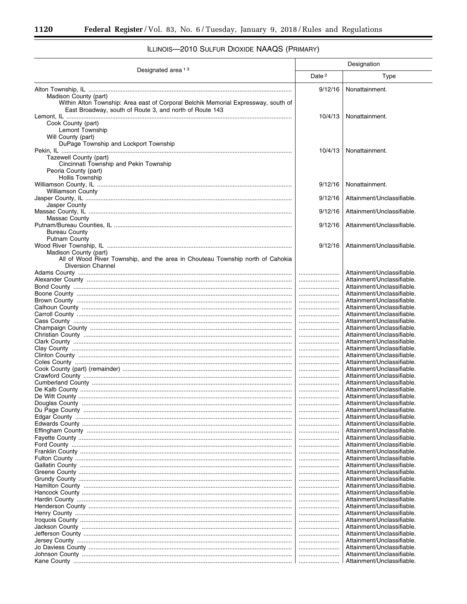$\equiv$ 

|                                                                                                                                                                        | Designation       |                                                          |
|------------------------------------------------------------------------------------------------------------------------------------------------------------------------|-------------------|----------------------------------------------------------|
| Designated area <sup>13</sup>                                                                                                                                          | Date <sup>2</sup> | Type                                                     |
|                                                                                                                                                                        | 9/12/16           | Nonattainment.                                           |
| Madison County (part)<br>Within Alton Township: Area east of Corporal Belchik Memorial Expressway, south of<br>East Broadway, south of Route 3, and north of Route 143 | 10/4/13           | Nonattainment.                                           |
| Cook County (part)<br>Lemont Township<br>Will County (part)                                                                                                            |                   |                                                          |
| DuPage Township and Lockport Township<br>Tazewell County (part)<br>Cincinnati Township and Pekin Township                                                              | 10/4/13           | Nonattainment.                                           |
| Peoria County (part)<br><b>Hollis Township</b>                                                                                                                         | 9/12/16           | Nonattainment.                                           |
| <b>Williamson County</b>                                                                                                                                               | 9/12/16           | Attainment/Unclassifiable.                               |
| Jasper County                                                                                                                                                          |                   |                                                          |
| Massac County                                                                                                                                                          | 9/12/16           | Attainment/Unclassifiable.                               |
| <b>Bureau County</b>                                                                                                                                                   | 9/12/16           | Attainment/Unclassifiable.                               |
| <b>Putnam County</b>                                                                                                                                                   | 9/12/16           | Attainment/Unclassifiable.                               |
| Madison County (part)<br>All of Wood River Township, and the area in Chouteau Township north of Cahokia<br><b>Diversion Channel</b>                                    |                   |                                                          |
|                                                                                                                                                                        |                   | Attainment/Unclassifiable.                               |
|                                                                                                                                                                        |                   | Attainment/Unclassifiable.                               |
|                                                                                                                                                                        | <br>              | Attainment/Unclassifiable.<br>Attainment/Unclassifiable. |
|                                                                                                                                                                        |                   | Attainment/Unclassifiable.                               |
|                                                                                                                                                                        |                   | Attainment/Unclassifiable.                               |
|                                                                                                                                                                        |                   | Attainment/Unclassifiable.                               |
|                                                                                                                                                                        |                   | Attainment/Unclassifiable.                               |
|                                                                                                                                                                        |                   | Attainment/Unclassifiable.                               |
|                                                                                                                                                                        | <br>              | Attainment/Unclassifiable.<br>Attainment/Unclassifiable. |
|                                                                                                                                                                        |                   | Attainment/Unclassifiable.                               |
|                                                                                                                                                                        |                   | Attainment/Unclassifiable.                               |
|                                                                                                                                                                        |                   | Attainment/Unclassifiable.                               |
|                                                                                                                                                                        |                   | Attainment/Unclassifiable.                               |
|                                                                                                                                                                        | <br>              | Attainment/Unclassifiable.<br>Attainment/Unclassifiable. |
|                                                                                                                                                                        |                   | Attainment/Unclassifiable.                               |
| De Witt County.                                                                                                                                                        |                   | Attainment/Unclassifiable                                |
|                                                                                                                                                                        |                   | Attainment/Unclassifiable.                               |
|                                                                                                                                                                        |                   | Attainment/Unclassifiable.                               |
|                                                                                                                                                                        |                   | Attainment/Unclassifiable.<br>Attainment/Unclassifiable. |
|                                                                                                                                                                        |                   | Attainment/Unclassifiable.                               |
|                                                                                                                                                                        |                   | Attainment/Unclassifiable.                               |
|                                                                                                                                                                        |                   | Attainment/Unclassifiable.                               |
|                                                                                                                                                                        |                   | Attainment/Unclassifiable.<br>Attainment/Unclassifiable. |
|                                                                                                                                                                        |                   | Attainment/Unclassifiable.                               |
|                                                                                                                                                                        |                   | Attainment/Unclassifiable.                               |
|                                                                                                                                                                        |                   | Attainment/Unclassifiable.                               |
|                                                                                                                                                                        |                   | Attainment/Unclassifiable.                               |
|                                                                                                                                                                        | <br>              | Attainment/Unclassifiable.<br>Attainment/Unclassifiable. |
|                                                                                                                                                                        |                   | Attainment/Unclassifiable.                               |
|                                                                                                                                                                        |                   | Attainment/Unclassifiable.                               |
|                                                                                                                                                                        |                   | Attainment/Unclassifiable.                               |
|                                                                                                                                                                        |                   | Attainment/Unclassifiable.                               |
|                                                                                                                                                                        | <br>              | Attainment/Unclassifiable.<br>Attainment/Unclassifiable. |
|                                                                                                                                                                        |                   | Attainment/Unclassifiable.                               |
|                                                                                                                                                                        |                   | Attainment/Unclassifiable.                               |
|                                                                                                                                                                        |                   | Attainment/Unclassifiable.                               |

# ILLINOIS-2010 SULFUR DIOXIDE NAAQS (PRIMARY)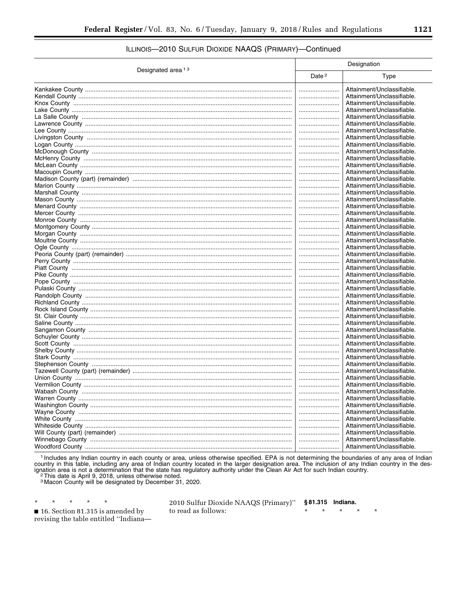## ILLINOIS-2010 SULFUR DIOXIDE NAAQS (PRIMARY)-Continued

| Date <sup>2</sup><br>Type<br>Attainment/Unclassifiable.<br><br>Attainment/Unclassifiable.<br>Attainment/Unclassifiable.<br><br>Attainment/Unclassifiable.<br><br>Attainment/Unclassifiable.<br><br>Attainment/Unclassifiable.<br><br>Attainment/Unclassifiable.<br><br>Attainment/Unclassifiable.<br><br>Attainment/Unclassifiable.<br><br>Attainment/Unclassifiable.<br>Attainment/Unclassifiable.<br><br>Attainment/Unclassifiable.<br><br>Attainment/Unclassifiable.<br><br>Attainment/Unclassifiable.<br><br>Attainment/Unclassifiable.<br><br>Attainment/Unclassifiable.<br><br>Attainment/Unclassifiable.<br><br>Attainment/Unclassifiable.<br><br>Attainment/Unclassifiable.<br><br>Attainment/Unclassifiable.<br>Attainment/Unclassifiable.<br>Attainment/Unclassifiable.<br>Attainment/Unclassifiable.<br><br>Attainment/Unclassifiable.<br>Attainment/Unclassifiable.<br>Attainment/Unclassifiable.<br>Attainment/Unclassifiable.<br><br>Attainment/Unclassifiable.<br>Attainment/Unclassifiable.<br>Attainment/Unclassifiable.<br><br>Attainment/Unclassifiable.<br><br>Attainment/Unclassifiable.<br><br>Attainment/Unclassifiable.<br>Attainment/Unclassifiable.<br><br>Attainment/Unclassifiable.<br>Attainment/Unclassifiable.<br>Attainment/Unclassifiable.<br>Attainment/Unclassifiable.<br><br>Attainment/Unclassifiable.<br><br>Attainment/Unclassifiable.<br><br>Attainment/Unclassifiable.<br>Attainment/Unclassifiable.<br><br>Attainment/Unclassifiable.<br><br>Attainment/Unclassifiable.<br><br>Attainment/Unclassifiable.<br>Attainment/Unclassifiable.<br><br>Attainment/Unclassifiable.<br><br>Attainment/Unclassifiable.<br><br>Attainment/Unclassifiable.<br><br>Attainment/Unclassifiable.<br><br>Attainment/Unclassifiable.<br><br>Attainment/Unclassifiable.<br><br>Attainment/Unclassifiable. |                               | Designation |  |
|---------------------------------------------------------------------------------------------------------------------------------------------------------------------------------------------------------------------------------------------------------------------------------------------------------------------------------------------------------------------------------------------------------------------------------------------------------------------------------------------------------------------------------------------------------------------------------------------------------------------------------------------------------------------------------------------------------------------------------------------------------------------------------------------------------------------------------------------------------------------------------------------------------------------------------------------------------------------------------------------------------------------------------------------------------------------------------------------------------------------------------------------------------------------------------------------------------------------------------------------------------------------------------------------------------------------------------------------------------------------------------------------------------------------------------------------------------------------------------------------------------------------------------------------------------------------------------------------------------------------------------------------------------------------------------------------------------------------------------------------------------------------------------------------------------------------------------|-------------------------------|-------------|--|
|                                                                                                                                                                                                                                                                                                                                                                                                                                                                                                                                                                                                                                                                                                                                                                                                                                                                                                                                                                                                                                                                                                                                                                                                                                                                                                                                                                                                                                                                                                                                                                                                                                                                                                                                                                                                                                 | Designated area <sup>13</sup> |             |  |
|                                                                                                                                                                                                                                                                                                                                                                                                                                                                                                                                                                                                                                                                                                                                                                                                                                                                                                                                                                                                                                                                                                                                                                                                                                                                                                                                                                                                                                                                                                                                                                                                                                                                                                                                                                                                                                 |                               |             |  |
|                                                                                                                                                                                                                                                                                                                                                                                                                                                                                                                                                                                                                                                                                                                                                                                                                                                                                                                                                                                                                                                                                                                                                                                                                                                                                                                                                                                                                                                                                                                                                                                                                                                                                                                                                                                                                                 |                               |             |  |
|                                                                                                                                                                                                                                                                                                                                                                                                                                                                                                                                                                                                                                                                                                                                                                                                                                                                                                                                                                                                                                                                                                                                                                                                                                                                                                                                                                                                                                                                                                                                                                                                                                                                                                                                                                                                                                 |                               |             |  |
|                                                                                                                                                                                                                                                                                                                                                                                                                                                                                                                                                                                                                                                                                                                                                                                                                                                                                                                                                                                                                                                                                                                                                                                                                                                                                                                                                                                                                                                                                                                                                                                                                                                                                                                                                                                                                                 |                               |             |  |
|                                                                                                                                                                                                                                                                                                                                                                                                                                                                                                                                                                                                                                                                                                                                                                                                                                                                                                                                                                                                                                                                                                                                                                                                                                                                                                                                                                                                                                                                                                                                                                                                                                                                                                                                                                                                                                 |                               |             |  |
|                                                                                                                                                                                                                                                                                                                                                                                                                                                                                                                                                                                                                                                                                                                                                                                                                                                                                                                                                                                                                                                                                                                                                                                                                                                                                                                                                                                                                                                                                                                                                                                                                                                                                                                                                                                                                                 |                               |             |  |
|                                                                                                                                                                                                                                                                                                                                                                                                                                                                                                                                                                                                                                                                                                                                                                                                                                                                                                                                                                                                                                                                                                                                                                                                                                                                                                                                                                                                                                                                                                                                                                                                                                                                                                                                                                                                                                 |                               |             |  |
|                                                                                                                                                                                                                                                                                                                                                                                                                                                                                                                                                                                                                                                                                                                                                                                                                                                                                                                                                                                                                                                                                                                                                                                                                                                                                                                                                                                                                                                                                                                                                                                                                                                                                                                                                                                                                                 |                               |             |  |
|                                                                                                                                                                                                                                                                                                                                                                                                                                                                                                                                                                                                                                                                                                                                                                                                                                                                                                                                                                                                                                                                                                                                                                                                                                                                                                                                                                                                                                                                                                                                                                                                                                                                                                                                                                                                                                 |                               |             |  |
|                                                                                                                                                                                                                                                                                                                                                                                                                                                                                                                                                                                                                                                                                                                                                                                                                                                                                                                                                                                                                                                                                                                                                                                                                                                                                                                                                                                                                                                                                                                                                                                                                                                                                                                                                                                                                                 |                               |             |  |
|                                                                                                                                                                                                                                                                                                                                                                                                                                                                                                                                                                                                                                                                                                                                                                                                                                                                                                                                                                                                                                                                                                                                                                                                                                                                                                                                                                                                                                                                                                                                                                                                                                                                                                                                                                                                                                 |                               |             |  |
|                                                                                                                                                                                                                                                                                                                                                                                                                                                                                                                                                                                                                                                                                                                                                                                                                                                                                                                                                                                                                                                                                                                                                                                                                                                                                                                                                                                                                                                                                                                                                                                                                                                                                                                                                                                                                                 |                               |             |  |
|                                                                                                                                                                                                                                                                                                                                                                                                                                                                                                                                                                                                                                                                                                                                                                                                                                                                                                                                                                                                                                                                                                                                                                                                                                                                                                                                                                                                                                                                                                                                                                                                                                                                                                                                                                                                                                 |                               |             |  |
|                                                                                                                                                                                                                                                                                                                                                                                                                                                                                                                                                                                                                                                                                                                                                                                                                                                                                                                                                                                                                                                                                                                                                                                                                                                                                                                                                                                                                                                                                                                                                                                                                                                                                                                                                                                                                                 |                               |             |  |
|                                                                                                                                                                                                                                                                                                                                                                                                                                                                                                                                                                                                                                                                                                                                                                                                                                                                                                                                                                                                                                                                                                                                                                                                                                                                                                                                                                                                                                                                                                                                                                                                                                                                                                                                                                                                                                 |                               |             |  |
|                                                                                                                                                                                                                                                                                                                                                                                                                                                                                                                                                                                                                                                                                                                                                                                                                                                                                                                                                                                                                                                                                                                                                                                                                                                                                                                                                                                                                                                                                                                                                                                                                                                                                                                                                                                                                                 |                               |             |  |
|                                                                                                                                                                                                                                                                                                                                                                                                                                                                                                                                                                                                                                                                                                                                                                                                                                                                                                                                                                                                                                                                                                                                                                                                                                                                                                                                                                                                                                                                                                                                                                                                                                                                                                                                                                                                                                 |                               |             |  |
|                                                                                                                                                                                                                                                                                                                                                                                                                                                                                                                                                                                                                                                                                                                                                                                                                                                                                                                                                                                                                                                                                                                                                                                                                                                                                                                                                                                                                                                                                                                                                                                                                                                                                                                                                                                                                                 |                               |             |  |
|                                                                                                                                                                                                                                                                                                                                                                                                                                                                                                                                                                                                                                                                                                                                                                                                                                                                                                                                                                                                                                                                                                                                                                                                                                                                                                                                                                                                                                                                                                                                                                                                                                                                                                                                                                                                                                 |                               |             |  |
|                                                                                                                                                                                                                                                                                                                                                                                                                                                                                                                                                                                                                                                                                                                                                                                                                                                                                                                                                                                                                                                                                                                                                                                                                                                                                                                                                                                                                                                                                                                                                                                                                                                                                                                                                                                                                                 |                               |             |  |
|                                                                                                                                                                                                                                                                                                                                                                                                                                                                                                                                                                                                                                                                                                                                                                                                                                                                                                                                                                                                                                                                                                                                                                                                                                                                                                                                                                                                                                                                                                                                                                                                                                                                                                                                                                                                                                 |                               |             |  |
|                                                                                                                                                                                                                                                                                                                                                                                                                                                                                                                                                                                                                                                                                                                                                                                                                                                                                                                                                                                                                                                                                                                                                                                                                                                                                                                                                                                                                                                                                                                                                                                                                                                                                                                                                                                                                                 |                               |             |  |
|                                                                                                                                                                                                                                                                                                                                                                                                                                                                                                                                                                                                                                                                                                                                                                                                                                                                                                                                                                                                                                                                                                                                                                                                                                                                                                                                                                                                                                                                                                                                                                                                                                                                                                                                                                                                                                 |                               |             |  |
|                                                                                                                                                                                                                                                                                                                                                                                                                                                                                                                                                                                                                                                                                                                                                                                                                                                                                                                                                                                                                                                                                                                                                                                                                                                                                                                                                                                                                                                                                                                                                                                                                                                                                                                                                                                                                                 |                               |             |  |
|                                                                                                                                                                                                                                                                                                                                                                                                                                                                                                                                                                                                                                                                                                                                                                                                                                                                                                                                                                                                                                                                                                                                                                                                                                                                                                                                                                                                                                                                                                                                                                                                                                                                                                                                                                                                                                 |                               |             |  |
|                                                                                                                                                                                                                                                                                                                                                                                                                                                                                                                                                                                                                                                                                                                                                                                                                                                                                                                                                                                                                                                                                                                                                                                                                                                                                                                                                                                                                                                                                                                                                                                                                                                                                                                                                                                                                                 |                               |             |  |
|                                                                                                                                                                                                                                                                                                                                                                                                                                                                                                                                                                                                                                                                                                                                                                                                                                                                                                                                                                                                                                                                                                                                                                                                                                                                                                                                                                                                                                                                                                                                                                                                                                                                                                                                                                                                                                 |                               |             |  |
|                                                                                                                                                                                                                                                                                                                                                                                                                                                                                                                                                                                                                                                                                                                                                                                                                                                                                                                                                                                                                                                                                                                                                                                                                                                                                                                                                                                                                                                                                                                                                                                                                                                                                                                                                                                                                                 |                               |             |  |
|                                                                                                                                                                                                                                                                                                                                                                                                                                                                                                                                                                                                                                                                                                                                                                                                                                                                                                                                                                                                                                                                                                                                                                                                                                                                                                                                                                                                                                                                                                                                                                                                                                                                                                                                                                                                                                 |                               |             |  |
|                                                                                                                                                                                                                                                                                                                                                                                                                                                                                                                                                                                                                                                                                                                                                                                                                                                                                                                                                                                                                                                                                                                                                                                                                                                                                                                                                                                                                                                                                                                                                                                                                                                                                                                                                                                                                                 |                               |             |  |
|                                                                                                                                                                                                                                                                                                                                                                                                                                                                                                                                                                                                                                                                                                                                                                                                                                                                                                                                                                                                                                                                                                                                                                                                                                                                                                                                                                                                                                                                                                                                                                                                                                                                                                                                                                                                                                 |                               |             |  |
|                                                                                                                                                                                                                                                                                                                                                                                                                                                                                                                                                                                                                                                                                                                                                                                                                                                                                                                                                                                                                                                                                                                                                                                                                                                                                                                                                                                                                                                                                                                                                                                                                                                                                                                                                                                                                                 |                               |             |  |
|                                                                                                                                                                                                                                                                                                                                                                                                                                                                                                                                                                                                                                                                                                                                                                                                                                                                                                                                                                                                                                                                                                                                                                                                                                                                                                                                                                                                                                                                                                                                                                                                                                                                                                                                                                                                                                 |                               |             |  |
|                                                                                                                                                                                                                                                                                                                                                                                                                                                                                                                                                                                                                                                                                                                                                                                                                                                                                                                                                                                                                                                                                                                                                                                                                                                                                                                                                                                                                                                                                                                                                                                                                                                                                                                                                                                                                                 |                               |             |  |
|                                                                                                                                                                                                                                                                                                                                                                                                                                                                                                                                                                                                                                                                                                                                                                                                                                                                                                                                                                                                                                                                                                                                                                                                                                                                                                                                                                                                                                                                                                                                                                                                                                                                                                                                                                                                                                 |                               |             |  |
|                                                                                                                                                                                                                                                                                                                                                                                                                                                                                                                                                                                                                                                                                                                                                                                                                                                                                                                                                                                                                                                                                                                                                                                                                                                                                                                                                                                                                                                                                                                                                                                                                                                                                                                                                                                                                                 |                               |             |  |
|                                                                                                                                                                                                                                                                                                                                                                                                                                                                                                                                                                                                                                                                                                                                                                                                                                                                                                                                                                                                                                                                                                                                                                                                                                                                                                                                                                                                                                                                                                                                                                                                                                                                                                                                                                                                                                 |                               |             |  |
|                                                                                                                                                                                                                                                                                                                                                                                                                                                                                                                                                                                                                                                                                                                                                                                                                                                                                                                                                                                                                                                                                                                                                                                                                                                                                                                                                                                                                                                                                                                                                                                                                                                                                                                                                                                                                                 |                               |             |  |
|                                                                                                                                                                                                                                                                                                                                                                                                                                                                                                                                                                                                                                                                                                                                                                                                                                                                                                                                                                                                                                                                                                                                                                                                                                                                                                                                                                                                                                                                                                                                                                                                                                                                                                                                                                                                                                 |                               |             |  |
|                                                                                                                                                                                                                                                                                                                                                                                                                                                                                                                                                                                                                                                                                                                                                                                                                                                                                                                                                                                                                                                                                                                                                                                                                                                                                                                                                                                                                                                                                                                                                                                                                                                                                                                                                                                                                                 |                               |             |  |
|                                                                                                                                                                                                                                                                                                                                                                                                                                                                                                                                                                                                                                                                                                                                                                                                                                                                                                                                                                                                                                                                                                                                                                                                                                                                                                                                                                                                                                                                                                                                                                                                                                                                                                                                                                                                                                 |                               |             |  |
|                                                                                                                                                                                                                                                                                                                                                                                                                                                                                                                                                                                                                                                                                                                                                                                                                                                                                                                                                                                                                                                                                                                                                                                                                                                                                                                                                                                                                                                                                                                                                                                                                                                                                                                                                                                                                                 |                               |             |  |
|                                                                                                                                                                                                                                                                                                                                                                                                                                                                                                                                                                                                                                                                                                                                                                                                                                                                                                                                                                                                                                                                                                                                                                                                                                                                                                                                                                                                                                                                                                                                                                                                                                                                                                                                                                                                                                 |                               |             |  |
|                                                                                                                                                                                                                                                                                                                                                                                                                                                                                                                                                                                                                                                                                                                                                                                                                                                                                                                                                                                                                                                                                                                                                                                                                                                                                                                                                                                                                                                                                                                                                                                                                                                                                                                                                                                                                                 |                               |             |  |
|                                                                                                                                                                                                                                                                                                                                                                                                                                                                                                                                                                                                                                                                                                                                                                                                                                                                                                                                                                                                                                                                                                                                                                                                                                                                                                                                                                                                                                                                                                                                                                                                                                                                                                                                                                                                                                 |                               |             |  |
|                                                                                                                                                                                                                                                                                                                                                                                                                                                                                                                                                                                                                                                                                                                                                                                                                                                                                                                                                                                                                                                                                                                                                                                                                                                                                                                                                                                                                                                                                                                                                                                                                                                                                                                                                                                                                                 |                               |             |  |
|                                                                                                                                                                                                                                                                                                                                                                                                                                                                                                                                                                                                                                                                                                                                                                                                                                                                                                                                                                                                                                                                                                                                                                                                                                                                                                                                                                                                                                                                                                                                                                                                                                                                                                                                                                                                                                 |                               |             |  |
|                                                                                                                                                                                                                                                                                                                                                                                                                                                                                                                                                                                                                                                                                                                                                                                                                                                                                                                                                                                                                                                                                                                                                                                                                                                                                                                                                                                                                                                                                                                                                                                                                                                                                                                                                                                                                                 |                               |             |  |
|                                                                                                                                                                                                                                                                                                                                                                                                                                                                                                                                                                                                                                                                                                                                                                                                                                                                                                                                                                                                                                                                                                                                                                                                                                                                                                                                                                                                                                                                                                                                                                                                                                                                                                                                                                                                                                 |                               |             |  |
|                                                                                                                                                                                                                                                                                                                                                                                                                                                                                                                                                                                                                                                                                                                                                                                                                                                                                                                                                                                                                                                                                                                                                                                                                                                                                                                                                                                                                                                                                                                                                                                                                                                                                                                                                                                                                                 |                               |             |  |
|                                                                                                                                                                                                                                                                                                                                                                                                                                                                                                                                                                                                                                                                                                                                                                                                                                                                                                                                                                                                                                                                                                                                                                                                                                                                                                                                                                                                                                                                                                                                                                                                                                                                                                                                                                                                                                 |                               |             |  |
|                                                                                                                                                                                                                                                                                                                                                                                                                                                                                                                                                                                                                                                                                                                                                                                                                                                                                                                                                                                                                                                                                                                                                                                                                                                                                                                                                                                                                                                                                                                                                                                                                                                                                                                                                                                                                                 |                               |             |  |
|                                                                                                                                                                                                                                                                                                                                                                                                                                                                                                                                                                                                                                                                                                                                                                                                                                                                                                                                                                                                                                                                                                                                                                                                                                                                                                                                                                                                                                                                                                                                                                                                                                                                                                                                                                                                                                 |                               |             |  |

<sup>1</sup> Includes any Indian country in each county or area, unless otherwise specified. EPA is not determining the boundaries of any area of Indian country in this table, including any area of Indian country located in the la

16. Section 81.315 is amended by revising the table entitled "Indiana-

 $\star$ 

 $\star$ 

 $\star$ 

 $\star$ 

 $\star$ 

2010 Sulfur Dioxide NAAQS (Primary)" §81.315 Indiana. to read as follows:  $\star$  $\star$  $\star$ 

 $\star$ 

Ä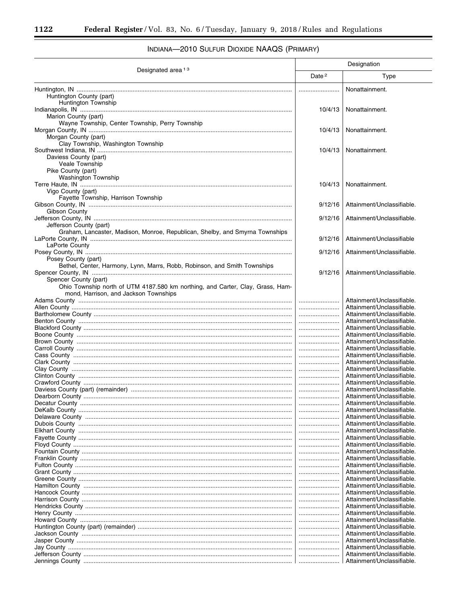#### Designation Designated area<sup>13</sup> Date<sup>2</sup> Type Nonattainment. Huntington County (part) Huntington Township Nonattainment. 10/4/13 Marion County (part) Wayne Township, Center Township, Perry Township Nonattainment.  $10/4/13$ Morgan County (part) Clay Township, Washington Township  $10/4/13$ Nonattainment. Daviess County (part) Veale Township Pike County (part) Washington Township Nonattainment.  $10/4/13$ Vigo County (part) Fayette Township, Harrison Township  $9/12/16$ Attainment/Unclassifiable. Gibson County Attainment/Unclassifiable.  $9/12/16$ Jefferson County (part) Graham, Lancaster, Madison, Monroe, Republican, Shelby, and Smyrna Townships  $9/12/16$ Attainment/Unclassifiable LaPorte County  $9/12/16$ Attainment/Unclassifiable Posey County (part) Bethel, Center, Harmony, Lynn, Marrs, Robb, Robinson, and Smith Townships Attainment/Unclassifiable  $9/12/16$ Spencer County (part) Ohio Township north of UTM 4187.580 km northing, and Carter, Clay, Grass, Hammond, Harrison, and Jackson Townships Attainment/Unclassifiable. Attainment/Unclassifiable. Attainment/Unclassifiable. Attainment/Unclassifiable. Attainment/Unclassifiable. ....................... Attainment/Unclassifiable. Attainment/Unclassifiable. Attainment/Unclassifiable. Attainment/Unclassifiable. Attainment/Unclassifiable. Attainment/Unclassifiable. Attainment/Unclassifiable ....................... Attainment/Unclassifiable. Attainment/Unclassifiable. Attainment/Unclassifiable. Attainment/Unclassifiable. Attainment/Unclassifiable. Attainment/Unclassifiable. Attainment/Unclassifiable. Attainment/Unclassifiable. Attainment/Unclassifiable. Attainment/Unclassifiable. Attainment/Unclassifiable. Attainment/Unclassifiable. Attainment/Unclassifiable. Attainment/Unclassifiable. Attainment/Unclassifiable. ....................... Attainment/Unclassifiable. Attainment/Unclassifiable. Attainment/Unclassifiable. Attainment/Unclassifiable. Attainment/Unclassifiable. Attainment/Unclassifiable. Attainment/Unclassifiable. Attainment/Unclassifiable. Attainment/Unclassifiable. Attainment/Unclassifiable. Attainment/Unclassifiable. Attainment/Unclassifiable.

## INDIANA-2010 SULFUR DIOXIDE NAAQS (PRIMARY)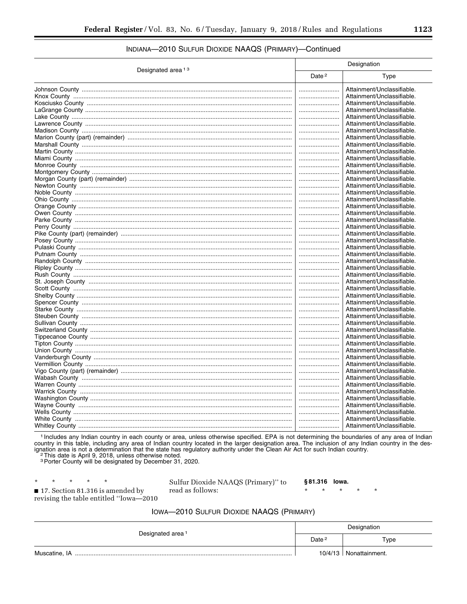## INDIANA-2010 SULFUR DIOXIDE NAAQS (PRIMARY)-Continued

| Date <sup>2</sup><br>Type<br>Attainment/Unclassifiable.<br>Attainment/Unclassifiable.<br>Attainment/Unclassifiable.<br>Attainment/Unclassifiable.<br>Attainment/Unclassifiable.<br>Attainment/Unclassifiable.<br>Attainment/Unclassifiable.<br>Attainment/Unclassifiable.<br><br>Attainment/Unclassifiable.<br><br>Attainment/Unclassifiable.<br><br>Attainment/Unclassifiable.<br><br>Attainment/Unclassifiable.<br><br>Attainment/Unclassifiable.<br><br>Attainment/Unclassifiable.<br><br>Attainment/Unclassifiable.<br><br>Attainment/Unclassifiable.<br><br>Attainment/Unclassifiable.<br><br>Attainment/Unclassifiable.<br>Attainment/Unclassifiable.<br><br>Attainment/Unclassifiable.<br>Attainment/Unclassifiable.<br>Attainment/Unclassifiable.<br>Attainment/Unclassifiable.<br><br>Attainment/Unclassifiable.<br>Attainment/Unclassifiable.<br><br>Attainment/Unclassifiable.<br><br>Attainment/Unclassifiable.<br><br>Attainment/Unclassifiable.<br><br>Attainment/Unclassifiable.<br><br>Attainment/Unclassifiable.<br><br>Attainment/Unclassifiable.<br>Attainment/Unclassifiable.<br>Attainment/Unclassifiable.<br>Attainment/Unclassifiable.<br>Attainment/Unclassifiable.<br>Attainment/Unclassifiable.<br>Attainment/Unclassifiable.<br>Attainment/Unclassifiable.<br><br>Attainment/Unclassifiable.<br><br>Attainment/Unclassifiable.<br><br>Attainment/Unclassifiable.<br><br>Attainment/Unclassifiable.<br><br>Attainment/Unclassifiable.<br><br>Attainment/Unclassifiable.<br><br>Attainment/Unclassifiable.<br><br>Attainment/Unclassifiable.<br><br>Attainment/Unclassifiable.<br>Attainment/Unclassifiable.<br>Attainment/Unclassifiable.<br>Attainment/Unclassifiable. |                               | Designation |  |  |
|---------------------------------------------------------------------------------------------------------------------------------------------------------------------------------------------------------------------------------------------------------------------------------------------------------------------------------------------------------------------------------------------------------------------------------------------------------------------------------------------------------------------------------------------------------------------------------------------------------------------------------------------------------------------------------------------------------------------------------------------------------------------------------------------------------------------------------------------------------------------------------------------------------------------------------------------------------------------------------------------------------------------------------------------------------------------------------------------------------------------------------------------------------------------------------------------------------------------------------------------------------------------------------------------------------------------------------------------------------------------------------------------------------------------------------------------------------------------------------------------------------------------------------------------------------------------------------------------------------------------------------------------------------------------------------------------------|-------------------------------|-------------|--|--|
|                                                                                                                                                                                                                                                                                                                                                                                                                                                                                                                                                                                                                                                                                                                                                                                                                                                                                                                                                                                                                                                                                                                                                                                                                                                                                                                                                                                                                                                                                                                                                                                                                                                                                                   | Designated area <sup>13</sup> |             |  |  |
|                                                                                                                                                                                                                                                                                                                                                                                                                                                                                                                                                                                                                                                                                                                                                                                                                                                                                                                                                                                                                                                                                                                                                                                                                                                                                                                                                                                                                                                                                                                                                                                                                                                                                                   |                               |             |  |  |
|                                                                                                                                                                                                                                                                                                                                                                                                                                                                                                                                                                                                                                                                                                                                                                                                                                                                                                                                                                                                                                                                                                                                                                                                                                                                                                                                                                                                                                                                                                                                                                                                                                                                                                   |                               |             |  |  |
|                                                                                                                                                                                                                                                                                                                                                                                                                                                                                                                                                                                                                                                                                                                                                                                                                                                                                                                                                                                                                                                                                                                                                                                                                                                                                                                                                                                                                                                                                                                                                                                                                                                                                                   |                               |             |  |  |
|                                                                                                                                                                                                                                                                                                                                                                                                                                                                                                                                                                                                                                                                                                                                                                                                                                                                                                                                                                                                                                                                                                                                                                                                                                                                                                                                                                                                                                                                                                                                                                                                                                                                                                   |                               |             |  |  |
|                                                                                                                                                                                                                                                                                                                                                                                                                                                                                                                                                                                                                                                                                                                                                                                                                                                                                                                                                                                                                                                                                                                                                                                                                                                                                                                                                                                                                                                                                                                                                                                                                                                                                                   |                               |             |  |  |
|                                                                                                                                                                                                                                                                                                                                                                                                                                                                                                                                                                                                                                                                                                                                                                                                                                                                                                                                                                                                                                                                                                                                                                                                                                                                                                                                                                                                                                                                                                                                                                                                                                                                                                   |                               |             |  |  |
|                                                                                                                                                                                                                                                                                                                                                                                                                                                                                                                                                                                                                                                                                                                                                                                                                                                                                                                                                                                                                                                                                                                                                                                                                                                                                                                                                                                                                                                                                                                                                                                                                                                                                                   |                               |             |  |  |
|                                                                                                                                                                                                                                                                                                                                                                                                                                                                                                                                                                                                                                                                                                                                                                                                                                                                                                                                                                                                                                                                                                                                                                                                                                                                                                                                                                                                                                                                                                                                                                                                                                                                                                   |                               |             |  |  |
|                                                                                                                                                                                                                                                                                                                                                                                                                                                                                                                                                                                                                                                                                                                                                                                                                                                                                                                                                                                                                                                                                                                                                                                                                                                                                                                                                                                                                                                                                                                                                                                                                                                                                                   |                               |             |  |  |
|                                                                                                                                                                                                                                                                                                                                                                                                                                                                                                                                                                                                                                                                                                                                                                                                                                                                                                                                                                                                                                                                                                                                                                                                                                                                                                                                                                                                                                                                                                                                                                                                                                                                                                   |                               |             |  |  |
|                                                                                                                                                                                                                                                                                                                                                                                                                                                                                                                                                                                                                                                                                                                                                                                                                                                                                                                                                                                                                                                                                                                                                                                                                                                                                                                                                                                                                                                                                                                                                                                                                                                                                                   |                               |             |  |  |
|                                                                                                                                                                                                                                                                                                                                                                                                                                                                                                                                                                                                                                                                                                                                                                                                                                                                                                                                                                                                                                                                                                                                                                                                                                                                                                                                                                                                                                                                                                                                                                                                                                                                                                   |                               |             |  |  |
|                                                                                                                                                                                                                                                                                                                                                                                                                                                                                                                                                                                                                                                                                                                                                                                                                                                                                                                                                                                                                                                                                                                                                                                                                                                                                                                                                                                                                                                                                                                                                                                                                                                                                                   |                               |             |  |  |
|                                                                                                                                                                                                                                                                                                                                                                                                                                                                                                                                                                                                                                                                                                                                                                                                                                                                                                                                                                                                                                                                                                                                                                                                                                                                                                                                                                                                                                                                                                                                                                                                                                                                                                   |                               |             |  |  |
|                                                                                                                                                                                                                                                                                                                                                                                                                                                                                                                                                                                                                                                                                                                                                                                                                                                                                                                                                                                                                                                                                                                                                                                                                                                                                                                                                                                                                                                                                                                                                                                                                                                                                                   |                               |             |  |  |
|                                                                                                                                                                                                                                                                                                                                                                                                                                                                                                                                                                                                                                                                                                                                                                                                                                                                                                                                                                                                                                                                                                                                                                                                                                                                                                                                                                                                                                                                                                                                                                                                                                                                                                   |                               |             |  |  |
|                                                                                                                                                                                                                                                                                                                                                                                                                                                                                                                                                                                                                                                                                                                                                                                                                                                                                                                                                                                                                                                                                                                                                                                                                                                                                                                                                                                                                                                                                                                                                                                                                                                                                                   |                               |             |  |  |
|                                                                                                                                                                                                                                                                                                                                                                                                                                                                                                                                                                                                                                                                                                                                                                                                                                                                                                                                                                                                                                                                                                                                                                                                                                                                                                                                                                                                                                                                                                                                                                                                                                                                                                   |                               |             |  |  |
|                                                                                                                                                                                                                                                                                                                                                                                                                                                                                                                                                                                                                                                                                                                                                                                                                                                                                                                                                                                                                                                                                                                                                                                                                                                                                                                                                                                                                                                                                                                                                                                                                                                                                                   |                               |             |  |  |
|                                                                                                                                                                                                                                                                                                                                                                                                                                                                                                                                                                                                                                                                                                                                                                                                                                                                                                                                                                                                                                                                                                                                                                                                                                                                                                                                                                                                                                                                                                                                                                                                                                                                                                   |                               |             |  |  |
|                                                                                                                                                                                                                                                                                                                                                                                                                                                                                                                                                                                                                                                                                                                                                                                                                                                                                                                                                                                                                                                                                                                                                                                                                                                                                                                                                                                                                                                                                                                                                                                                                                                                                                   |                               |             |  |  |
|                                                                                                                                                                                                                                                                                                                                                                                                                                                                                                                                                                                                                                                                                                                                                                                                                                                                                                                                                                                                                                                                                                                                                                                                                                                                                                                                                                                                                                                                                                                                                                                                                                                                                                   |                               |             |  |  |
|                                                                                                                                                                                                                                                                                                                                                                                                                                                                                                                                                                                                                                                                                                                                                                                                                                                                                                                                                                                                                                                                                                                                                                                                                                                                                                                                                                                                                                                                                                                                                                                                                                                                                                   |                               |             |  |  |
|                                                                                                                                                                                                                                                                                                                                                                                                                                                                                                                                                                                                                                                                                                                                                                                                                                                                                                                                                                                                                                                                                                                                                                                                                                                                                                                                                                                                                                                                                                                                                                                                                                                                                                   |                               |             |  |  |
|                                                                                                                                                                                                                                                                                                                                                                                                                                                                                                                                                                                                                                                                                                                                                                                                                                                                                                                                                                                                                                                                                                                                                                                                                                                                                                                                                                                                                                                                                                                                                                                                                                                                                                   |                               |             |  |  |
|                                                                                                                                                                                                                                                                                                                                                                                                                                                                                                                                                                                                                                                                                                                                                                                                                                                                                                                                                                                                                                                                                                                                                                                                                                                                                                                                                                                                                                                                                                                                                                                                                                                                                                   |                               |             |  |  |
|                                                                                                                                                                                                                                                                                                                                                                                                                                                                                                                                                                                                                                                                                                                                                                                                                                                                                                                                                                                                                                                                                                                                                                                                                                                                                                                                                                                                                                                                                                                                                                                                                                                                                                   |                               |             |  |  |
|                                                                                                                                                                                                                                                                                                                                                                                                                                                                                                                                                                                                                                                                                                                                                                                                                                                                                                                                                                                                                                                                                                                                                                                                                                                                                                                                                                                                                                                                                                                                                                                                                                                                                                   |                               |             |  |  |
|                                                                                                                                                                                                                                                                                                                                                                                                                                                                                                                                                                                                                                                                                                                                                                                                                                                                                                                                                                                                                                                                                                                                                                                                                                                                                                                                                                                                                                                                                                                                                                                                                                                                                                   |                               |             |  |  |
|                                                                                                                                                                                                                                                                                                                                                                                                                                                                                                                                                                                                                                                                                                                                                                                                                                                                                                                                                                                                                                                                                                                                                                                                                                                                                                                                                                                                                                                                                                                                                                                                                                                                                                   |                               |             |  |  |
|                                                                                                                                                                                                                                                                                                                                                                                                                                                                                                                                                                                                                                                                                                                                                                                                                                                                                                                                                                                                                                                                                                                                                                                                                                                                                                                                                                                                                                                                                                                                                                                                                                                                                                   |                               |             |  |  |
|                                                                                                                                                                                                                                                                                                                                                                                                                                                                                                                                                                                                                                                                                                                                                                                                                                                                                                                                                                                                                                                                                                                                                                                                                                                                                                                                                                                                                                                                                                                                                                                                                                                                                                   |                               |             |  |  |
|                                                                                                                                                                                                                                                                                                                                                                                                                                                                                                                                                                                                                                                                                                                                                                                                                                                                                                                                                                                                                                                                                                                                                                                                                                                                                                                                                                                                                                                                                                                                                                                                                                                                                                   |                               |             |  |  |
|                                                                                                                                                                                                                                                                                                                                                                                                                                                                                                                                                                                                                                                                                                                                                                                                                                                                                                                                                                                                                                                                                                                                                                                                                                                                                                                                                                                                                                                                                                                                                                                                                                                                                                   |                               |             |  |  |
|                                                                                                                                                                                                                                                                                                                                                                                                                                                                                                                                                                                                                                                                                                                                                                                                                                                                                                                                                                                                                                                                                                                                                                                                                                                                                                                                                                                                                                                                                                                                                                                                                                                                                                   |                               |             |  |  |
|                                                                                                                                                                                                                                                                                                                                                                                                                                                                                                                                                                                                                                                                                                                                                                                                                                                                                                                                                                                                                                                                                                                                                                                                                                                                                                                                                                                                                                                                                                                                                                                                                                                                                                   |                               |             |  |  |
|                                                                                                                                                                                                                                                                                                                                                                                                                                                                                                                                                                                                                                                                                                                                                                                                                                                                                                                                                                                                                                                                                                                                                                                                                                                                                                                                                                                                                                                                                                                                                                                                                                                                                                   |                               |             |  |  |
|                                                                                                                                                                                                                                                                                                                                                                                                                                                                                                                                                                                                                                                                                                                                                                                                                                                                                                                                                                                                                                                                                                                                                                                                                                                                                                                                                                                                                                                                                                                                                                                                                                                                                                   |                               |             |  |  |
|                                                                                                                                                                                                                                                                                                                                                                                                                                                                                                                                                                                                                                                                                                                                                                                                                                                                                                                                                                                                                                                                                                                                                                                                                                                                                                                                                                                                                                                                                                                                                                                                                                                                                                   |                               |             |  |  |
|                                                                                                                                                                                                                                                                                                                                                                                                                                                                                                                                                                                                                                                                                                                                                                                                                                                                                                                                                                                                                                                                                                                                                                                                                                                                                                                                                                                                                                                                                                                                                                                                                                                                                                   |                               |             |  |  |
|                                                                                                                                                                                                                                                                                                                                                                                                                                                                                                                                                                                                                                                                                                                                                                                                                                                                                                                                                                                                                                                                                                                                                                                                                                                                                                                                                                                                                                                                                                                                                                                                                                                                                                   |                               |             |  |  |
|                                                                                                                                                                                                                                                                                                                                                                                                                                                                                                                                                                                                                                                                                                                                                                                                                                                                                                                                                                                                                                                                                                                                                                                                                                                                                                                                                                                                                                                                                                                                                                                                                                                                                                   |                               |             |  |  |
|                                                                                                                                                                                                                                                                                                                                                                                                                                                                                                                                                                                                                                                                                                                                                                                                                                                                                                                                                                                                                                                                                                                                                                                                                                                                                                                                                                                                                                                                                                                                                                                                                                                                                                   |                               |             |  |  |
|                                                                                                                                                                                                                                                                                                                                                                                                                                                                                                                                                                                                                                                                                                                                                                                                                                                                                                                                                                                                                                                                                                                                                                                                                                                                                                                                                                                                                                                                                                                                                                                                                                                                                                   |                               |             |  |  |
|                                                                                                                                                                                                                                                                                                                                                                                                                                                                                                                                                                                                                                                                                                                                                                                                                                                                                                                                                                                                                                                                                                                                                                                                                                                                                                                                                                                                                                                                                                                                                                                                                                                                                                   |                               |             |  |  |
|                                                                                                                                                                                                                                                                                                                                                                                                                                                                                                                                                                                                                                                                                                                                                                                                                                                                                                                                                                                                                                                                                                                                                                                                                                                                                                                                                                                                                                                                                                                                                                                                                                                                                                   |                               |             |  |  |
|                                                                                                                                                                                                                                                                                                                                                                                                                                                                                                                                                                                                                                                                                                                                                                                                                                                                                                                                                                                                                                                                                                                                                                                                                                                                                                                                                                                                                                                                                                                                                                                                                                                                                                   |                               |             |  |  |
|                                                                                                                                                                                                                                                                                                                                                                                                                                                                                                                                                                                                                                                                                                                                                                                                                                                                                                                                                                                                                                                                                                                                                                                                                                                                                                                                                                                                                                                                                                                                                                                                                                                                                                   |                               |             |  |  |
|                                                                                                                                                                                                                                                                                                                                                                                                                                                                                                                                                                                                                                                                                                                                                                                                                                                                                                                                                                                                                                                                                                                                                                                                                                                                                                                                                                                                                                                                                                                                                                                                                                                                                                   |                               |             |  |  |
|                                                                                                                                                                                                                                                                                                                                                                                                                                                                                                                                                                                                                                                                                                                                                                                                                                                                                                                                                                                                                                                                                                                                                                                                                                                                                                                                                                                                                                                                                                                                                                                                                                                                                                   |                               |             |  |  |

<sup>1</sup> Includes any Indian country in each county or area, unless otherwise specified. EPA is not determining the boundaries of any area of Indian country in this table, including any area of Indian country located in the lar <sup>2</sup>This date is April 9, 2018, unless otherwise noted.

<sup>3</sup> Porter County will be designated by December 31, 2020.

 $\star$  $\star$  $\star$  $\star$ 

17. Section 81.316 is amended by revising the table entitled "Iowa-2010 Sulfur Dioxide NAAQS (Primary)" to read as follows:

§81.316 lowa.

 $\star$ 

 $\star$ 

IOWA-2010 SULFUR DIOXIDE NAAQS (PRIMARY)

| Designated area <sup>1</sup> | Designation       |                             |
|------------------------------|-------------------|-----------------------------|
|                              | Date <sup>2</sup> | Type                        |
|                              | 10/4/13           | <sup>I</sup> Nonattainment. |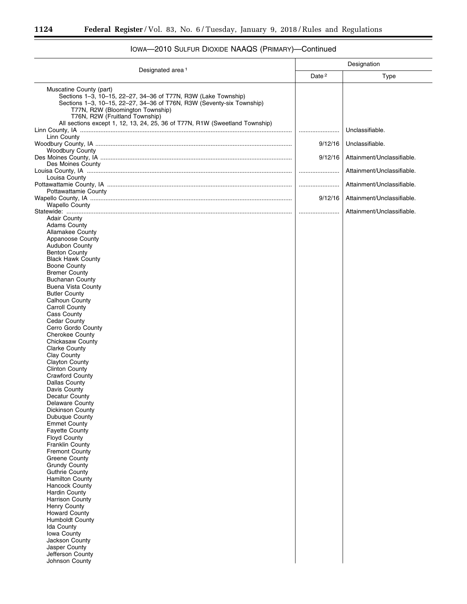$\equiv$ 

۲

|                                                                                                                                                                                                                                          |                   | Designation                |
|------------------------------------------------------------------------------------------------------------------------------------------------------------------------------------------------------------------------------------------|-------------------|----------------------------|
| Designated area <sup>1</sup>                                                                                                                                                                                                             | Date <sup>2</sup> | Type                       |
| Muscatine County (part)<br>Sections 1-3, 10-15, 22-27, 34-36 of T77N, R3W (Lake Township)<br>Sections 1-3, 10-15, 22-27, 34-36 of T76N, R3W (Seventy-six Township)<br>T77N, R2W (Bloomington Township)<br>T76N, R2W (Fruitland Township) |                   |                            |
| All sections except 1, 12, 13, 24, 25, 36 of T77N, R1W (Sweetland Township)                                                                                                                                                              |                   | Unclassifiable.            |
| Linn County                                                                                                                                                                                                                              |                   |                            |
| <b>Woodbury County</b>                                                                                                                                                                                                                   | 9/12/16           | Unclassifiable.            |
|                                                                                                                                                                                                                                          | 9/12/16           | Attainment/Unclassifiable. |
| Des Moines County                                                                                                                                                                                                                        |                   | Attainment/Unclassifiable. |
| Louisa County                                                                                                                                                                                                                            |                   |                            |
| Pottawattamie County                                                                                                                                                                                                                     |                   | Attainment/Unclassifiable. |
|                                                                                                                                                                                                                                          | 9/12/16           | Attainment/Unclassifiable. |
| <b>Wapello County</b>                                                                                                                                                                                                                    |                   | Attainment/Unclassifiable. |
| <b>Adair County</b>                                                                                                                                                                                                                      |                   |                            |
| <b>Adams County</b><br><b>Allamakee County</b>                                                                                                                                                                                           |                   |                            |
| Appanoose County                                                                                                                                                                                                                         |                   |                            |
| <b>Audubon County</b><br><b>Benton County</b>                                                                                                                                                                                            |                   |                            |
| <b>Black Hawk County</b>                                                                                                                                                                                                                 |                   |                            |
| <b>Boone County</b>                                                                                                                                                                                                                      |                   |                            |
| <b>Bremer County</b><br><b>Buchanan County</b>                                                                                                                                                                                           |                   |                            |
| <b>Buena Vista County</b>                                                                                                                                                                                                                |                   |                            |
| <b>Butler County</b><br>Calhoun County                                                                                                                                                                                                   |                   |                            |
| <b>Carroll County</b>                                                                                                                                                                                                                    |                   |                            |
| <b>Cass County</b><br>Cedar County                                                                                                                                                                                                       |                   |                            |
| Cerro Gordo County                                                                                                                                                                                                                       |                   |                            |
| <b>Cherokee County</b>                                                                                                                                                                                                                   |                   |                            |
| <b>Chickasaw County</b><br><b>Clarke County</b>                                                                                                                                                                                          |                   |                            |
| Clay County                                                                                                                                                                                                                              |                   |                            |
| <b>Clayton County</b><br><b>Clinton County</b>                                                                                                                                                                                           |                   |                            |
| <b>Crawford County</b>                                                                                                                                                                                                                   |                   |                            |
| Dallas County<br>Davis County                                                                                                                                                                                                            |                   |                            |
| Decatur County                                                                                                                                                                                                                           |                   |                            |
| Delaware County<br><b>Dickinson County</b>                                                                                                                                                                                               |                   |                            |
| Dubuque County                                                                                                                                                                                                                           |                   |                            |
| <b>Emmet County</b>                                                                                                                                                                                                                      |                   |                            |
| <b>Fayette County</b><br><b>Floyd County</b>                                                                                                                                                                                             |                   |                            |
| Franklin County                                                                                                                                                                                                                          |                   |                            |
| <b>Fremont County</b><br><b>Greene County</b>                                                                                                                                                                                            |                   |                            |
| <b>Grundy County</b>                                                                                                                                                                                                                     |                   |                            |
| <b>Guthrie County</b><br><b>Hamilton County</b>                                                                                                                                                                                          |                   |                            |
| <b>Hancock County</b>                                                                                                                                                                                                                    |                   |                            |
| <b>Hardin County</b><br><b>Harrison County</b>                                                                                                                                                                                           |                   |                            |
| <b>Henry County</b>                                                                                                                                                                                                                      |                   |                            |
| <b>Howard County</b><br><b>Humboldt County</b>                                                                                                                                                                                           |                   |                            |
| Ida County                                                                                                                                                                                                                               |                   |                            |
| Iowa County                                                                                                                                                                                                                              |                   |                            |
| Jackson County<br>Jasper County                                                                                                                                                                                                          |                   |                            |
| Jefferson County                                                                                                                                                                                                                         |                   |                            |
| Johnson County                                                                                                                                                                                                                           |                   |                            |

# IOWA—2010 SULFUR DIOXIDE NAAQS (PRIMARY)—Continued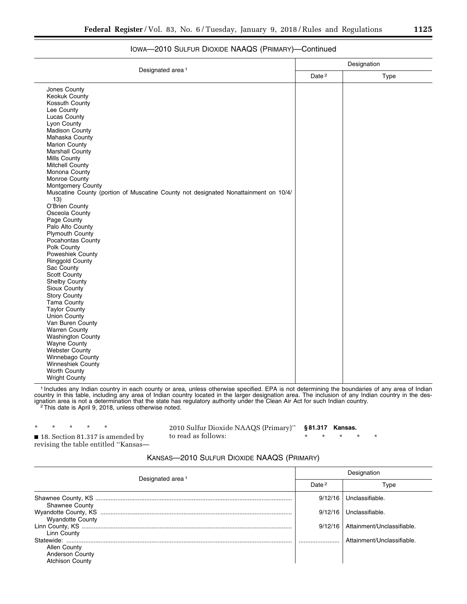|                                                                                     |  | Designation |
|-------------------------------------------------------------------------------------|--|-------------|
| Designated area <sup>1</sup>                                                        |  | Type        |
| Jones County                                                                        |  |             |
| <b>Keokuk County</b>                                                                |  |             |
| Kossuth County                                                                      |  |             |
| Lee County                                                                          |  |             |
| <b>Lucas County</b>                                                                 |  |             |
| Lyon County                                                                         |  |             |
| <b>Madison County</b>                                                               |  |             |
| Mahaska County                                                                      |  |             |
| <b>Marion County</b>                                                                |  |             |
| <b>Marshall County</b>                                                              |  |             |
| <b>Mills County</b>                                                                 |  |             |
| <b>Mitchell County</b>                                                              |  |             |
| Monona County<br>Monroe County                                                      |  |             |
| <b>Montgomery County</b>                                                            |  |             |
| Muscatine County (portion of Muscatine County not designated Nonattainment on 10/4/ |  |             |
| 13)                                                                                 |  |             |
| O'Brien County                                                                      |  |             |
| Osceola County                                                                      |  |             |
| Page County<br>Palo Alto County                                                     |  |             |
| Plymouth County                                                                     |  |             |
| Pocahontas County                                                                   |  |             |
| Polk County                                                                         |  |             |
| Poweshiek County                                                                    |  |             |
| <b>Ringgold County</b>                                                              |  |             |
| Sac County                                                                          |  |             |
| Scott County                                                                        |  |             |
| Shelby County                                                                       |  |             |
| Sioux County                                                                        |  |             |
| <b>Story County</b>                                                                 |  |             |
| <b>Tama County</b>                                                                  |  |             |
| <b>Taylor County</b>                                                                |  |             |
| <b>Union County</b>                                                                 |  |             |
| Van Buren County                                                                    |  |             |
| <b>Warren County</b>                                                                |  |             |
| <b>Washington County</b>                                                            |  |             |
| <b>Wayne County</b>                                                                 |  |             |
| <b>Webster County</b>                                                               |  |             |
| Winnebago County                                                                    |  |             |
| Winneshiek County                                                                   |  |             |
| Worth County                                                                        |  |             |
| <b>Wright County</b>                                                                |  |             |

## IOWA—2010 SULFUR DIOXIDE NAAQS (PRIMARY)—Continued

1 Includes any Indian country in each county or area, unless otherwise specified. EPA is not determining the boundaries of any area of Indian country in this table, including any area of Indian country located in the larger designation area. The inclusion of any Indian country in the designation area is not a determination that the state has regulatory authority under the Clean Air Act for such Indian country.<br><sup>2</sup>This date is April 9, 2018, unless otherwise noted.

\* \* \* \* \*

2010 Sulfur Dioxide NAAQS (Primary)'' to read as follows:

**§ 81.317 Kansas.** 

\* \* \* \* \*

■ 18. Section 81.317 is amended by revising the table entitled ''Kansas—

## KANSAS—2010 SULFUR DIOXIDE NAAQS (PRIMARY)

| Designated area <sup>1</sup>                                     | Designation |                            |  |
|------------------------------------------------------------------|-------------|----------------------------|--|
|                                                                  | Date $2$    | Type                       |  |
| <b>Shawnee County</b>                                            | 9/12/16     | Unclassifiable.            |  |
| <b>Wyandotte County</b>                                          | 9/12/16     | Unclassifiable.            |  |
| Linn County                                                      | 9/12/16     | Attainment/Unclassifiable  |  |
| Allen County<br><b>Anderson County</b><br><b>Atchison County</b> |             | Attainment/Unclassifiable. |  |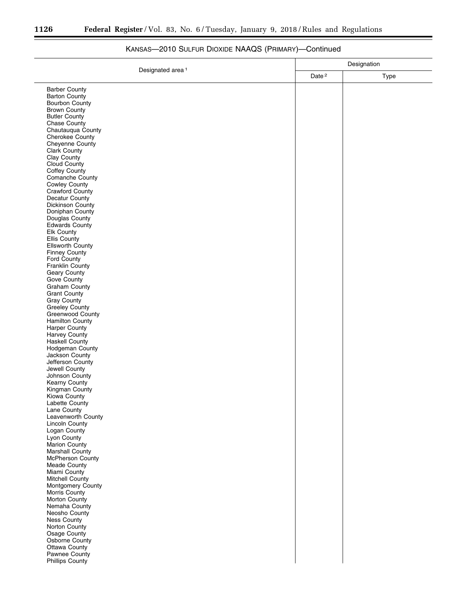Ξ

÷.

| Designated area <sup>1</sup><br>Date <sup>2</sup><br>Type<br><b>Barber County</b><br><b>Barton County</b><br>Bourbon County<br><b>Brown County</b><br><b>Butler County</b><br>Chase County<br>Chautauqua County<br>Cherokee County<br>Cheyenne County<br><b>Clark County</b><br>Clay County<br>Cloud County<br>Coffey County<br>Comanche County<br><b>Cowley County</b><br>Crawford County<br>Decatur County<br>Dickinson County<br>Doniphan County<br>Douglas County<br><b>Edwards County</b><br>Elk County<br>Ellis County<br>Ellsworth County<br><b>Finney County</b><br>Ford County<br>Franklin County<br>Geary County<br>Gove County<br><b>Graham County</b><br><b>Grant County</b><br>Gray County<br>Greeley County<br>Greenwood County<br>Hamilton County<br><b>Harper County</b><br>Harvey County<br><b>Haskell County</b><br>Hodgeman County<br>Jackson County<br>Jefferson County<br>Jewell County<br>Johnson County<br>Kearny County<br>Kingman County<br>Kiowa County<br>Labette County<br>Lane County<br>Leavenworth County<br><b>Lincoln County</b><br>Logan County<br>Lyon County<br>Marion County<br><b>Marshall County</b><br>McPherson County<br>Meade County<br>Miami County<br>Mitchell County<br>Montgomery County<br>Morris County<br>Morton County<br>Nemaha County<br>Neosho County<br><b>Ness County</b><br>Norton County<br>Osage County<br>Osborne County<br>Ottawa County<br>Pawnee County<br>Phillips County | Designation |  |  |
|-------------------------------------------------------------------------------------------------------------------------------------------------------------------------------------------------------------------------------------------------------------------------------------------------------------------------------------------------------------------------------------------------------------------------------------------------------------------------------------------------------------------------------------------------------------------------------------------------------------------------------------------------------------------------------------------------------------------------------------------------------------------------------------------------------------------------------------------------------------------------------------------------------------------------------------------------------------------------------------------------------------------------------------------------------------------------------------------------------------------------------------------------------------------------------------------------------------------------------------------------------------------------------------------------------------------------------------------------------------------------------------------------------------------------------------------|-------------|--|--|
|                                                                                                                                                                                                                                                                                                                                                                                                                                                                                                                                                                                                                                                                                                                                                                                                                                                                                                                                                                                                                                                                                                                                                                                                                                                                                                                                                                                                                                           |             |  |  |
|                                                                                                                                                                                                                                                                                                                                                                                                                                                                                                                                                                                                                                                                                                                                                                                                                                                                                                                                                                                                                                                                                                                                                                                                                                                                                                                                                                                                                                           |             |  |  |
|                                                                                                                                                                                                                                                                                                                                                                                                                                                                                                                                                                                                                                                                                                                                                                                                                                                                                                                                                                                                                                                                                                                                                                                                                                                                                                                                                                                                                                           |             |  |  |
|                                                                                                                                                                                                                                                                                                                                                                                                                                                                                                                                                                                                                                                                                                                                                                                                                                                                                                                                                                                                                                                                                                                                                                                                                                                                                                                                                                                                                                           |             |  |  |
|                                                                                                                                                                                                                                                                                                                                                                                                                                                                                                                                                                                                                                                                                                                                                                                                                                                                                                                                                                                                                                                                                                                                                                                                                                                                                                                                                                                                                                           |             |  |  |
|                                                                                                                                                                                                                                                                                                                                                                                                                                                                                                                                                                                                                                                                                                                                                                                                                                                                                                                                                                                                                                                                                                                                                                                                                                                                                                                                                                                                                                           |             |  |  |
|                                                                                                                                                                                                                                                                                                                                                                                                                                                                                                                                                                                                                                                                                                                                                                                                                                                                                                                                                                                                                                                                                                                                                                                                                                                                                                                                                                                                                                           |             |  |  |
|                                                                                                                                                                                                                                                                                                                                                                                                                                                                                                                                                                                                                                                                                                                                                                                                                                                                                                                                                                                                                                                                                                                                                                                                                                                                                                                                                                                                                                           |             |  |  |
|                                                                                                                                                                                                                                                                                                                                                                                                                                                                                                                                                                                                                                                                                                                                                                                                                                                                                                                                                                                                                                                                                                                                                                                                                                                                                                                                                                                                                                           |             |  |  |
|                                                                                                                                                                                                                                                                                                                                                                                                                                                                                                                                                                                                                                                                                                                                                                                                                                                                                                                                                                                                                                                                                                                                                                                                                                                                                                                                                                                                                                           |             |  |  |
|                                                                                                                                                                                                                                                                                                                                                                                                                                                                                                                                                                                                                                                                                                                                                                                                                                                                                                                                                                                                                                                                                                                                                                                                                                                                                                                                                                                                                                           |             |  |  |
|                                                                                                                                                                                                                                                                                                                                                                                                                                                                                                                                                                                                                                                                                                                                                                                                                                                                                                                                                                                                                                                                                                                                                                                                                                                                                                                                                                                                                                           |             |  |  |
|                                                                                                                                                                                                                                                                                                                                                                                                                                                                                                                                                                                                                                                                                                                                                                                                                                                                                                                                                                                                                                                                                                                                                                                                                                                                                                                                                                                                                                           |             |  |  |
|                                                                                                                                                                                                                                                                                                                                                                                                                                                                                                                                                                                                                                                                                                                                                                                                                                                                                                                                                                                                                                                                                                                                                                                                                                                                                                                                                                                                                                           |             |  |  |
|                                                                                                                                                                                                                                                                                                                                                                                                                                                                                                                                                                                                                                                                                                                                                                                                                                                                                                                                                                                                                                                                                                                                                                                                                                                                                                                                                                                                                                           |             |  |  |
|                                                                                                                                                                                                                                                                                                                                                                                                                                                                                                                                                                                                                                                                                                                                                                                                                                                                                                                                                                                                                                                                                                                                                                                                                                                                                                                                                                                                                                           |             |  |  |
|                                                                                                                                                                                                                                                                                                                                                                                                                                                                                                                                                                                                                                                                                                                                                                                                                                                                                                                                                                                                                                                                                                                                                                                                                                                                                                                                                                                                                                           |             |  |  |
|                                                                                                                                                                                                                                                                                                                                                                                                                                                                                                                                                                                                                                                                                                                                                                                                                                                                                                                                                                                                                                                                                                                                                                                                                                                                                                                                                                                                                                           |             |  |  |
|                                                                                                                                                                                                                                                                                                                                                                                                                                                                                                                                                                                                                                                                                                                                                                                                                                                                                                                                                                                                                                                                                                                                                                                                                                                                                                                                                                                                                                           |             |  |  |
|                                                                                                                                                                                                                                                                                                                                                                                                                                                                                                                                                                                                                                                                                                                                                                                                                                                                                                                                                                                                                                                                                                                                                                                                                                                                                                                                                                                                                                           |             |  |  |
|                                                                                                                                                                                                                                                                                                                                                                                                                                                                                                                                                                                                                                                                                                                                                                                                                                                                                                                                                                                                                                                                                                                                                                                                                                                                                                                                                                                                                                           |             |  |  |
|                                                                                                                                                                                                                                                                                                                                                                                                                                                                                                                                                                                                                                                                                                                                                                                                                                                                                                                                                                                                                                                                                                                                                                                                                                                                                                                                                                                                                                           |             |  |  |
|                                                                                                                                                                                                                                                                                                                                                                                                                                                                                                                                                                                                                                                                                                                                                                                                                                                                                                                                                                                                                                                                                                                                                                                                                                                                                                                                                                                                                                           |             |  |  |
|                                                                                                                                                                                                                                                                                                                                                                                                                                                                                                                                                                                                                                                                                                                                                                                                                                                                                                                                                                                                                                                                                                                                                                                                                                                                                                                                                                                                                                           |             |  |  |
|                                                                                                                                                                                                                                                                                                                                                                                                                                                                                                                                                                                                                                                                                                                                                                                                                                                                                                                                                                                                                                                                                                                                                                                                                                                                                                                                                                                                                                           |             |  |  |
|                                                                                                                                                                                                                                                                                                                                                                                                                                                                                                                                                                                                                                                                                                                                                                                                                                                                                                                                                                                                                                                                                                                                                                                                                                                                                                                                                                                                                                           |             |  |  |
|                                                                                                                                                                                                                                                                                                                                                                                                                                                                                                                                                                                                                                                                                                                                                                                                                                                                                                                                                                                                                                                                                                                                                                                                                                                                                                                                                                                                                                           |             |  |  |
|                                                                                                                                                                                                                                                                                                                                                                                                                                                                                                                                                                                                                                                                                                                                                                                                                                                                                                                                                                                                                                                                                                                                                                                                                                                                                                                                                                                                                                           |             |  |  |
|                                                                                                                                                                                                                                                                                                                                                                                                                                                                                                                                                                                                                                                                                                                                                                                                                                                                                                                                                                                                                                                                                                                                                                                                                                                                                                                                                                                                                                           |             |  |  |
|                                                                                                                                                                                                                                                                                                                                                                                                                                                                                                                                                                                                                                                                                                                                                                                                                                                                                                                                                                                                                                                                                                                                                                                                                                                                                                                                                                                                                                           |             |  |  |
|                                                                                                                                                                                                                                                                                                                                                                                                                                                                                                                                                                                                                                                                                                                                                                                                                                                                                                                                                                                                                                                                                                                                                                                                                                                                                                                                                                                                                                           |             |  |  |
|                                                                                                                                                                                                                                                                                                                                                                                                                                                                                                                                                                                                                                                                                                                                                                                                                                                                                                                                                                                                                                                                                                                                                                                                                                                                                                                                                                                                                                           |             |  |  |
|                                                                                                                                                                                                                                                                                                                                                                                                                                                                                                                                                                                                                                                                                                                                                                                                                                                                                                                                                                                                                                                                                                                                                                                                                                                                                                                                                                                                                                           |             |  |  |
|                                                                                                                                                                                                                                                                                                                                                                                                                                                                                                                                                                                                                                                                                                                                                                                                                                                                                                                                                                                                                                                                                                                                                                                                                                                                                                                                                                                                                                           |             |  |  |
|                                                                                                                                                                                                                                                                                                                                                                                                                                                                                                                                                                                                                                                                                                                                                                                                                                                                                                                                                                                                                                                                                                                                                                                                                                                                                                                                                                                                                                           |             |  |  |
|                                                                                                                                                                                                                                                                                                                                                                                                                                                                                                                                                                                                                                                                                                                                                                                                                                                                                                                                                                                                                                                                                                                                                                                                                                                                                                                                                                                                                                           |             |  |  |
|                                                                                                                                                                                                                                                                                                                                                                                                                                                                                                                                                                                                                                                                                                                                                                                                                                                                                                                                                                                                                                                                                                                                                                                                                                                                                                                                                                                                                                           |             |  |  |
|                                                                                                                                                                                                                                                                                                                                                                                                                                                                                                                                                                                                                                                                                                                                                                                                                                                                                                                                                                                                                                                                                                                                                                                                                                                                                                                                                                                                                                           |             |  |  |
|                                                                                                                                                                                                                                                                                                                                                                                                                                                                                                                                                                                                                                                                                                                                                                                                                                                                                                                                                                                                                                                                                                                                                                                                                                                                                                                                                                                                                                           |             |  |  |
|                                                                                                                                                                                                                                                                                                                                                                                                                                                                                                                                                                                                                                                                                                                                                                                                                                                                                                                                                                                                                                                                                                                                                                                                                                                                                                                                                                                                                                           |             |  |  |
|                                                                                                                                                                                                                                                                                                                                                                                                                                                                                                                                                                                                                                                                                                                                                                                                                                                                                                                                                                                                                                                                                                                                                                                                                                                                                                                                                                                                                                           |             |  |  |
|                                                                                                                                                                                                                                                                                                                                                                                                                                                                                                                                                                                                                                                                                                                                                                                                                                                                                                                                                                                                                                                                                                                                                                                                                                                                                                                                                                                                                                           |             |  |  |
|                                                                                                                                                                                                                                                                                                                                                                                                                                                                                                                                                                                                                                                                                                                                                                                                                                                                                                                                                                                                                                                                                                                                                                                                                                                                                                                                                                                                                                           |             |  |  |
|                                                                                                                                                                                                                                                                                                                                                                                                                                                                                                                                                                                                                                                                                                                                                                                                                                                                                                                                                                                                                                                                                                                                                                                                                                                                                                                                                                                                                                           |             |  |  |
|                                                                                                                                                                                                                                                                                                                                                                                                                                                                                                                                                                                                                                                                                                                                                                                                                                                                                                                                                                                                                                                                                                                                                                                                                                                                                                                                                                                                                                           |             |  |  |
|                                                                                                                                                                                                                                                                                                                                                                                                                                                                                                                                                                                                                                                                                                                                                                                                                                                                                                                                                                                                                                                                                                                                                                                                                                                                                                                                                                                                                                           |             |  |  |
|                                                                                                                                                                                                                                                                                                                                                                                                                                                                                                                                                                                                                                                                                                                                                                                                                                                                                                                                                                                                                                                                                                                                                                                                                                                                                                                                                                                                                                           |             |  |  |
|                                                                                                                                                                                                                                                                                                                                                                                                                                                                                                                                                                                                                                                                                                                                                                                                                                                                                                                                                                                                                                                                                                                                                                                                                                                                                                                                                                                                                                           |             |  |  |
|                                                                                                                                                                                                                                                                                                                                                                                                                                                                                                                                                                                                                                                                                                                                                                                                                                                                                                                                                                                                                                                                                                                                                                                                                                                                                                                                                                                                                                           |             |  |  |
|                                                                                                                                                                                                                                                                                                                                                                                                                                                                                                                                                                                                                                                                                                                                                                                                                                                                                                                                                                                                                                                                                                                                                                                                                                                                                                                                                                                                                                           |             |  |  |
|                                                                                                                                                                                                                                                                                                                                                                                                                                                                                                                                                                                                                                                                                                                                                                                                                                                                                                                                                                                                                                                                                                                                                                                                                                                                                                                                                                                                                                           |             |  |  |
|                                                                                                                                                                                                                                                                                                                                                                                                                                                                                                                                                                                                                                                                                                                                                                                                                                                                                                                                                                                                                                                                                                                                                                                                                                                                                                                                                                                                                                           |             |  |  |
|                                                                                                                                                                                                                                                                                                                                                                                                                                                                                                                                                                                                                                                                                                                                                                                                                                                                                                                                                                                                                                                                                                                                                                                                                                                                                                                                                                                                                                           |             |  |  |
|                                                                                                                                                                                                                                                                                                                                                                                                                                                                                                                                                                                                                                                                                                                                                                                                                                                                                                                                                                                                                                                                                                                                                                                                                                                                                                                                                                                                                                           |             |  |  |
|                                                                                                                                                                                                                                                                                                                                                                                                                                                                                                                                                                                                                                                                                                                                                                                                                                                                                                                                                                                                                                                                                                                                                                                                                                                                                                                                                                                                                                           |             |  |  |
|                                                                                                                                                                                                                                                                                                                                                                                                                                                                                                                                                                                                                                                                                                                                                                                                                                                                                                                                                                                                                                                                                                                                                                                                                                                                                                                                                                                                                                           |             |  |  |
|                                                                                                                                                                                                                                                                                                                                                                                                                                                                                                                                                                                                                                                                                                                                                                                                                                                                                                                                                                                                                                                                                                                                                                                                                                                                                                                                                                                                                                           |             |  |  |
|                                                                                                                                                                                                                                                                                                                                                                                                                                                                                                                                                                                                                                                                                                                                                                                                                                                                                                                                                                                                                                                                                                                                                                                                                                                                                                                                                                                                                                           |             |  |  |
|                                                                                                                                                                                                                                                                                                                                                                                                                                                                                                                                                                                                                                                                                                                                                                                                                                                                                                                                                                                                                                                                                                                                                                                                                                                                                                                                                                                                                                           |             |  |  |
|                                                                                                                                                                                                                                                                                                                                                                                                                                                                                                                                                                                                                                                                                                                                                                                                                                                                                                                                                                                                                                                                                                                                                                                                                                                                                                                                                                                                                                           |             |  |  |
|                                                                                                                                                                                                                                                                                                                                                                                                                                                                                                                                                                                                                                                                                                                                                                                                                                                                                                                                                                                                                                                                                                                                                                                                                                                                                                                                                                                                                                           |             |  |  |

# KANSAS—2010 SULFUR DIOXIDE NAAQS (PRIMARY)—Continued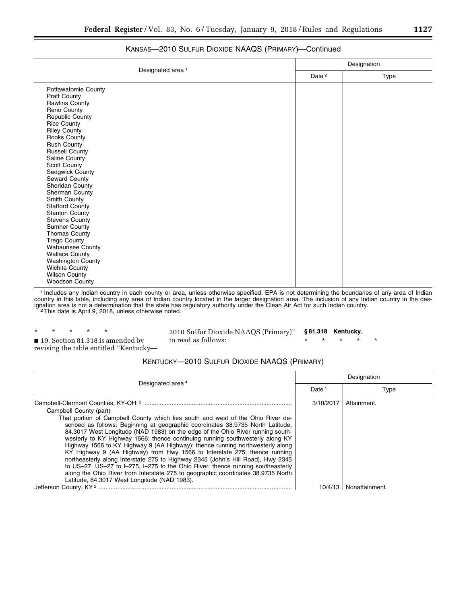|                              |                   |      | Designation |  |
|------------------------------|-------------------|------|-------------|--|
| Designated area <sup>1</sup> | Date <sup>2</sup> | Type |             |  |
| Pottawatomie County          |                   |      |             |  |
| <b>Pratt County</b>          |                   |      |             |  |
| <b>Rawlins County</b>        |                   |      |             |  |
| Reno County                  |                   |      |             |  |
| <b>Republic County</b>       |                   |      |             |  |
| <b>Rice County</b>           |                   |      |             |  |
| <b>Riley County</b>          |                   |      |             |  |
| Rooks County                 |                   |      |             |  |
| <b>Rush County</b>           |                   |      |             |  |
| <b>Russell County</b>        |                   |      |             |  |
| Saline County                |                   |      |             |  |
| Scott County                 |                   |      |             |  |
| Sedgwick County              |                   |      |             |  |
| Seward County                |                   |      |             |  |
| Sheridan County              |                   |      |             |  |
| Sherman County               |                   |      |             |  |
| Smith County                 |                   |      |             |  |
| <b>Stafford County</b>       |                   |      |             |  |
| <b>Stanton County</b>        |                   |      |             |  |
| <b>Stevens County</b>        |                   |      |             |  |
| <b>Sumner County</b>         |                   |      |             |  |
| <b>Thomas County</b>         |                   |      |             |  |
| <b>Trego County</b>          |                   |      |             |  |
| <b>Wabaunsee County</b>      |                   |      |             |  |
| <b>Wallace County</b>        |                   |      |             |  |
| <b>Washington County</b>     |                   |      |             |  |
| Wichita County               |                   |      |             |  |
| <b>Wilson County</b>         |                   |      |             |  |
| <b>Woodson County</b>        |                   |      |             |  |

## KANSAS—2010 SULFUR DIOXIDE NAAQS (PRIMARY)—Continued

1 Includes any Indian country in each county or area, unless otherwise specified. EPA is not determining the boundaries of any area of Indian country in this table, including any area of Indian country located in the larger designation area. The inclusion of any Indian country in the designation area is not a determination that the state has regulatory authority under the Clean Air Act for such Indian country.<br><sup>2</sup>This date is April 9, 2018, unless otherwise noted.

\* \* \* \* \* ■ 19. Section 81.318 is amended by revising the table entitled ''Kentucky—

2010 Sulfur Dioxide NAAQS (Primary)'' to read as follows: **§ 81.318 Kentucky.**  \* \* \* \* \*

KENTUCKY—2010 SULFUR DIOXIDE NAAQS (PRIMARY)

|                                                                                                                                                                                                                                                                                                                                                                                                                                                                                                                                                                                                                                                                                                                                                                                                                                         |                   | Designation    |  |  |
|-----------------------------------------------------------------------------------------------------------------------------------------------------------------------------------------------------------------------------------------------------------------------------------------------------------------------------------------------------------------------------------------------------------------------------------------------------------------------------------------------------------------------------------------------------------------------------------------------------------------------------------------------------------------------------------------------------------------------------------------------------------------------------------------------------------------------------------------|-------------------|----------------|--|--|
| Designated area <sup>4</sup>                                                                                                                                                                                                                                                                                                                                                                                                                                                                                                                                                                                                                                                                                                                                                                                                            | Date <sup>1</sup> | Type           |  |  |
| Campbell County (part)<br>That portion of Campbell County which lies south and west of the Ohio River de-<br>scribed as follows: Beginning at geographic coordinates 38.9735 North Latitude,<br>84.3017 West Longitude (NAD 1983) on the edge of the Ohio River running south-<br>westerly to KY Highway 1566; thence continuing running southwesterly along KY<br>Highway 1566 to KY Highway 9 (AA Highway); thence running northwesterly along<br>KY Highway 9 (AA Highway) from Hwy 1566 to Interstate 275; thence running<br>northeasterly along Interstate 275 to Highway 2345 (John's Hill Road), Hwy 2345<br>to US-27, US-27 to I-275, I-275 to the Ohio River; thence running southeasterly<br>along the Ohio River from Interstate 275 to geographic coordinates 38.9735 North<br>Latitude, 84.3017 West Longitude (NAD 1983). | 3/10/2017         | Attainment.    |  |  |
|                                                                                                                                                                                                                                                                                                                                                                                                                                                                                                                                                                                                                                                                                                                                                                                                                                         |                   | Nonattainment. |  |  |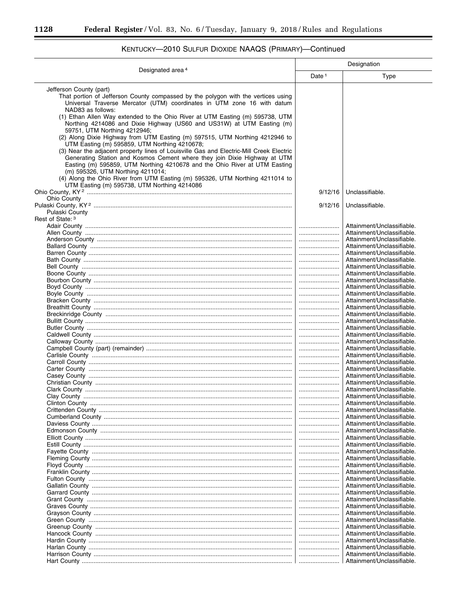-

Ξ

|                                                                                                                                                                                                                                                                                                                                                                                                                                                                                                                                                                                                                                                                                                                                                                                                                                                                                                                                                                      | Designation                                                                  |                                                                                                                                                                                                                                                                                                                                                                                                                                                                                                                                                                                                                                                                                                                                                                                                                                                                                                    |
|----------------------------------------------------------------------------------------------------------------------------------------------------------------------------------------------------------------------------------------------------------------------------------------------------------------------------------------------------------------------------------------------------------------------------------------------------------------------------------------------------------------------------------------------------------------------------------------------------------------------------------------------------------------------------------------------------------------------------------------------------------------------------------------------------------------------------------------------------------------------------------------------------------------------------------------------------------------------|------------------------------------------------------------------------------|----------------------------------------------------------------------------------------------------------------------------------------------------------------------------------------------------------------------------------------------------------------------------------------------------------------------------------------------------------------------------------------------------------------------------------------------------------------------------------------------------------------------------------------------------------------------------------------------------------------------------------------------------------------------------------------------------------------------------------------------------------------------------------------------------------------------------------------------------------------------------------------------------|
| Designated area <sup>4</sup>                                                                                                                                                                                                                                                                                                                                                                                                                                                                                                                                                                                                                                                                                                                                                                                                                                                                                                                                         | Date <sup>1</sup>                                                            | Type                                                                                                                                                                                                                                                                                                                                                                                                                                                                                                                                                                                                                                                                                                                                                                                                                                                                                               |
| Jefferson County (part)<br>That portion of Jefferson County compassed by the polygon with the vertices using<br>Universal Traverse Mercator (UTM) coordinates in UTM zone 16 with datum<br>NAD83 as follows:<br>(1) Ethan Allen Way extended to the Ohio River at UTM Easting (m) 595738, UTM<br>Northing 4214086 and Dixie Highway (US60 and US31W) at UTM Easting (m)<br>59751, UTM Northing 4212946;<br>(2) Along Dixie Highway from UTM Easting (m) 597515, UTM Northing 4212946 to<br>UTM Easting (m) 595859, UTM Northing 4210678;<br>(3) Near the adjacent property lines of Louisville Gas and Electric-Mill Creek Electric<br>Generating Station and Kosmos Cement where they join Dixie Highway at UTM<br>Easting (m) 595859, UTM Northing 4210678 and the Ohio River at UTM Easting<br>(m) 595326, UTM Northing 4211014;<br>(4) Along the Ohio River from UTM Easting (m) 595326, UTM Northing 4211014 to<br>UTM Easting (m) 595738, UTM Northing 4214086 |                                                                              |                                                                                                                                                                                                                                                                                                                                                                                                                                                                                                                                                                                                                                                                                                                                                                                                                                                                                                    |
|                                                                                                                                                                                                                                                                                                                                                                                                                                                                                                                                                                                                                                                                                                                                                                                                                                                                                                                                                                      | 9/12/16                                                                      | Unclassifiable.                                                                                                                                                                                                                                                                                                                                                                                                                                                                                                                                                                                                                                                                                                                                                                                                                                                                                    |
| <b>Ohio County</b><br>Pulaski County                                                                                                                                                                                                                                                                                                                                                                                                                                                                                                                                                                                                                                                                                                                                                                                                                                                                                                                                 | 9/12/16                                                                      | Unclassifiable.                                                                                                                                                                                                                                                                                                                                                                                                                                                                                                                                                                                                                                                                                                                                                                                                                                                                                    |
| Rest of State: 3                                                                                                                                                                                                                                                                                                                                                                                                                                                                                                                                                                                                                                                                                                                                                                                                                                                                                                                                                     | <br><br><br><br><br><br><br><br><br><br><br><br><br><br><br><br><br><br>     | Attainment/Unclassifiable.<br>Attainment/Unclassifiable.<br>Attainment/Unclassifiable.<br>Attainment/Unclassifiable.<br>Attainment/Unclassifiable.<br>Attainment/Unclassifiable.<br>Attainment/Unclassifiable.<br>Attainment/Unclassifiable.<br>Attainment/Unclassifiable.<br>Attainment/Unclassifiable.<br>Attainment/Unclassifiable.<br>Attainment/Unclassifiable.<br>Attainment/Unclassifiable.<br>Attainment/Unclassifiable.<br>Attainment/Unclassifiable.<br>Attainment/Unclassifiable.<br>Attainment/Unclassifiable.<br>Attainment/Unclassifiable.<br>Attainment/Unclassifiable.<br>Attainment/Unclassifiable.<br>Attainment/Unclassifiable.<br>Attainment/Unclassifiable.<br>Attainment/Unclassifiable.<br>Attainment/Unclassifiable.<br>Attainment/Unclassifiable.<br>Attainment/Unclassifiable.<br>Attainment/Unclassifiable.<br>Attainment/Unclassifiable.<br>Attainment/Unclassifiable. |
|                                                                                                                                                                                                                                                                                                                                                                                                                                                                                                                                                                                                                                                                                                                                                                                                                                                                                                                                                                      | <br><br><br><br><br><br><br><br><br><br><br><br><br><br><br><br><br><br><br> | Attainment/Unclassifiable.<br>Attainment/Unclassifiable.<br>Attainment/Unclassifiable.<br>Attainment/Unclassifiable.<br>Attainment/Unclassifiable.<br>Attainment/Unclassifiable.<br>Attainment/Unclassifiable.<br>Attainment/Unclassifiable.<br>Attainment/Unclassifiable.<br>Attainment/Unclassifiable.<br>Attainment/Unclassifiable.<br>Attainment/Unclassifiable.<br>Attainment/Unclassifiable.<br>Attainment/Unclassifiable.<br>Attainment/Unclassifiable.<br>Attainment/Unclassifiable.<br>Attainment/Unclassifiable.<br>Attainment/Unclassifiable.<br>Attainment/Unclassifiable.<br>Attainment/Unclassifiable.<br>Attainment/Unclassifiable.                                                                                                                                                                                                                                                 |

# KENTUCKY-2010 SULFUR DIOXIDE NAAQS (PRIMARY)-Continued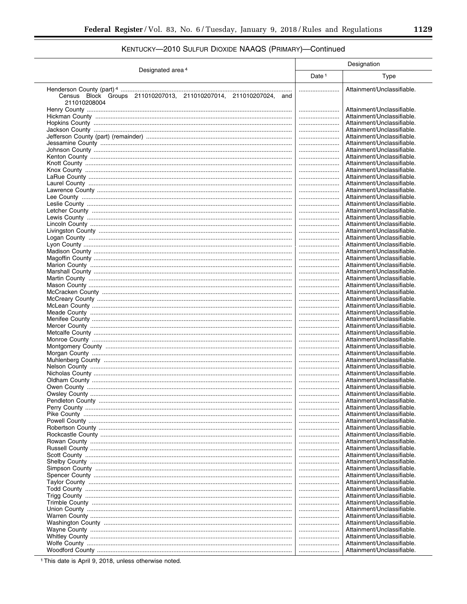# KENTUCKY-2010 SULFUR DIOXIDE NAAQS (PRIMARY)-Continued

|                                                                                   | Designation |                                                          |
|-----------------------------------------------------------------------------------|-------------|----------------------------------------------------------|
| Designated area <sup>4</sup>                                                      | Date $1$    | Type                                                     |
|                                                                                   |             | Attainment/Unclassifiable.                               |
| Census Block Groups 211010207013, 211010207014, 211010207024, and<br>211010208004 |             |                                                          |
|                                                                                   |             | Attainment/Unclassifiable.                               |
|                                                                                   |             | Attainment/Unclassifiable.                               |
|                                                                                   |             | Attainment/Unclassifiable.                               |
|                                                                                   |             | Attainment/Unclassifiable.                               |
|                                                                                   |             | Attainment/Unclassifiable.                               |
|                                                                                   |             | Attainment/Unclassifiable.                               |
|                                                                                   |             | Attainment/Unclassifiable.                               |
|                                                                                   |             | Attainment/Unclassifiable.                               |
|                                                                                   |             | Attainment/Unclassifiable.                               |
|                                                                                   |             | Attainment/Unclassifiable.                               |
|                                                                                   |             | Attainment/Unclassifiable.                               |
|                                                                                   |             | Attainment/Unclassifiable.                               |
|                                                                                   |             | Attainment/Unclassifiable.                               |
|                                                                                   |             | Attainment/Unclassifiable.                               |
|                                                                                   |             | Attainment/Unclassifiable.                               |
|                                                                                   |             | Attainment/Unclassifiable.<br>Attainment/Unclassifiable. |
|                                                                                   |             | Attainment/Unclassifiable.                               |
|                                                                                   |             | Attainment/Unclassifiable.                               |
|                                                                                   |             | Attainment/Unclassifiable.                               |
|                                                                                   |             | Attainment/Unclassifiable.                               |
|                                                                                   |             | Attainment/Unclassifiable.                               |
|                                                                                   |             | Attainment/Unclassifiable.                               |
|                                                                                   |             | Attainment/Unclassifiable.                               |
|                                                                                   |             | Attainment/Unclassifiable.                               |
|                                                                                   |             | Attainment/Unclassifiable.                               |
|                                                                                   |             | Attainment/Unclassifiable.                               |
|                                                                                   |             | Attainment/Unclassifiable.                               |
|                                                                                   |             | Attainment/Unclassifiable.                               |
|                                                                                   |             | Attainment/Unclassifiable.                               |
|                                                                                   |             | Attainment/Unclassifiable.                               |
|                                                                                   |             | Attainment/Unclassifiable.<br>Attainment/Unclassifiable. |
|                                                                                   | <br>        | Attainment/Unclassifiable.                               |
|                                                                                   |             | Attainment/Unclassifiable.                               |
|                                                                                   |             | Attainment/Unclassifiable.                               |
|                                                                                   |             | Attainment/Unclassifiable.                               |
|                                                                                   |             | Attainment/Unclassifiable.                               |
|                                                                                   |             | Attainment/Unclassifiable.                               |
|                                                                                   |             | Attainment/Unclassifiable.                               |
|                                                                                   |             | Attainment/Unclassifiable.                               |
|                                                                                   |             | Attainment/Unclassifiable.                               |
|                                                                                   |             | Attainment/Unclassifiable.                               |
|                                                                                   |             | Attainment/Unclassifiable                                |
|                                                                                   |             | Attainment/Unclassifiable.                               |
|                                                                                   |             | Attainment/Unclassifiable.                               |
|                                                                                   |             | Attainment/Unclassifiable.<br>Attainment/Unclassifiable. |
|                                                                                   | <br>        | Attainment/Unclassifiable.                               |
|                                                                                   |             | Attainment/Unclassifiable.                               |
|                                                                                   |             | Attainment/Unclassifiable.                               |
|                                                                                   |             | Attainment/Unclassifiable.                               |
|                                                                                   |             | Attainment/Unclassifiable.                               |
|                                                                                   |             | Attainment/Unclassifiable.                               |
|                                                                                   |             | Attainment/Unclassifiable.                               |
|                                                                                   |             | Attainment/Unclassifiable.                               |
|                                                                                   |             | Attainment/Unclassifiable.                               |
|                                                                                   |             | Attainment/Unclassifiable.                               |
|                                                                                   |             | Attainment/Unclassifiable.                               |
|                                                                                   |             | Attainment/Unclassifiable.                               |
|                                                                                   |             | Attainment/Unclassifiable.                               |
|                                                                                   |             | Attainment/Unclassifiable.<br>Attainment/Unclassifiable. |
|                                                                                   | <br>        | Attainment/Unclassifiable.                               |
|                                                                                   |             | Attainment/Unclassifiable.                               |
|                                                                                   |             | Attainment/Unclassifiable.                               |
|                                                                                   |             |                                                          |

<sup>1</sup> This date is April 9, 2018, unless otherwise noted.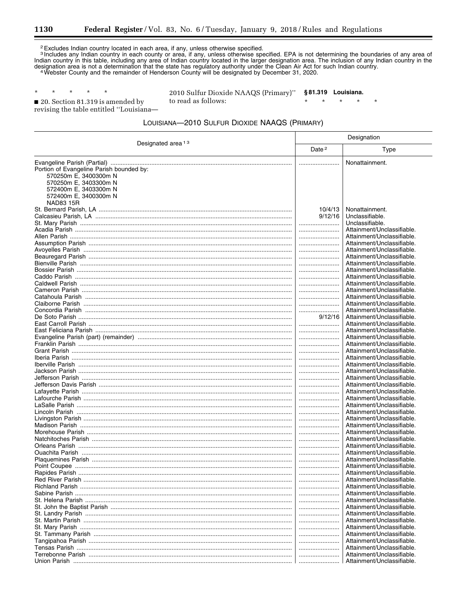Ξ

 $\star$ 

<sup>2</sup> Excludes Indian country located in each area, if any, unless otherwise specified.<br><sup>3</sup> Includes any Indian country in each county or area, if any, unless otherwise specified. EPA is not determining the boundaries of an

 $\star$ 20. Section 81.319 is amended by revising the table entitled "Louisiana-

 $\star$ 

 $\star$ 

 $\star$ 

2010 Sulfur Dioxide NAAQS (Primary)" §81.319 Louisiana. to read as follows:  $\star$  $\star$ 

## LOUISIANA-2010 SULFUR DIOXIDE NAAQS (PRIMARY)

| Designated area <sup>13</sup>                                     | Designation        |                                                          |
|-------------------------------------------------------------------|--------------------|----------------------------------------------------------|
|                                                                   | Date <sup>2</sup>  | Type                                                     |
|                                                                   |                    | Nonattainment.                                           |
| Portion of Evangeline Parish bounded by:<br>570250m E, 3400300m N |                    |                                                          |
| 570250m E, 3403300m N                                             |                    |                                                          |
| 572400m E, 3403300m N                                             |                    |                                                          |
| 572400m E, 3400300m N                                             |                    |                                                          |
| NAD83 15R                                                         |                    |                                                          |
|                                                                   | 10/4/13<br>9/12/16 | Nonattainment.<br>Unclassifiable.                        |
|                                                                   |                    | Unclassifiable.                                          |
|                                                                   |                    | Attainment/Unclassifiable.                               |
|                                                                   |                    | Attainment/Unclassifiable.                               |
|                                                                   |                    | Attainment/Unclassifiable.                               |
|                                                                   |                    | Attainment/Unclassifiable.                               |
|                                                                   |                    | Attainment/Unclassifiable.                               |
|                                                                   |                    | Attainment/Unclassifiable.<br>Attainment/Unclassifiable. |
|                                                                   |                    | Attainment/Unclassifiable.                               |
|                                                                   |                    | Attainment/Unclassifiable.                               |
|                                                                   |                    | Attainment/Unclassifiable.                               |
|                                                                   |                    | Attainment/Unclassifiable.                               |
|                                                                   |                    | Attainment/Unclassifiable.                               |
|                                                                   |                    | Attainment/Unclassifiable.                               |
|                                                                   | 9/12/16            | Attainment/Unclassifiable.                               |
|                                                                   |                    | Attainment/Unclassifiable.<br>Attainment/Unclassifiable. |
|                                                                   |                    | Attainment/Unclassifiable.                               |
|                                                                   |                    | Attainment/Unclassifiable.                               |
|                                                                   |                    | Attainment/Unclassifiable.                               |
|                                                                   |                    | Attainment/Unclassifiable.                               |
|                                                                   |                    | Attainment/Unclassifiable.                               |
|                                                                   |                    | Attainment/Unclassifiable.                               |
|                                                                   |                    | Attainment/Unclassifiable.                               |
|                                                                   |                    | Attainment/Unclassifiable.<br>Attainment/Unclassifiable. |
|                                                                   |                    | Attainment/Unclassifiable.                               |
|                                                                   |                    | Attainment/Unclassifiable.                               |
|                                                                   |                    | Attainment/Unclassifiable.                               |
|                                                                   |                    | Attainment/Unclassifiable.                               |
|                                                                   |                    | Attainment/Unclassifiable.                               |
|                                                                   |                    | Attainment/Unclassifiable.                               |
|                                                                   |                    | Attainment/Unclassifiable.                               |
|                                                                   |                    | Attainment/Unclassifiable.<br>Attainment/Unclassifiable. |
|                                                                   |                    | Attainment/Unclassifiable.                               |
|                                                                   |                    | Attainment/Unclassifiable.                               |
|                                                                   |                    | Attainment/Unclassifiable.                               |
|                                                                   |                    | Attainment/Unclassifiable.                               |
|                                                                   |                    | Attainment/Unclassifiable.                               |
|                                                                   |                    | Attainment/Unclassifiable.                               |
|                                                                   |                    | Attainment/Unclassifiable.                               |
|                                                                   |                    | Attainment/Unclassifiable.                               |
|                                                                   |                    | Attainment/Unclassifiable.<br>Attainment/Unclassifiable. |
|                                                                   |                    | Attainment/Unclassifiable.                               |
|                                                                   |                    | Attainment/Unclassifiable.                               |
|                                                                   |                    | Attainment/Unclassifiable.                               |
|                                                                   |                    | Attainment/Unclassifiable.                               |
|                                                                   |                    | Attainment/Unclassifiable.                               |
|                                                                   |                    | Attainment/Unclassifiable.                               |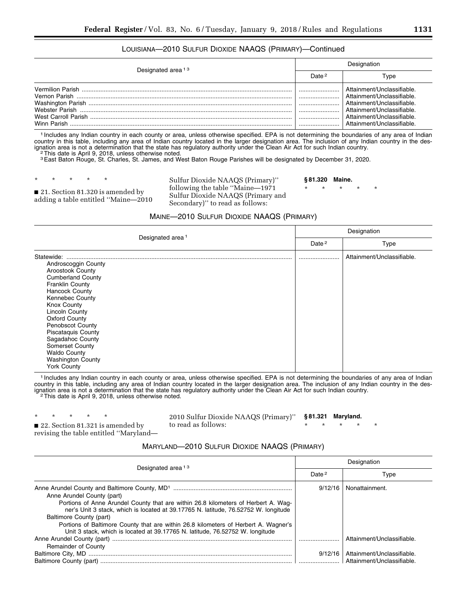## LOUISIANA—2010 SULFUR DIOXIDE NAAQS (PRIMARY)—Continued

| Designated area <sup>13</sup> | Designation       |                                                                                                                                                                               |
|-------------------------------|-------------------|-------------------------------------------------------------------------------------------------------------------------------------------------------------------------------|
|                               | Date <sup>2</sup> | Tvpe                                                                                                                                                                          |
| Winn Parish                   |                   | Attainment/Unclassifiable.<br>Attainment/Unclassifiable<br>Attainment/Unclassifiable.<br>Attainment/Unclassifiable<br>Attainment/Unclassifiable<br>Attainment/Unclassifiable. |

1 Includes any Indian country in each county or area, unless otherwise specified. EPA is not determining the boundaries of any area of Indian country in this table, including any area of Indian country located in the larger designation area. The inclusion of any Indian country in the designation area is not a determination that the state has regulatory authority ignation area is not a determination that the state has regulatory authority under the Clean Air Act for such Indian country.<br><sup>2</sup>This date is April 9, 2018, unless otherwise noted.

3East Baton Rouge, St. Charles, St. James, and West Baton Rouge Parishes will be designated by December 31, 2020.

\* \* \* \* \*

■ 21. Section 81.320 is amended by adding a table entitled ''Maine—2010 Sulfur Dioxide NAAQS (Primary)'' following the table ''Maine—1971 Sulfur Dioxide NAAQS (Primary and Secondary)'' to read as follows:

**§ 81.320 Maine.** 

\* \* \* \* \*

#### MAINE—2010 SULFUR DIOXIDE NAAQS (PRIMARY)

| Designated area <sup>1</sup>                                                                                                                                                                                                                                                                                                                                                                                  | Designation       |                            |
|---------------------------------------------------------------------------------------------------------------------------------------------------------------------------------------------------------------------------------------------------------------------------------------------------------------------------------------------------------------------------------------------------------------|-------------------|----------------------------|
|                                                                                                                                                                                                                                                                                                                                                                                                               | Date <sup>2</sup> | <b>Type</b>                |
| Statewide:<br>Androscoggin County<br><b>Aroostook County</b><br><b>Cumberland County</b><br><b>Franklin County</b><br><b>Hancock County</b><br><b>Kennebec County</b><br><b>Knox County</b><br>Lincoln County<br><b>Oxford County</b><br><b>Penobscot County</b><br><b>Piscataquis County</b><br>Sagadahoc County<br><b>Somerset County</b><br><b>Waldo County</b><br><b>Washington County</b><br>York County |                   | Attainment/Unclassifiable. |

1 Includes any Indian country in each county or area, unless otherwise specified. EPA is not determining the boundaries of any area of Indian country in this table, including any area of Indian country located in the larger designation area. The inclusion of any Indian country in the designation area is not a determination that the state has regulatory authority under the Clean Air Act for such Indian country.<br><sup>2</sup>This date is April 9, 2018, unless otherwise noted.

\* \* \* \* \*

2010 Sulfur Dioxide NAAQS (Primary)'' to read as follows:

**§ 81.321 Maryland.** 

\* \* \* \* \*

■ 22. Section 81.321 is amended by revising the table entitled ''Maryland—

## MARYLAND—2010 SULFUR DIOXIDE NAAQS (PRIMARY)

| Designated area <sup>13</sup>                                                                                                                                             | Designation       |                            |
|---------------------------------------------------------------------------------------------------------------------------------------------------------------------------|-------------------|----------------------------|
|                                                                                                                                                                           | Date <sup>2</sup> | Type                       |
| Anne Arundel County (part)                                                                                                                                                | 9/12/16           | Nonattainment.             |
| Portions of Anne Arundel County that are within 26.8 kilometers of Herbert A. Wag-<br>ner's Unit 3 stack, which is located at 39.17765 N. latitude, 76.52752 W. longitude |                   |                            |
| Baltimore County (part)                                                                                                                                                   |                   |                            |
| Portions of Baltimore County that are within 26.8 kilometers of Herbert A. Wagner's<br>Unit 3 stack, which is located at 39.17765 N. latitude, 76.52752 W. longitude      |                   |                            |
|                                                                                                                                                                           |                   | Attainment/Unclassifiable. |
| <b>Remainder of County</b>                                                                                                                                                |                   |                            |
|                                                                                                                                                                           | 9/12/16           | Attainment/Unclassifiable. |
|                                                                                                                                                                           |                   | Attainment/Unclassifiable. |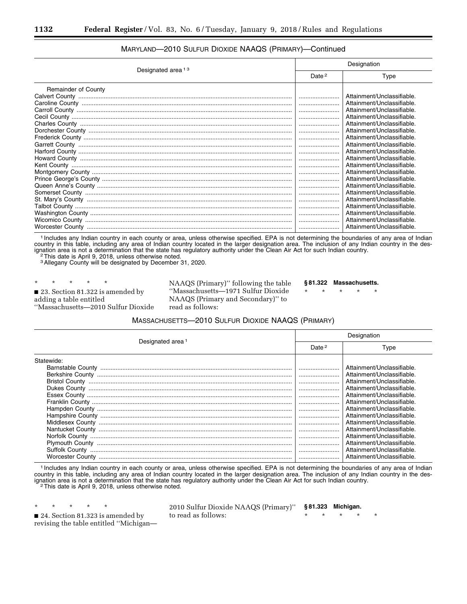| Designated area <sup>13</sup> | Designation |                            |
|-------------------------------|-------------|----------------------------|
|                               | Date $2$    | Type                       |
| <b>Remainder of County</b>    |             |                            |
|                               |             | Attainment/Unclassifiable. |
|                               |             | Attainment/Unclassifiable. |
|                               |             | Attainment/Unclassifiable. |
|                               |             | Attainment/Unclassifiable. |
|                               |             | Attainment/Unclassifiable. |
|                               |             | Attainment/Unclassifiable. |
|                               |             | Attainment/Unclassifiable. |
|                               |             | Attainment/Unclassifiable. |
|                               |             | Attainment/Unclassifiable. |
|                               |             | Attainment/Unclassifiable. |
|                               |             | Attainment/Unclassifiable. |
|                               |             | Attainment/Unclassifiable. |
|                               |             | Attainment/Unclassifiable. |
|                               |             | Attainment/Unclassifiable. |
|                               |             | Attainment/Unclassifiable. |
|                               |             | Attainment/Unclassifiable. |
|                               |             | Attainment/Unclassifiable. |
|                               |             | Attainment/Unclassifiable. |
|                               |             | Attainment/Unclassifiable. |
|                               |             | Attainment/Unclassifiable. |

## MARYLAND—2010 SULFUR DIOXIDE NAAQS (PRIMARY)—Continued

1 Includes any Indian country in each county or area, unless otherwise specified. EPA is not determining the boundaries of any area of Indian country in this table, including any area of Indian country located in the larger designation area. The inclusion of any Indian country in the designation area is not a determination that the state has regulatory authority under the Clean Air Act for such Indian country.<br><sup>2</sup>This date is April 9, 2018, unless otherwise noted.

<sup>2</sup>This date is April 9, 2018, unless otherwise noted.<br><sup>3</sup> Allegany County will be designated by December 31, 2020.

\* \* \* \* \* ■ 23. Section 81.322 is amended by adding a table entitled ''Massachusetts—2010 Sulfur Dioxide NAAQS (Primary)'' following the table ''Massachusetts—1971 Sulfur Dioxide NAAQS (Primary and Secondary)'' to read as follows:

**§ 81.322 Massachusetts.** 

\* \* \* \* \*

### MASSACHUSETTS—2010 SULFUR DIOXIDE NAAQS (PRIMARY)

| Designated area <sup>1</sup> | Designation |                            |
|------------------------------|-------------|----------------------------|
|                              | Date $2$    | Type                       |
| Statewide:                   |             |                            |
|                              |             | Attainment/Unclassifiable. |
|                              |             | Attainment/Unclassifiable. |
| <b>Bristol County</b>        |             | Attainment/Unclassifiable. |
| Dukes County                 |             | Attainment/Unclassifiable. |
|                              |             | Attainment/Unclassifiable. |
|                              |             | Attainment/Unclassifiable. |
|                              |             | Attainment/Unclassifiable. |
|                              |             | Attainment/Unclassifiable. |
|                              |             | Attainment/Unclassifiable. |
|                              |             | Attainment/Unclassifiable. |
|                              |             | Attainment/Unclassifiable. |
|                              |             | Attainment/Unclassifiable. |
|                              |             | Attainment/Unclassifiable. |
|                              |             | Attainment/Unclassifiable. |

1 Includes any Indian country in each county or area, unless otherwise specified. EPA is not determining the boundaries of any area of Indian country in this table, including any area of Indian country located in the larger designation area. The inclusion of any Indian country in the designation area is not a determination that the state has regulatory authority under the Clean Air Act for such Indian country.<br><sup>2</sup>This date is April 9, 2018, unless otherwise noted.

\* \* \* \* \* ■ 24. Section 81.323 is amended by revising the table entitled ''Michigan2010 Sulfur Dioxide NAAQS (Primary)'' to read as follows: **§ 81.323 Michigan.**  \* \* \* \* \*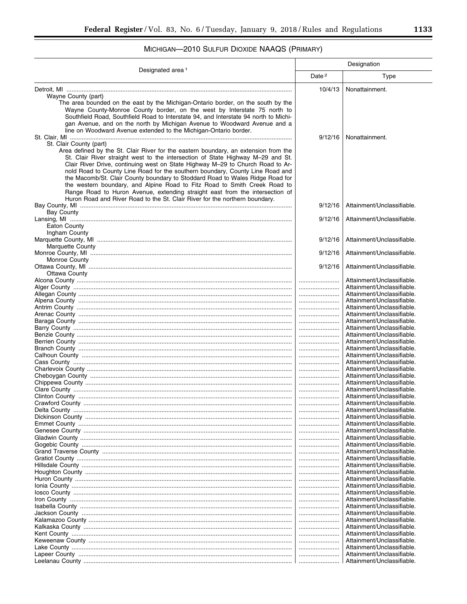# MICHIGAN-2010 SULFUR DIOXIDE NAAQS (PRIMARY)

| Designated area <sup>1</sup>                                                                                                                                                                                                                                                                                                                                                                                                                                                                                                                                                                                                                                                                      | Designation       |                                                          |
|---------------------------------------------------------------------------------------------------------------------------------------------------------------------------------------------------------------------------------------------------------------------------------------------------------------------------------------------------------------------------------------------------------------------------------------------------------------------------------------------------------------------------------------------------------------------------------------------------------------------------------------------------------------------------------------------------|-------------------|----------------------------------------------------------|
|                                                                                                                                                                                                                                                                                                                                                                                                                                                                                                                                                                                                                                                                                                   | Date <sup>2</sup> | Type                                                     |
| Wayne County (part)<br>The area bounded on the east by the Michigan-Ontario border, on the south by the<br>Wayne County-Monroe County border, on the west by Interstate 75 north to<br>Southfield Road, Southfield Road to Interstate 94, and Interstate 94 north to Michi-<br>gan Avenue, and on the north by Michigan Avenue to Woodward Avenue and a<br>line on Woodward Avenue extended to the Michigan-Ontario border.                                                                                                                                                                                                                                                                       | 10/4/13           | Nonattainment.                                           |
| St. Clair County (part)<br>Area defined by the St. Clair River for the eastern boundary, an extension from the<br>St. Clair River straight west to the intersection of State Highway M-29 and St.<br>Clair River Drive, continuing west on State Highway M-29 to Church Road to Ar-<br>nold Road to County Line Road for the southern boundary, County Line Road and<br>the Macomb/St. Clair County boundary to Stoddard Road to Wales Ridge Road for<br>the western boundary, and Alpine Road to Fitz Road to Smith Creek Road to<br>Range Road to Huron Avenue, extending straight east from the intersection of<br>Huron Road and River Road to the St. Clair River for the northern boundary. | 9/12/16           | Nonattainment.                                           |
| <b>Bay County</b>                                                                                                                                                                                                                                                                                                                                                                                                                                                                                                                                                                                                                                                                                 | 9/12/16           | Attainment/Unclassifiable.                               |
| <b>Eaton County</b><br>Ingham County                                                                                                                                                                                                                                                                                                                                                                                                                                                                                                                                                                                                                                                              | 9/12/16           | Attainment/Unclassifiable.                               |
| <b>Marquette County</b>                                                                                                                                                                                                                                                                                                                                                                                                                                                                                                                                                                                                                                                                           | 9/12/16           | Attainment/Unclassifiable.                               |
| Monroe County                                                                                                                                                                                                                                                                                                                                                                                                                                                                                                                                                                                                                                                                                     | 9/12/16           | Attainment/Unclassifiable.                               |
| Ottawa County                                                                                                                                                                                                                                                                                                                                                                                                                                                                                                                                                                                                                                                                                     | 9/12/16           | Attainment/Unclassifiable.                               |
|                                                                                                                                                                                                                                                                                                                                                                                                                                                                                                                                                                                                                                                                                                   | <br>              | Attainment/Unclassifiable.<br>Attainment/Unclassifiable. |
|                                                                                                                                                                                                                                                                                                                                                                                                                                                                                                                                                                                                                                                                                                   |                   | Attainment/Unclassifiable.                               |
|                                                                                                                                                                                                                                                                                                                                                                                                                                                                                                                                                                                                                                                                                                   |                   | Attainment/Unclassifiable.                               |
|                                                                                                                                                                                                                                                                                                                                                                                                                                                                                                                                                                                                                                                                                                   |                   | Attainment/Unclassifiable.                               |
|                                                                                                                                                                                                                                                                                                                                                                                                                                                                                                                                                                                                                                                                                                   |                   | Attainment/Unclassifiable.                               |
|                                                                                                                                                                                                                                                                                                                                                                                                                                                                                                                                                                                                                                                                                                   |                   | Attainment/Unclassifiable.                               |
|                                                                                                                                                                                                                                                                                                                                                                                                                                                                                                                                                                                                                                                                                                   | <br>              | Attainment/Unclassifiable.<br>Attainment/Unclassifiable. |
|                                                                                                                                                                                                                                                                                                                                                                                                                                                                                                                                                                                                                                                                                                   |                   | Attainment/Unclassifiable.                               |
|                                                                                                                                                                                                                                                                                                                                                                                                                                                                                                                                                                                                                                                                                                   |                   | Attainment/Unclassifiable.                               |
|                                                                                                                                                                                                                                                                                                                                                                                                                                                                                                                                                                                                                                                                                                   |                   | Attainment/Unclassifiable.                               |
|                                                                                                                                                                                                                                                                                                                                                                                                                                                                                                                                                                                                                                                                                                   |                   | Attainment/Unclassifiable.                               |
|                                                                                                                                                                                                                                                                                                                                                                                                                                                                                                                                                                                                                                                                                                   |                   | Attainment/Unclassifiable.                               |
|                                                                                                                                                                                                                                                                                                                                                                                                                                                                                                                                                                                                                                                                                                   |                   | Attainment/Unclassifiable.                               |
|                                                                                                                                                                                                                                                                                                                                                                                                                                                                                                                                                                                                                                                                                                   |                   | Attainment/Unclassifiable.                               |
|                                                                                                                                                                                                                                                                                                                                                                                                                                                                                                                                                                                                                                                                                                   |                   | Attainment/Unclassifiable.<br>Attainment/Unclassifiable. |
|                                                                                                                                                                                                                                                                                                                                                                                                                                                                                                                                                                                                                                                                                                   |                   | Attainment/Unclassifiable.                               |
|                                                                                                                                                                                                                                                                                                                                                                                                                                                                                                                                                                                                                                                                                                   |                   | Attainment/Unclassifiable.                               |
|                                                                                                                                                                                                                                                                                                                                                                                                                                                                                                                                                                                                                                                                                                   |                   | Attainment/Unclassifiable.                               |
|                                                                                                                                                                                                                                                                                                                                                                                                                                                                                                                                                                                                                                                                                                   |                   | Attainment/Unclassifiable.                               |
|                                                                                                                                                                                                                                                                                                                                                                                                                                                                                                                                                                                                                                                                                                   |                   | Attainment/Unclassifiable.                               |
|                                                                                                                                                                                                                                                                                                                                                                                                                                                                                                                                                                                                                                                                                                   |                   | Attainment/Unclassifiable.                               |
|                                                                                                                                                                                                                                                                                                                                                                                                                                                                                                                                                                                                                                                                                                   | <br>              | Attainment/Unclassifiable.<br>Attainment/Unclassifiable. |
|                                                                                                                                                                                                                                                                                                                                                                                                                                                                                                                                                                                                                                                                                                   |                   | Attainment/Unclassifiable.                               |
|                                                                                                                                                                                                                                                                                                                                                                                                                                                                                                                                                                                                                                                                                                   |                   | Attainment/Unclassifiable.                               |
|                                                                                                                                                                                                                                                                                                                                                                                                                                                                                                                                                                                                                                                                                                   |                   | Attainment/Unclassifiable.                               |
|                                                                                                                                                                                                                                                                                                                                                                                                                                                                                                                                                                                                                                                                                                   |                   | Attainment/Unclassifiable.                               |
|                                                                                                                                                                                                                                                                                                                                                                                                                                                                                                                                                                                                                                                                                                   |                   | Attainment/Unclassifiable.                               |
|                                                                                                                                                                                                                                                                                                                                                                                                                                                                                                                                                                                                                                                                                                   |                   | Attainment/Unclassifiable.                               |
|                                                                                                                                                                                                                                                                                                                                                                                                                                                                                                                                                                                                                                                                                                   | <br>              | Attainment/Unclassifiable.<br>Attainment/Unclassifiable. |
|                                                                                                                                                                                                                                                                                                                                                                                                                                                                                                                                                                                                                                                                                                   |                   | Attainment/Unclassifiable.                               |
|                                                                                                                                                                                                                                                                                                                                                                                                                                                                                                                                                                                                                                                                                                   |                   | Attainment/Unclassifiable.                               |
|                                                                                                                                                                                                                                                                                                                                                                                                                                                                                                                                                                                                                                                                                                   |                   | Attainment/Unclassifiable.                               |
|                                                                                                                                                                                                                                                                                                                                                                                                                                                                                                                                                                                                                                                                                                   |                   | Attainment/Unclassifiable.                               |
|                                                                                                                                                                                                                                                                                                                                                                                                                                                                                                                                                                                                                                                                                                   |                   | Attainment/Unclassifiable.                               |
|                                                                                                                                                                                                                                                                                                                                                                                                                                                                                                                                                                                                                                                                                                   |                   | Attainment/Unclassifiable.                               |
|                                                                                                                                                                                                                                                                                                                                                                                                                                                                                                                                                                                                                                                                                                   |                   | Attainment/Unclassifiable.                               |
|                                                                                                                                                                                                                                                                                                                                                                                                                                                                                                                                                                                                                                                                                                   |                   | Attainment/Unclassifiable.                               |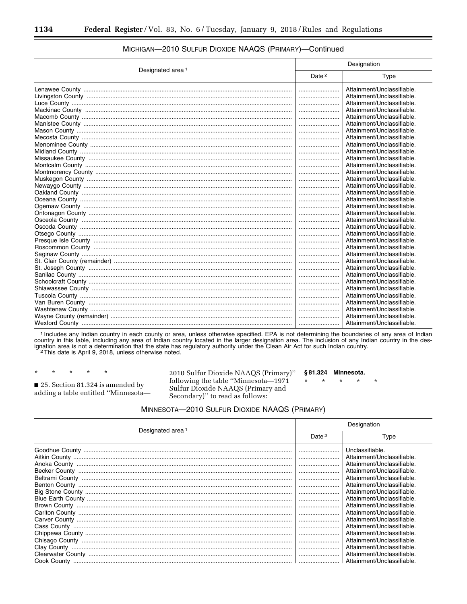| Designated area <sup>1</sup> | Designation       |                            |
|------------------------------|-------------------|----------------------------|
|                              | Date <sup>2</sup> | Type                       |
|                              |                   | Attainment/Unclassifiable. |
|                              |                   | Attainment/Unclassifiable. |
|                              |                   | Attainment/Unclassifiable. |
|                              |                   | Attainment/Unclassifiable. |
|                              |                   | Attainment/Unclassifiable. |
|                              |                   | Attainment/Unclassifiable. |
|                              |                   | Attainment/Unclassifiable. |
|                              |                   | Attainment/Unclassifiable. |
|                              |                   | Attainment/Unclassifiable. |
|                              |                   | Attainment/Unclassifiable. |
|                              |                   | Attainment/Unclassifiable. |
|                              |                   | Attainment/Unclassifiable. |
|                              |                   | Attainment/Unclassifiable. |
|                              |                   | Attainment/Unclassifiable. |
|                              |                   | Attainment/Unclassifiable. |
|                              |                   | Attainment/Unclassifiable. |
|                              |                   | Attainment/Unclassifiable. |
|                              |                   | Attainment/Unclassifiable. |
|                              |                   | Attainment/Unclassifiable. |
|                              |                   | Attainment/Unclassifiable. |
|                              |                   | Attainment/Unclassifiable. |
|                              |                   | Attainment/Unclassifiable. |
|                              |                   | Attainment/Unclassifiable. |
|                              |                   | Attainment/Unclassifiable. |
|                              |                   | Attainment/Unclassifiable. |
|                              |                   | Attainment/Unclassifiable. |
|                              |                   | Attainment/Unclassifiable. |
|                              |                   | Attainment/Unclassifiable. |
|                              |                   | Attainment/Unclassifiable. |
|                              |                   | Attainment/Unclassifiable. |
|                              |                   | Attainment/Unclassifiable. |
|                              |                   | Attainment/Unclassifiable. |
|                              |                   | Attainment/Unclassifiable. |
|                              |                   | Attainment/Unclassifiable. |
|                              |                   | Attainment/Unclassifiable. |

## MICHIGAN-2010 SULFUR DIOXIDE NAAQS (PRIMARY)-Continued

1 Includes any Indian country in each county or area, unless otherwise specified. EPA is not determining the boundaries of any area of Indian country in this table, including any area of Indian country located in the larger designation area. The inclusion of any Indian country in the designation area is not a determination that the state has regulatory authority

25. Section 81.324 is amended by adding a table entitled "Minnesota-

2010 Sulfur Dioxide NAAQS (Primary)" following the table "Minnesota-1971  $\star$ Sulfur Dioxide NAAQS (Primary and Secondary)" to read as follows:

#### §81.324 Minnesota.

## MINNESOTA-2010 SULFUR DIOXIDE NAAQS (PRIMARY)

| Designated area <sup>1</sup> | Designation       |                                                                                                                                                                                                                                                                                                                                                                                                                       |
|------------------------------|-------------------|-----------------------------------------------------------------------------------------------------------------------------------------------------------------------------------------------------------------------------------------------------------------------------------------------------------------------------------------------------------------------------------------------------------------------|
|                              | Date <sup>2</sup> | Type                                                                                                                                                                                                                                                                                                                                                                                                                  |
|                              |                   | Unclassifiable.<br>Attainment/Unclassifiable.<br>Attainment/Unclassifiable.<br>Attainment/Unclassifiable.<br>Attainment/Unclassifiable.<br>Attainment/Unclassifiable.<br>Attainment/Unclassifiable.<br>Attainment/Unclassifiable.<br>Attainment/Unclassifiable.<br>Attainment/Unclassifiable.<br>Attainment/Unclassifiable.<br>Attainment/Unclassifiable.<br>Attainment/Unclassifiable.<br>Attainment/Unclassifiable. |
|                              |                   | Attainment/Unclassifiable.<br>Attainment/Unclassifiable.<br>Attainment/Unclassifiable.                                                                                                                                                                                                                                                                                                                                |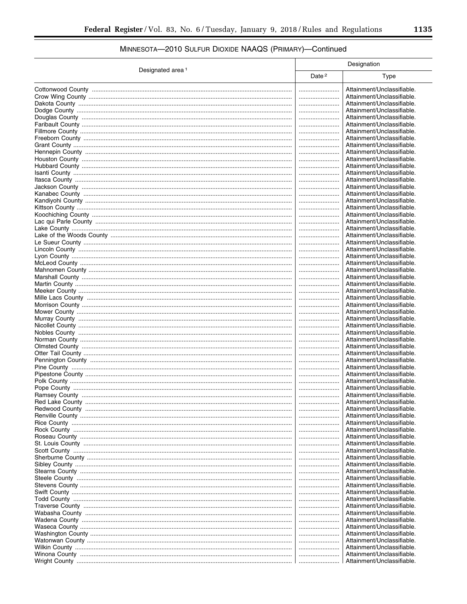# MINNESOTA-2010 SULFUR DIOXIDE NAAQS (PRIMARY)-Continued

|                              | Designation       |                            |
|------------------------------|-------------------|----------------------------|
| Designated area <sup>1</sup> | Date <sup>2</sup> | Type                       |
|                              |                   | Attainment/Unclassifiable. |
|                              |                   | Attainment/Unclassifiable. |
|                              |                   | Attainment/Unclassifiable. |
|                              |                   | Attainment/Unclassifiable. |
|                              |                   | Attainment/Unclassifiable. |
|                              |                   | Attainment/Unclassifiable. |
|                              |                   | Attainment/Unclassifiable. |
|                              |                   | Attainment/Unclassifiable. |
|                              |                   | Attainment/Unclassifiable. |
|                              |                   | Attainment/Unclassifiable. |
|                              |                   | Attainment/Unclassifiable. |
|                              |                   | Attainment/Unclassifiable. |
|                              |                   | Attainment/Unclassifiable. |
|                              |                   | Attainment/Unclassifiable. |
|                              |                   | Attainment/Unclassifiable. |
|                              |                   | Attainment/Unclassifiable. |
|                              |                   | Attainment/Unclassifiable. |
|                              |                   | Attainment/Unclassifiable. |
|                              |                   | Attainment/Unclassifiable. |
|                              |                   | Attainment/Unclassifiable. |
|                              |                   | Attainment/Unclassifiable. |
|                              |                   | Attainment/Unclassifiable. |
|                              |                   | Attainment/Unclassifiable. |
|                              |                   | Attainment/Unclassifiable. |
|                              |                   | Attainment/Unclassifiable. |
|                              |                   | Attainment/Unclassifiable. |
|                              |                   | Attainment/Unclassifiable. |
|                              |                   | Attainment/Unclassifiable. |
|                              |                   | Attainment/Unclassifiable. |
|                              |                   | Attainment/Unclassifiable. |
|                              |                   | Attainment/Unclassifiable. |
|                              |                   | Attainment/Unclassifiable. |
|                              |                   | Attainment/Unclassifiable. |
|                              |                   | Attainment/Unclassifiable. |
|                              |                   | Attainment/Unclassifiable. |
|                              |                   | Attainment/Unclassifiable. |
|                              |                   | Attainment/Unclassifiable. |
|                              |                   | Attainment/Unclassifiable. |
|                              |                   | Attainment/Unclassifiable. |
|                              |                   | Attainment/Unclassifiable. |
|                              |                   | Attainment/Unclassifiable. |
|                              |                   | Attainment/Unclassifiable. |
|                              |                   | Attainment/Unclassifiable. |
|                              |                   | Attainment/Unclassifiable. |
|                              |                   | Attainment/Unclassifiable. |
|                              |                   | Attainment/Unclassifiable. |
|                              |                   | Attainment/Unclassifiable. |
|                              |                   | Attainment/Unclassifiable. |
|                              |                   | Attainment/Unclassifiable. |
|                              |                   | Attainment/Unclassifiable. |
|                              |                   | Attainment/Unclassifiable. |
|                              |                   | Attainment/Unclassifiable. |
|                              |                   | Attainment/Unclassifiable. |
|                              |                   | Attainment/Unclassifiable. |
|                              |                   | Attainment/Unclassifiable. |
|                              |                   | Attainment/Unclassifiable. |
|                              |                   | Attainment/Unclassifiable. |
|                              |                   | Attainment/Unclassifiable. |
|                              |                   | Attainment/Unclassifiable. |
|                              |                   | Attainment/Unclassifiable. |
|                              |                   | Attainment/Unclassifiable. |
|                              |                   | Attainment/Unclassifiable. |
|                              |                   | Attainment/Unclassifiable. |
|                              |                   | Attainment/Unclassifiable. |
|                              |                   | Attainment/Unclassifiable. |
|                              |                   | Attainment/Unclassifiable. |
|                              |                   | Attainment/Unclassifiable. |
|                              |                   | Attainment/Unclassifiable. |
|                              |                   | Attainment/Unclassifiable. |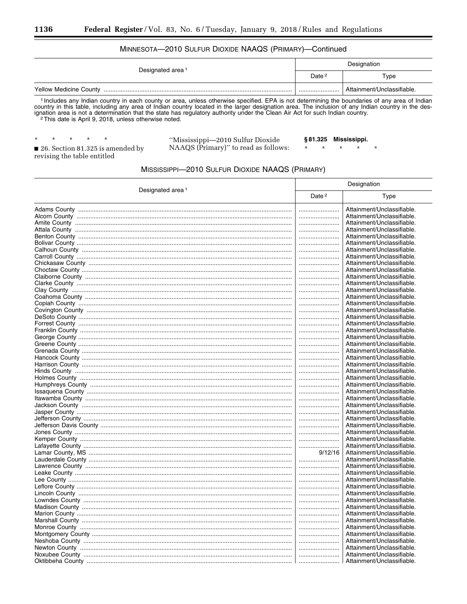## MINNESOTA-2010 SULFUR DIOXIDE NAAQS (PRIMARY)-Continued

| Designated area <sup>1</sup>  | Designation       |                            |
|-------------------------------|-------------------|----------------------------|
|                               | Date <sup>2</sup> | Type                       |
| <b>Yellow Medicine County</b> |                   | Attainment/Unclassifiable. |

<sup>1</sup> Includes any Indian country in each county or area, unless otherwise specified. EPA is not determining the boundaries of any area of Indian country in this table, including any area of Indian country located in the lar

 $\star$  $\star$  $\star$ 

"Mississippi-2010 Sulfur Dioxide NAAQS (Primary)" to read as follows: §81.325 Mississippi.

 $\star$ 

 $\star$  $\star$  $\star$ 

26. Section 81.325 is amended by revising the table entitled

MISSISSIPPI-2010 SULFUR DIOXIDE NAAQS (PRIMARY)

|                              | Designation       |                            |
|------------------------------|-------------------|----------------------------|
| Designated area <sup>1</sup> | Date <sup>2</sup> | Type                       |
|                              |                   | Attainment/Unclassifiable. |
|                              |                   | Attainment/Unclassifiable. |
|                              |                   | Attainment/Unclassifiable. |
|                              |                   | Attainment/Unclassifiable. |
|                              |                   | Attainment/Unclassifiable. |
|                              |                   | Attainment/Unclassifiable. |
|                              |                   | Attainment/Unclassifiable. |
|                              |                   | Attainment/Unclassifiable. |
|                              |                   | Attainment/Unclassifiable. |
|                              |                   | Attainment/Unclassifiable. |
|                              |                   | Attainment/Unclassifiable. |
|                              |                   | Attainment/Unclassifiable. |
|                              |                   | Attainment/Unclassifiable. |
|                              |                   | Attainment/Unclassifiable. |
|                              |                   | Attainment/Unclassifiable. |
|                              |                   | Attainment/Unclassifiable. |
|                              |                   | Attainment/Unclassifiable. |
|                              |                   | Attainment/Unclassifiable. |
|                              |                   | Attainment/Unclassifiable. |
|                              |                   | Attainment/Unclassifiable. |
|                              |                   | Attainment/Unclassifiable. |
|                              |                   | Attainment/Unclassifiable. |
|                              |                   | Attainment/Unclassifiable. |
|                              |                   | Attainment/Unclassifiable. |
|                              |                   | Attainment/Unclassifiable. |
|                              |                   | Attainment/Unclassifiable. |
|                              |                   | Attainment/Unclassifiable. |
|                              |                   | Attainment/Unclassifiable. |
|                              |                   | Attainment/Unclassifiable. |
|                              |                   | Attainment/Unclassifiable. |
|                              |                   | Attainment/Unclassifiable. |
|                              |                   | Attainment/Unclassifiable. |
|                              |                   | Attainment/Unclassifiable. |
|                              |                   | Attainment/Unclassifiable. |
|                              |                   | Attainment/Unclassifiable. |
|                              |                   | Attainment/Unclassifiable. |
|                              | 9/12/16           | Attainment/Unclassifiable. |
|                              |                   | Attainment/Unclassifiable. |
|                              |                   | Attainment/Unclassifiable. |
|                              |                   | Attainment/Unclassifiable. |
|                              |                   | Attainment/Unclassifiable. |
|                              |                   | Attainment/Unclassifiable. |
|                              |                   | Attainment/Unclassifiable. |
|                              |                   | Attainment/Unclassifiable. |
|                              |                   | Attainment/Unclassifiable. |
|                              |                   | Attainment/Unclassifiable. |
|                              |                   | Attainment/Unclassifiable. |
|                              |                   | Attainment/Unclassifiable. |
|                              |                   | Attainment/Unclassifiable. |
|                              |                   | Attainment/Unclassifiable. |
|                              |                   | Attainment/Unclassifiable. |
|                              |                   | Attainment/Unclassifiable. |
|                              |                   | Attainment/Unclassifiable. |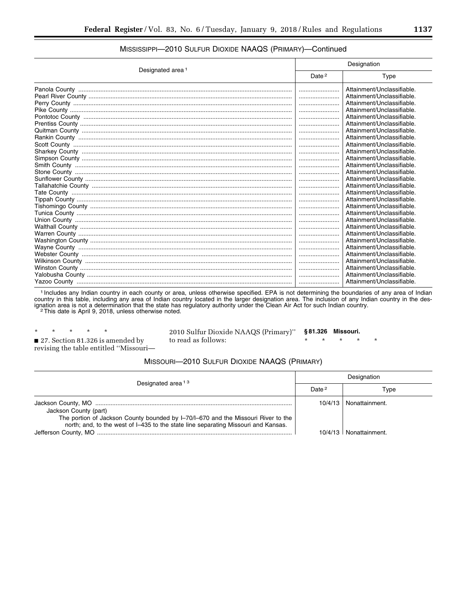| Designated area <sup>1</sup> | Designation       |                            |
|------------------------------|-------------------|----------------------------|
|                              | Date <sup>2</sup> | Type                       |
|                              |                   | Attainment/Unclassifiable. |
|                              |                   | Attainment/Unclassifiable. |
|                              |                   | Attainment/Unclassifiable. |
|                              |                   | Attainment/Unclassifiable. |
|                              |                   | Attainment/Unclassifiable. |
|                              |                   | Attainment/Unclassifiable. |
|                              |                   | Attainment/Unclassifiable. |
|                              |                   | Attainment/Unclassifiable. |
|                              |                   | Attainment/Unclassifiable. |
|                              |                   | Attainment/Unclassifiable. |
|                              |                   | Attainment/Unclassifiable. |
|                              |                   | Attainment/Unclassifiable. |
|                              |                   | Attainment/Unclassifiable. |
|                              |                   | Attainment/Unclassifiable. |
|                              |                   | Attainment/Unclassifiable. |
|                              |                   | Attainment/Unclassifiable. |
|                              |                   | Attainment/Unclassifiable. |
|                              |                   | Attainment/Unclassifiable. |
|                              |                   | Attainment/Unclassifiable. |
|                              |                   | Attainment/Unclassifiable. |
|                              |                   | Attainment/Unclassifiable. |
|                              |                   | Attainment/Unclassifiable. |
|                              |                   | Attainment/Unclassifiable. |
|                              |                   | Attainment/Unclassifiable. |
|                              |                   | Attainment/Unclassifiable. |
|                              |                   | Attainment/Unclassifiable. |
|                              |                   | Attainment/Unclassifiable. |
|                              |                   | Attainment/Unclassifiable. |
|                              |                   | Attainment/Unclassifiable. |

## MISSISSIPPI—2010 SULFUR DIOXIDE NAAQS (PRIMARY)—Continued

1 Includes any Indian country in each county or area, unless otherwise specified. EPA is not determining the boundaries of any area of Indian country in this table, including any area of Indian country located in the larger designation area. The inclusion of any Indian country in the designation area is not a determination that the state has regulatory authority under the Clean Air Act for such Indian country.<br><sup>2</sup>This date is April 9, 2018, unless otherwise noted.

\* \* \* \* \* ■ 27. Section 81.326 is amended by revising the table entitled ''Missouri—

2010 Sulfur Dioxide NAAQS (Primary)'' to read as follows:

**§ 81.326 Missouri.** 

\* \* \* \* \*

#### MISSOURI—2010 SULFUR DIOXIDE NAAQS (PRIMARY)

| Designated area <sup>13</sup>                                                                                                                                                                    | Designation |                            |
|--------------------------------------------------------------------------------------------------------------------------------------------------------------------------------------------------|-------------|----------------------------|
|                                                                                                                                                                                                  | Date $2$    | Type                       |
| Jackson County (part)<br>The portion of Jackson County bounded by I-70/I-670 and the Missouri River to the<br>north; and, to the west of I-435 to the state line separating Missouri and Kansas. | 10/4/13     | Nonattainment.             |
|                                                                                                                                                                                                  |             | $10/4/13$   Nonattainment. |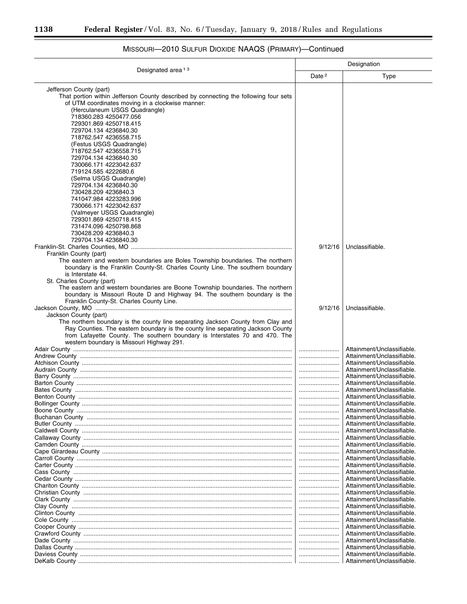$\equiv$ 

|                                                                                                                                                                                                                                                                                                                                                                                                                                                                                                                                                                                                                                      | Designation       |                                                          |
|--------------------------------------------------------------------------------------------------------------------------------------------------------------------------------------------------------------------------------------------------------------------------------------------------------------------------------------------------------------------------------------------------------------------------------------------------------------------------------------------------------------------------------------------------------------------------------------------------------------------------------------|-------------------|----------------------------------------------------------|
| Designated area <sup>13</sup>                                                                                                                                                                                                                                                                                                                                                                                                                                                                                                                                                                                                        | Date <sup>2</sup> | <b>Type</b>                                              |
| Jefferson County (part)<br>That portion within Jefferson County described by connecting the following four sets<br>of UTM coordinates moving in a clockwise manner:<br>(Herculaneum USGS Quadrangle)<br>718360.283 4250477.056<br>729301.869 4250718.415<br>729704.134 4236840.30<br>718762.547 4236558.715<br>(Festus USGS Quadrangle)<br>718762.547 4236558.715<br>729704.134 4236840.30<br>730066.171 4223042.637<br>719124.585 4222680.6<br>(Selma USGS Quadrangle)<br>729704.134 4236840.30<br>730428.209 4236840.3<br>741047.984 4223283.996<br>730066.171 4223042.637<br>(Valmeyer USGS Quadrangle)<br>729301.869 4250718.415 |                   |                                                          |
| 731474.096 4250798.868<br>730428.209 4236840.3<br>729704.134 4236840.30<br>Franklin County (part)<br>The eastern and western boundaries are Boles Township boundaries. The northern<br>boundary is the Franklin County-St. Charles County Line. The southern boundary<br>is Interstate 44.<br>St. Charles County (part)<br>The eastern and western boundaries are Boone Township boundaries. The northern<br>boundary is Missouri Route D and Highway 94. The southern boundary is the                                                                                                                                               | 9/12/16           | Unclassifiable.                                          |
| Franklin County-St. Charles County Line.<br>Jackson County (part)<br>The northern boundary is the county line separating Jackson County from Clay and<br>Ray Counties. The eastern boundary is the county line separating Jackson County<br>from Lafayette County. The southern boundary is Interstates 70 and 470. The                                                                                                                                                                                                                                                                                                              | 9/12/16           | Unclassifiable.                                          |
| western boundary is Missouri Highway 291.                                                                                                                                                                                                                                                                                                                                                                                                                                                                                                                                                                                            |                   | Attainment/Unclassifiable.                               |
|                                                                                                                                                                                                                                                                                                                                                                                                                                                                                                                                                                                                                                      |                   | Attainment/Unclassifiable.                               |
|                                                                                                                                                                                                                                                                                                                                                                                                                                                                                                                                                                                                                                      |                   | Attainment/Unclassifiable.<br>Attainment/Unclassifiable. |
|                                                                                                                                                                                                                                                                                                                                                                                                                                                                                                                                                                                                                                      |                   | Attainment/Unclassifiable.                               |
|                                                                                                                                                                                                                                                                                                                                                                                                                                                                                                                                                                                                                                      |                   | Attainment/Unclassifiable.                               |
|                                                                                                                                                                                                                                                                                                                                                                                                                                                                                                                                                                                                                                      |                   | Attainment/Unclassifiable.                               |
|                                                                                                                                                                                                                                                                                                                                                                                                                                                                                                                                                                                                                                      |                   | Attainment/Unclassifiable                                |
|                                                                                                                                                                                                                                                                                                                                                                                                                                                                                                                                                                                                                                      |                   | Attainment/Unclassifiable.                               |
|                                                                                                                                                                                                                                                                                                                                                                                                                                                                                                                                                                                                                                      | <br>              | Attainment/Unclassifiable.<br>Attainment/Unclassifiable. |
|                                                                                                                                                                                                                                                                                                                                                                                                                                                                                                                                                                                                                                      |                   | Attainment/Unclassifiable.                               |
|                                                                                                                                                                                                                                                                                                                                                                                                                                                                                                                                                                                                                                      |                   | Attainment/Unclassifiable.                               |
|                                                                                                                                                                                                                                                                                                                                                                                                                                                                                                                                                                                                                                      |                   | Attainment/Unclassifiable.                               |
|                                                                                                                                                                                                                                                                                                                                                                                                                                                                                                                                                                                                                                      |                   | Attainment/Unclassifiable.                               |
|                                                                                                                                                                                                                                                                                                                                                                                                                                                                                                                                                                                                                                      |                   | Attainment/Unclassifiable.                               |
|                                                                                                                                                                                                                                                                                                                                                                                                                                                                                                                                                                                                                                      |                   | Attainment/Unclassifiable.                               |
|                                                                                                                                                                                                                                                                                                                                                                                                                                                                                                                                                                                                                                      |                   | Attainment/Unclassifiable.                               |
|                                                                                                                                                                                                                                                                                                                                                                                                                                                                                                                                                                                                                                      |                   | Attainment/Unclassifiable.<br>Attainment/Unclassifiable. |
|                                                                                                                                                                                                                                                                                                                                                                                                                                                                                                                                                                                                                                      | <br>              | Attainment/Unclassifiable.                               |
|                                                                                                                                                                                                                                                                                                                                                                                                                                                                                                                                                                                                                                      |                   | Attainment/Unclassifiable.                               |
|                                                                                                                                                                                                                                                                                                                                                                                                                                                                                                                                                                                                                                      |                   | Attainment/Unclassifiable.                               |
|                                                                                                                                                                                                                                                                                                                                                                                                                                                                                                                                                                                                                                      |                   | Attainment/Unclassifiable.                               |
|                                                                                                                                                                                                                                                                                                                                                                                                                                                                                                                                                                                                                                      |                   | Attainment/Unclassifiable.                               |
|                                                                                                                                                                                                                                                                                                                                                                                                                                                                                                                                                                                                                                      |                   | Attainment/Unclassifiable.                               |
|                                                                                                                                                                                                                                                                                                                                                                                                                                                                                                                                                                                                                                      |                   | Attainment/Unclassifiable.                               |
|                                                                                                                                                                                                                                                                                                                                                                                                                                                                                                                                                                                                                                      |                   | Attainment/Unclassifiable.                               |
|                                                                                                                                                                                                                                                                                                                                                                                                                                                                                                                                                                                                                                      |                   | Attainment/Unclassifiable.<br>Attainment/Unclassifiable. |
|                                                                                                                                                                                                                                                                                                                                                                                                                                                                                                                                                                                                                                      | <br>              | Attainment/Unclassifiable.                               |
|                                                                                                                                                                                                                                                                                                                                                                                                                                                                                                                                                                                                                                      |                   | Attainment/Unclassifiable.                               |

# MISSOURI—2010 SULFUR DIOXIDE NAAQS (PRIMARY)—Continued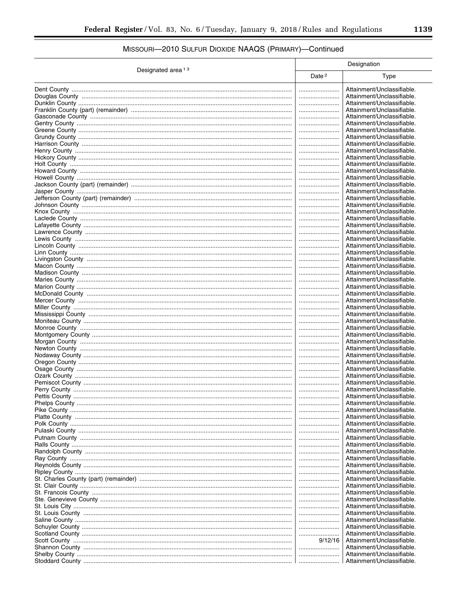# MISSOURI-2010 SULFUR DIOXIDE NAAQS (PRIMARY)-Continued

|                               | Designation       |                                                          |
|-------------------------------|-------------------|----------------------------------------------------------|
| Designated area <sup>13</sup> | Date <sup>2</sup> | <b>Type</b>                                              |
|                               |                   | Attainment/Unclassifiable.                               |
|                               |                   | Attainment/Unclassifiable.                               |
|                               |                   | Attainment/Unclassifiable.                               |
|                               |                   | Attainment/Unclassifiable.                               |
|                               |                   | Attainment/Unclassifiable.                               |
|                               |                   | Attainment/Unclassifiable.                               |
|                               |                   | Attainment/Unclassifiable.                               |
|                               |                   | Attainment/Unclassifiable.                               |
|                               |                   | Attainment/Unclassifiable.                               |
|                               |                   | Attainment/Unclassifiable.                               |
|                               |                   | Attainment/Unclassifiable.                               |
|                               |                   | Attainment/Unclassifiable.                               |
|                               |                   | Attainment/Unclassifiable.                               |
|                               |                   | Attainment/Unclassifiable.                               |
|                               |                   | Attainment/Unclassifiable.                               |
|                               |                   | Attainment/Unclassifiable.<br>Attainment/Unclassifiable. |
|                               | <br>              | Attainment/Unclassifiable.                               |
|                               |                   | Attainment/Unclassifiable.                               |
|                               |                   | Attainment/Unclassifiable.                               |
|                               |                   | Attainment/Unclassifiable.                               |
|                               |                   | Attainment/Unclassifiable.                               |
|                               |                   | Attainment/Unclassifiable.                               |
|                               |                   | Attainment/Unclassifiable.                               |
|                               |                   | Attainment/Unclassifiable.                               |
|                               |                   | Attainment/Unclassifiable.                               |
|                               |                   | Attainment/Unclassifiable.                               |
|                               |                   | Attainment/Unclassifiable.                               |
|                               |                   | Attainment/Unclassifiable.                               |
|                               |                   | Attainment/Unclassifiable.                               |
|                               |                   | Attainment/Unclassifiable.                               |
|                               |                   | Attainment/Unclassifiable.                               |
|                               |                   | Attainment/Unclassifiable.                               |
|                               |                   | Attainment/Unclassifiable.                               |
|                               |                   | Attainment/Unclassifiable.<br>Attainment/Unclassifiable. |
|                               | <br>              | Attainment/Unclassifiable.                               |
|                               |                   | Attainment/Unclassifiable.                               |
|                               |                   | Attainment/Unclassifiable.                               |
|                               |                   | Attainment/Unclassifiable.                               |
|                               |                   | Attainment/Unclassifiable.                               |
|                               |                   | Attainment/Unclassifiable.                               |
|                               |                   | Attainment/Unclassifiable.                               |
|                               |                   | Attainment/Unclassifiable.                               |
|                               |                   | Attainment/Unclassifiable.                               |
|                               |                   | Attainment/Unclassifiable.                               |
|                               |                   | Attainment/Unclassifiable.                               |
|                               |                   | Attainment/Unclassifiable.                               |
|                               |                   | Attainment/Unclassifiable.                               |
|                               |                   | Attainment/Unclassifiable.                               |
|                               |                   | Attainment/Unclassifiable.                               |
|                               |                   | Attainment/Unclassifiable.                               |
|                               |                   | Attainment/Unclassifiable.                               |
|                               |                   | Attainment/Unclassifiable.<br>Attainment/Unclassifiable. |
|                               |                   | Attainment/Unclassifiable.                               |
|                               |                   | Attainment/Unclassifiable.                               |
|                               |                   | Attainment/Unclassifiable.                               |
|                               |                   | Attainment/Unclassifiable.                               |
|                               |                   | Attainment/Unclassifiable.                               |
|                               |                   | Attainment/Unclassifiable.                               |
|                               |                   | Attainment/Unclassifiable.                               |
|                               |                   | Attainment/Unclassifiable.                               |
|                               |                   | Attainment/Unclassifiable.                               |
|                               |                   | Attainment/Unclassifiable.                               |
|                               |                   | Attainment/Unclassifiable.                               |
|                               | 9/12/16           | Attainment/Unclassifiable.                               |
|                               |                   | Attainment/Unclassifiable.                               |
|                               |                   | Attainment/Unclassifiable.                               |
|                               |                   | Attainment/Unclassifiable.                               |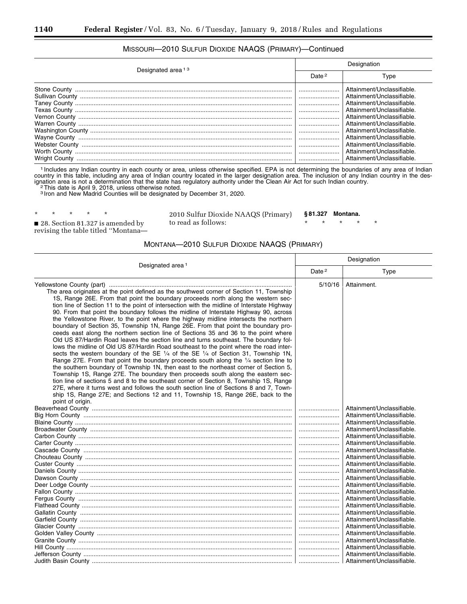## MISSOURI—2010 SULFUR DIOXIDE NAAQS (PRIMARY)—Continued

| Designation       |                                                                                        |
|-------------------|----------------------------------------------------------------------------------------|
| Date <sup>2</sup> | Type                                                                                   |
| <br>              | Attainment/Unclassifiable.<br>Attainment/Unclassifiable.                               |
|                   | Attainment/Unclassifiable<br>Attainment/Unclassifiable.<br>Attainment/Unclassifiable.  |
|                   | Attainment/Unclassifiable.<br>Attainment/Unclassifiable.<br>Attainment/Unclassifiable  |
|                   | Attainment/Unclassifiable.<br>Attainment/Unclassifiable.<br>Attainment/Unclassifiable. |
|                   |                                                                                        |

1 Includes any Indian country in each county or area, unless otherwise specified. EPA is not determining the boundaries of any area of Indian country in this table, including any area of Indian country located in the larger designation area. The inclusion of any Indian country in the designation area is not a determination that the state has regulatory authority under the Clean Air Act for such Indian country.<br><sup>2</sup>This date is April 9, 2018, unless otherwise noted.

3 Iron and New Madrid Counties will be designated by December 31, 2020.

\* \* \* \* \* ■ 28. Section 81.327 is amended by revising the table titled ''Montana—

2010 Sulfur Dioxide NAAQS (Primary) to read as follows:

**§ 81.327 Montana.** 

\* \* \* \* \*

#### MONTANA—2010 SULFUR DIOXIDE NAAQS (PRIMARY)

|                                                                                                                                                                                                                                                                                                                                                                                                                                                                                                                                                                                                                                                                                                                                                                                                                                                                                                                                                                                                                                                                                                                                                                                                                                                                                                                                                                                                                                                                                             | Designation       |                                                                                                                                                                                                                                                                                                                                                                                                                                                                                                                                                                                                                      |
|---------------------------------------------------------------------------------------------------------------------------------------------------------------------------------------------------------------------------------------------------------------------------------------------------------------------------------------------------------------------------------------------------------------------------------------------------------------------------------------------------------------------------------------------------------------------------------------------------------------------------------------------------------------------------------------------------------------------------------------------------------------------------------------------------------------------------------------------------------------------------------------------------------------------------------------------------------------------------------------------------------------------------------------------------------------------------------------------------------------------------------------------------------------------------------------------------------------------------------------------------------------------------------------------------------------------------------------------------------------------------------------------------------------------------------------------------------------------------------------------|-------------------|----------------------------------------------------------------------------------------------------------------------------------------------------------------------------------------------------------------------------------------------------------------------------------------------------------------------------------------------------------------------------------------------------------------------------------------------------------------------------------------------------------------------------------------------------------------------------------------------------------------------|
| Designated area <sup>1</sup>                                                                                                                                                                                                                                                                                                                                                                                                                                                                                                                                                                                                                                                                                                                                                                                                                                                                                                                                                                                                                                                                                                                                                                                                                                                                                                                                                                                                                                                                | Date <sup>2</sup> | Type                                                                                                                                                                                                                                                                                                                                                                                                                                                                                                                                                                                                                 |
| The area originates at the point defined as the southwest corner of Section 11, Township<br>1S, Range 26E. From that point the boundary proceeds north along the western sec-<br>tion line of Section 11 to the point of intersection with the midline of Interstate Highway<br>90. From that point the boundary follows the midline of Interstate Highway 90, across<br>the Yellowstone River, to the point where the highway midline intersects the northern<br>boundary of Section 35, Township 1N, Range 26E. From that point the boundary pro-<br>ceeds east along the northern section line of Sections 35 and 36 to the point where<br>Old US 87/Hardin Road leaves the section line and turns southeast. The boundary fol-<br>lows the midline of Old US 87/Hardin Road southeast to the point where the road inter-<br>sects the western boundary of the SE 1/4 of the SE 1/4 of Section 31, Township 1N,<br>Range 27E. From that point the boundary proceeds south along the $\frac{1}{4}$ section line to<br>the southern boundary of Township 1N, then east to the northeast corner of Section 5,<br>Township 1S, Range 27E. The boundary then proceeds south along the eastern sec-<br>tion line of sections 5 and 8 to the southeast corner of Section 8, Township 1S, Range<br>27E, where it turns west and follows the south section line of Sections 8 and 7, Town-<br>ship 1S, Range 27E; and Sections 12 and 11, Township 1S, Range 26E, back to the<br>point of origin. | 5/10/16           | Attainment.                                                                                                                                                                                                                                                                                                                                                                                                                                                                                                                                                                                                          |
|                                                                                                                                                                                                                                                                                                                                                                                                                                                                                                                                                                                                                                                                                                                                                                                                                                                                                                                                                                                                                                                                                                                                                                                                                                                                                                                                                                                                                                                                                             |                   | Attainment/Unclassifiable.<br>Attainment/Unclassifiable.<br>Attainment/Unclassifiable.<br>Attainment/Unclassifiable.<br>Attainment/Unclassifiable.<br>Attainment/Unclassifiable.<br>Attainment/Unclassifiable.<br>Attainment/Unclassifiable.<br>Attainment/Unclassifiable.<br>Attainment/Unclassifiable.<br>Attainment/Unclassifiable.<br>Attainment/Unclassifiable.<br>Attainment/Unclassifiable.<br>Attainment/Unclassifiable.<br>Attainment/Unclassifiable.<br>Attainment/Unclassifiable.<br>Attainment/Unclassifiable.<br>Attainment/Unclassifiable.<br>Attainment/Unclassifiable.<br>Attainment/Unclassifiable. |
|                                                                                                                                                                                                                                                                                                                                                                                                                                                                                                                                                                                                                                                                                                                                                                                                                                                                                                                                                                                                                                                                                                                                                                                                                                                                                                                                                                                                                                                                                             |                   | Attainment/Unclassifiable.<br>Attainment/Unclassifiable.                                                                                                                                                                                                                                                                                                                                                                                                                                                                                                                                                             |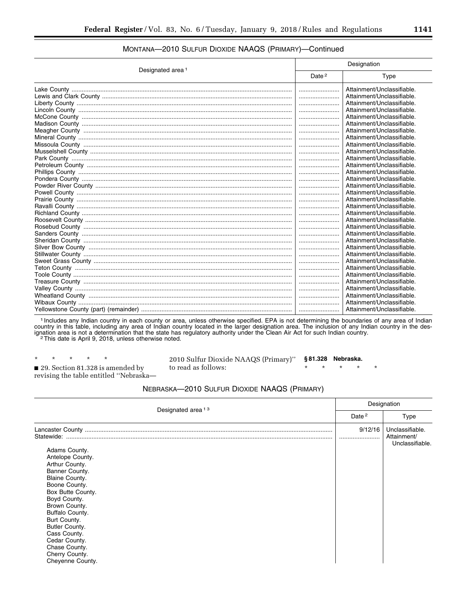| Designated area <sup>1</sup> | Designation       |                            |
|------------------------------|-------------------|----------------------------|
|                              | Date <sup>2</sup> | Type                       |
|                              |                   | Attainment/Unclassifiable. |
|                              |                   | Attainment/Unclassifiable. |
|                              |                   | Attainment/Unclassifiable. |
|                              |                   | Attainment/Unclassifiable. |
|                              |                   | Attainment/Unclassifiable. |
|                              |                   | Attainment/Unclassifiable. |
|                              |                   | Attainment/Unclassifiable. |
|                              |                   | Attainment/Unclassifiable. |
|                              |                   | Attainment/Unclassifiable. |
|                              |                   | Attainment/Unclassifiable. |
|                              |                   | Attainment/Unclassifiable. |
|                              |                   | Attainment/Unclassifiable. |
|                              |                   | Attainment/Unclassifiable. |
|                              |                   | Attainment/Unclassifiable. |
|                              |                   | Attainment/Unclassifiable. |
|                              |                   | Attainment/Unclassifiable. |
|                              |                   | Attainment/Unclassifiable. |
|                              |                   | Attainment/Unclassifiable. |
|                              |                   | Attainment/Unclassifiable. |
|                              |                   | Attainment/Unclassifiable. |
|                              |                   | Attainment/Unclassifiable. |
|                              |                   | Attainment/Unclassifiable. |
|                              |                   | Attainment/Unclassifiable. |
|                              |                   | Attainment/Unclassifiable. |
|                              |                   | Attainment/Unclassifiable. |
|                              |                   | Attainment/Unclassifiable. |
|                              |                   | Attainment/Unclassifiable. |
|                              |                   | Attainment/Unclassifiable. |
|                              |                   | Attainment/Unclassifiable. |
|                              |                   | Attainment/Unclassifiable. |
|                              |                   | Attainment/Unclassifiable. |
|                              |                   | Attainment/Unclassifiable. |
|                              |                   | Attainment/Unclassifiable. |

## MONTANA—2010 SULFUR DIOXIDE NAAQS (PRIMARY)—Continued

1 Includes any Indian country in each county or area, unless otherwise specified. EPA is not determining the boundaries of any area of Indian country in this table, including any area of Indian country located in the larger designation area. The inclusion of any Indian country in the designation area is not a determination that the state has regulatory authority under the Clean Air Act for such Indian country.<br><sup>2</sup>This date is April 9, 2018, unless otherwise noted.

\* \* \* \* \* ■ 29. Section 81.328 is amended by

2010 Sulfur Dioxide NAAQS (Primary)'' to read as follows: **§ 81.328 Nebraska.**  \* \* \* \* \*

revising the table entitled ''Nebraska—

NEBRASKA—2010 SULFUR DIOXIDE NAAQS (PRIMARY)

| Designated area <sup>13</sup>                                                                                                                                                                                                                                                                                                    |         | Designation                                       |  |
|----------------------------------------------------------------------------------------------------------------------------------------------------------------------------------------------------------------------------------------------------------------------------------------------------------------------------------|---------|---------------------------------------------------|--|
|                                                                                                                                                                                                                                                                                                                                  |         | <b>Type</b>                                       |  |
| Statewide:<br>Adams County.<br>Antelope County.<br>Arthur County.<br>Banner County.<br><b>Blaine County.</b><br>Boone County.<br>Box Butte County.<br>Boyd County.<br>Brown County.<br>Buffalo County.<br>Burt County.<br>Butler County.<br>Cass County.<br>Cedar County.<br>Chase County.<br>Cherry County.<br>Cheyenne County. | 9/12/16 | Unclassifiable.<br>Attainment/<br>Unclassifiable. |  |
|                                                                                                                                                                                                                                                                                                                                  |         |                                                   |  |

 $\overline{\phantom{0}}$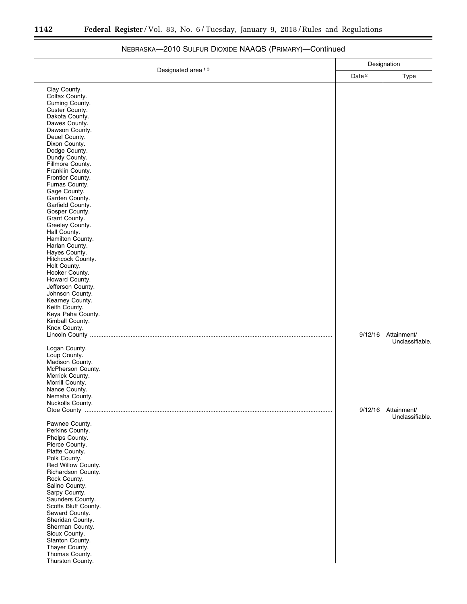۳

| Designated area <sup>13</sup>                                                                                                                                                                                                                                                                                                                                                                                                                                                                                                                              | Designation       |                                |
|------------------------------------------------------------------------------------------------------------------------------------------------------------------------------------------------------------------------------------------------------------------------------------------------------------------------------------------------------------------------------------------------------------------------------------------------------------------------------------------------------------------------------------------------------------|-------------------|--------------------------------|
|                                                                                                                                                                                                                                                                                                                                                                                                                                                                                                                                                            |                   | Type                           |
| Clay County.<br>Colfax County.<br>Cuming County.<br>Custer County.<br>Dakota County.<br>Dawes County.<br>Dawson County.<br>Deuel County.<br>Dixon County.<br>Dodge County.<br>Dundy County.<br>Fillmore County.<br>Franklin County.<br>Frontier County.<br>Furnas County.<br>Gage County.<br>Garden County.<br>Garfield County.<br>Gosper County.<br>Grant County.<br>Greeley County.<br>Hall County.<br>Hamilton County.<br>Harlan County.<br>Hayes County.<br>Hitchcock County.<br>Holt County.<br>Hooker County.<br>Howard County.<br>Jefferson County. | Date <sup>2</sup> |                                |
| Johnson County.<br>Kearney County.<br>Keith County.<br>Keya Paha County.<br>Kimball County.<br>Knox County.                                                                                                                                                                                                                                                                                                                                                                                                                                                | 9/12/16           | Attainment/<br>Unclassifiable. |
| Logan County.<br>Loup County.<br>Madison County.<br>McPherson County.<br>Merrick County.<br>Morrill County.<br>Nance County.<br>Nemaha County.<br>Nuckolls County.                                                                                                                                                                                                                                                                                                                                                                                         | 9/12/16           | Attainment/                    |
| Pawnee County.<br>Perkins County.<br>Phelps County.<br>Pierce County.<br>Platte County.<br>Polk County.<br>Red Willow County.<br>Richardson County.<br>Rock County.<br>Saline County.<br>Sarpy County.<br>Saunders County.<br>Scotts Bluff County.<br>Seward County.<br>Sheridan County.<br>Sherman County.<br>Sioux County.<br>Stanton County.<br>Thayer County.<br>Thomas County.<br>Thurston County.                                                                                                                                                    |                   | Unclassifiable.                |

# NEBRASKA—2010 SULFUR DIOXIDE NAAQS (PRIMARY)—Continued

۰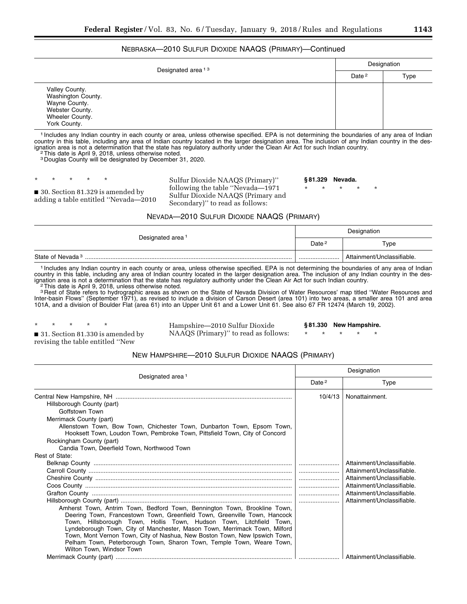#### NEBRASKA—2010 SULFUR DIOXIDE NAAQS (PRIMARY)—Continued

| Designated area <sup>13</sup>                                                                               | Designation       |      |
|-------------------------------------------------------------------------------------------------------------|-------------------|------|
|                                                                                                             | Date <sup>2</sup> | Type |
| Valley County.<br>Washington County.<br>Wayne County.<br>Webster County.<br>Wheeler County.<br>York County. |                   |      |

1 Includes any Indian country in each county or area, unless otherwise specified. EPA is not determining the boundaries of any area of Indian country in this table, including any area of Indian country located in the larger designation area. The inclusion of any Indian country in the designation area is not a determination that the state has regulatory authority under the Clean Air Act for such Indian country.<br><sup>2</sup>This date is April 9, 2018, unless otherwise noted.

A prior area is not a communication with the designated by December 31, 2020.<br><sup>3</sup> Douglas County will be designated by December 31, 2020.

\* \* \* \* \*

■ 30. Section 81.329 is amended by adding a table entitled ''Nevada—2010 Sulfur Dioxide NAAQS (Primary)'' following the table ''Nevada—1971 Sulfur Dioxide NAAQS (Primary and Secondary)'' to read as follows:

**§ 81.329 Nevada.** 

\* \* \* \* \*

#### NEVADA—2010 SULFUR DIOXIDE NAAQS (PRIMARY)

| Designated area <sup>1</sup> | Designation       |                            |  |
|------------------------------|-------------------|----------------------------|--|
|                              | Date <sup>2</sup> | Type                       |  |
| State of Nevada <sup>3</sup> |                   | Attainment/Unclassifiable. |  |

1 Includes any Indian country in each county or area, unless otherwise specified. EPA is not determining the boundaries of any area of Indian country in this table, including any area of Indian country located in the larger designation area. The inclusion of any Indian country in the designation area is not a determination that the state has regulatory authority under the Clean Air Act for such Indian country.<br><sup>2</sup>This date is April 9, 2018, unless otherwise noted.

<sup>3</sup> Rest of State refers to hydrographic areas as shown on the State of Nevada Division of Water Resources' map titled "Water Resources and Inter-basin Flows'' (September 1971), as revised to include a division of Carson Desert (area 101) into two areas, a smaller area 101 and area 101A, and a division of Boulder Flat (area 61) into an Upper Unit 61 and a Lower Unit 61. See also 67 FR 12474 (March 19, 2002).

\* \* \* \* \* ■ 31. Section 81.330 is amended by

revising the table entitled ''New

Hampshire—2010 Sulfur Dioxide NAAQS (Primary)'' to read as follows: **§ 81.330 New Hampshire.** 

\* \* \* \* \*

#### NEW HAMPSHIRE—2010 SULFUR DIOXIDE NAAQS (PRIMARY)

|                                                                                                                                                                                                                                                                                                                                                                                                                                                                                                                                                                 | Designation       |                                                                                                                                                                                                    |
|-----------------------------------------------------------------------------------------------------------------------------------------------------------------------------------------------------------------------------------------------------------------------------------------------------------------------------------------------------------------------------------------------------------------------------------------------------------------------------------------------------------------------------------------------------------------|-------------------|----------------------------------------------------------------------------------------------------------------------------------------------------------------------------------------------------|
| Designated area <sup>1</sup>                                                                                                                                                                                                                                                                                                                                                                                                                                                                                                                                    | Date <sup>2</sup> | Type                                                                                                                                                                                               |
| Hillsborough County (part)<br>Goffstown Town<br>Merrimack County (part)<br>Allenstown Town, Bow Town, Chichester Town, Dunbarton Town, Epsom Town,<br>Hooksett Town, Loudon Town, Pembroke Town, Pittsfield Town, City of Concord<br>Rockingham County (part)<br>Candia Town, Deerfield Town, Northwood Town<br>Rest of State:<br>Amherst Town, Antrim Town, Bedford Town, Bennington Town, Brookline Town,<br>Deering Town, Francestown Town, Greenfield Town, Greenville Town, Hancock<br>Town, Hillsborough Town, Hollis Town, Hudson Town, Litchfield Town, | 10/4/13           | Nonattainment.<br>Attainment/Unclassifiable.<br>Attainment/Unclassifiable.<br>Attainment/Unclassifiable.<br>Attainment/Unclassifiable.<br>Attainment/Unclassifiable.<br>Attainment/Unclassifiable. |
| Lyndeborough Town, City of Manchester, Mason Town, Merrimack Town, Milford<br>Town, Mont Vernon Town, City of Nashua, New Boston Town, New Ipswich Town,<br>Pelham Town, Peterborough Town, Sharon Town, Temple Town, Weare Town,<br>Wilton Town, Windsor Town                                                                                                                                                                                                                                                                                                  |                   | Attainment/Unclassifiable.                                                                                                                                                                         |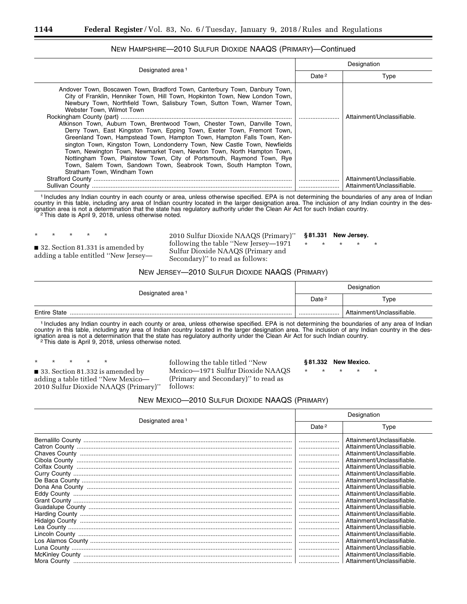| Designated area <sup>1</sup>                                                                                                                                                                                                                                                                                                                                                                                                                                                                                                                                                                                                                                                                                                                                                                                                               | Designation |                                                          |  |
|--------------------------------------------------------------------------------------------------------------------------------------------------------------------------------------------------------------------------------------------------------------------------------------------------------------------------------------------------------------------------------------------------------------------------------------------------------------------------------------------------------------------------------------------------------------------------------------------------------------------------------------------------------------------------------------------------------------------------------------------------------------------------------------------------------------------------------------------|-------------|----------------------------------------------------------|--|
|                                                                                                                                                                                                                                                                                                                                                                                                                                                                                                                                                                                                                                                                                                                                                                                                                                            | Date $2$    | Type                                                     |  |
| Andover Town, Boscawen Town, Bradford Town, Canterbury Town, Danbury Town,<br>City of Franklin, Henniker Town, Hill Town, Hopkinton Town, New London Town,<br>Newbury Town, Northfield Town, Salisbury Town, Sutton Town, Warner Town,<br>Webster Town, Wilmot Town<br>Atkinson Town, Auburn Town, Brentwood Town, Chester Town, Danville Town,<br>Derry Town, East Kingston Town, Epping Town, Exeter Town, Fremont Town,<br>Greenland Town, Hampstead Town, Hampton Town, Hampton Falls Town, Ken-<br>sington Town, Kingston Town, Londonderry Town, New Castle Town, Newfields<br>Town, Newington Town, Newmarket Town, Newton Town, North Hampton Town,<br>Nottingham Town, Plainstow Town, City of Portsmouth, Raymond Town, Rye<br>Town, Salem Town, Sandown Town, Seabrook Town, South Hampton Town,<br>Stratham Town, Windham Town |             | Attainment/Unclassifiable.                               |  |
|                                                                                                                                                                                                                                                                                                                                                                                                                                                                                                                                                                                                                                                                                                                                                                                                                                            |             | Attainment/Unclassifiable.<br>Attainment/Unclassifiable. |  |
| 1 Includes any Indian country in each county or area unless otherwise specified. EPA is not determining the boundaries of any area of Indian                                                                                                                                                                                                                                                                                                                                                                                                                                                                                                                                                                                                                                                                                               |             |                                                          |  |

### NEW HAMPSHIRE—2010 SULFUR DIOXIDE NAAQS (PRIMARY)—Continued

1 Includes any Indian country in each county or area, unless otherwise specified. EPA is not determining the boundaries of any area of Indian country in this table, including any area of Indian country located in the larger designation area. The inclusion of any Indian country in the designation area is not a determination that the state has regulatory authority under the Clean Air Act for such Indian country.<br><sup>2</sup>This date is April 9, 2018, unless otherwise noted.

■ 32. Section 81.331 is amended by adding a table entitled ''New Jersey—

\* \* \* \* \*

2010 Sulfur Dioxide NAAQS (Primary)'' following the table ''New Jersey—1971 Sulfur Dioxide NAAQS (Primary and Secondary)'' to read as follows:

**§ 81.331 New Jersey.** 

\* \* \* \* \*

#### NEW JERSEY—2010 SULFUR DIOXIDE NAAQS (PRIMARY)

|                              | Designation       |                            |  |
|------------------------------|-------------------|----------------------------|--|
| Designated area <sup>1</sup> | Date <sup>2</sup> | Type                       |  |
| <b>Entire State</b>          |                   | Attainment/Unclassifiable. |  |

1 Includes any Indian country in each county or area, unless otherwise specified. EPA is not determining the boundaries of any area of Indian country in this table, including any area of Indian country located in the larger designation area. The inclusion of any Indian country in the designation area is not a determination that the state has regulatory authority under the Clean Air Act for such Indian country.<br><sup>2</sup>This date is April 9, 2018, unless otherwise noted.

\* \* \* \* \* ■ 33. Section 81.332 is amended by adding a table titled ''New Mexico— 2010 Sulfur Dioxide NAAQS (Primary)'' following the table titled ''New Mexico—1971 Sulfur Dioxide NAAQS (Primary and Secondary)'' to read as follows:

**§ 81.332 New Mexico.** 

\* \* \* \* \*

| NEW MEXICO-2010 SULFUR DIOXIDE NAAQS (PRIMARY) |  |  |
|------------------------------------------------|--|--|
|------------------------------------------------|--|--|

|                              |                                      | Designation                |  |  |
|------------------------------|--------------------------------------|----------------------------|--|--|
| Designated area <sup>1</sup> | Date <sup>2</sup>                    | Type                       |  |  |
|                              |                                      | Attainment/Unclassifiable. |  |  |
|                              |                                      | Attainment/Unclassifiable. |  |  |
|                              |                                      | Attainment/Unclassifiable. |  |  |
|                              |                                      | Attainment/Unclassifiable. |  |  |
|                              |                                      | Attainment/Unclassifiable. |  |  |
|                              |                                      | Attainment/Unclassifiable. |  |  |
|                              |                                      | Attainment/Unclassifiable. |  |  |
|                              | $\ldots \ldots \ldots \ldots \ldots$ | Attainment/Unclassifiable. |  |  |
|                              |                                      | Attainment/Unclassifiable. |  |  |
|                              |                                      | Attainment/Unclassifiable. |  |  |
|                              |                                      | Attainment/Unclassifiable. |  |  |
|                              |                                      | Attainment/Unclassifiable. |  |  |
|                              |                                      | Attainment/Unclassifiable. |  |  |
|                              |                                      | Attainment/Unclassifiable. |  |  |
|                              |                                      | Attainment/Unclassifiable. |  |  |
|                              |                                      | Attainment/Unclassifiable. |  |  |
|                              |                                      | Attainment/Unclassifiable. |  |  |
|                              |                                      | Attainment/Unclassifiable. |  |  |
|                              |                                      | Attainment/Unclassifiable. |  |  |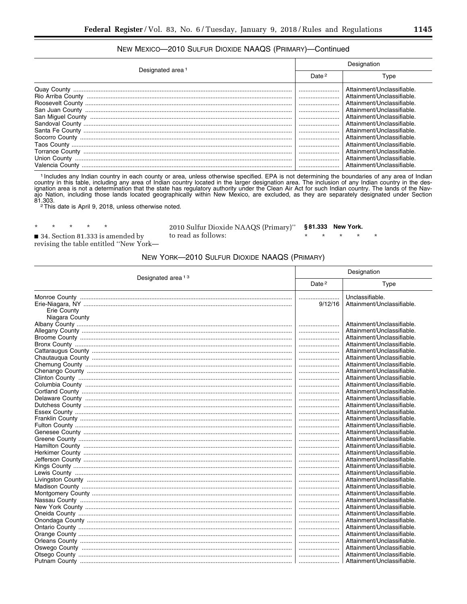## NEW MEXICO-2010 SULFUR DIOXIDE NAAQS (PRIMARY)-Continued

|                              | Designation |                                                                                                                                                    |  |
|------------------------------|-------------|----------------------------------------------------------------------------------------------------------------------------------------------------|--|
| Designated area <sup>1</sup> |             | Type                                                                                                                                               |  |
|                              | <br>        | Attainment/Unclassifiable.<br>Attainment/Unclassifiable.<br>Attainment/Unclassifiable<br>Attainment/Unclassifiable.                                |  |
|                              |             | Attainment/Unclassifiable.<br>Attainment/Unclassifiable.<br>Attainment/Unclassifiable.                                                             |  |
|                              |             | Attainment/Unclassifiable.<br>Attainment/Unclassifiable.<br>Attainment/Unclassifiable.<br>Attainment/Unclassifiable.<br>Attainment/Unclassifiable. |  |

<sup>1</sup> Includes any Indian country in each county or area, unless otherwise specified. EPA is not determining the boundaries of any area of Indian country in this table, including any area of Indian country located in the larger designation area. The inclusion of any Indian country in the designation area is not a determination that the state has regulatory authority ajo Nation, including those lands located geographically within New Mexico, are excluded, as they are separately designated under Section 81.303.<br><sup>2</sup>This date is April 9, 2018, unless otherwise noted.

 $\star$  $\star$ 34. Section 81.333 is amended by revising the table entitled "New York-

 $\star$ 

2010 Sulfur Dioxide NAAQS (Primary)" to read as follows:

§81.333 New York.  $\star$  $\star$ 

## NEW YORK-2010 SULFUR DIOXIDE NAAQS (PRIMARY)

|                               |                   | Designation                                   |  |
|-------------------------------|-------------------|-----------------------------------------------|--|
| Designated area <sup>13</sup> | Date <sup>2</sup> | Type                                          |  |
| Erie County<br>Niagara County | <br>9/12/16       | Unclassifiable.<br>Attainment/Unclassifiable. |  |
|                               |                   | Attainment/Unclassifiable.                    |  |
|                               |                   | Attainment/Unclassifiable.                    |  |
|                               |                   | Attainment/Unclassifiable.                    |  |
|                               |                   | Attainment/Unclassifiable.                    |  |
|                               |                   | Attainment/Unclassifiable.                    |  |
|                               |                   | Attainment/Unclassifiable.                    |  |
|                               |                   | Attainment/Unclassifiable.                    |  |
|                               |                   | Attainment/Unclassifiable.                    |  |
|                               |                   | Attainment/Unclassifiable.                    |  |
|                               |                   | Attainment/Unclassifiable.                    |  |
|                               |                   | Attainment/Unclassifiable.                    |  |
|                               |                   | Attainment/Unclassifiable.                    |  |
|                               |                   | Attainment/Unclassifiable.                    |  |
|                               |                   | Attainment/Unclassifiable.                    |  |
|                               |                   | Attainment/Unclassifiable.                    |  |
|                               |                   | Attainment/Unclassifiable.                    |  |
|                               |                   | Attainment/Unclassifiable.                    |  |
|                               |                   | Attainment/Unclassifiable.                    |  |
|                               |                   | Attainment/Unclassifiable.                    |  |
|                               |                   | Attainment/Unclassifiable.                    |  |
|                               |                   | Attainment/Unclassifiable.                    |  |
|                               |                   | Attainment/Unclassifiable.                    |  |
|                               |                   | Attainment/Unclassifiable.                    |  |
|                               |                   | Attainment/Unclassifiable.                    |  |
|                               |                   | Attainment/Unclassifiable.                    |  |
|                               |                   | Attainment/Unclassifiable.                    |  |
|                               |                   | Attainment/Unclassifiable.                    |  |
|                               |                   | Attainment/Unclassifiable.                    |  |
|                               |                   | Attainment/Unclassifiable.                    |  |
|                               |                   | Attainment/Unclassifiable.                    |  |
|                               |                   | Attainment/Unclassifiable.                    |  |
|                               |                   | Attainment/Unclassifiable.                    |  |
|                               |                   | Attainment/Unclassifiable.                    |  |
|                               |                   | Attainment/Unclassifiable.                    |  |
|                               |                   | Attainment/Unclassifiable.                    |  |
|                               |                   | Attainment/Unclassifiable.                    |  |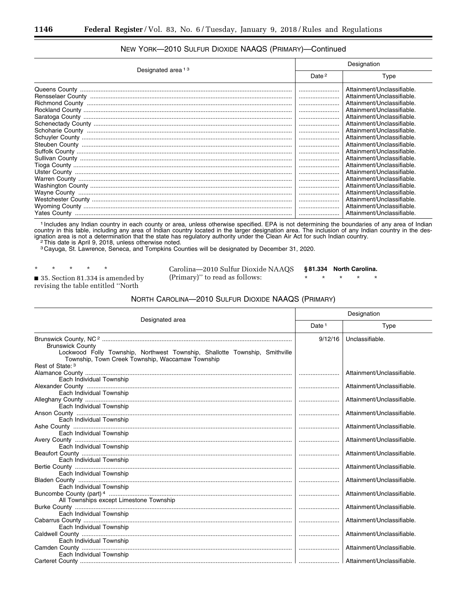# NEW YORK—2010 SULFUR DIOXIDE NAAQS (PRIMARY)—Continued

| Designated area <sup>13</sup> | Designation       |                                                          |  |
|-------------------------------|-------------------|----------------------------------------------------------|--|
|                               | Date <sup>2</sup> | Type                                                     |  |
|                               |                   | Attainment/Unclassifiable.<br>Attainment/Unclassifiable. |  |
|                               |                   | Attainment/Unclassifiable.<br>Attainment/Unclassifiable. |  |
|                               |                   | Attainment/Unclassifiable.                               |  |
|                               |                   | Attainment/Unclassifiable.<br>Attainment/Unclassifiable. |  |
|                               |                   | Attainment/Unclassifiable.<br>Attainment/Unclassifiable. |  |
|                               |                   | Attainment/Unclassifiable.<br>Attainment/Unclassifiable. |  |
|                               |                   | Attainment/Unclassifiable.<br>Attainment/Unclassifiable. |  |
|                               |                   | Attainment/Unclassifiable.<br>Attainment/Unclassifiable. |  |
|                               |                   | Attainment/Unclassifiable.                               |  |
|                               |                   | Attainment/Unclassifiable.<br>Attainment/Unclassifiable. |  |
|                               |                   | Attainment/Unclassifiable.                               |  |

1 Includes any Indian country in each county or area, unless otherwise specified. EPA is not determining the boundaries of any area of Indian country in this table, including any area of Indian country located in the larger designation area. The inclusion of any Indian country in the designation area is not a determination that the state has regulatory authority under the Clean Air Act for such Indian country.<br><sup>2</sup>This date is April 9, 2018, unless otherwise noted.

3 Cayuga, St. Lawrence, Seneca, and Tompkins Counties will be designated by December 31, 2020.

■ 35. Section 81.334 is amended by revising the table entitled ''North

Carolina—2010 Sulfur Dioxide NAAQS (Primary)'' to read as follows:

**§ 81.334 North Carolina.** 

\* \* \* \* \*

#### NORTH CAROLINA—2010 SULFUR DIOXIDE NAAQS (PRIMARY)

| Designated area                                                                                                                 | Designation       |                            |
|---------------------------------------------------------------------------------------------------------------------------------|-------------------|----------------------------|
|                                                                                                                                 | Date <sup>1</sup> | Type                       |
|                                                                                                                                 | 9/12/16           | Unclassifiable.            |
| <b>Brunswick County</b>                                                                                                         |                   |                            |
| Lockwood Folly Township, Northwest Township, Shallotte Township, Smithville<br>Township, Town Creek Township, Waccamaw Township |                   |                            |
| Rest of State: 3                                                                                                                |                   |                            |
|                                                                                                                                 |                   | Attainment/Unclassifiable. |
| Each Individual Township                                                                                                        |                   |                            |
|                                                                                                                                 |                   | Attainment/Unclassifiable. |
| Each Individual Township                                                                                                        |                   |                            |
|                                                                                                                                 |                   | Attainment/Unclassifiable. |
| Each Individual Township                                                                                                        |                   | Attainment/Unclassifiable. |
| Each Individual Township                                                                                                        |                   |                            |
|                                                                                                                                 |                   | Attainment/Unclassifiable. |
| Each Individual Township                                                                                                        |                   |                            |
|                                                                                                                                 |                   | Attainment/Unclassifiable. |
| Each Individual Township                                                                                                        |                   |                            |
|                                                                                                                                 |                   | Attainment/Unclassifiable. |
| Each Individual Township                                                                                                        |                   |                            |
|                                                                                                                                 |                   | Attainment/Unclassifiable. |
| Each Individual Township                                                                                                        |                   |                            |
| Each Individual Township                                                                                                        |                   | Attainment/Unclassifiable. |
|                                                                                                                                 |                   | Attainment/Unclassifiable. |
| All Townships except Limestone Township                                                                                         |                   |                            |
|                                                                                                                                 |                   | Attainment/Unclassifiable. |
| Each Individual Township                                                                                                        |                   |                            |
|                                                                                                                                 |                   | Attainment/Unclassifiable. |
| Each Individual Township                                                                                                        |                   |                            |
|                                                                                                                                 |                   | Attainment/Unclassifiable. |
| Each Individual Township                                                                                                        |                   |                            |
|                                                                                                                                 |                   | Attainment/Unclassifiable. |
| Each Individual Township                                                                                                        |                   |                            |
|                                                                                                                                 |                   |                            |

<sup>\* \* \* \* \*</sup>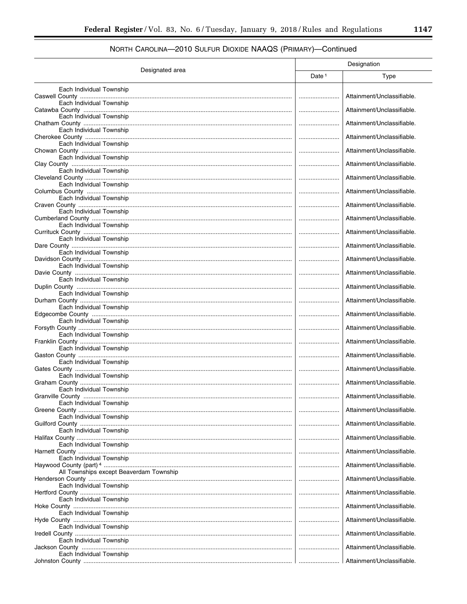# NORTH CAROLINA—2010 SULFUR DIOXIDE NAAQS (PRIMARY)—Continued

|                                           |                   | Designation                |
|-------------------------------------------|-------------------|----------------------------|
| Designated area                           | Date <sup>1</sup> | Type                       |
| Each Individual Township                  |                   | Attainment/Unclassifiable. |
| Each Individual Township                  |                   | Attainment/Unclassifiable. |
| Each Individual Township                  |                   | Attainment/Unclassifiable. |
| Each Individual Township                  |                   | Attainment/Unclassifiable. |
| Each Individual Township                  |                   |                            |
| Each Individual Township                  |                   | Attainment/Unclassifiable. |
| Each Individual Township                  |                   | Attainment/Unclassifiable. |
| Each Individual Township                  |                   | Attainment/Unclassifiable. |
| Each Individual Township                  |                   | Attainment/Unclassifiable. |
|                                           |                   | Attainment/Unclassifiable. |
| Each Individual Township                  |                   | Attainment/Unclassifiable. |
| Each Individual Township                  |                   | Attainment/Unclassifiable. |
| Each Individual Township                  |                   | Attainment/Unclassifiable. |
| Each Individual Township                  |                   | Attainment/Unclassifiable. |
| Each Individual Township                  |                   |                            |
| Each Individual Township                  |                   | Attainment/Unclassifiable. |
| Each Individual Township                  |                   | Attainment/Unclassifiable. |
| Each Individual Township                  |                   | Attainment/Unclassifiable. |
|                                           |                   | Attainment/Unclassifiable. |
| Each Individual Township                  |                   | Attainment/Unclassifiable. |
| Each Individual Township                  |                   | Attainment/Unclassifiable. |
| Each Individual Township                  |                   | Attainment/Unclassifiable. |
| Each Individual Township                  |                   |                            |
| Each Individual Township                  |                   | Attainment/Unclassifiable. |
| Graham County<br>Each Individual Township |                   | Attainment/Unclassifiable. |
| Each Individual Township                  |                   | Attainment/Unclassifiable. |
|                                           |                   | Attainment/Unclassifiable. |
| Each Individual Township                  |                   | Attainment/Unclassifiable. |
| Each Individual Township                  |                   | Attainment/Unclassifiable. |
| Each Individual Township                  |                   | Attainment/Unclassifiable. |
| Each Individual Township                  |                   | Attainment/Unclassifiable. |
| All Townships except Beaverdam Township   |                   |                            |
| Each Individual Township                  |                   | Attainment/Unclassifiable. |
| Each Individual Township                  |                   | Attainment/Unclassifiable. |
| Each Individual Township                  |                   | Attainment/Unclassifiable. |
| Each Individual Township                  |                   | Attainment/Unclassifiable. |
|                                           |                   | Attainment/Unclassifiable. |
| Each Individual Township                  |                   | Attainment/Unclassifiable. |
| Each Individual Township                  |                   | Attainment/Unclassifiable. |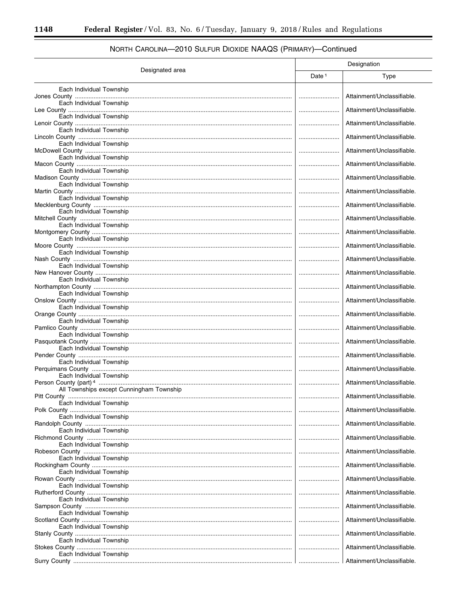$\equiv$ 

|                                                      | Designation       |                            |
|------------------------------------------------------|-------------------|----------------------------|
| Designated area                                      | Date <sup>1</sup> | Type                       |
| Each Individual Township                             |                   | Attainment/Unclassifiable. |
| Each Individual Township                             |                   | Attainment/Unclassifiable. |
| Each Individual Township                             |                   | Attainment/Unclassifiable. |
| Each Individual Township                             |                   | Attainment/Unclassifiable. |
| Each Individual Township                             |                   | Attainment/Unclassifiable. |
| Each Individual Township<br>Each Individual Township |                   | Attainment/Unclassifiable. |
| Each Individual Township                             |                   | Attainment/Unclassifiable. |
| Each Individual Township                             |                   | Attainment/Unclassifiable. |
| Each Individual Township                             |                   | Attainment/Unclassifiable. |
| Each Individual Township                             |                   | Attainment/Unclassifiable. |
| Each Individual Township                             |                   | Attainment/Unclassifiable. |
| Each Individual Township                             |                   | Attainment/Unclassifiable. |
| Each Individual Township                             |                   | Attainment/Unclassifiable. |
| Each Individual Township                             |                   | Attainment/Unclassifiable. |
| Each Individual Township                             |                   | Attainment/Unclassifiable. |
| Each Individual Township                             |                   | Attainment/Unclassifiable. |
| Each Individual Township                             |                   | Attainment/Unclassifiable. |
| Each Individual Township                             |                   | Attainment/Unclassifiable. |
| Each Individual Township                             |                   | Attainment/Unclassifiable. |
| Each Individual Township                             |                   | Attainment/Unclassifiable. |
| Each Individual Township                             |                   | Attainment/Unclassifiable. |
| All Townships except Cunningham Township             |                   | Attainment/Unclassifiable. |
| Pitt County<br><br>Each Individual Township          |                   | Attainment/Unclassifiable. |
| Each Individual Township                             |                   | Attainment/Unclassifiable. |
| Each Individual Township                             |                   | Attainment/Unclassifiable. |
| Each Individual Township                             |                   | Attainment/Unclassifiable. |
| Each Individual Township                             |                   | Attainment/Unclassifiable. |
| Each Individual Township                             |                   | Attainment/Unclassifiable. |
|                                                      |                   | Attainment/Unclassifiable. |
| Each Individual Township                             |                   | Attainment/Unclassifiable. |
| Each Individual Township                             |                   | Attainment/Unclassifiable. |
| Each Individual Township                             |                   | Attainment/Unclassifiable. |
| Each Individual Township                             |                   | Attainment/Unclassifiable. |
| Each Individual Township                             |                   | Attainment/Unclassifiable. |
| Each Individual Township                             |                   | Attainment/Unclassifiable. |

# NORTH CAROLINA—2010 SULFUR DIOXIDE NAAQS (PRIMARY)—Continued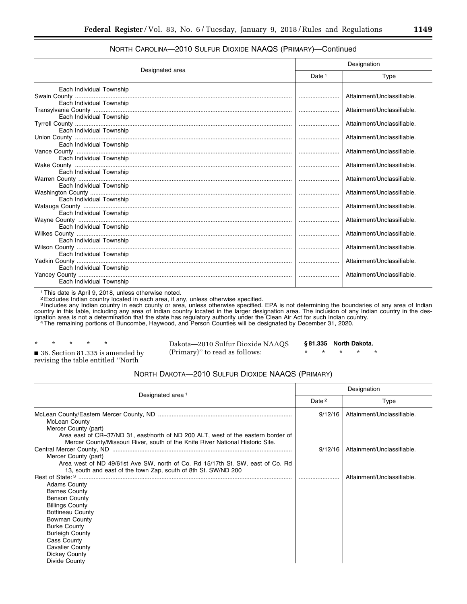## NORTH CAROLINA—2010 SULFUR DIOXIDE NAAQS (PRIMARY)—Continued

| Designated area          | Designation       |                            |
|--------------------------|-------------------|----------------------------|
|                          | Date <sup>1</sup> | Type                       |
| Each Individual Township |                   |                            |
|                          |                   | Attainment/Unclassifiable. |
| Each Individual Township |                   | Attainment/Unclassifiable. |
| Each Individual Township |                   |                            |
|                          |                   | Attainment/Unclassifiable. |
| Each Individual Township |                   |                            |
|                          |                   | Attainment/Unclassifiable. |
| Each Individual Township |                   | Attainment/Unclassifiable. |
| Each Individual Township |                   |                            |
|                          |                   | Attainment/Unclassifiable. |
| Each Individual Township |                   |                            |
|                          |                   | Attainment/Unclassifiable. |
| Each Individual Township |                   | Attainment/Unclassifiable. |
| Each Individual Township |                   |                            |
|                          |                   | Attainment/Unclassifiable. |
| Each Individual Township |                   |                            |
|                          |                   | Attainment/Unclassifiable. |
| Each Individual Township |                   | Attainment/Unclassifiable. |
| Each Individual Township |                   |                            |
|                          |                   | Attainment/Unclassifiable. |
| Each Individual Township |                   |                            |
|                          |                   | Attainment/Unclassifiable. |
| Each Individual Township |                   |                            |
| Each Individual Township |                   | Attainment/Unclassifiable. |
|                          |                   |                            |

1This date is April 9, 2018, unless otherwise noted.

2Excludes Indian country located in each area, if any, unless otherwise specified.

<sup>3</sup> Includes any Indian country in each county or area, unless otherwise specified. EPA is not determining the boundaries of any area of Indian country in this table, including any area of Indian country located in the larger designation area. The inclusion of any Indian country in the designation area is not a determination that the state has regulatory authority under the Clean Air Act for such Indian country.<br>The remaining portions of Buncombe, Haywood, and Person Counties will be designated by December

\* \* \* \* \*

Dakota—2010 Sulfur Dioxide NAAQS (Primary)'' to read as follows:

**§ 81.335 North Dakota.**  \* \* \* \* \*

■ 36. Section 81.335 is amended by revising the table entitled ''North

NORTH DAKOTA—2010 SULFUR DIOXIDE NAAQS (PRIMARY)

| Designated area <sup>1</sup>                                                                                                                                             | Designation       |                            |
|--------------------------------------------------------------------------------------------------------------------------------------------------------------------------|-------------------|----------------------------|
|                                                                                                                                                                          | Date <sup>2</sup> | Type                       |
| McLean County<br>Mercer County (part)                                                                                                                                    | 9/12/16           | Attainment/Unclassifiable. |
| Area east of CR-37/ND 31, east/north of ND 200 ALT, west of the eastern border of<br>Mercer County/Missouri River, south of the Knife River National Historic Site.      | 9/12/16           | Attainment/Unclassifiable. |
| Mercer County (part)<br>Area west of ND 49/61st Ave SW, north of Co. Rd 15/17th St. SW, east of Co. Rd<br>13, south and east of the town Zap, south of 8th St. SW/ND 200 |                   |                            |
| <b>Adams County</b>                                                                                                                                                      |                   | Attainment/Unclassifiable. |
| <b>Barnes County</b><br><b>Benson County</b><br><b>Billings County</b>                                                                                                   |                   |                            |
| <b>Bottineau County</b><br>Bowman County<br><b>Burke County</b>                                                                                                          |                   |                            |
| <b>Burleigh County</b><br>Cass County<br><b>Cavalier County</b><br>Dickey County<br>Divide County                                                                        |                   |                            |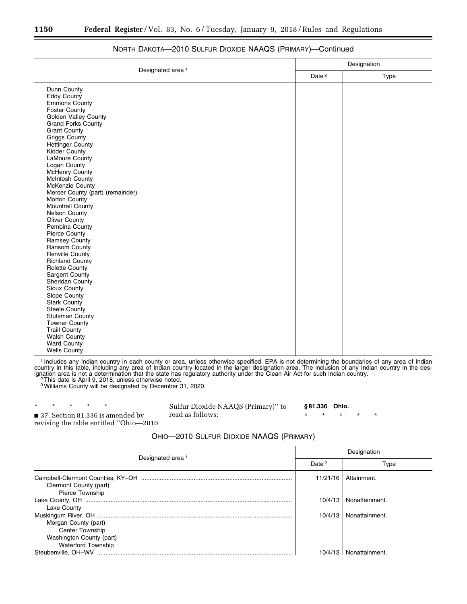|                                  | Designation       |      |
|----------------------------------|-------------------|------|
| Designated area <sup>1</sup>     | Date <sup>2</sup> | Type |
| Dunn County                      |                   |      |
| <b>Eddy County</b>               |                   |      |
| <b>Emmons County</b>             |                   |      |
| <b>Foster County</b>             |                   |      |
| Golden Valley County             |                   |      |
| <b>Grand Forks County</b>        |                   |      |
| <b>Grant County</b>              |                   |      |
| <b>Griggs County</b>             |                   |      |
| <b>Hettinger County</b>          |                   |      |
| <b>Kidder County</b>             |                   |      |
| LaMoure County                   |                   |      |
| Logan County                     |                   |      |
| McHenry County                   |                   |      |
| <b>McIntosh County</b>           |                   |      |
| McKenzie County                  |                   |      |
| Mercer County (part) (remainder) |                   |      |
| Morton County                    |                   |      |
| Mountrail County                 |                   |      |
| <b>Nelson County</b>             |                   |      |
| Oliver County                    |                   |      |
| Pembina County                   |                   |      |
| <b>Pierce County</b>             |                   |      |
| <b>Ramsey County</b>             |                   |      |
| Ransom County                    |                   |      |
| <b>Renville County</b>           |                   |      |
| <b>Richland County</b>           |                   |      |
| <b>Rolette County</b>            |                   |      |
| <b>Sargent County</b>            |                   |      |
| Sheridan County                  |                   |      |
| Sioux County                     |                   |      |
| Slope County                     |                   |      |
| <b>Stark County</b>              |                   |      |
| Steele County                    |                   |      |
| <b>Stutsman County</b>           |                   |      |
| <b>Towner County</b>             |                   |      |
| <b>Traill County</b>             |                   |      |
| <b>Walsh County</b>              |                   |      |
| <b>Ward County</b>               |                   |      |
| <b>Wells County</b>              |                   |      |

## NORTH DAKOTA—2010 SULFUR DIOXIDE NAAQS (PRIMARY)—Continued

1 Includes any Indian country in each county or area, unless otherwise specified. EPA is not determining the boundaries of any area of Indian country in this table, including any area of Indian country located in the larger designation area. The inclusion of any Indian country in the designation area is not a determination that the state has regulatory authority under the Clean Air Act for such Indian country.<br><sup>2</sup>This date is April 9, 2018, unless otherwise noted.

3Williams County will be designated by December 31, 2020.

\* \* \* \* \* ■ 37. Section 81.336 is amended by revising the table entitled ''Ohio—2010

Sulfur Dioxide NAAQS (Primary)'' to read as follows:

**§ 81.336 Ohio.** 

\* \* \* \* \*

#### OHIO—2010 SULFUR DIOXIDE NAAQS (PRIMARY)

| Designated area <sup>1</sup>                                                                            | Designation |                |
|---------------------------------------------------------------------------------------------------------|-------------|----------------|
|                                                                                                         | Date $2$    | Type           |
| Clermont County (part)<br>Pierce Township                                                               | 11/21/16    | Attainment.    |
| Lake County                                                                                             | 10/4/13     | Nonattainment. |
| Morgan County (part)<br><b>Center Township</b><br>Washington County (part)<br><b>Waterford Township</b> | 10/4/13     | Nonattainment. |
| Steubenville, OH-WV                                                                                     |             | Nonattainment. |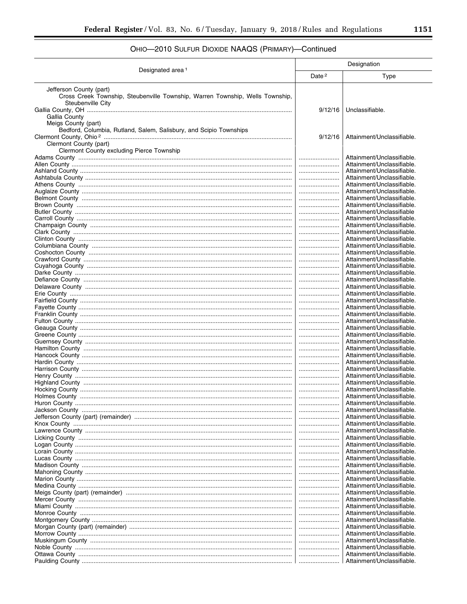# OHIO-2010 SULFUR DIOXIDE NAAQS (PRIMARY)-Continued

|                                                                                                                               | Designation       |                                                          |
|-------------------------------------------------------------------------------------------------------------------------------|-------------------|----------------------------------------------------------|
| Designated area <sup>1</sup>                                                                                                  | Date <sup>2</sup> | Type                                                     |
| Jefferson County (part)<br>Cross Creek Township, Steubenville Township, Warren Township, Wells Township,<br>Steubenville City |                   |                                                          |
| Gallia County<br>Meigs County (part)                                                                                          | 9/12/16           | Unclassifiable.                                          |
| Bedford, Columbia, Rutland, Salem, Salisbury, and Scipio Townships<br>Clermont County (part)                                  | 9/12/16           | Attainment/Unclassifiable.                               |
| Clermont County excluding Pierce Township                                                                                     |                   | Attainment/Unclassifiable.<br>Attainment/Unclassifiable. |
|                                                                                                                               |                   | Attainment/Unclassifiable.                               |
|                                                                                                                               |                   | Attainment/Unclassifiable.<br>Attainment/Unclassifiable. |
|                                                                                                                               | <br>              | Attainment/Unclassifiable.                               |
|                                                                                                                               |                   | Attainment/Unclassifiable.                               |
|                                                                                                                               |                   | Attainment/Unclassifiable.                               |
|                                                                                                                               |                   | Attainment/Unclassifiable<br>Attainment/Unclassifiable.  |
|                                                                                                                               |                   | Attainment/Unclassifiable.                               |
|                                                                                                                               |                   | Attainment/Unclassifiable.                               |
|                                                                                                                               | <br>              | Attainment/Unclassifiable.<br>Attainment/Unclassifiable. |
|                                                                                                                               |                   | Attainment/Unclassifiable.                               |
|                                                                                                                               |                   | Attainment/Unclassifiable.                               |
|                                                                                                                               | <br>              | Attainment/Unclassifiable.<br>Attainment/Unclassifiable. |
|                                                                                                                               |                   | Attainment/Unclassifiable.                               |
|                                                                                                                               |                   | Attainment/Unclassifiable.                               |
|                                                                                                                               |                   | Attainment/Unclassifiable.<br>Attainment/Unclassifiable. |
|                                                                                                                               | <br>              | Attainment/Unclassifiable.                               |
|                                                                                                                               |                   | Attainment/Unclassifiable.                               |
|                                                                                                                               |                   | Attainment/Unclassifiable.<br>Attainment/Unclassifiable. |
|                                                                                                                               | <br>              | Attainment/Unclassifiable.                               |
|                                                                                                                               |                   | Attainment/Unclassifiable.                               |
|                                                                                                                               |                   | Attainment/Unclassifiable.                               |
|                                                                                                                               | <br>              | Attainment/Unclassifiable.<br>Attainment/Unclassifiable. |
|                                                                                                                               |                   | Attainment/Unclassifiable.                               |
|                                                                                                                               |                   | Attainment/Unclassifiable.                               |
|                                                                                                                               |                   | Attainment/Unclassifiable.<br>Attainment/Unclassifiable. |
|                                                                                                                               |                   | Attainment/Unclassifiable.                               |
|                                                                                                                               |                   | Attainment/Unclassifiable.                               |
| Jefferson County (part) (remainder) ……………………………………………………………………………………                                                          | <br>              | Attainment/Unclassifiable.<br>Attainment/Unclassifiable. |
|                                                                                                                               |                   | Attainment/Unclassifiable.                               |
|                                                                                                                               |                   | Attainment/Unclassifiable.                               |
|                                                                                                                               |                   | Attainment/Unclassifiable.<br>Attainment/Unclassifiable. |
|                                                                                                                               |                   | Attainment/Unclassifiable.                               |
|                                                                                                                               |                   | Attainment/Unclassifiable.                               |
|                                                                                                                               |                   | Attainment/Unclassifiable.<br>Attainment/Unclassifiable. |
|                                                                                                                               |                   | Attainment/Unclassifiable.                               |
|                                                                                                                               |                   | Attainment/Unclassifiable.                               |
|                                                                                                                               |                   | Attainment/Unclassifiable.                               |
|                                                                                                                               | <br>              | Attainment/Unclassifiable.<br>Attainment/Unclassifiable. |
|                                                                                                                               |                   | Attainment/Unclassifiable.                               |
|                                                                                                                               |                   | Attainment/Unclassifiable.                               |
|                                                                                                                               | <br>              | Attainment/Unclassifiable.<br>Attainment/Unclassifiable. |
|                                                                                                                               |                   | Attainment/Unclassifiable.                               |
|                                                                                                                               |                   | Attainment/Unclassifiable.                               |
|                                                                                                                               |                   | Attainment/Unclassifiable.<br>Attainment/Unclassifiable. |
|                                                                                                                               |                   |                                                          |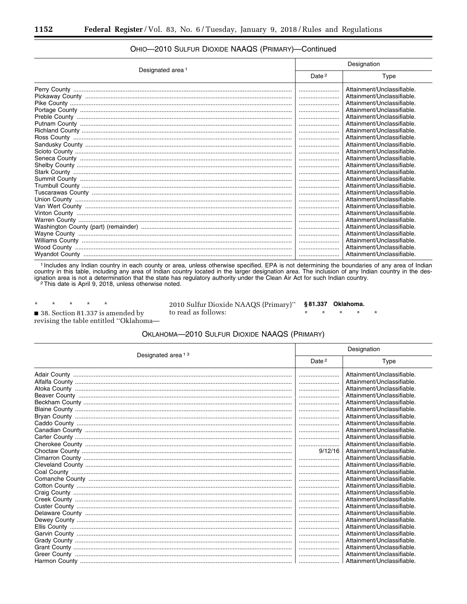| Designated area <sup>1</sup> | Designation       |                            |
|------------------------------|-------------------|----------------------------|
|                              | Date <sup>2</sup> | Type                       |
|                              |                   | Attainment/Unclassifiable. |
|                              |                   | Attainment/Unclassifiable. |
|                              |                   | Attainment/Unclassifiable. |
|                              |                   | Attainment/Unclassifiable. |
|                              |                   | Attainment/Unclassifiable. |
|                              |                   | Attainment/Unclassifiable. |
|                              |                   | Attainment/Unclassifiable. |
|                              |                   | Attainment/Unclassifiable. |
|                              |                   | Attainment/Unclassifiable. |
|                              |                   | Attainment/Unclassifiable. |
|                              |                   | Attainment/Unclassifiable. |
|                              |                   | Attainment/Unclassifiable. |
|                              |                   | Attainment/Unclassifiable. |
|                              |                   | Attainment/Unclassifiable. |
|                              |                   | Attainment/Unclassifiable. |
|                              |                   | Attainment/Unclassifiable. |
|                              |                   | Attainment/Unclassifiable. |
|                              |                   | Attainment/Unclassifiable. |
|                              |                   | Attainment/Unclassifiable. |
|                              |                   | Attainment/Unclassifiable. |
|                              |                   | Attainment/Unclassifiable. |
|                              |                   | Attainment/Unclassifiable. |
|                              |                   | Attainment/Unclassifiable. |
|                              |                   | Attainment/Unclassifiable. |
|                              |                   | Attainment/Unclassifiable. |

## OHIO-2010 SULFUR DIOXIDE NAAQS (PRIMARY)-Continued

1 Includes any Indian country in each county or area, unless otherwise specified. EPA is not determining the boundaries of any area of Indian country in this table, including any area of Indian country located in the larger designation area. The inclusion of any Indian country in the designation area is not a determination that the state has regulatory authority

 $\star$  $\star$  $\star$  $\star$  $\ast$ 38. Section 81.337 is amended by revising the table entitled "Oklahoma-

2010 Sulfur Dioxide NAAQS (Primary)" §81.337 Oklahoma. to read as follows:  $\star$ ×

#### OKLAHOMA-2010 SULFUR DIOXIDE NAAQS (PRIMARY)

| Designated area <sup>13</sup> | Designation       |                            |
|-------------------------------|-------------------|----------------------------|
|                               | Date <sup>2</sup> | Type                       |
|                               |                   | Attainment/Unclassifiable. |
|                               |                   | Attainment/Unclassifiable. |
|                               |                   | Attainment/Unclassifiable. |
|                               |                   | Attainment/Unclassifiable. |
|                               |                   | Attainment/Unclassifiable. |
|                               |                   | Attainment/Unclassifiable. |
|                               |                   | Attainment/Unclassifiable. |
|                               |                   | Attainment/Unclassifiable. |
|                               |                   | Attainment/Unclassifiable. |
|                               |                   | Attainment/Unclassifiable. |
|                               |                   | Attainment/Unclassifiable. |
|                               | 9/12/16           | Attainment/Unclassifiable. |
|                               |                   | Attainment/Unclassifiable. |
|                               |                   | Attainment/Unclassifiable. |
|                               |                   | Attainment/Unclassifiable. |
|                               |                   | Attainment/Unclassifiable. |
|                               |                   | Attainment/Unclassifiable. |
|                               |                   | Attainment/Unclassifiable. |
|                               |                   | Attainment/Unclassifiable. |
|                               |                   | Attainment/Unclassifiable. |
|                               |                   | Attainment/Unclassifiable. |
|                               |                   | Attainment/Unclassifiable. |
|                               |                   | Attainment/Unclassifiable. |
|                               |                   | Attainment/Unclassifiable. |
|                               |                   | Attainment/Unclassifiable. |
|                               |                   | Attainment/Unclassifiable. |
|                               |                   | Attainment/Unclassifiable. |
|                               |                   | Attainment/Unclassifiable. |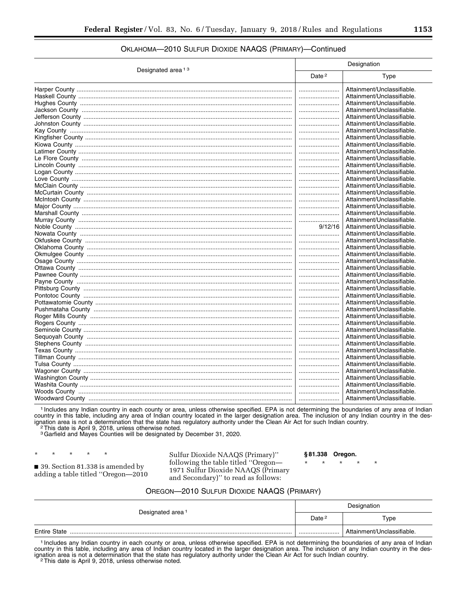#### OKLAHOMA—2010 SULFUR DIOXIDE NAAQS (PRIMARY)—Continued

| Designated area <sup>13</sup> | Designation       |                                                          |
|-------------------------------|-------------------|----------------------------------------------------------|
|                               | Date <sup>2</sup> | Type                                                     |
|                               |                   | Attainment/Unclassifiable.<br>Attainment/Unclassifiable. |
|                               |                   | Attainment/Unclassifiable.                               |
|                               |                   | Attainment/Unclassifiable.                               |
|                               |                   | Attainment/Unclassifiable.                               |
|                               |                   | Attainment/Unclassifiable.                               |
|                               |                   | Attainment/Unclassifiable.                               |
|                               |                   | Attainment/Unclassifiable.                               |
|                               |                   |                                                          |
|                               |                   | Attainment/Unclassifiable.                               |
|                               |                   | Attainment/Unclassifiable.                               |
|                               |                   | Attainment/Unclassifiable.                               |
|                               |                   | Attainment/Unclassifiable.                               |
|                               |                   | Attainment/Unclassifiable.                               |
|                               |                   | Attainment/Unclassifiable.                               |
|                               |                   | Attainment/Unclassifiable.                               |
|                               |                   | Attainment/Unclassifiable.                               |
|                               |                   | Attainment/Unclassifiable.                               |
|                               |                   | Attainment/Unclassifiable.                               |
|                               |                   | Attainment/Unclassifiable.                               |
|                               |                   | Attainment/Unclassifiable.                               |
|                               | 9/12/16           | Attainment/Unclassifiable.                               |
|                               |                   | Attainment/Unclassifiable.                               |
|                               |                   | Attainment/Unclassifiable.                               |
|                               |                   | Attainment/Unclassifiable.                               |
|                               |                   | Attainment/Unclassifiable.                               |
|                               |                   | Attainment/Unclassifiable.                               |
|                               |                   | Attainment/Unclassifiable.                               |
|                               |                   | Attainment/Unclassifiable.                               |
|                               |                   | Attainment/Unclassifiable.                               |
|                               |                   | Attainment/Unclassifiable.                               |
|                               |                   | Attainment/Unclassifiable.                               |
|                               |                   | Attainment/Unclassifiable.                               |
|                               |                   | Attainment/Unclassifiable.                               |
|                               |                   | Attainment/Unclassifiable.                               |
|                               |                   | Attainment/Unclassifiable.                               |
|                               |                   | Attainment/Unclassifiable.                               |
|                               |                   | Attainment/Unclassifiable.                               |
|                               |                   | Attainment/Unclassifiable.                               |
|                               |                   | Attainment/Unclassifiable.                               |
|                               |                   | Attainment/Unclassifiable.                               |
|                               |                   | Attainment/Unclassifiable.                               |
|                               |                   | Attainment/Unclassifiable.                               |
|                               |                   | Attainment/Unclassifiable.                               |
|                               |                   | Attainment/Unclassifiable.                               |
|                               |                   | Attainment/Unclassifiable.                               |
|                               |                   | Attainment/Unclassifiable.                               |

1 Includes any Indian country in each county or area, unless otherwise specified. EPA is not determining the boundaries of any area of Indian country in this table, including any area of Indian country located in the larger designation area. The inclusion of any Indian country in the designation area is not a determination that the state has regulatory authority under the Clean Air Act for such Indian country.<br><sup>2</sup>This date is April 9, 2018, unless otherwise noted.

3Garfield and Mayes Counties will be designated by December 31, 2020.

\* \* \* \* \* ■ 39. Section 81.338 is amended by adding a table titled ''Oregon—2010

Sulfur Dioxide NAAQS (Primary)'' following the table titled ''Oregon— 1971 Sulfur Dioxide NAAQS (Primary and Secondary)'' to read as follows:

#### **§ 81.338 Oregon.**

\* \* \* \* \*

#### OREGON—2010 SULFUR DIOXIDE NAAQS (PRIMARY)

| Designated area <sup>1</sup> | Designation       |                            |
|------------------------------|-------------------|----------------------------|
|                              | Date <sup>2</sup> | Type                       |
| <b>Entire State</b>          |                   | Attainment/Unclassifiable. |

1 Includes any Indian country in each county or area, unless otherwise specified. EPA is not determining the boundaries of any area of Indian country in this table, including any area of Indian country located in the larger designation area. The inclusion of any Indian country in the designation area is not a determination that the state has regulatory authority under the Clean Air Act for such Indian country.<br><sup>2</sup>This date is April 9, 2018, unless otherwise noted.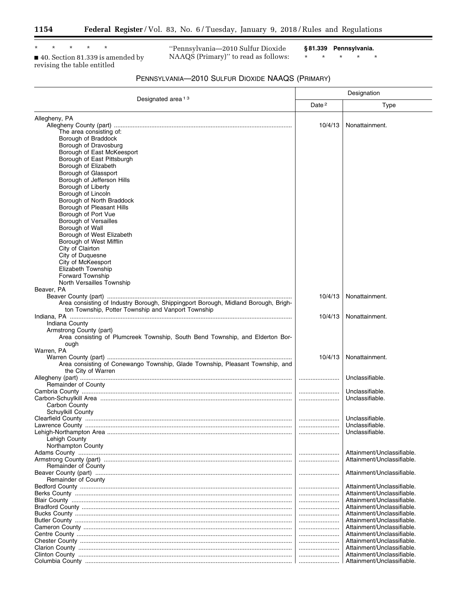۳

\* \* \* \* \*

■ 40. Section 81.339 is amended by revising the table entitled

''Pennsylvania—2010 Sulfur Dioxide NAAQS (Primary)'' to read as follows: **§ 81.339 Pennsylvania.**  \* \* \* \* \* ٦

| PENNSYLVANIA-2010 SULFUR DIOXIDE NAAQS (PRIMARY) |  |
|--------------------------------------------------|--|
|--------------------------------------------------|--|

|                                                                                                                                                                                   | Designation       |                                                                                                                                                    |
|-----------------------------------------------------------------------------------------------------------------------------------------------------------------------------------|-------------------|----------------------------------------------------------------------------------------------------------------------------------------------------|
| Designated area <sup>13</sup>                                                                                                                                                     | Date <sup>2</sup> | Type                                                                                                                                               |
| Allegheny, PA<br>The area consisting of:<br>Borough of Braddock<br>Borough of Dravosburg<br>Borough of East McKeesport                                                            | 10/4/13           | Nonattainment.                                                                                                                                     |
| Borough of East Pittsburgh<br>Borough of Elizabeth<br>Borough of Glassport<br>Borough of Jefferson Hills<br>Borough of Liberty<br>Borough of Lincoln<br>Borough of North Braddock |                   |                                                                                                                                                    |
| Borough of Pleasant Hills<br>Borough of Port Vue<br><b>Borough of Versailles</b><br>Borough of Wall<br>Borough of West Elizabeth<br>Borough of West Mifflin                       |                   |                                                                                                                                                    |
| City of Clairton<br>City of Duquesne<br>City of McKeesport<br>Elizabeth Township<br><b>Forward Township</b><br>North Versailles Township                                          |                   |                                                                                                                                                    |
| Beaver, PA<br>Area consisting of Industry Borough, Shippingport Borough, Midland Borough, Brigh-<br>ton Township, Potter Township and Vanport Township                            | 10/4/13           | Nonattainment.                                                                                                                                     |
| Indiana County<br>Armstrong County (part)<br>Area consisting of Plumcreek Township, South Bend Township, and Elderton Bor-<br>ough                                                | 10/4/13           | Nonattainment.                                                                                                                                     |
| Warren, PA<br>Area consisting of Conewango Township, Glade Township, Pleasant Township, and<br>the City of Warren                                                                 | 10/4/13           | Nonattainment.                                                                                                                                     |
| Remainder of County                                                                                                                                                               |                   | Unclassifiable.                                                                                                                                    |
| Carbon County<br>Schuylkill County                                                                                                                                                |                   | Unclassifiable.<br>Unclassifiable.                                                                                                                 |
| Lehigh County                                                                                                                                                                     |                   | Unclassifiable.<br>Unclassifiable.<br>Unclassifiable.                                                                                              |
| Northampton County<br>Remainder of County                                                                                                                                         |                   | Attainment/Unclassifiable.<br>Attainment/Unclassifiable.                                                                                           |
| <b>Remainder of County</b>                                                                                                                                                        |                   | Attainment/Unclassifiable.                                                                                                                         |
|                                                                                                                                                                                   |                   | Attainment/Unclassifiable.<br>Attainment/Unclassifiable.<br>Attainment/Unclassifiable.<br>Attainment/Unclassifiable.<br>Attainment/Unclassifiable. |
|                                                                                                                                                                                   | <br>              | Attainment/Unclassifiable.<br>Attainment/Unclassifiable.<br>Attainment/Unclassifiable.<br>Attainment/Unclassifiable.                               |
|                                                                                                                                                                                   | <br>              | Attainment/Unclassifiable.<br>Attainment/Unclassifiable.<br>Attainment/Unclassifiable.                                                             |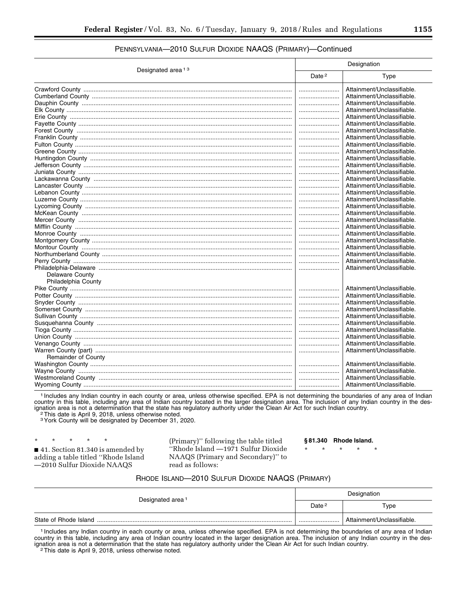## PENNSYLVANIA—2010 SULFUR DIOXIDE NAAQS (PRIMARY)—Continued

| Designated area <sup>13</sup> |  | Designation                |  |
|-------------------------------|--|----------------------------|--|
|                               |  | Type                       |  |
|                               |  | Attainment/Unclassifiable. |  |
|                               |  | Attainment/Unclassifiable. |  |
|                               |  | Attainment/Unclassifiable. |  |
|                               |  | Attainment/Unclassifiable. |  |
|                               |  | Attainment/Unclassifiable. |  |
|                               |  | Attainment/Unclassifiable. |  |
|                               |  | Attainment/Unclassifiable. |  |
|                               |  | Attainment/Unclassifiable. |  |
|                               |  | Attainment/Unclassifiable. |  |
|                               |  | Attainment/Unclassifiable. |  |
|                               |  | Attainment/Unclassifiable. |  |
|                               |  | Attainment/Unclassifiable. |  |
|                               |  | Attainment/Unclassifiable. |  |
|                               |  | Attainment/Unclassifiable. |  |
|                               |  | Attainment/Unclassifiable. |  |
|                               |  | Attainment/Unclassifiable. |  |
|                               |  | Attainment/Unclassifiable. |  |
|                               |  | Attainment/Unclassifiable. |  |
|                               |  | Attainment/Unclassifiable. |  |
|                               |  |                            |  |
|                               |  | Attainment/Unclassifiable. |  |
|                               |  | Attainment/Unclassifiable. |  |
|                               |  | Attainment/Unclassifiable. |  |
|                               |  | Attainment/Unclassifiable. |  |
|                               |  | Attainment/Unclassifiable. |  |
|                               |  | Attainment/Unclassifiable. |  |
|                               |  | Attainment/Unclassifiable. |  |
|                               |  | Attainment/Unclassifiable. |  |
| <b>Delaware County</b>        |  |                            |  |
| Philadelphia County           |  |                            |  |
|                               |  | Attainment/Unclassifiable. |  |
|                               |  | Attainment/Unclassifiable. |  |
|                               |  | Attainment/Unclassifiable. |  |
|                               |  | Attainment/Unclassifiable. |  |
|                               |  | Attainment/Unclassifiable. |  |
|                               |  | Attainment/Unclassifiable. |  |
|                               |  | Attainment/Unclassifiable. |  |
|                               |  | Attainment/Unclassifiable. |  |
|                               |  | Attainment/Unclassifiable. |  |
|                               |  | Attainment/Unclassifiable. |  |
| <b>Remainder of County</b>    |  |                            |  |
|                               |  | Attainment/Unclassifiable. |  |
|                               |  | Attainment/Unclassifiable. |  |
|                               |  | Attainment/Unclassifiable. |  |
|                               |  | Attainment/Unclassifiable. |  |

1 Includes any Indian country in each county or area, unless otherwise specified. EPA is not determining the boundaries of any area of Indian country in this table, including any area of Indian country located in the larger designation area. The inclusion of any Indian country in the designation area is not a determination that the state has regulatory authority under the Clean Air Act for such Indian country. 2This date is April 9, 2018, unless otherwise noted.

3York County will be designated by December 31, 2020.

\* \* \* \* \* ■ 41. Section 81.340 is amended by adding a table titled ''Rhode Island —2010 Sulfur Dioxide NAAQS

(Primary)'' following the table titled ''Rhode Island —1971 Sulfur Dioxide NAAQS (Primary and Secondary)'' to read as follows:

**§ 81.340 Rhode Island.** 

\* \* \* \* \*

#### RHODE ISLAND—2010 SULFUR DIOXIDE NAAQS (PRIMARY)

| Designated area <sup>1</sup> | Designation       |                            |
|------------------------------|-------------------|----------------------------|
|                              | Date <sup>2</sup> | Type                       |
| State of Rhode Island        |                   | Attainment/Unclassifiable. |

1 Includes any Indian country in each county or area, unless otherwise specified. EPA is not determining the boundaries of any area of Indian country in this table, including any area of Indian country located in the larger designation area. The inclusion of any Indian country in the designation area is not a determination that the state has regulatory authority under the Clean Air Act for such Indian country.<br><sup>2</sup>This date is April 9, 2018, unless otherwise noted.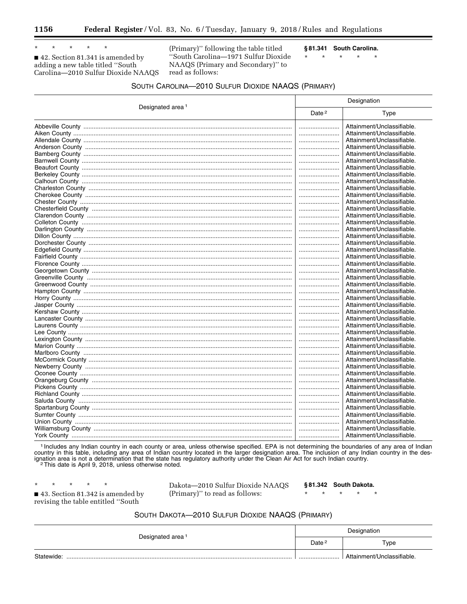$\star$  $\star$  $\star$ 

■ 42. Section 81.341 is amended by adding a new table titled "South Carolina-2010 Sulfur Dioxide NAAQS

(Primary)" following the table titled "South Carolina-1971 Sulfur Dioxide NAAQS (Primary and Secondary)" to read as follows:

§81.341 South Carolina.

 $\star$  $\star$  $\star$  $\star$ 

 $\star$ 

| SOUTH CAROLINA—2010 SULFUR DIOXIDE NAAQS (PRIMARY) |  |  |
|----------------------------------------------------|--|--|
|----------------------------------------------------|--|--|

|                              | Designation       |                            |  |
|------------------------------|-------------------|----------------------------|--|
| Designated area <sup>1</sup> | Date <sup>2</sup> | Type                       |  |
|                              |                   | Attainment/Unclassifiable. |  |
|                              |                   | Attainment/Unclassifiable. |  |
|                              |                   | Attainment/Unclassifiable. |  |
|                              |                   | Attainment/Unclassifiable. |  |
|                              |                   | Attainment/Unclassifiable. |  |
|                              |                   | Attainment/Unclassifiable. |  |
|                              |                   | Attainment/Unclassifiable. |  |
|                              |                   | Attainment/Unclassifiable. |  |
|                              |                   | Attainment/Unclassifiable. |  |
|                              |                   | Attainment/Unclassifiable. |  |
|                              |                   | Attainment/Unclassifiable. |  |
|                              |                   | Attainment/Unclassifiable. |  |
|                              |                   | Attainment/Unclassifiable. |  |
|                              |                   | Attainment/Unclassifiable. |  |
|                              |                   | Attainment/Unclassifiable. |  |
|                              |                   | Attainment/Unclassifiable. |  |
|                              |                   | Attainment/Unclassifiable. |  |
|                              |                   | Attainment/Unclassifiable. |  |
|                              |                   | Attainment/Unclassifiable. |  |
|                              |                   | Attainment/Unclassifiable. |  |
|                              |                   | Attainment/Unclassifiable. |  |
|                              |                   | Attainment/Unclassifiable. |  |
|                              |                   | Attainment/Unclassifiable. |  |
|                              |                   | Attainment/Unclassifiable. |  |
|                              |                   | Attainment/Unclassifiable. |  |
|                              |                   | Attainment/Unclassifiable. |  |
|                              |                   | Attainment/Unclassifiable. |  |
|                              |                   | Attainment/Unclassifiable. |  |
|                              |                   | Attainment/Unclassifiable. |  |
|                              |                   | Attainment/Unclassifiable. |  |
|                              |                   | Attainment/Unclassifiable. |  |
|                              |                   | Attainment/Unclassifiable. |  |
|                              |                   | Attainment/Unclassifiable. |  |
|                              |                   | Attainment/Unclassifiable. |  |
|                              |                   | Attainment/Unclassifiable. |  |
|                              |                   | Attainment/Unclassifiable. |  |
|                              |                   | Attainment/Unclassifiable. |  |
|                              |                   | Attainment/Unclassifiable. |  |
|                              |                   | Attainment/Unclassifiable. |  |
|                              |                   | Attainment/Unclassifiable. |  |
|                              |                   | Attainment/Unclassifiable. |  |
|                              |                   | Attainment/Unclassifiable. |  |
|                              |                   | Attainment/Unclassifiable. |  |
|                              |                   | Attainment/Unclassifiable. |  |
|                              |                   | Attainment/Unclassifiable. |  |
|                              |                   |                            |  |
|                              |                   | Attainment/Unclassifiable. |  |

1 Includes any Indian country in each county or area, unless otherwise specified. EPA is not determining the boundaries of any area of Indian country in this table, including any area of Indian country located in the larger designation area. The inclusion of any Indian country in the designation area is not a determination that the state has regulatory authority under the Clean Air Act for such Indian country. <sup>2</sup>This date is April 9, 2018, unless otherwise noted.

 $\star$ ■ 43. Section 81.342 is amended by revising the table entitled "South"

 $\star$ 

Dakota-2010 Sulfur Dioxide NAAQS (Primary)" to read as follows:

§81.342 South Dakota.

 $\star$ 

 $\star$  $\star$  $\star$ 

## SOUTH DAKOTA-2010 SULFUR DIOXIDE NAAQS (PRIMARY)

| Designated area <sup>1</sup> | Designation       |                            |  |
|------------------------------|-------------------|----------------------------|--|
|                              | Date <sup>2</sup> | Type                       |  |
| Statewide:                   |                   | Attainment/Unclassifiable. |  |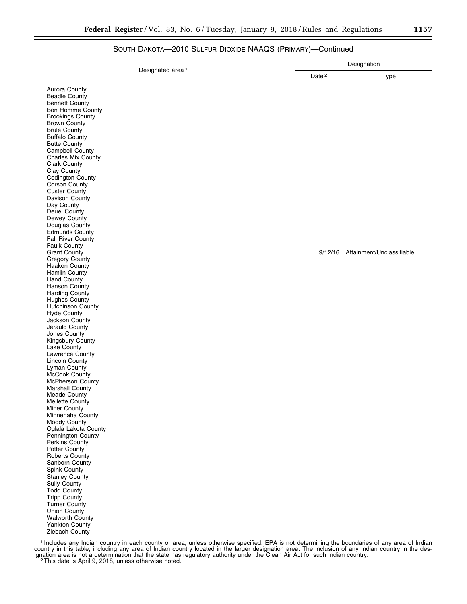## SOUTH DAKOTA—2010 SULFUR DIOXIDE NAAQS (PRIMARY)—Continued

|                                              | Designation |                            |
|----------------------------------------------|-------------|----------------------------|
| Designated area <sup>1</sup>                 |             | Type                       |
| Aurora County                                |             |                            |
| Beadle County                                |             |                            |
| <b>Bennett County</b>                        |             |                            |
| <b>Bon Homme County</b>                      |             |                            |
| <b>Brookings County</b>                      |             |                            |
| <b>Brown County</b>                          |             |                            |
| <b>Brule County</b><br><b>Buffalo County</b> |             |                            |
| <b>Butte County</b>                          |             |                            |
| Campbell County                              |             |                            |
| <b>Charles Mix County</b>                    |             |                            |
| <b>Clark County</b>                          |             |                            |
| Clay County                                  |             |                            |
| Codington County                             |             |                            |
| Corson County                                |             |                            |
| <b>Custer County</b>                         |             |                            |
| Davison County                               |             |                            |
| Day County<br>Deuel County                   |             |                            |
| Dewey County                                 |             |                            |
| Douglas County                               |             |                            |
| <b>Edmunds County</b>                        |             |                            |
| Fall River County                            |             |                            |
| <b>Faulk County</b>                          |             |                            |
|                                              | 9/12/16     | Attainment/Unclassifiable. |
| Gregory County                               |             |                            |
| Haakon County                                |             |                            |
| Hamlin County<br><b>Hand County</b>          |             |                            |
| Hanson County                                |             |                            |
| Harding County                               |             |                            |
| Hughes County                                |             |                            |
| Hutchinson County                            |             |                            |
| <b>Hyde County</b>                           |             |                            |
| Jackson County                               |             |                            |
| Jerauld County                               |             |                            |
| Jones County<br>Kingsbury County             |             |                            |
| Lake County                                  |             |                            |
| Lawrence County                              |             |                            |
| <b>Lincoln County</b>                        |             |                            |
| Lyman County                                 |             |                            |
| McCook County                                |             |                            |
| McPherson County                             |             |                            |
| Marshall County                              |             |                            |
| Meade County                                 |             |                            |
| Mellette County<br>Miner County              |             |                            |
| Minnehaha County                             |             |                            |
| Moody County                                 |             |                            |
| Oglala Lakota County                         |             |                            |
| Pennington County                            |             |                            |
| Perkins County                               |             |                            |
| Potter County                                |             |                            |
| Roberts County                               |             |                            |
| Sanborn County<br>Spink County               |             |                            |
| <b>Stanley County</b>                        |             |                            |
| Sully County                                 |             |                            |
| <b>Todd County</b>                           |             |                            |
| <b>Tripp County</b>                          |             |                            |
| <b>Turner County</b>                         |             |                            |
| Union County                                 |             |                            |
| <b>Walworth County</b>                       |             |                            |
| Yankton County                               |             |                            |
| Ziebach County                               |             |                            |

1 Includes any Indian country in each county or area, unless otherwise specified. EPA is not determining the boundaries of any area of Indian country in this table, including any area of Indian country located in the larger designation area. The inclusion of any Indian country in the designation area is not a determination that the state has regulatory authority under the Clean Air Act for such Indian country.<br><sup>2</sup>This date is April 9, 2018, unless otherwise noted.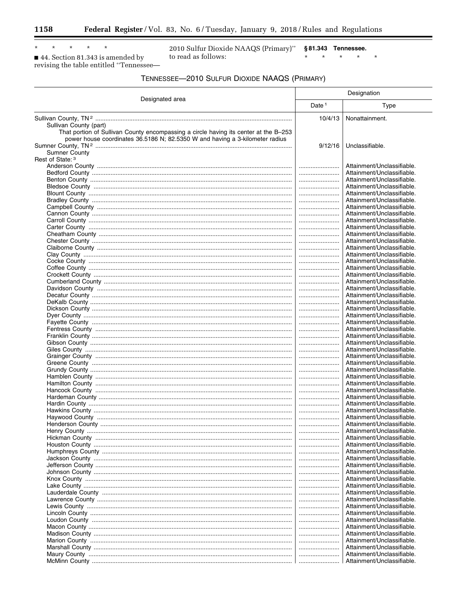Ξ

 $\star$  $\star$  $\star$  $\star$ 

■ 44. Section 81.343 is amended by revising the table entitled "Tennessee-

 $\star$ 

2010 Sulfur Dioxide NAAQS (Primary)" §81.343 Tennessee. to read as follows:

 $\star$   $\qquad$   $\star$  $\star$  $\pmb{\star}$  $\star$  ۲

| TENNESSEE-2010 SULFUR DIOXIDE NAAQS (PRIMARY) |  |  |
|-----------------------------------------------|--|--|
|                                               |  |  |

| Designation                                                                                                                                                                                                            |          |                                                          |
|------------------------------------------------------------------------------------------------------------------------------------------------------------------------------------------------------------------------|----------|----------------------------------------------------------|
| Designated area                                                                                                                                                                                                        | Date $1$ | Type                                                     |
|                                                                                                                                                                                                                        | 10/4/13  | Nonattainment.                                           |
| Sullivan County (part)<br>That portion of Sullivan County encompassing a circle having its center at the B-253<br>power house coordinates 36.5186 N; 82.5350 W and having a 3-kilometer radius<br><b>Sumner County</b> | 9/12/16  | Unclassifiable.                                          |
| Rest of State: 3                                                                                                                                                                                                       |          |                                                          |
|                                                                                                                                                                                                                        |          | Attainment/Unclassifiable.                               |
|                                                                                                                                                                                                                        | <br>     | Attainment/Unclassifiable.<br>Attainment/Unclassifiable. |
|                                                                                                                                                                                                                        |          | Attainment/Unclassifiable.                               |
|                                                                                                                                                                                                                        |          | Attainment/Unclassifiable.                               |
|                                                                                                                                                                                                                        |          | Attainment/Unclassifiable.                               |
|                                                                                                                                                                                                                        |          | Attainment/Unclassifiable.                               |
|                                                                                                                                                                                                                        |          | Attainment/Unclassifiable.<br>Attainment/Unclassifiable. |
|                                                                                                                                                                                                                        | <br>     | Attainment/Unclassifiable.                               |
|                                                                                                                                                                                                                        |          | Attainment/Unclassifiable.                               |
|                                                                                                                                                                                                                        |          | Attainment/Unclassifiable.                               |
|                                                                                                                                                                                                                        |          | Attainment/Unclassifiable.                               |
|                                                                                                                                                                                                                        |          | Attainment/Unclassifiable.                               |
|                                                                                                                                                                                                                        |          | Attainment/Unclassifiable.<br>Attainment/Unclassifiable. |
|                                                                                                                                                                                                                        |          | Attainment/Unclassifiable.                               |
|                                                                                                                                                                                                                        |          | Attainment/Unclassifiable.                               |
|                                                                                                                                                                                                                        |          | Attainment/Unclassifiable.                               |
|                                                                                                                                                                                                                        |          | Attainment/Unclassifiable.<br>Attainment/Unclassifiable. |
|                                                                                                                                                                                                                        |          | Attainment/Unclassifiable.                               |
|                                                                                                                                                                                                                        |          | Attainment/Unclassifiable.                               |
|                                                                                                                                                                                                                        |          | Attainment/Unclassifiable.                               |
|                                                                                                                                                                                                                        |          | Attainment/Unclassifiable.                               |
|                                                                                                                                                                                                                        | <br>     | Attainment/Unclassifiable.<br>Attainment/Unclassifiable. |
|                                                                                                                                                                                                                        |          | Attainment/Unclassifiable.                               |
|                                                                                                                                                                                                                        |          | Attainment/Unclassifiable.                               |
|                                                                                                                                                                                                                        | <br>     | Attainment/Unclassifiable.<br>Attainment/Unclassifiable. |
|                                                                                                                                                                                                                        |          | Attainment/Unclassifiable.                               |
|                                                                                                                                                                                                                        |          | Attainment/Unclassifiable.                               |
|                                                                                                                                                                                                                        |          | Attainment/Unclassifiable.                               |
|                                                                                                                                                                                                                        |          | Attainment/Unclassifiable.<br>Attainment/Unclassifiable. |
|                                                                                                                                                                                                                        |          | Attainment/Unclassifiable.                               |
|                                                                                                                                                                                                                        |          | Attainment/Unclassifiable.                               |
|                                                                                                                                                                                                                        |          | Attainment/Unclassifiable.                               |
|                                                                                                                                                                                                                        |          | Attainment/Unclassifiable.<br>Attainment/Unclassifiable. |
|                                                                                                                                                                                                                        |          | Attainment/Unclassifiable.                               |
|                                                                                                                                                                                                                        |          | Attainment/Unclassifiable.                               |
|                                                                                                                                                                                                                        |          | Attainment/Unclassifiable.                               |
|                                                                                                                                                                                                                        |          | Attainment/Unclassifiable.                               |
|                                                                                                                                                                                                                        |          | Attainment/Unclassifiable.<br>Attainment/Unclassifiable. |
|                                                                                                                                                                                                                        |          | Attainment/Unclassifiable.                               |
|                                                                                                                                                                                                                        |          | Attainment/Unclassifiable.                               |
|                                                                                                                                                                                                                        |          | Attainment/Unclassifiable.                               |
|                                                                                                                                                                                                                        |          | Attainment/Unclassifiable.                               |
|                                                                                                                                                                                                                        |          | Attainment/Unclassifiable.<br>Attainment/Unclassifiable. |
|                                                                                                                                                                                                                        |          | Attainment/Unclassifiable.                               |
|                                                                                                                                                                                                                        |          | Attainment/Unclassifiable.                               |
|                                                                                                                                                                                                                        |          | Attainment/Unclassifiable.                               |
|                                                                                                                                                                                                                        |          | Attainment/Unclassifiable.<br>Attainment/Unclassifiable. |
|                                                                                                                                                                                                                        |          | Attainment/Unclassifiable.                               |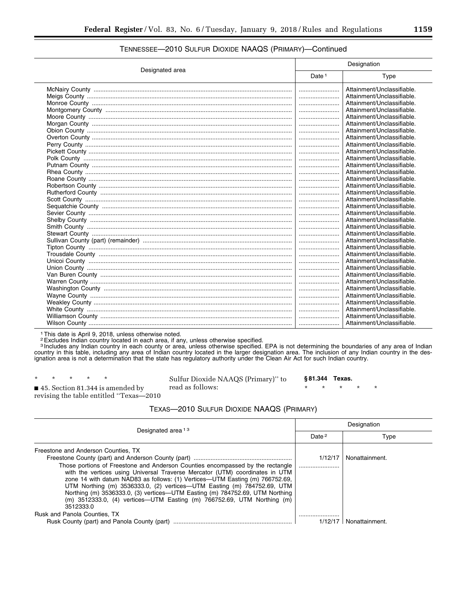|                 | Designation       |                            |
|-----------------|-------------------|----------------------------|
| Designated area | Date <sup>1</sup> | Type                       |
|                 |                   | Attainment/Unclassifiable. |
|                 |                   | Attainment/Unclassifiable. |
|                 |                   | Attainment/Unclassifiable. |
|                 |                   | Attainment/Unclassifiable. |
|                 |                   | Attainment/Unclassifiable. |
|                 |                   | Attainment/Unclassifiable. |
|                 |                   | Attainment/Unclassifiable. |
|                 |                   | Attainment/Unclassifiable. |
|                 |                   | Attainment/Unclassifiable. |
|                 |                   | Attainment/Unclassifiable. |
|                 |                   | Attainment/Unclassifiable. |
|                 |                   | Attainment/Unclassifiable. |
|                 |                   | Attainment/Unclassifiable. |
|                 |                   | Attainment/Unclassifiable. |
|                 |                   | Attainment/Unclassifiable. |
|                 |                   | Attainment/Unclassifiable. |
|                 |                   | Attainment/Unclassifiable. |
|                 |                   | Attainment/Unclassifiable. |
|                 |                   | Attainment/Unclassifiable. |
|                 |                   | Attainment/Unclassifiable. |
|                 |                   | Attainment/Unclassifiable. |
|                 |                   | Attainment/Unclassifiable. |
|                 |                   | Attainment/Unclassifiable. |
|                 |                   | Attainment/Unclassifiable. |
|                 |                   | Attainment/Unclassifiable. |
|                 |                   | Attainment/Unclassifiable. |
|                 |                   | Attainment/Unclassifiable. |
|                 |                   | Attainment/Unclassifiable. |
|                 |                   | Attainment/Unclassifiable. |
|                 |                   | Attainment/Unclassifiable. |
|                 |                   | Attainment/Unclassifiable. |
|                 |                   | Attainment/Unclassifiable. |
|                 |                   | Attainment/Unclassifiable. |
|                 |                   | Attainment/Unclassifiable. |
|                 |                   | Attainment/Unclassifiable. |

### TENNESSEE—2010 SULFUR DIOXIDE NAAQS (PRIMARY)—Continued

1This date is April 9, 2018, unless otherwise noted.

2Excludes Indian country located in each area, if any, unless otherwise specified.

<sup>3</sup> Includes any Indian country in each county or area, unless otherwise specified. EPA is not determining the boundaries of any area of Indian country in this table, including any area of Indian country located in the larger designation area. The inclusion of any Indian country in the designation area is not a determination that the state has regulatory authority under the Clean Air Act for such Indian country.

\* \* \* \* \*

■ 45. Section 81.344 is amended by revising the table entitled ''Texas—2010 Sulfur Dioxide NAAQS (Primary)'' to read as follows:

**§ 81.344 Texas.** 

\* \* \* \* \*

# TEXAS—2010 SULFUR DIOXIDE NAAQS (PRIMARY)

| Designated area <sup>13</sup>                                                                                                                                                                                                                                                                                                                                                                                                                                                                                                                                                   |                            | Designation                      |  |  |  |
|---------------------------------------------------------------------------------------------------------------------------------------------------------------------------------------------------------------------------------------------------------------------------------------------------------------------------------------------------------------------------------------------------------------------------------------------------------------------------------------------------------------------------------------------------------------------------------|----------------------------|----------------------------------|--|--|--|
|                                                                                                                                                                                                                                                                                                                                                                                                                                                                                                                                                                                 |                            | Type                             |  |  |  |
| Freestone and Anderson Counties. TX<br>Those portions of Freestone and Anderson Counties encompassed by the rectangle<br>with the vertices using Universal Traverse Mercator (UTM) coordinates in UTM<br>zone 14 with datum NAD83 as follows: (1) Vertices—UTM Easting (m) 766752.69,<br>UTM Northing (m) 3536333.0, (2) vertices—UTM Easting (m) 784752.69, UTM<br>Northing (m) 3536333.0, (3) vertices—UTM Easting (m) 784752.69, UTM Northing<br>(m) 3512333.0, (4) vertices-UTM Easting (m) 766752.69, UTM Northing (m)<br>3512333.0<br><b>Rusk and Panola Counties, TX</b> | 1/12/17<br><br><br>1/12/17 | Nonattainment.<br>Nonattainment. |  |  |  |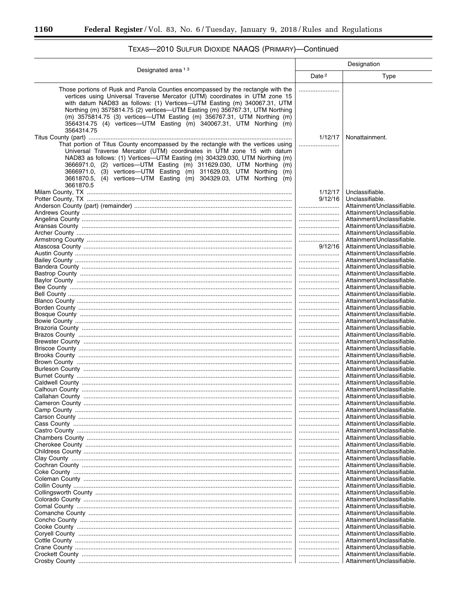$\equiv$ 

|                                                                                                                                                                                                                                                                                                                                                                                                                                                                               | Designation       |                                                          |  |  |  |  |
|-------------------------------------------------------------------------------------------------------------------------------------------------------------------------------------------------------------------------------------------------------------------------------------------------------------------------------------------------------------------------------------------------------------------------------------------------------------------------------|-------------------|----------------------------------------------------------|--|--|--|--|
| Designated area <sup>13</sup>                                                                                                                                                                                                                                                                                                                                                                                                                                                 | Date <sup>2</sup> | Type                                                     |  |  |  |  |
| Those portions of Rusk and Panola Counties encompassed by the rectangle with the<br>vertices using Universal Traverse Mercator (UTM) coordinates in UTM zone 15<br>with datum NAD83 as follows: (1) Vertices-UTM Easting (m) 340067.31, UTM<br>Northing (m) 3575814.75 (2) vertices-UTM Easting (m) 356767.31, UTM Northing<br>(m) 3575814.75 (3) vertices-UTM Easting (m) 356767.31, UTM Northing (m)<br>3564314.75 (4) vertices—UTM Easting (m) 340067.31, UTM Northing (m) |                   |                                                          |  |  |  |  |
| 3564314.75<br>That portion of Titus County encompassed by the rectangle with the vertices using                                                                                                                                                                                                                                                                                                                                                                               | 1/12/17<br>       | Nonattainment.                                           |  |  |  |  |
| Universal Traverse Mercator (UTM) coordinates in UTM zone 15 with datum<br>NAD83 as follows: (1) Vertices—UTM Easting (m) 304329.030, UTM Northing (m)<br>3666971.0, (2) vertices—UTM Easting (m) 311629.030, UTM Northing<br>(m)<br>(3) vertices—UTM Easting (m) 311629.03, UTM Northing<br>3666971.0.<br>(m)<br>3661870.5, (4) vertices—UTM Easting (m) 304329.03, UTM Northing<br>(m)<br>3661870.5                                                                         |                   |                                                          |  |  |  |  |
|                                                                                                                                                                                                                                                                                                                                                                                                                                                                               | 1/12/17           | Unclassifiable.                                          |  |  |  |  |
|                                                                                                                                                                                                                                                                                                                                                                                                                                                                               | 9/12/16           | Unclassifiable.                                          |  |  |  |  |
|                                                                                                                                                                                                                                                                                                                                                                                                                                                                               |                   | Attainment/Unclassifiable.                               |  |  |  |  |
|                                                                                                                                                                                                                                                                                                                                                                                                                                                                               |                   | Attainment/Unclassifiable.                               |  |  |  |  |
|                                                                                                                                                                                                                                                                                                                                                                                                                                                                               |                   | Attainment/Unclassifiable.                               |  |  |  |  |
|                                                                                                                                                                                                                                                                                                                                                                                                                                                                               |                   | Attainment/Unclassifiable.                               |  |  |  |  |
|                                                                                                                                                                                                                                                                                                                                                                                                                                                                               |                   | Attainment/Unclassifiable.                               |  |  |  |  |
|                                                                                                                                                                                                                                                                                                                                                                                                                                                                               |                   | Attainment/Unclassifiable.                               |  |  |  |  |
|                                                                                                                                                                                                                                                                                                                                                                                                                                                                               | 9/12/16           | Attainment/Unclassifiable.<br>Attainment/Unclassifiable. |  |  |  |  |
|                                                                                                                                                                                                                                                                                                                                                                                                                                                                               |                   | Attainment/Unclassifiable.                               |  |  |  |  |
|                                                                                                                                                                                                                                                                                                                                                                                                                                                                               |                   | Attainment/Unclassifiable.                               |  |  |  |  |
|                                                                                                                                                                                                                                                                                                                                                                                                                                                                               |                   | Attainment/Unclassifiable.                               |  |  |  |  |
|                                                                                                                                                                                                                                                                                                                                                                                                                                                                               |                   | Attainment/Unclassifiable.                               |  |  |  |  |
|                                                                                                                                                                                                                                                                                                                                                                                                                                                                               |                   | Attainment/Unclassifiable.                               |  |  |  |  |
|                                                                                                                                                                                                                                                                                                                                                                                                                                                                               |                   | Attainment/Unclassifiable.                               |  |  |  |  |
|                                                                                                                                                                                                                                                                                                                                                                                                                                                                               |                   | Attainment/Unclassifiable.                               |  |  |  |  |
|                                                                                                                                                                                                                                                                                                                                                                                                                                                                               |                   | Attainment/Unclassifiable.                               |  |  |  |  |
|                                                                                                                                                                                                                                                                                                                                                                                                                                                                               |                   | Attainment/Unclassifiable.                               |  |  |  |  |
|                                                                                                                                                                                                                                                                                                                                                                                                                                                                               |                   | Attainment/Unclassifiable.                               |  |  |  |  |
|                                                                                                                                                                                                                                                                                                                                                                                                                                                                               |                   | Attainment/Unclassifiable.                               |  |  |  |  |
|                                                                                                                                                                                                                                                                                                                                                                                                                                                                               |                   | Attainment/Unclassifiable.<br>Attainment/Unclassifiable. |  |  |  |  |
|                                                                                                                                                                                                                                                                                                                                                                                                                                                                               |                   | Attainment/Unclassifiable.                               |  |  |  |  |
|                                                                                                                                                                                                                                                                                                                                                                                                                                                                               |                   | Attainment/Unclassifiable.                               |  |  |  |  |
|                                                                                                                                                                                                                                                                                                                                                                                                                                                                               |                   | Attainment/Unclassifiable.                               |  |  |  |  |
|                                                                                                                                                                                                                                                                                                                                                                                                                                                                               |                   | Attainment/Unclassifiable.                               |  |  |  |  |
|                                                                                                                                                                                                                                                                                                                                                                                                                                                                               |                   | Attainment/Unclassifiable.                               |  |  |  |  |
|                                                                                                                                                                                                                                                                                                                                                                                                                                                                               |                   | Attainment/Unclassifiable.                               |  |  |  |  |
|                                                                                                                                                                                                                                                                                                                                                                                                                                                                               |                   | Attainment/Unclassifiable.                               |  |  |  |  |
|                                                                                                                                                                                                                                                                                                                                                                                                                                                                               |                   | Attainment/Unclassifiable                                |  |  |  |  |
|                                                                                                                                                                                                                                                                                                                                                                                                                                                                               |                   | Attainment/Unclassifiable.                               |  |  |  |  |
|                                                                                                                                                                                                                                                                                                                                                                                                                                                                               |                   | Attainment/Unclassifiable.                               |  |  |  |  |
|                                                                                                                                                                                                                                                                                                                                                                                                                                                                               |                   | Attainment/Unclassifiable.<br>Attainment/Unclassifiable. |  |  |  |  |
|                                                                                                                                                                                                                                                                                                                                                                                                                                                                               |                   | Attainment/Unclassifiable.                               |  |  |  |  |
|                                                                                                                                                                                                                                                                                                                                                                                                                                                                               |                   | Attainment/Unclassifiable.                               |  |  |  |  |
|                                                                                                                                                                                                                                                                                                                                                                                                                                                                               |                   | Attainment/Unclassifiable.                               |  |  |  |  |
|                                                                                                                                                                                                                                                                                                                                                                                                                                                                               |                   | Attainment/Unclassifiable.                               |  |  |  |  |
|                                                                                                                                                                                                                                                                                                                                                                                                                                                                               |                   | Attainment/Unclassifiable.                               |  |  |  |  |
|                                                                                                                                                                                                                                                                                                                                                                                                                                                                               |                   | Attainment/Unclassifiable.                               |  |  |  |  |
|                                                                                                                                                                                                                                                                                                                                                                                                                                                                               |                   | Attainment/Unclassifiable.                               |  |  |  |  |
|                                                                                                                                                                                                                                                                                                                                                                                                                                                                               |                   | Attainment/Unclassifiable.                               |  |  |  |  |
|                                                                                                                                                                                                                                                                                                                                                                                                                                                                               |                   | Attainment/Unclassifiable.                               |  |  |  |  |
|                                                                                                                                                                                                                                                                                                                                                                                                                                                                               |                   | Attainment/Unclassifiable.                               |  |  |  |  |
|                                                                                                                                                                                                                                                                                                                                                                                                                                                                               |                   | Attainment/Unclassifiable.                               |  |  |  |  |
|                                                                                                                                                                                                                                                                                                                                                                                                                                                                               |                   | Attainment/Unclassifiable.                               |  |  |  |  |
|                                                                                                                                                                                                                                                                                                                                                                                                                                                                               |                   | Attainment/Unclassifiable.<br>Attainment/Unclassifiable. |  |  |  |  |
|                                                                                                                                                                                                                                                                                                                                                                                                                                                                               |                   | Attainment/Unclassifiable.                               |  |  |  |  |
|                                                                                                                                                                                                                                                                                                                                                                                                                                                                               |                   | Attainment/Unclassifiable.                               |  |  |  |  |
|                                                                                                                                                                                                                                                                                                                                                                                                                                                                               |                   | Attainment/Unclassifiable.                               |  |  |  |  |
|                                                                                                                                                                                                                                                                                                                                                                                                                                                                               |                   | Attainment/Unclassifiable.                               |  |  |  |  |
|                                                                                                                                                                                                                                                                                                                                                                                                                                                                               |                   | Attainment/Unclassifiable.                               |  |  |  |  |
|                                                                                                                                                                                                                                                                                                                                                                                                                                                                               |                   | Attainment/Unclassifiable.                               |  |  |  |  |

# TEXAS-2010 SULFUR DIOXIDE NAAQS (PRIMARY)-Continued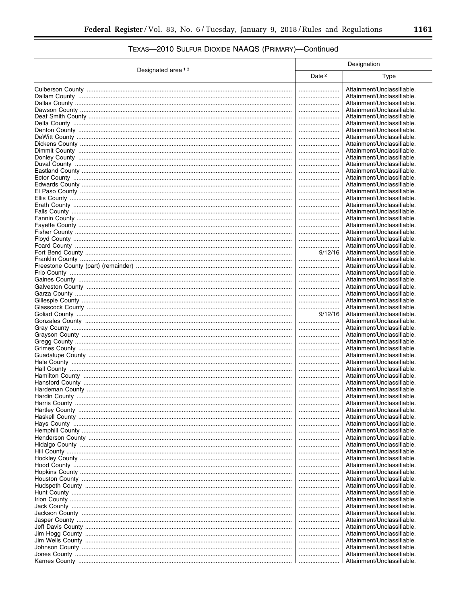# TEXAS-2010 SULFUR DIOXIDE NAAQS (PRIMARY)-Continued

|                               |                   | Designation                                              |
|-------------------------------|-------------------|----------------------------------------------------------|
| Designated area <sup>13</sup> | Date <sup>2</sup> | Type                                                     |
|                               |                   | Attainment/Unclassifiable.                               |
|                               |                   | Attainment/Unclassifiable.                               |
|                               |                   | Attainment/Unclassifiable.                               |
|                               |                   | Attainment/Unclassifiable.                               |
|                               |                   | Attainment/Unclassifiable.                               |
|                               |                   | Attainment/Unclassifiable.                               |
|                               |                   | Attainment/Unclassifiable.                               |
|                               |                   | Attainment/Unclassifiable.                               |
|                               |                   | Attainment/Unclassifiable.<br>Attainment/Unclassifiable. |
|                               |                   | Attainment/Unclassifiable.                               |
|                               |                   | Attainment/Unclassifiable.                               |
|                               |                   | Attainment/Unclassifiable.                               |
|                               |                   | Attainment/Unclassifiable.                               |
|                               |                   | Attainment/Unclassifiable.                               |
|                               |                   | Attainment/Unclassifiable.                               |
|                               |                   | Attainment/Unclassifiable.                               |
|                               |                   | Attainment/Unclassifiable.                               |
|                               |                   | Attainment/Unclassifiable.<br>Attainment/Unclassifiable. |
|                               |                   | Attainment/Unclassifiable.                               |
|                               |                   | Attainment/Unclassifiable.                               |
|                               |                   | Attainment/Unclassifiable.                               |
|                               |                   | Attainment/Unclassifiable.                               |
|                               | 9/12/16           | Attainment/Unclassifiable.                               |
|                               |                   | Attainment/Unclassifiable.                               |
|                               |                   | Attainment/Unclassifiable.                               |
|                               |                   | Attainment/Unclassifiable.                               |
|                               |                   | Attainment/Unclassifiable.                               |
|                               |                   | Attainment/Unclassifiable.<br>Attainment/Unclassifiable. |
|                               | <br>              | Attainment/Unclassifiable.                               |
|                               |                   | Attainment/Unclassifiable.                               |
|                               | 9/12/16           | Attainment/Unclassifiable.                               |
|                               |                   | Attainment/Unclassifiable.                               |
|                               |                   | Attainment/Unclassifiable.                               |
|                               |                   | Attainment/Unclassifiable.                               |
|                               |                   | Attainment/Unclassifiable.                               |
|                               |                   | Attainment/Unclassifiable.                               |
|                               |                   | Attainment/Unclassifiable.<br>Attainment/Unclassifiable. |
|                               | <br>              | Attainment/Unclassifiable.                               |
|                               |                   | Attainment/Unclassifiable.                               |
|                               |                   | Attainment/Unclassifiable.                               |
|                               |                   | Attainment/Unclassifiable.                               |
|                               |                   | Attainment/Unclassifiable.                               |
|                               |                   | Attainment/Unclassifiable.                               |
|                               |                   | Attainment/Unclassifiable.                               |
|                               |                   | Attainment/Unclassifiable.                               |
|                               |                   | Attainment/Unclassifiable.                               |
|                               |                   | Attainment/Unclassifiable.<br>Attainment/Unclassifiable. |
|                               | <br>              | Attainment/Unclassifiable.                               |
|                               |                   | Attainment/Unclassifiable.                               |
|                               |                   | Attainment/Unclassifiable.                               |
|                               |                   | Attainment/Unclassifiable.                               |
|                               |                   | Attainment/Unclassifiable.                               |
|                               |                   | Attainment/Unclassifiable.                               |
|                               |                   | Attainment/Unclassifiable.                               |
|                               |                   | Attainment/Unclassifiable.                               |
|                               |                   | Attainment/Unclassifiable.                               |
|                               |                   | Attainment/Unclassifiable.                               |
|                               |                   | Attainment/Unclassifiable.                               |
|                               |                   | Attainment/Unclassifiable.                               |
|                               | <br>              | Attainment/Unclassifiable.<br>Attainment/Unclassifiable. |
|                               |                   | Attainment/Unclassifiable.                               |
|                               |                   | Attainment/Unclassifiable.                               |
|                               |                   | Attainment/Unclassifiable.                               |
|                               |                   | Attainment/Unclassifiable.                               |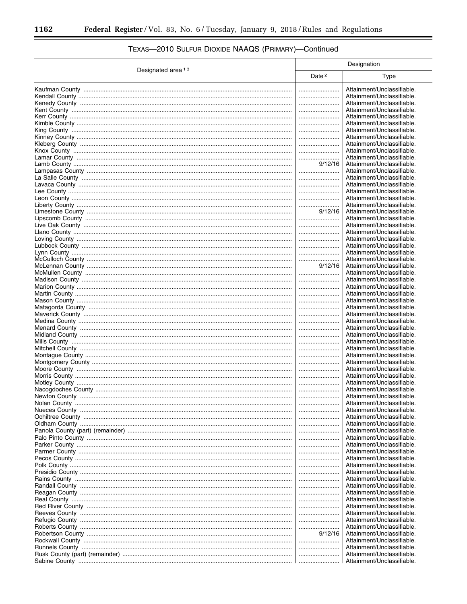|                               |                   | Designation                                              |
|-------------------------------|-------------------|----------------------------------------------------------|
| Designated area <sup>13</sup> | Date <sup>2</sup> | Type                                                     |
|                               |                   | Attainment/Unclassifiable.                               |
|                               |                   | Attainment/Unclassifiable.                               |
|                               |                   | Attainment/Unclassifiable.                               |
|                               |                   | Attainment/Unclassifiable.                               |
|                               |                   | Attainment/Unclassifiable.                               |
|                               |                   | Attainment/Unclassifiable.                               |
|                               |                   | Attainment/Unclassifiable.                               |
|                               |                   | Attainment/Unclassifiable.                               |
|                               |                   | Attainment/Unclassifiable.                               |
|                               |                   | Attainment/Unclassifiable.                               |
|                               |                   | Attainment/Unclassifiable.                               |
|                               | 9/12/16           | Attainment/Unclassifiable.                               |
|                               |                   | Attainment/Unclassifiable.                               |
|                               |                   | Attainment/Unclassifiable.                               |
|                               |                   | Attainment/Unclassifiable.                               |
|                               |                   | Attainment/Unclassifiable.                               |
|                               |                   | Attainment/Unclassifiable.                               |
|                               | 9/12/16           | Attainment/Unclassifiable.<br>Attainment/Unclassifiable. |
|                               |                   | Attainment/Unclassifiable.                               |
|                               |                   | Attainment/Unclassifiable.                               |
|                               |                   | Attainment/Unclassifiable.                               |
|                               |                   | Attainment/Unclassifiable.                               |
|                               |                   | Attainment/Unclassifiable.                               |
|                               |                   | Attainment/Unclassifiable.                               |
|                               |                   | Attainment/Unclassifiable.                               |
|                               | 9/12/16           | Attainment/Unclassifiable.                               |
|                               |                   | Attainment/Unclassifiable.                               |
|                               |                   | Attainment/Unclassifiable.                               |
|                               |                   | Attainment/Unclassifiable.                               |
|                               |                   | Attainment/Unclassifiable.                               |
|                               |                   | Attainment/Unclassifiable.                               |
|                               |                   | Attainment/Unclassifiable.                               |
|                               |                   | Attainment/Unclassifiable.                               |
|                               |                   | Attainment/Unclassifiable.                               |
|                               |                   | Attainment/Unclassifiable.                               |
|                               |                   | Attainment/Unclassifiable.                               |
|                               |                   | Attainment/Unclassifiable.                               |
|                               |                   | Attainment/Unclassifiable.                               |
|                               |                   | Attainment/Unclassifiable.                               |
|                               |                   | Attainment/Unclassifiable.                               |
|                               |                   | Attainment/Unclassifiable.                               |
|                               |                   | Attainment/Unclassifiable.<br>Attainment/Unclassifiable. |
|                               |                   | Attainment/Unclassifiable.                               |
|                               |                   | Attainment/Unclassifiable.                               |
|                               |                   | Attainment/Unclassifiable                                |
|                               |                   | Attainment/Unclassifiable.                               |
|                               |                   | Attainment/Unclassifiable.                               |
|                               |                   | Attainment/Unclassifiable.                               |
|                               |                   | Attainment/Unclassifiable.                               |
|                               |                   | Attainment/Unclassifiable.                               |
|                               |                   | Attainment/Unclassifiable.                               |
|                               |                   | Attainment/Unclassifiable.                               |
|                               |                   | Attainment/Unclassifiable.                               |
|                               |                   | Attainment/Unclassifiable.                               |
|                               |                   | Attainment/Unclassifiable.                               |
|                               |                   | Attainment/Unclassifiable.                               |
|                               |                   | Attainment/Unclassifiable.                               |
|                               |                   | Attainment/Unclassifiable.                               |
|                               |                   | Attainment/Unclassifiable.                               |
|                               |                   | Attainment/Unclassifiable.                               |
|                               |                   | Attainment/Unclassifiable.                               |
|                               |                   | Attainment/Unclassifiable.                               |
|                               |                   | Attainment/Unclassifiable.                               |
|                               | 9/12/16           | Attainment/Unclassifiable.                               |
|                               |                   | Attainment/Unclassifiable.                               |
|                               |                   | Attainment/Unclassifiable.                               |
|                               |                   | Attainment/Unclassifiable.                               |
|                               |                   | Attainment/Unclassifiable.                               |

# TEXAS-2010 SULFUR DIOXIDE NAAQS (PRIMARY)-Continued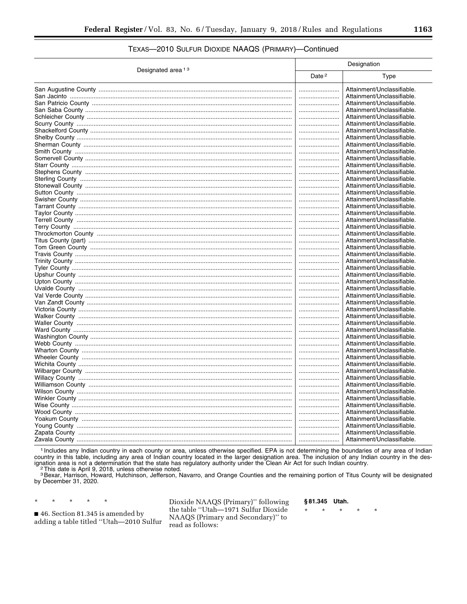### TEXAS-2010 SULFUR DIOXIDE NAAQS (PRIMARY)-Continued

| Designated area <sup>13</sup> | Designation       |                                                          |  |  |
|-------------------------------|-------------------|----------------------------------------------------------|--|--|
|                               | Date <sup>2</sup> | Type                                                     |  |  |
|                               |                   | Attainment/Unclassifiable.                               |  |  |
|                               |                   | Attainment/Unclassifiable.                               |  |  |
|                               |                   | Attainment/Unclassifiable.                               |  |  |
|                               |                   | Attainment/Unclassifiable.                               |  |  |
|                               |                   | Attainment/Unclassifiable.                               |  |  |
|                               |                   | Attainment/Unclassifiable.                               |  |  |
|                               |                   | Attainment/Unclassifiable.                               |  |  |
|                               |                   | Attainment/Unclassifiable.                               |  |  |
|                               |                   | Attainment/Unclassifiable.                               |  |  |
|                               |                   | Attainment/Unclassifiable.                               |  |  |
|                               |                   | Attainment/Unclassifiable.                               |  |  |
|                               |                   | Attainment/Unclassifiable.                               |  |  |
|                               |                   | Attainment/Unclassifiable.                               |  |  |
|                               |                   | Attainment/Unclassifiable.                               |  |  |
|                               |                   | Attainment/Unclassifiable.                               |  |  |
|                               |                   | Attainment/Unclassifiable.                               |  |  |
|                               |                   | Attainment/Unclassifiable.                               |  |  |
|                               |                   | Attainment/Unclassifiable.                               |  |  |
|                               |                   | Attainment/Unclassifiable.                               |  |  |
|                               |                   | Attainment/Unclassifiable.                               |  |  |
|                               |                   | Attainment/Unclassifiable.<br>Attainment/Unclassifiable. |  |  |
|                               |                   |                                                          |  |  |
|                               |                   | Attainment/Unclassifiable.                               |  |  |
|                               |                   | Attainment/Unclassifiable.<br>Attainment/Unclassifiable. |  |  |
|                               |                   | Attainment/Unclassifiable.                               |  |  |
|                               |                   | Attainment/Unclassifiable.                               |  |  |
|                               | <br>              | Attainment/Unclassifiable.                               |  |  |
|                               |                   | Attainment/Unclassifiable.                               |  |  |
|                               |                   | Attainment/Unclassifiable.                               |  |  |
|                               |                   | Attainment/Unclassifiable.                               |  |  |
|                               |                   | Attainment/Unclassifiable.                               |  |  |
|                               |                   | Attainment/Unclassifiable.                               |  |  |
|                               |                   | Attainment/Unclassifiable.                               |  |  |
|                               |                   | Attainment/Unclassifiable.                               |  |  |
|                               |                   | Attainment/Unclassifiable.                               |  |  |
|                               |                   | Attainment/Unclassifiable.                               |  |  |
|                               |                   | Attainment/Unclassifiable.                               |  |  |
|                               |                   | Attainment/Unclassifiable.                               |  |  |
|                               |                   | Attainment/Unclassifiable.                               |  |  |
|                               |                   | Attainment/Unclassifiable.                               |  |  |
|                               |                   | Attainment/Unclassifiable.                               |  |  |
|                               |                   | Attainment/Unclassifiable.                               |  |  |
|                               |                   | Attainment/Unclassifiable.                               |  |  |
|                               |                   | Attainment/Unclassifiable.                               |  |  |
|                               |                   | Attainment/Unclassifiable.                               |  |  |
|                               |                   | Attainment/Unclassifiable.                               |  |  |
|                               |                   | Attainment/Unclassifiable.                               |  |  |
|                               |                   | Attainment/Unclassifiable.                               |  |  |
|                               |                   | Attainment/Unclassifiable.                               |  |  |
|                               |                   | Attainment/Unclassifiable.                               |  |  |
|                               |                   | Attainment/Unclassifiable.                               |  |  |
|                               |                   |                                                          |  |  |

<sup>1</sup> Includes any Indian country in each county or area, unless otherwise specified. EPA is not determining the boundaries of any area of Indian country in this table, including any area of Indian country located in the larger designation area. The inclusion of any Indian country in the designation area is not a determination that the state has regulatory authority <sup>2</sup>This date is April 9, 2018, unless otherwise noted.

s Bexar, Harrison, Howard, Hutchinson, Jefferson, Navarro, and Orange Counties and the remaining portion of Titus County will be designated<br>by December 31, 2020.

46. Section 81.345 is amended by adding a table titled "Utah-2010 Sulfur

 $\star$ 

 $\star$ 

y.

Dioxide NAAQS (Primary)" following the table "Utah-1971 Sulfur Dioxide NAAQS (Primary and Secondary)" to read as follows:

§81.345 Utah.

 $\star$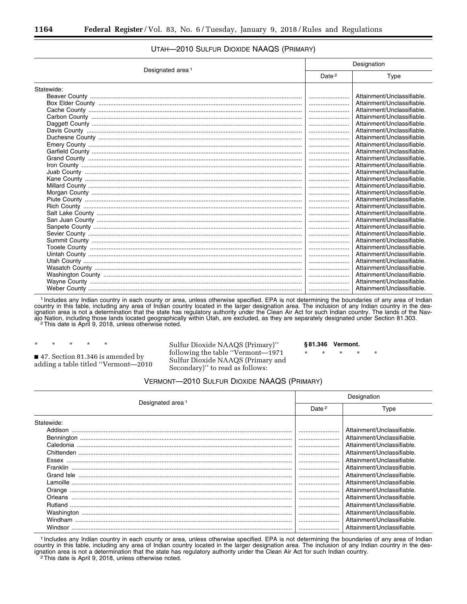#### Designated area 1 Designation Date<sup>2</sup> | Type Statewide: Beaver County ............................................................................................................................. ........................ Attainment/Unclassifiable. Box Elder County ........................................................................................................................ ........................ Attainment/Unclassifiable. Cache County .............................................................................................................................. ........................ Attainment/Unclassifiable. Carbon County ............................................................................................................................ ........................ Attainment/Unclassifiable. Daggett County ............................................................................................................................ ........................ Attainment/Unclassifiable. Davis County ............................................................................................................................... ........................ Attainment/Unclassifiable. Duchesne County ........................................................................................................................ ........................ Attainment/Unclassifiable. Emery County .............................................................................................................................. ........................ Attainment/Unclassifiable. Garfield County ............................................................................................................................ ........................ Attainment/Unclassifiable. Grand County .............................................................................................................................. ........................ Attainment/Unclassifiable. Iron County .................................................................................................................................. ........................ Attainment/Unclassifiable. Juab County ................................................................................................................................ ........................ Attainment/Unclassifiable. Kane County ................................................................................................................................ ........................ Attainment/Unclassifiable. Millard County .............................................................................................................................. ........................ Attainment/Unclassifiable. Morgan County ............................................................................................................................ ........................ Attainment/Unclassifiable. Piute County ................................................................................................................................ ........................ Attainment/Unclassifiable. Rich County ................................................................................................................................. ........................ Attainment/Unclassifiable. Salt Lake County ......................................................................................................................... ........................ Attainment/Unclassifiable. San Juan County ......................................................................................................................... ........................ Attainment/Unclassifiable. Sanpete County ........................................................................................................................... ........................ Attainment/Unclassifiable. Sevier County .............................................................................................................................. ........................ Attainment/Unclassifiable. Summit County ............................................................................................................................ ........................ Attainment/Unclassifiable. Tooele County ............................................................................................................................. ........................ Attainment/Unclassifiable. Uintah County .............................................................................................................................. ........................ Attainment/Unclassifiable. Utah County ................................................................................................................................. ........................ Attainment/Unclassifiable. Wasatch County .......................................................................................................................... ........................ Attainment/Unclassifiable. Washington County ..................................................................................................................... ........................ Attainment/Unclassifiable. Wayne County ............................................................................................................................. ........................ Attainment/Unclassifiable. Weber County .............................................................................................................................. ........................ Attainment/Unclassifiable.

#### UTAH—2010 SULFUR DIOXIDE NAAQS (PRIMARY)

1 Includes any Indian country in each county or area, unless otherwise specified. EPA is not determining the boundaries of any area of Indian country in this table, including any area of Indian country located in the larger designation area. The inclusion of any Indian country in the designation area is not a determination that the state has regulatory authority under the Clean Air Act for such Indian country. The lands of the Navajo Nation, including those lands located geographically within Utah, are excluded, as they are separately designated under Section 81.303.<br><sup>2</sup>This date is April 9, 2018, unless otherwise noted.

\* \* \* \* \* ■ 47. Section 81.346 is amended by adding a table titled ''Vermont—2010 Sulfur Dioxide NAAQS (Primary)'' following the table ''Vermont—1971 Sulfur Dioxide NAAQS (Primary and Secondary)'' to read as follows:

**§ 81.346 Vermont.** 

\* \* \* \* \*

#### VERMONT—2010 SULFUR DIOXIDE NAAQS (PRIMARY)

|                                                                                                                                                                                                                                                                                                                                                                                                                                                                                                | Designation |                            |  |  |
|------------------------------------------------------------------------------------------------------------------------------------------------------------------------------------------------------------------------------------------------------------------------------------------------------------------------------------------------------------------------------------------------------------------------------------------------------------------------------------------------|-------------|----------------------------|--|--|
| Designated area <sup>1</sup>                                                                                                                                                                                                                                                                                                                                                                                                                                                                   |             | Type                       |  |  |
| Statewide:                                                                                                                                                                                                                                                                                                                                                                                                                                                                                     |             |                            |  |  |
| Addison                                                                                                                                                                                                                                                                                                                                                                                                                                                                                        |             | Attainment/Unclassifiable. |  |  |
|                                                                                                                                                                                                                                                                                                                                                                                                                                                                                                |             | Attainment/Unclassifiable. |  |  |
|                                                                                                                                                                                                                                                                                                                                                                                                                                                                                                |             | Attainment/Unclassifiable. |  |  |
|                                                                                                                                                                                                                                                                                                                                                                                                                                                                                                |             | Attainment/Unclassifiable. |  |  |
| Essex                                                                                                                                                                                                                                                                                                                                                                                                                                                                                          |             | Attainment/Unclassifiable. |  |  |
| $\begin{minipage}[c]{0.9\linewidth} \textbf{Franklin} \end{minipage}[ex>{\color{red}k}{\color{blue}k}{\color{blue}k}{\color{blue}k}{\color{blue}k}{\color{blue}k}{\color{blue}k}{\color{blue}k}{\color{blue}k}{\color{blue}k}{\color{blue}k}{\color{blue}k}{\color{blue}k}{\color{blue}k}{\color{blue}k}{\color{blue}k}{\color{blue}k}{\color{blue}k}{\color{blue}k}{\color{blue}k}{\color{blue}k}{\color{blue}k}{\color{blue}k}{\color{blue}k}{\color{blue}k}{\color{blue}k}{\color{blue}k}{$ |             | Attainment/Unclassifiable. |  |  |
|                                                                                                                                                                                                                                                                                                                                                                                                                                                                                                |             | Attainment/Unclassifiable. |  |  |
|                                                                                                                                                                                                                                                                                                                                                                                                                                                                                                |             | Attainment/Unclassifiable. |  |  |
|                                                                                                                                                                                                                                                                                                                                                                                                                                                                                                |             | Attainment/Unclassifiable. |  |  |
|                                                                                                                                                                                                                                                                                                                                                                                                                                                                                                |             | Attainment/Unclassifiable. |  |  |
|                                                                                                                                                                                                                                                                                                                                                                                                                                                                                                |             | Attainment/Unclassifiable. |  |  |
|                                                                                                                                                                                                                                                                                                                                                                                                                                                                                                |             | Attainment/Unclassifiable. |  |  |
| Windham                                                                                                                                                                                                                                                                                                                                                                                                                                                                                        |             | Attainment/Unclassifiable. |  |  |
| Windsor                                                                                                                                                                                                                                                                                                                                                                                                                                                                                        |             | Attainment/Unclassifiable. |  |  |

1 Includes any Indian country in each county or area, unless otherwise specified. EPA is not determining the boundaries of any area of Indian country in this table, including any area of Indian country located in the larger designation area. The inclusion of any Indian country in the designation area is not a determination that the state has regulatory authority under the Clean Air Act for such Indian country.<br><sup>2</sup>This date is April 9, 2018, unless otherwise noted.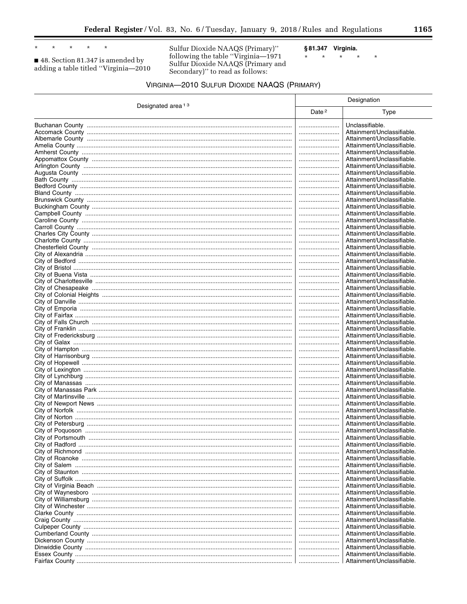$\star$  $\star$  $\star$ 

 $\blacksquare$  48. Section 81.347 is amended by<br>adding a table titled "Virginia—2010

 $\star$ 

Sulfur Dioxide NAAQS (Primary)" following the table "Virginia—1971<br>Sulfur Dioxide NAAQS (Primary and<br>Secondary)" to read as follows: § 81.347 Virginia.  $\star$  $\star$  $\star$  $\star$ 

 $\star$ 

| Designated area <sup>13</sup> |                   | Designation                |  |  |
|-------------------------------|-------------------|----------------------------|--|--|
|                               | Date <sup>2</sup> | Type                       |  |  |
|                               |                   | Unclassifiable.            |  |  |
|                               |                   | Attainment/Unclassifiable. |  |  |
|                               |                   | Attainment/Unclassifiable. |  |  |
|                               |                   | Attainment/Unclassifiable. |  |  |
|                               |                   | Attainment/Unclassifiable. |  |  |
|                               |                   | Attainment/Unclassifiable. |  |  |
|                               |                   | Attainment/Unclassifiable. |  |  |
|                               |                   | Attainment/Unclassifiable. |  |  |
|                               |                   | Attainment/Unclassifiable. |  |  |
|                               |                   | Attainment/Unclassifiable. |  |  |
|                               |                   | Attainment/Unclassifiable. |  |  |
|                               |                   | Attainment/Unclassifiable. |  |  |
|                               |                   | Attainment/Unclassifiable. |  |  |
|                               |                   | Attainment/Unclassifiable. |  |  |
|                               |                   | Attainment/Unclassifiable. |  |  |
|                               |                   | Attainment/Unclassifiable. |  |  |
|                               |                   | Attainment/Unclassifiable. |  |  |
|                               |                   | Attainment/Unclassifiable. |  |  |
|                               |                   | Attainment/Unclassifiable. |  |  |
|                               |                   | Attainment/Unclassifiable. |  |  |
|                               |                   | Attainment/Unclassifiable. |  |  |
|                               |                   | Attainment/Unclassifiable. |  |  |
|                               |                   | Attainment/Unclassifiable. |  |  |
|                               |                   | Attainment/Unclassifiable. |  |  |
|                               |                   | Attainment/Unclassifiable. |  |  |
|                               |                   | Attainment/Unclassifiable. |  |  |
|                               |                   | Attainment/Unclassifiable. |  |  |
|                               |                   | Attainment/Unclassifiable. |  |  |
|                               |                   | Attainment/Unclassifiable. |  |  |
|                               |                   | Attainment/Unclassifiable. |  |  |
|                               |                   | Attainment/Unclassifiable. |  |  |
|                               |                   | Attainment/Unclassifiable. |  |  |
|                               |                   | Attainment/Unclassifiable. |  |  |
|                               |                   | Attainment/Unclassifiable. |  |  |
|                               |                   | Attainment/Unclassifiable. |  |  |
|                               |                   | Attainment/Unclassifiable. |  |  |
|                               |                   | Attainment/Unclassifiable. |  |  |
|                               |                   | Attainment/Unclassifiable. |  |  |
|                               |                   | Attainment/Unclassifiable. |  |  |
|                               |                   | Attainment/Unclassifiable. |  |  |
|                               |                   | Attainment/Unclassifiable. |  |  |
|                               |                   | Attainment/Unclassifiable. |  |  |
|                               |                   | Attainment/Unclassifiable. |  |  |
|                               |                   | Attainment/Unclassifiable. |  |  |
|                               |                   | Attainment/Unclassifiable. |  |  |
|                               |                   | Attainment/Unclassifiable. |  |  |
|                               |                   | Attainment/Unclassifiable. |  |  |
|                               |                   | Attainment/Unclassifiable. |  |  |
|                               |                   | Attainment/Unclassifiable. |  |  |
|                               |                   | Attainment/Unclassifiable. |  |  |
|                               |                   | Attainment/Unclassifiable. |  |  |
|                               |                   | Attainment/Unclassifiable. |  |  |
|                               |                   | Attainment/Unclassifiable. |  |  |
|                               |                   | Attainment/Unclassifiable. |  |  |
|                               |                   | Attainment/Unclassifiable. |  |  |
|                               |                   | Attainment/Unclassifiable. |  |  |
|                               |                   | Attainment/Unclassifiable. |  |  |
|                               |                   | Attainment/Unclassifiable. |  |  |
|                               |                   | Attainment/Unclassifiable. |  |  |
|                               |                   | Attainment/Unclassifiable. |  |  |
|                               |                   | Attainment/Unclassifiable. |  |  |
|                               |                   | Attainment/Unclassifiable. |  |  |
|                               |                   | Attainment/Unclassifiable. |  |  |
|                               |                   | Attainment/Unclassifiable. |  |  |
|                               |                   | Attainment/Unclassifiable. |  |  |
|                               |                   |                            |  |  |

## VIRGINIA-2010 SULFUR DIOXIDE NAAQS (PRIMARY)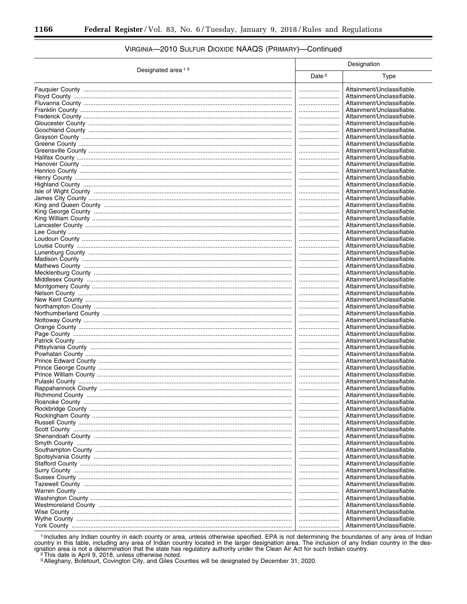|                               |                   | Designation                |
|-------------------------------|-------------------|----------------------------|
| Designated area <sup>13</sup> | Date <sup>2</sup> | Type                       |
|                               |                   | Attainment/Unclassifiable. |
|                               |                   | Attainment/Unclassifiable. |
|                               |                   | Attainment/Unclassifiable. |
|                               |                   | Attainment/Unclassifiable. |
|                               |                   | Attainment/Unclassifiable. |
|                               |                   | Attainment/Unclassifiable. |
|                               |                   | Attainment/Unclassifiable. |
|                               |                   | Attainment/Unclassifiable. |
|                               |                   | Attainment/Unclassifiable. |
|                               |                   | Attainment/Unclassifiable. |
|                               |                   | Attainment/Unclassifiable. |
|                               |                   | Attainment/Unclassifiable. |
|                               |                   | Attainment/Unclassifiable. |
|                               |                   | Attainment/Unclassifiable. |
|                               |                   | Attainment/Unclassifiable. |
|                               |                   | Attainment/Unclassifiable. |
|                               |                   | Attainment/Unclassifiable. |
|                               |                   | Attainment/Unclassifiable. |
|                               |                   | Attainment/Unclassifiable. |
|                               |                   | Attainment/Unclassifiable. |
|                               |                   | Attainment/Unclassifiable. |
|                               |                   | Attainment/Unclassifiable. |
|                               |                   | Attainment/Unclassifiable. |
|                               |                   | Attainment/Unclassifiable. |
|                               |                   | Attainment/Unclassifiable. |
|                               |                   | Attainment/Unclassifiable. |
|                               |                   | Attainment/Unclassifiable. |
|                               |                   | Attainment/Unclassifiable. |
|                               |                   | Attainment/Unclassifiable. |
|                               |                   | Attainment/Unclassifiable. |
|                               |                   | Attainment/Unclassifiable. |
|                               |                   | Attainment/Unclassifiable. |
|                               |                   | Attainment/Unclassifiable. |
|                               |                   | Attainment/Unclassifiable. |
|                               |                   | Attainment/Unclassifiable. |
|                               |                   | Attainment/Unclassifiable. |
|                               |                   | Attainment/Unclassifiable. |
|                               |                   | Attainment/Unclassifiable. |
|                               |                   | Attainment/Unclassifiable. |
|                               |                   | Attainment/Unclassifiable. |
|                               |                   | Attainment/Unclassifiable. |
|                               |                   | Attainment/Unclassifiable. |
|                               |                   | Attainment/Unclassifiable. |
|                               |                   | Attainment/Unclassifiable. |
|                               |                   | Attainment/Unclassifiable. |
|                               |                   | Attainment/Unclassifiable. |
| Roanoke County                |                   | Attainment/Unclassifiable  |
|                               |                   | Attainment/Unclassifiable. |
|                               |                   | Attainment/Unclassifiable. |
|                               |                   | Attainment/Unclassifiable. |
|                               |                   | Attainment/Unclassifiable. |
|                               |                   | Attainment/Unclassifiable. |
|                               |                   | Attainment/Unclassifiable. |
|                               |                   | Attainment/Unclassifiable. |
|                               |                   | Attainment/Unclassifiable. |
|                               |                   | Attainment/Unclassifiable. |
|                               |                   | Attainment/Unclassifiable. |
|                               |                   | Attainment/Unclassifiable. |
|                               |                   | Attainment/Unclassifiable. |
|                               |                   | Attainment/Unclassifiable. |
|                               |                   | Attainment/Unclassifiable. |
|                               |                   | Attainment/Unclassifiable. |
|                               |                   | Attainment/Unclassifiable. |
|                               |                   | Attainment/Unclassifiable. |
|                               |                   | Attainment/Unclassifiable. |

## VIRGINIA-2010 SULFUR DIOXIDE NAAQS (PRIMARY)-Continued

<sup>1</sup> Includes any Indian country in each county or area, unless otherwise specified. EPA is not determining the boundaries of any area of Indian country in this table, including any area of Indian country located in the lar

<sup>3</sup> Alleghany, Botetourt, Covington City, and Giles Counties will be designated by December 31, 2020.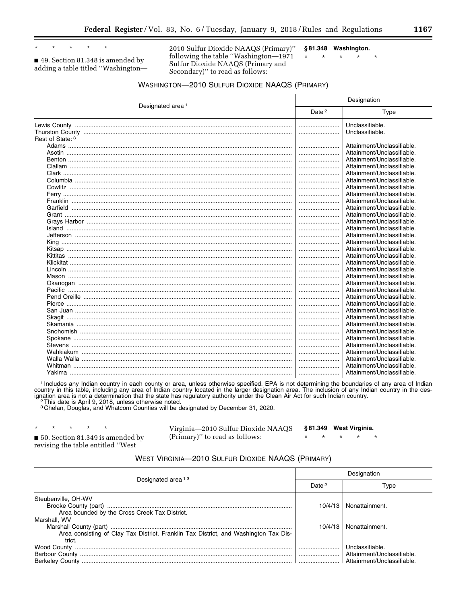$\ddot{\phantom{0}}$  $\star$ 

■ 49. Section 81.348 is amended by adding a table titled "Washington-

2010 Sulfur Dioxide NAAQS (Primary)" following the table "Washington-1971  $\star$ Sulfur Dioxide NAAQS (Primary and Secondary)" to read as follows:

§81.348 Washington.  $\star$  $\star$  $\star$ 

 $\star$ 

## **WASHINGTON-2010 SULFUR DIOXIDE NAAQS (PRIMARY)**

|                              | Designation       |                                    |  |
|------------------------------|-------------------|------------------------------------|--|
| Designated area <sup>1</sup> | Date <sup>2</sup> | Type                               |  |
|                              |                   | Unclassifiable.<br>Unclassifiable. |  |
| Rest of State: 3             |                   |                                    |  |
|                              |                   | Attainment/Unclassifiable.         |  |
|                              |                   | Attainment/Unclassifiable.         |  |
|                              |                   | Attainment/Unclassifiable.         |  |
|                              |                   | Attainment/Unclassifiable.         |  |
|                              |                   | Attainment/Unclassifiable.         |  |
|                              |                   | Attainment/Unclassifiable.         |  |
|                              |                   | Attainment/Unclassifiable.         |  |
|                              |                   | Attainment/Unclassifiable.         |  |
|                              |                   | Attainment/Unclassifiable.         |  |
|                              |                   | Attainment/Unclassifiable.         |  |
|                              |                   | Attainment/Unclassifiable.         |  |
|                              |                   | Attainment/Unclassifiable.         |  |
|                              |                   | Attainment/Unclassifiable.         |  |
|                              |                   | Attainment/Unclassifiable.         |  |
|                              |                   | Attainment/Unclassifiable.         |  |
|                              |                   | Attainment/Unclassifiable.         |  |
|                              |                   | Attainment/Unclassifiable.         |  |
|                              |                   | Attainment/Unclassifiable.         |  |
|                              |                   | Attainment/Unclassifiable.         |  |
|                              |                   | Attainment/Unclassifiable.         |  |
|                              |                   | Attainment/Unclassifiable.         |  |
|                              |                   | Attainment/Unclassifiable.         |  |
|                              |                   | Attainment/Unclassifiable.         |  |
|                              |                   | Attainment/Unclassifiable.         |  |
|                              |                   | Attainment/Unclassifiable.         |  |
|                              |                   | Attainment/Unclassifiable.         |  |
|                              |                   | Attainment/Unclassifiable.         |  |
|                              |                   | Attainment/Unclassifiable.         |  |
|                              |                   | Attainment/Unclassifiable.         |  |
|                              |                   | Attainment/Unclassifiable.         |  |
|                              |                   | Attainment/Unclassifiable.         |  |
|                              |                   | Attainment/Unclassifiable.         |  |
|                              |                   | Attainment/Unclassifiable.         |  |
|                              |                   | Attainment/Unclassifiable.         |  |

<sup>1</sup> Includes any Indian country in each county or area, unless otherwise specified. EPA is not determining the boundaries of any area of Indian country in this table, including any area of Indian country located in the lar ignation area is not a determination that the state has regulatory authority under the Clean Air Act for such Indian country. <sup>2</sup>This date is April 9, 2018, unless otherwise noted.

3 Chelan, Douglas, and Whatcom Counties will be designated by December 31, 2020.

|  | * * * * * |                                                 | Virginia-2010 Sulfur Dioxide NAAQS §81.349 West Virginia. |  |                                 |  |
|--|-----------|-------------------------------------------------|-----------------------------------------------------------|--|---------------------------------|--|
|  |           | $\blacksquare$ 50. Section 81.349 is amended by | (Primary)'' to read as follows:                           |  | $\star$ $\star$ $\star$ $\star$ |  |
|  |           | revising the table entitled ''West              |                                                           |  |                                 |  |

#### **WEST VIRGINIA-2010 SULFUR DIOXIDE NAAQS (PRIMARY)**

| Designated area <sup>13</sup>                                                                        | Designation |                                                                            |  |  |
|------------------------------------------------------------------------------------------------------|-------------|----------------------------------------------------------------------------|--|--|
|                                                                                                      | Date $2$    | Type                                                                       |  |  |
| Steubenville, OH-WV<br>Area bounded by the Cross Creek Tax District.                                 | 10/4/13     | Nonattainment.                                                             |  |  |
| Marshall, WV<br>Area consisting of Clay Tax District, Franklin Tax District, and Washington Tax Dis- | 10/4/13     | Nonattainment.                                                             |  |  |
| trict.                                                                                               |             | Unclassifiable.<br>Attainment/Unclassifiable.<br>Attainment/Unclassifiable |  |  |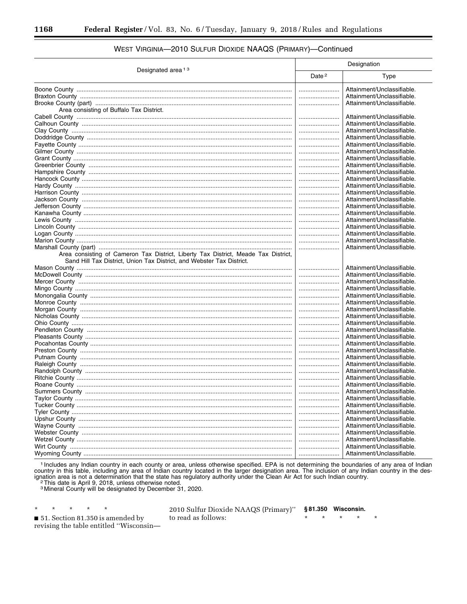|                                                                                    |                   | Designation                |  |  |  |
|------------------------------------------------------------------------------------|-------------------|----------------------------|--|--|--|
| Designated area <sup>13</sup>                                                      | Date <sup>2</sup> | Type                       |  |  |  |
|                                                                                    |                   | Attainment/Unclassifiable. |  |  |  |
|                                                                                    |                   | Attainment/Unclassifiable. |  |  |  |
|                                                                                    |                   | Attainment/Unclassifiable. |  |  |  |
| Area consisting of Buffalo Tax District.                                           |                   |                            |  |  |  |
|                                                                                    |                   | Attainment/Unclassifiable. |  |  |  |
|                                                                                    |                   | Attainment/Unclassifiable. |  |  |  |
|                                                                                    |                   | Attainment/Unclassifiable. |  |  |  |
|                                                                                    |                   | Attainment/Unclassifiable. |  |  |  |
|                                                                                    |                   | Attainment/Unclassifiable. |  |  |  |
|                                                                                    |                   | Attainment/Unclassifiable. |  |  |  |
|                                                                                    |                   | Attainment/Unclassifiable. |  |  |  |
|                                                                                    |                   | Attainment/Unclassifiable. |  |  |  |
|                                                                                    |                   | Attainment/Unclassifiable. |  |  |  |
|                                                                                    |                   | Attainment/Unclassifiable. |  |  |  |
|                                                                                    |                   | Attainment/Unclassifiable. |  |  |  |
|                                                                                    |                   | Attainment/Unclassifiable. |  |  |  |
|                                                                                    |                   | Attainment/Unclassifiable. |  |  |  |
|                                                                                    |                   | Attainment/Unclassifiable. |  |  |  |
|                                                                                    |                   | Attainment/Unclassifiable. |  |  |  |
|                                                                                    |                   | Attainment/Unclassifiable. |  |  |  |
|                                                                                    |                   | Attainment/Unclassifiable. |  |  |  |
|                                                                                    |                   | Attainment/Unclassifiable. |  |  |  |
|                                                                                    |                   | Attainment/Unclassifiable. |  |  |  |
|                                                                                    |                   | Attainment/Unclassifiable. |  |  |  |
| Area consisting of Cameron Tax District, Liberty Tax District, Meade Tax District, |                   |                            |  |  |  |
| Sand Hill Tax District, Union Tax District, and Webster Tax District.              |                   |                            |  |  |  |
|                                                                                    |                   | Attainment/Unclassifiable. |  |  |  |
|                                                                                    |                   | Attainment/Unclassifiable. |  |  |  |
|                                                                                    |                   | Attainment/Unclassifiable. |  |  |  |
|                                                                                    |                   | Attainment/Unclassifiable. |  |  |  |
|                                                                                    |                   | Attainment/Unclassifiable. |  |  |  |
|                                                                                    |                   | Attainment/Unclassifiable. |  |  |  |
|                                                                                    |                   | Attainment/Unclassifiable. |  |  |  |
|                                                                                    |                   | Attainment/Unclassifiable. |  |  |  |
|                                                                                    |                   | Attainment/Unclassifiable. |  |  |  |
|                                                                                    |                   | Attainment/Unclassifiable. |  |  |  |
|                                                                                    |                   | Attainment/Unclassifiable. |  |  |  |
|                                                                                    |                   | Attainment/Unclassifiable. |  |  |  |
|                                                                                    |                   | Attainment/Unclassifiable. |  |  |  |
|                                                                                    |                   | Attainment/Unclassifiable. |  |  |  |
|                                                                                    |                   | Attainment/Unclassifiable. |  |  |  |
|                                                                                    |                   | Attainment/Unclassifiable. |  |  |  |
|                                                                                    |                   | Attainment/Unclassifiable. |  |  |  |
|                                                                                    |                   | Attainment/Unclassifiable. |  |  |  |
|                                                                                    |                   | Attainment/Unclassifiable. |  |  |  |
|                                                                                    |                   | Attainment/Unclassifiable. |  |  |  |
|                                                                                    |                   | Attainment/Unclassifiable. |  |  |  |
|                                                                                    |                   | Attainment/Unclassifiable. |  |  |  |
|                                                                                    |                   | Attainment/Unclassifiable. |  |  |  |
|                                                                                    |                   | Attainment/Unclassifiable. |  |  |  |
|                                                                                    |                   | Attainment/Unclassifiable. |  |  |  |
|                                                                                    |                   | Attainment/Unclassifiable. |  |  |  |
|                                                                                    |                   | Attainment/Unclassifiable. |  |  |  |
|                                                                                    |                   | Attainment/Unclassifiable. |  |  |  |
|                                                                                    |                   |                            |  |  |  |

## WEST VIRGINIA-2010 SULFUR DIOXIDE NAAQS (PRIMARY)-Continued

1 Includes any Indian country in each county or area, unless otherwise specified. EPA is not determining the boundaries of any area of Indian country in this table, including any area of Indian country located in the larger designation area. The inclusion of any Indian country in the designation area is not a determination that the state has regulatory authority

<sup>2</sup> This date is April 9, 2018, unless otherwise noted.

<sup>3</sup> Mineral County will be designated by December 31, 2020.

51. Section 81.350 is amended by revising the table entitled "Wisconsin-

 $\star$ 

 $\star$ 

 $\star$ 

 $\star$ 

2010 Sulfur Dioxide NAAQS (Primary)" to read as follows:

§81.350 Wisconsin.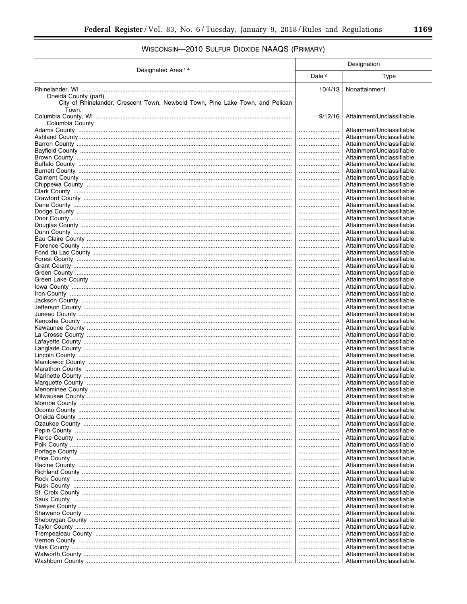# WISCONSIN-2010 SULFUR DIOXIDE NAAQS (PRIMARY)

| Designated Area <sup>14</sup>                                                                                  | Designation       |                                                          |
|----------------------------------------------------------------------------------------------------------------|-------------------|----------------------------------------------------------|
|                                                                                                                | Date <sup>2</sup> | Type                                                     |
|                                                                                                                | 10/4/13           | Nonattainment.                                           |
| Oneida County (part)<br>City of Rhinelander, Crescent Town, Newbold Town, Pine Lake Town, and Pelican<br>Town. |                   |                                                          |
| Columbia County                                                                                                | 9/12/16           | Attainment/Unclassifiable.                               |
|                                                                                                                |                   | Attainment/Unclassifiable.                               |
|                                                                                                                |                   | Attainment/Unclassifiable.                               |
|                                                                                                                |                   | Attainment/Unclassifiable.<br>Attainment/Unclassifiable. |
|                                                                                                                |                   | Attainment/Unclassifiable.                               |
|                                                                                                                |                   | Attainment/Unclassifiable.                               |
|                                                                                                                |                   | Attainment/Unclassifiable.                               |
|                                                                                                                |                   | Attainment/Unclassifiable.                               |
|                                                                                                                |                   | Attainment/Unclassifiable.                               |
|                                                                                                                |                   | Attainment/Unclassifiable.                               |
|                                                                                                                |                   | Attainment/Unclassifiable.                               |
|                                                                                                                | <br>              | Attainment/Unclassifiable.<br>Attainment/Unclassifiable. |
|                                                                                                                |                   | Attainment/Unclassifiable.                               |
|                                                                                                                |                   | Attainment/Unclassifiable.                               |
|                                                                                                                |                   | Attainment/Unclassifiable.                               |
|                                                                                                                |                   | Attainment/Unclassifiable.                               |
|                                                                                                                |                   | Attainment/Unclassifiable.                               |
|                                                                                                                |                   | Attainment/Unclassifiable.                               |
|                                                                                                                |                   | Attainment/Unclassifiable.                               |
|                                                                                                                |                   | Attainment/Unclassifiable.<br>Attainment/Unclassifiable. |
|                                                                                                                |                   | Attainment/Unclassifiable.                               |
|                                                                                                                |                   | Attainment/Unclassifiable.                               |
|                                                                                                                |                   | Attainment/Unclassifiable.                               |
|                                                                                                                |                   | Attainment/Unclassifiable.                               |
|                                                                                                                |                   | Attainment/Unclassifiable.                               |
|                                                                                                                |                   | Attainment/Unclassifiable.                               |
|                                                                                                                |                   | Attainment/Unclassifiable.<br>Attainment/Unclassifiable. |
|                                                                                                                |                   | Attainment/Unclassifiable.                               |
|                                                                                                                |                   | Attainment/Unclassifiable.                               |
|                                                                                                                |                   | Attainment/Unclassifiable.                               |
|                                                                                                                |                   | Attainment/Unclassifiable.                               |
|                                                                                                                |                   | Attainment/Unclassifiable.                               |
|                                                                                                                |                   | Attainment/Unclassifiable.                               |
|                                                                                                                |                   | Attainment/Unclassifiable.                               |
|                                                                                                                | <br>              | Attainment/Unclassifiable.<br>Attainment/Unclassifiable. |
|                                                                                                                |                   | Attainment/Unclassifiable.                               |
|                                                                                                                |                   | Attainment/Unclassifiable.                               |
|                                                                                                                |                   | Attainment/Unclassifiable.                               |
|                                                                                                                |                   | Attainment/Unclassifiable.                               |
|                                                                                                                |                   | Attainment/Unclassifiable.                               |
|                                                                                                                |                   | Attainment/Unclassifiable.                               |
|                                                                                                                |                   | Attainment/Unclassifiable.<br>Attainment/Unclassifiable. |
|                                                                                                                |                   | Attainment/Unclassifiable.                               |
|                                                                                                                |                   | Attainment/Unclassifiable.                               |
|                                                                                                                |                   | Attainment/Unclassifiable.                               |
|                                                                                                                |                   | Attainment/Unclassifiable.                               |
|                                                                                                                |                   | Attainment/Unclassifiable.                               |
|                                                                                                                |                   | Attainment/Unclassifiable.                               |
|                                                                                                                |                   | Attainment/Unclassifiable.<br>Attainment/Unclassifiable. |
|                                                                                                                |                   | Attainment/Unclassifiable.                               |
|                                                                                                                |                   | Attainment/Unclassifiable.                               |
|                                                                                                                |                   | Attainment/Unclassifiable.                               |
|                                                                                                                |                   | Attainment/Unclassifiable.                               |
|                                                                                                                |                   | Attainment/Unclassifiable.                               |
|                                                                                                                |                   | Attainment/Unclassifiable.                               |
|                                                                                                                |                   | Attainment/Unclassifiable.<br>Attainment/Unclassifiable. |
|                                                                                                                |                   | Attainment/Unclassifiable.                               |
|                                                                                                                |                   |                                                          |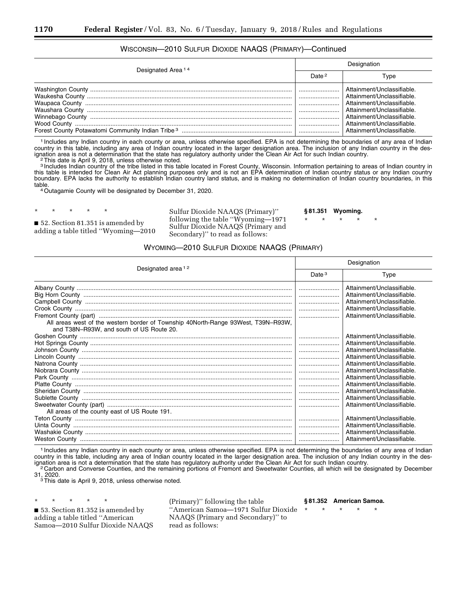#### WISCONSIN—2010 SULFUR DIOXIDE NAAQS (PRIMARY)—Continued

| Designated Area <sup>14</sup> | Designation       |                                                                                                                                                                                                            |
|-------------------------------|-------------------|------------------------------------------------------------------------------------------------------------------------------------------------------------------------------------------------------------|
|                               | Date <sup>2</sup> | Type                                                                                                                                                                                                       |
|                               |                   | Attainment/Unclassifiable.<br>Attainment/Unclassifiable<br>Attainment/Unclassifiable<br>Attainment/Unclassifiable<br>Attainment/Unclassifiable<br>Attainment/Unclassifiable.<br>Attainment/Unclassifiable. |

1 Includes any Indian country in each county or area, unless otherwise specified. EPA is not determining the boundaries of any area of Indian country in this table, including any area of Indian country located in the larger designation area. The inclusion of any Indian country in the designation area is not a determination that the state has regulatory authority under the Clean Air Act for such Indian country.<br><sup>2</sup>This date is April 9, 2018, unless otherwise noted.

3 Includes Indian country of the tribe listed in this table located in Forest County, Wisconsin. Information pertaining to areas of Indian country in this table is intended for Clean Air Act planning purposes only and is not an EPA determination of Indian country status or any Indian country boundary. EPA lacks the authority to establish Indian country land status, and is making no determination of Indian country boundaries, in this<br>table.

<sup>4</sup> Outagamie County will be designated by December 31, 2020.

■ 52. Section 81.351 is amended by adding a table titled ''Wyoming—2010

\* \* \* \* \*

Sulfur Dioxide NAAQS (Primary)'' following the table ''Wyoming—1971 Sulfur Dioxide NAAQS (Primary and Secondary)'' to read as follows:

**§ 81.351 Wyoming.** 

\* \* \* \* \*

## WYOMING—2010 SULFUR DIOXIDE NAAQS (PRIMARY)

| Designated area <sup>12</sup>                                                                                                 | Designation |                                                                                                                                                                                                                                                                                                                                        |
|-------------------------------------------------------------------------------------------------------------------------------|-------------|----------------------------------------------------------------------------------------------------------------------------------------------------------------------------------------------------------------------------------------------------------------------------------------------------------------------------------------|
|                                                                                                                               | Date $3$    | Type                                                                                                                                                                                                                                                                                                                                   |
| All areas west of the western border of Township 40North-Range 93West, T39N-R93W,<br>and T38N-R93W, and south of US Route 20. |             | Attainment/Unclassifiable.<br>Attainment/Unclassifiable.<br>Attainment/Unclassifiable.<br>Attainment/Unclassifiable.<br>Attainment/Unclassifiable.                                                                                                                                                                                     |
| All areas of the county east of US Route 191.                                                                                 |             | Attainment/Unclassifiable.<br>Attainment/Unclassifiable.<br>Attainment/Unclassifiable.<br>Attainment/Unclassifiable.<br>Attainment/Unclassifiable.<br>Attainment/Unclassifiable.<br>Attainment/Unclassifiable.<br>Attainment/Unclassifiable.<br>Attainment/Unclassifiable.<br>Attainment/Unclassifiable.<br>Attainment/Unclassifiable. |
|                                                                                                                               |             | Attainment/Unclassifiable.<br>Attainment/Unclassifiable.<br>Attainment/Unclassifiable.<br>Attainment/Unclassifiable.                                                                                                                                                                                                                   |

1 Includes any Indian country in each county or area, unless otherwise specified. EPA is not determining the boundaries of any area of Indian country in this table, including any area of Indian country located in the larger designation area. The inclusion of any Indian country in the des-<br>ignation area is not a determination that the state has regulatory authori ⊂ 2 Carbon and Converse Counties, and the remaining portions of Fremont and Sweetwater Counties, all which will be designated by December<br>31, 2020.

 $3$ This date is April 9, 2018, unless otherwise noted.

\* \* \* \* \* ■ 53. Section 81.352 is amended by adding a table titled ''American Samoa—2010 Sulfur Dioxide NAAQS

(Primary)'' following the table ''American Samoa—1971 Sulfur Dioxide NAAQS (Primary and Secondary)'' to read as follows:

**§ 81.352 American Samoa.** 

\* \* \* \* \*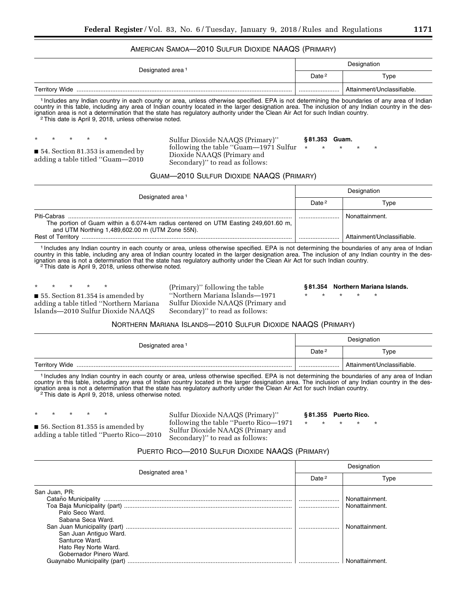#### AMERICAN SAMOA—2010 SULFUR DIOXIDE NAAQS (PRIMARY)

| Designated area <sup>1</sup> | Designation       |                            |
|------------------------------|-------------------|----------------------------|
|                              | Date <sup>2</sup> | Type                       |
| <b>Territory Wide</b>        |                   | Attainment/Unclassifiable. |

1 Includes any Indian country in each county or area, unless otherwise specified. EPA is not determining the boundaries of any area of Indian country in this table, including any area of Indian country located in the larger designation area. The inclusion of any Indian country in the designation area is not a determination that the state has regulatory authority under the Clean Air Act for such Indian country.<br><sup>2</sup>This date is April 9, 2018, unless otherwise noted.

\* \* \* \* \*

■ 54. Section 81.353 is amended by adding a table titled ''Guam—2010

#### Sulfur Dioxide NAAQS (Primary)'' following the table ''Guam—1971 Sulfur Dioxide NAAQS (Primary and Secondary)'' to read as follows: **§ 81.353 Guam.**  \* \* \* \* \*

### GUAM—2010 SULFUR DIOXIDE NAAQS (PRIMARY)

| Designated area <sup>1</sup>                                                                                                                         | Designation       |                            |
|------------------------------------------------------------------------------------------------------------------------------------------------------|-------------------|----------------------------|
|                                                                                                                                                      | Date <sup>2</sup> | Type                       |
| Piti-Cabras<br>The portion of Guam within a 6.074-km radius centered on UTM Easting 249,601.60 m,<br>and UTM Northing 1,489,602.00 m (UTM Zone 55N). |                   | Nonattainment.             |
| <b>Rest of Territory</b>                                                                                                                             |                   | Attainment/Unclassifiable. |

1 Includes any Indian country in each county or area, unless otherwise specified. EPA is not determining the boundaries of any area of Indian country in this table, including any area of Indian country located in the larger designation area. The inclusion of any Indian country in the designation area is not a determination that the state has regulatory authority under the Clean Air Act for such Indian country.<br><sup>2</sup>This date is April 9, 2018, unless otherwise noted.

\* \* \* \* \* ■ 55. Section 81.354 is amended by adding a table titled ''Northern Mariana Islands—2010 Sulfur Dioxide NAAQS

(Primary)'' following the table ''Northern Mariana Islands—1971 Sulfur Dioxide NAAQS (Primary and Secondary)'' to read as follows:

### **§ 81.354 Northern Mariana Islands.**

\* \* \* \* \*

#### NORTHERN MARIANA ISLANDS—2010 SULFUR DIOXIDE NAAQS (PRIMARY)

| Designated area <sup>1</sup> | Designation       |                            |
|------------------------------|-------------------|----------------------------|
|                              | Date <sup>2</sup> | Type                       |
|                              |                   | Attainment/Unclassifiable. |

1 Includes any Indian country in each county or area, unless otherwise specified. EPA is not determining the boundaries of any area of Indian country in this table, including any area of Indian country located in the larger designation area. The inclusion of any Indian country in the designation area is not a determination that the state has regulatory authority under the Clean Air Act for such Indian country.<br><sup>2</sup>This date is April 9, 2018, unless otherwise noted.

\* \* \* \* \*

■ 56. Section 81.355 is amended by adding a table titled ''Puerto Rico—2010 Sulfur Dioxide NAAQS (Primary)'' following the table ''Puerto Rico—1971 Sulfur Dioxide NAAQS (Primary and Secondary)'' to read as follows:

#### **§ 81.355 Puerto Rico.**

\* \* \* \* \*

#### PUERTO RICO—2010 SULFUR DIOXIDE NAAQS (PRIMARY)

| Designated area <sup>1</sup>                    | Designation       |                |
|-------------------------------------------------|-------------------|----------------|
|                                                 | Date <sup>2</sup> | Type           |
| San Juan, PR:                                   |                   | Nonattainment. |
| Palo Seco Ward.<br>Sabana Seca Ward.            |                   | Nonattainment. |
| San Juan Antiguo Ward.<br>Santurce Ward.        |                   | Nonattainment. |
| Hato Rey Norte Ward.<br>Gobernador Pinero Ward. |                   |                |
|                                                 |                   | Nonattainment  |